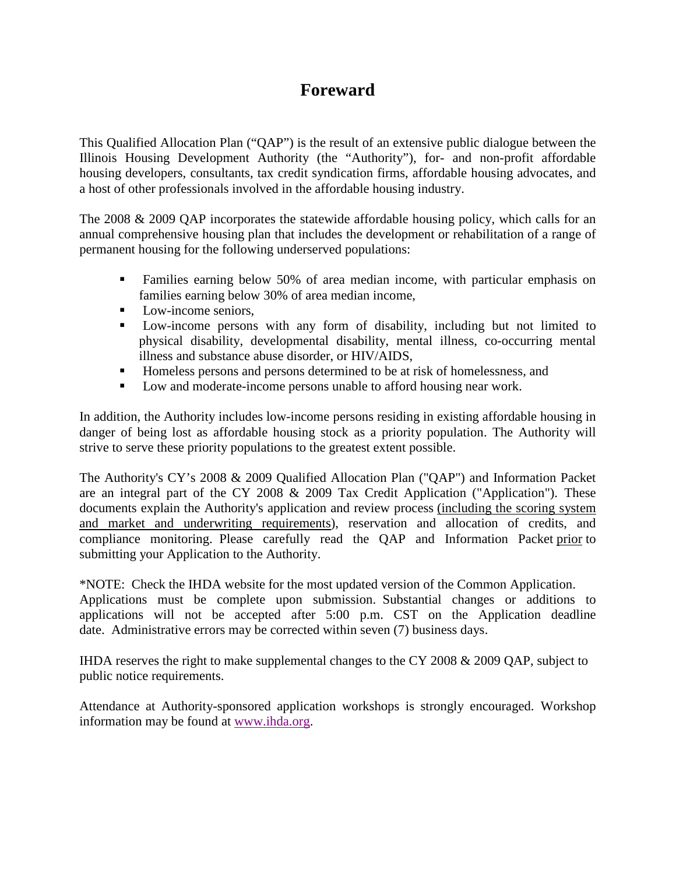## **Foreward**

This Qualified Allocation Plan ("QAP") is the result of an extensive public dialogue between the Illinois Housing Development Authority (the "Authority"), for- and non-profit affordable housing developers, consultants, tax credit syndication firms, affordable housing advocates, and a host of other professionals involved in the affordable housing industry.

The 2008 & 2009 QAP incorporates the statewide affordable housing policy, which calls for an annual comprehensive housing plan that includes the development or rehabilitation of a range of permanent housing for the following underserved populations:

- Families earning below 50% of area median income, with particular emphasis on families earning below 30% of area median income,
- **Low-income seniors.**
- Low-income persons with any form of disability, including but not limited to physical disability, developmental disability, mental illness, co-occurring mental illness and substance abuse disorder, or HIV/AIDS,
- Homeless persons and persons determined to be at risk of homelessness, and
- **Low and moderate-income persons unable to afford housing near work.**

In addition, the Authority includes low-income persons residing in existing affordable housing in danger of being lost as affordable housing stock as a priority population. The Authority will strive to serve these priority populations to the greatest extent possible.

The Authority's CY's 2008 & 2009 Qualified Allocation Plan ("QAP") and Information Packet are an integral part of the CY 2008 & 2009 Tax Credit Application ("Application"). These documents explain the Authority's application and review process (including the scoring system and market and underwriting requirements), reservation and allocation of credits, and compliance monitoring. Please carefully read the QAP and Information Packet prior to submitting your Application to the Authority.

\*NOTE: Check the IHDA website for the most updated version of the Common Application. Applications must be complete upon submission. Substantial changes or additions to applications will not be accepted after 5:00 p.m. CST on the Application deadline date. Administrative errors may be corrected within seven (7) business days.

IHDA reserves the right to make supplemental changes to the CY 2008 & 2009 QAP, subject to public notice requirements.

Attendance at Authority-sponsored application workshops is strongly encouraged. Workshop information may be found at [www.ihda.org.](http://www.ihda.org/)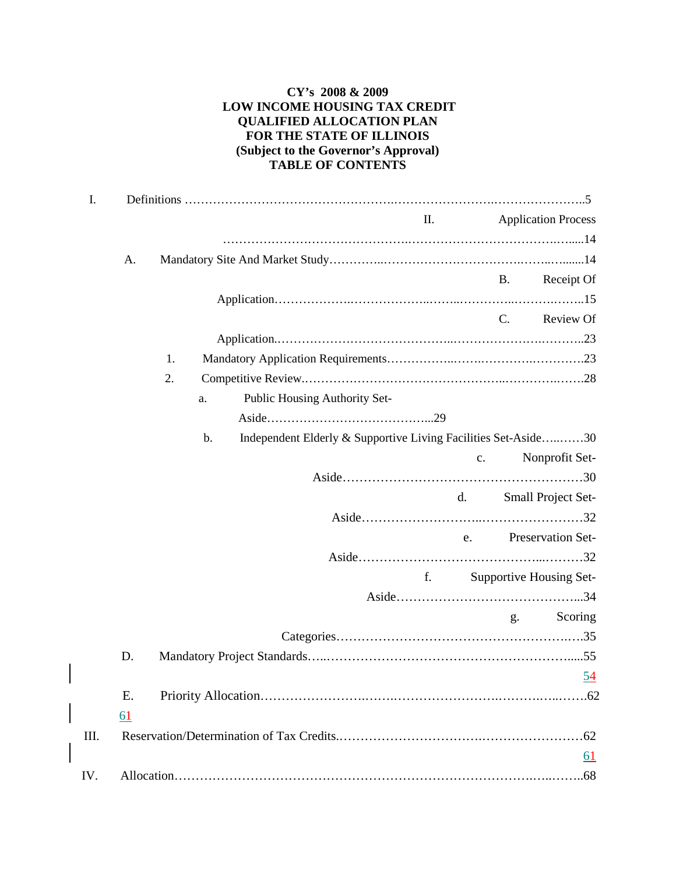#### **CY's 2008 & 2009 LOW INCOME HOUSING TAX CREDIT QUALIFIED ALLOCATION PLAN FOR THE STATE OF ILLINOIS (Subject to the Governor's Approval) TABLE OF CONTENTS**

| Ι.   |           |                                                                      |
|------|-----------|----------------------------------------------------------------------|
|      |           | II.<br><b>Application Process</b>                                    |
|      |           |                                                                      |
|      | A.        |                                                                      |
|      |           | B. Receipt Of                                                        |
|      |           |                                                                      |
|      |           | C. Review Of                                                         |
|      |           |                                                                      |
|      |           | 1.                                                                   |
|      |           | 2.                                                                   |
|      |           | Public Housing Authority Set-<br>a.                                  |
|      |           |                                                                      |
|      |           | Independent Elderly & Supportive Living Facilities Set-Aside30<br>b. |
|      |           | Nonprofit Set-<br>c.                                                 |
|      |           |                                                                      |
|      |           | d.<br><b>Small Project Set-</b>                                      |
|      |           |                                                                      |
|      |           | Preservation Set-<br>e.                                              |
|      |           |                                                                      |
|      |           | f.<br>Supportive Housing Set-                                        |
|      |           |                                                                      |
|      |           | Scoring<br>$g_{\rm{}}$                                               |
|      |           |                                                                      |
|      | D.        |                                                                      |
|      |           | <u>54</u>                                                            |
|      | E.        |                                                                      |
|      | <u>61</u> |                                                                      |
| III. |           |                                                                      |
|      |           | <u>61</u>                                                            |
| IV.  |           |                                                                      |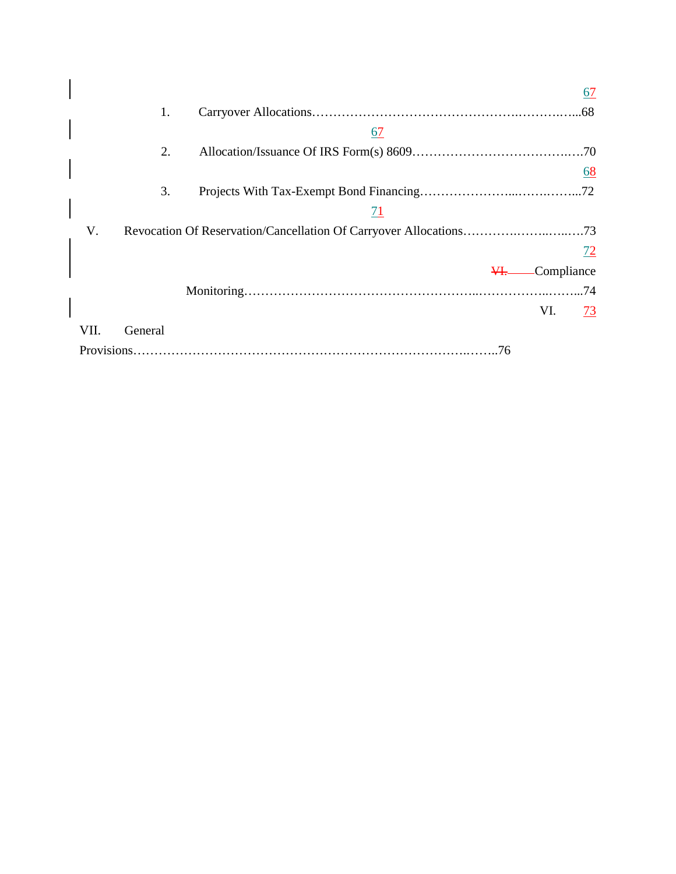|      |         |           |                | 67        |
|------|---------|-----------|----------------|-----------|
|      | 1.      |           |                |           |
|      |         | <u>67</u> |                |           |
|      | 2.      |           |                |           |
|      |         |           |                | 68        |
|      | 3.      |           |                |           |
|      |         | 71        |                |           |
| V.   |         |           |                |           |
|      |         |           |                | <u>72</u> |
|      |         |           | VI. Compliance |           |
|      |         |           |                |           |
|      |         |           | VI.            | 73        |
| VII. | General |           |                |           |
|      |         | .76       |                |           |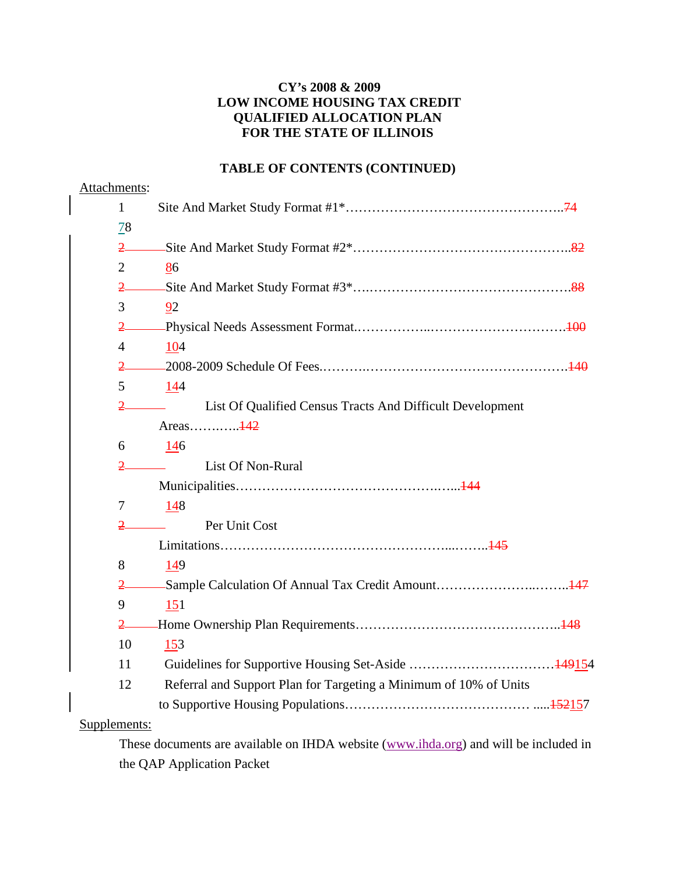### **CY's 2008 & 2009 LOW INCOME HOUSING TAX CREDIT QUALIFIED ALLOCATION PLAN FOR THE STATE OF ILLINOIS**

## **TABLE OF CONTENTS (CONTINUED)**

| Attachments:    |                                                                                      |
|-----------------|--------------------------------------------------------------------------------------|
| $\mathbf{1}$    |                                                                                      |
| $\overline{28}$ |                                                                                      |
| $\overline{2}$  |                                                                                      |
| $\mathfrak{2}$  | 86                                                                                   |
| $\overline{2}$  |                                                                                      |
| 3               | 92                                                                                   |
| $\overline{2}$  |                                                                                      |
| 4               | 104                                                                                  |
| $\overline{2}$  |                                                                                      |
| 5               | 144                                                                                  |
| 2               | List Of Qualified Census Tracts And Difficult Development                            |
|                 | Areas442                                                                             |
| 6               | 146                                                                                  |
| $\overline{2}$  | List Of Non-Rural                                                                    |
|                 |                                                                                      |
| 7               | 148                                                                                  |
| $\overline{2}$  | Per Unit Cost                                                                        |
|                 |                                                                                      |
| 8               | 149                                                                                  |
| $\overline{2}$  | Sample Calculation Of Annual Tax Credit Amount447                                    |
| 9               | 151                                                                                  |
| $\overline{2}$  |                                                                                      |
| 10              | 153                                                                                  |
| 11              |                                                                                      |
| 12              | Referral and Support Plan for Targeting a Minimum of 10% of Units                    |
|                 |                                                                                      |
| Supplements:    |                                                                                      |
|                 | These documents are available on IHDA website (www.ihda.org) and will be included in |
|                 | the QAP Application Packet                                                           |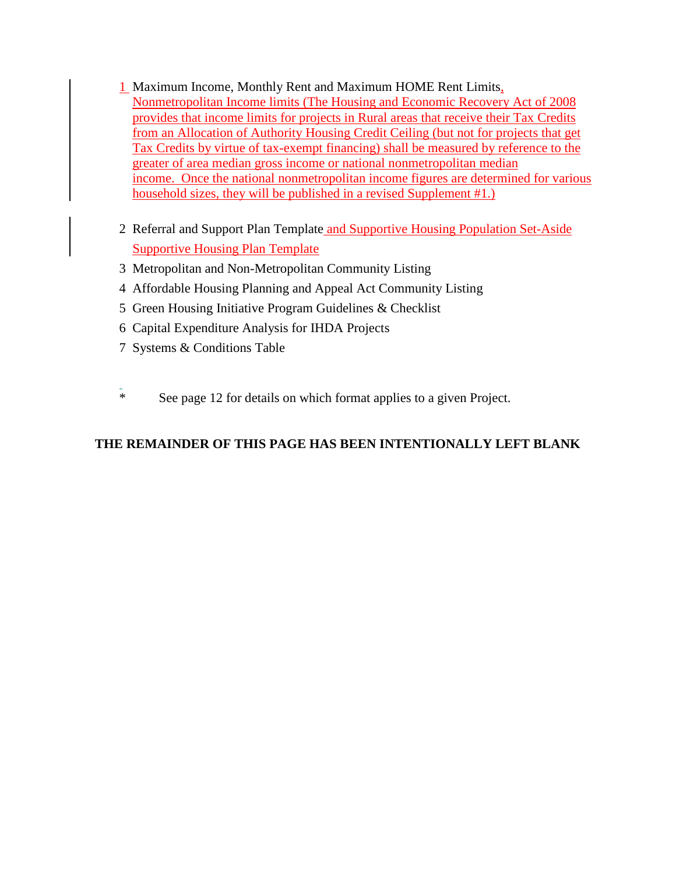- 1 Maximum Income, Monthly Rent and Maximum HOME Rent Limits, Nonmetropolitan Income limits (The Housing and Economic Recovery Act of 2008 provides that income limits for projects in Rural areas that receive their Tax Credits from an Allocation of Authority Housing Credit Ceiling (but not for projects that get Tax Credits by virtue of tax-exempt financing) shall be measured by reference to the greater of area median gross income or national nonmetropolitan median income. Once the national nonmetropolitan income figures are determined for various household sizes, they will be published in a revised Supplement #1.)
- 2 Referral and Support Plan Template and Supportive Housing Population Set-Aside Supportive Housing Plan Template
- 3 Metropolitan and Non-Metropolitan Community Listing
- 4 Affordable Housing Planning and Appeal Act Community Listing
- 5 Green Housing Initiative Program Guidelines & Checklist
- 6 Capital Expenditure Analysis for IHDA Projects
- 7 Systems & Conditions Table
- <sup>\*</sup> See page 12 for details on which format applies to a given Project.

### **THE REMAINDER OF THIS PAGE HAS BEEN INTENTIONALLY LEFT BLANK**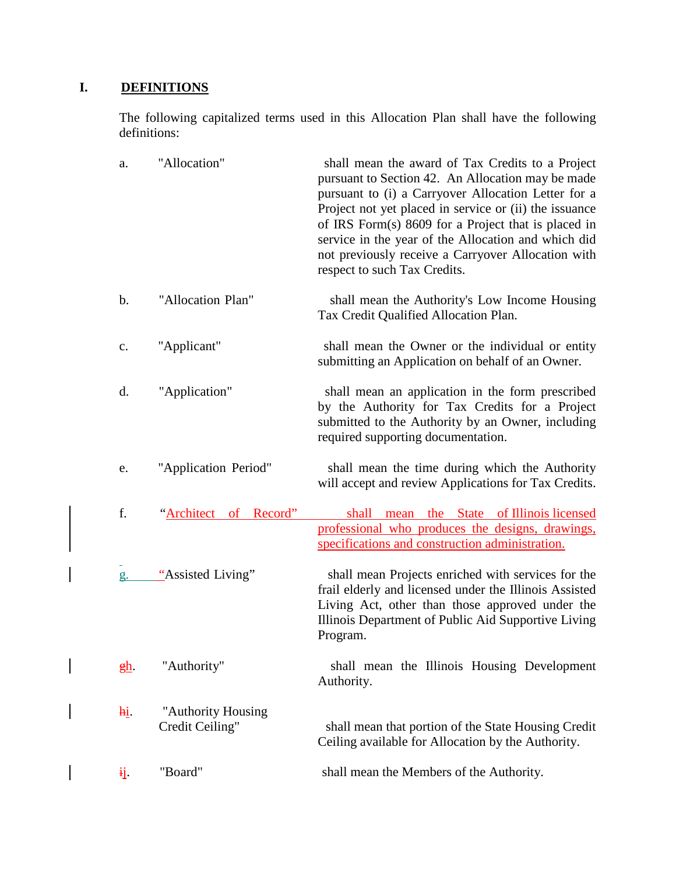# **I. DEFINITIONS**

 $\overline{\phantom{a}}$ 

The following capitalized terms used in this Allocation Plan shall have the following definitions:

| a.             | "Allocation"                          | shall mean the award of Tax Credits to a Project<br>pursuant to Section 42. An Allocation may be made<br>pursuant to (i) a Carryover Allocation Letter for a<br>Project not yet placed in service or (ii) the issuance<br>of IRS Form(s) 8609 for a Project that is placed in<br>service in the year of the Allocation and which did<br>not previously receive a Carryover Allocation with<br>respect to such Tax Credits. |
|----------------|---------------------------------------|----------------------------------------------------------------------------------------------------------------------------------------------------------------------------------------------------------------------------------------------------------------------------------------------------------------------------------------------------------------------------------------------------------------------------|
| $\mathbf b$ .  | "Allocation Plan"                     | shall mean the Authority's Low Income Housing<br>Tax Credit Qualified Allocation Plan.                                                                                                                                                                                                                                                                                                                                     |
| $\mathbf{c}$ . | "Applicant"                           | shall mean the Owner or the individual or entity<br>submitting an Application on behalf of an Owner.                                                                                                                                                                                                                                                                                                                       |
| d.             | "Application"                         | shall mean an application in the form prescribed<br>by the Authority for Tax Credits for a Project<br>submitted to the Authority by an Owner, including<br>required supporting documentation.                                                                                                                                                                                                                              |
| e.             | "Application Period"                  | shall mean the time during which the Authority<br>will accept and review Applications for Tax Credits.                                                                                                                                                                                                                                                                                                                     |
| f.             | "Architect of Record"                 | mean the State of Illinois licensed<br>shall<br>professional who produces the designs, drawings,<br>specifications and construction administration.                                                                                                                                                                                                                                                                        |
| g.             | "Assisted Living"                     | shall mean Projects enriched with services for the<br>frail elderly and licensed under the Illinois Assisted<br>Living Act, other than those approved under the<br>Illinois Department of Public Aid Supportive Living<br>Program.                                                                                                                                                                                         |
| g h            | "Authority"                           | shall mean the Illinois Housing Development<br>Authority.                                                                                                                                                                                                                                                                                                                                                                  |
| <u>hi</u> .    | "Authority Housing<br>Credit Ceiling" | shall mean that portion of the State Housing Credit<br>Ceiling available for Allocation by the Authority.                                                                                                                                                                                                                                                                                                                  |
| ij.            | "Board"                               | shall mean the Members of the Authority.                                                                                                                                                                                                                                                                                                                                                                                   |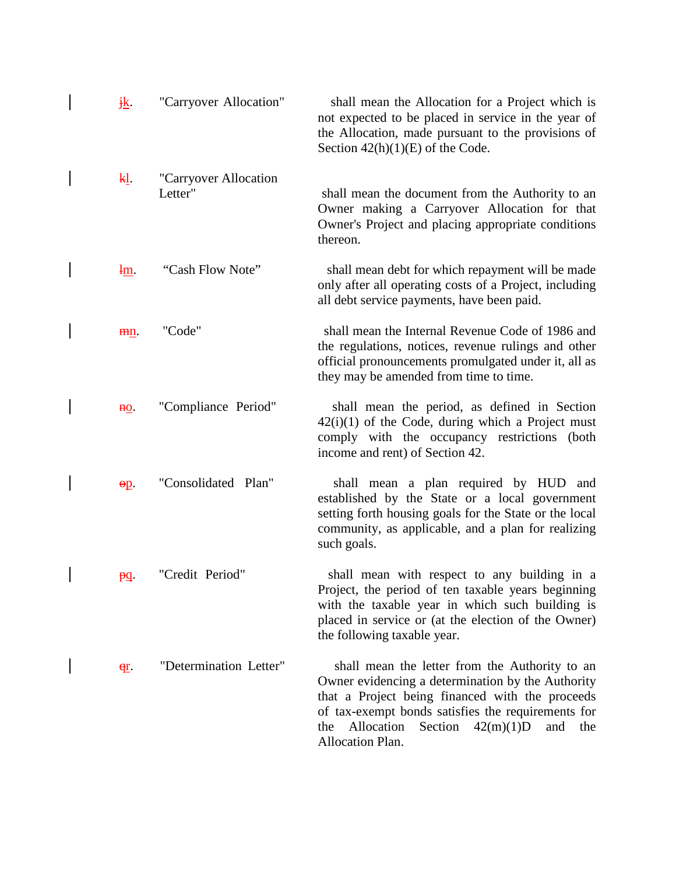| <u>jk</u>    | "Carryover Allocation"           | shall mean the Allocation for a Project which is<br>not expected to be placed in service in the year of<br>the Allocation, made pursuant to the provisions of<br>Section $42(h)(1)(E)$ of the Code.                                                                                         |
|--------------|----------------------------------|---------------------------------------------------------------------------------------------------------------------------------------------------------------------------------------------------------------------------------------------------------------------------------------------|
| kl.          | "Carryover Allocation<br>Letter" | shall mean the document from the Authority to an<br>Owner making a Carryover Allocation for that<br>Owner's Project and placing appropriate conditions<br>thereon.                                                                                                                          |
| $\mathbf{m}$ | "Cash Flow Note"                 | shall mean debt for which repayment will be made<br>only after all operating costs of a Project, including<br>all debt service payments, have been paid.                                                                                                                                    |
| mn.          | "Code"                           | shall mean the Internal Revenue Code of 1986 and<br>the regulations, notices, revenue rulings and other<br>official pronouncements promulgated under it, all as<br>they may be amended from time to time.                                                                                   |
| HO.          | "Compliance Period"              | shall mean the period, as defined in Section<br>$42(i)(1)$ of the Code, during which a Project must<br>comply with the occupancy restrictions (both<br>income and rent) of Section 42.                                                                                                      |
| $\Theta p$ . | "Consolidated Plan"              | shall mean a plan required by HUD and<br>established by the State or a local government<br>setting forth housing goals for the State or the local<br>community, as applicable, and a plan for realizing<br>such goals.                                                                      |
| pq.          | "Credit Period"                  | shall mean with respect to any building in a<br>Project, the period of ten taxable years beginning<br>with the taxable year in which such building is<br>placed in service or (at the election of the Owner)<br>the following taxable year.                                                 |
| ar           | "Determination Letter"           | shall mean the letter from the Authority to an<br>Owner evidencing a determination by the Authority<br>that a Project being financed with the proceeds<br>of tax-exempt bonds satisfies the requirements for<br>Allocation<br>Section<br>42(m)(1)D<br>the<br>and<br>the<br>Allocation Plan. |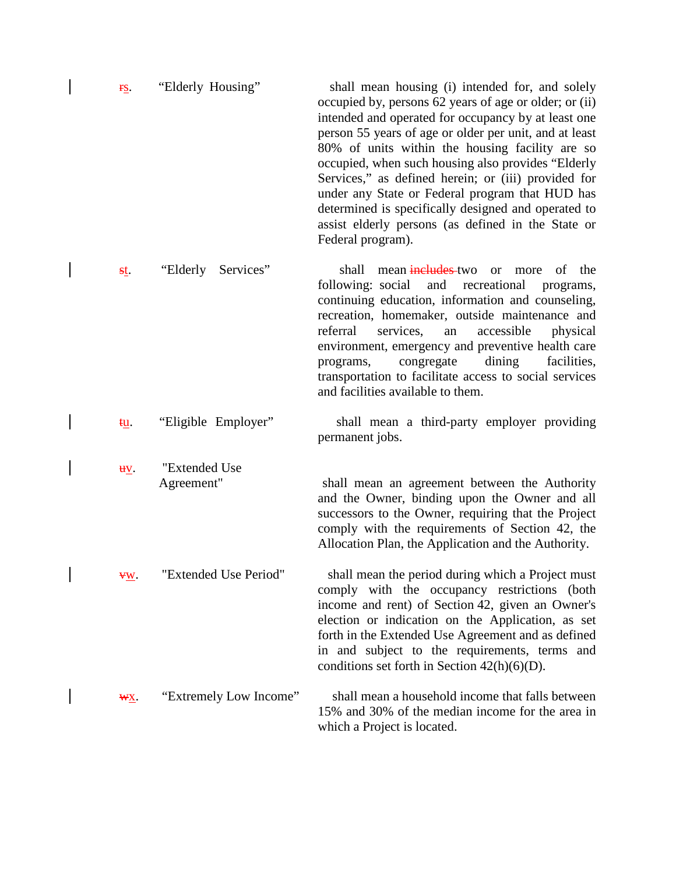- rs. "Elderly Housing" shall mean housing (i) intended for, and solely occupied by, persons 62 years of age or older; or (ii) intended and operated for occupancy by at least one person 55 years of age or older per unit, and at least 80% of units within the housing facility are so occupied, when such housing also provides "Elderly Services," as defined herein; or (iii) provided for under any State or Federal program that HUD has determined is specifically designed and operated to assist elderly persons (as defined in the State or Federal program).
- st. "Elderly Services" shall mean includes two or more of the following: social and recreational programs, continuing education, information and counseling, recreation, homemaker, outside maintenance and referral services, an accessible physical environment, emergency and preventive health care programs, congregate dining facilities, transportation to facilitate access to social services and facilities available to them.
- tu. "Eligible Employer" shall mean a third-party employer providing permanent jobs.
- uv. "Extended Use Agreement" shall mean an agreement between the Authority and the Owner, binding upon the Owner and all successors to the Owner, requiring that the Project comply with the requirements of Section 42, the Allocation Plan, the Application and the Authority.
- vw. "Extended Use Period" shall mean the period during which a Project must comply with the occupancy restrictions (both income and rent) of Section 42, given an Owner's election or indication on the Application, as set forth in the Extended Use Agreement and as defined in and subject to the requirements, terms and conditions set forth in Section 42(h)(6)(D).
	- $\frac{w}{x}$ . "Extremely Low Income" shall mean a household income that falls between 15% and 30% of the median income for the area in which a Project is located.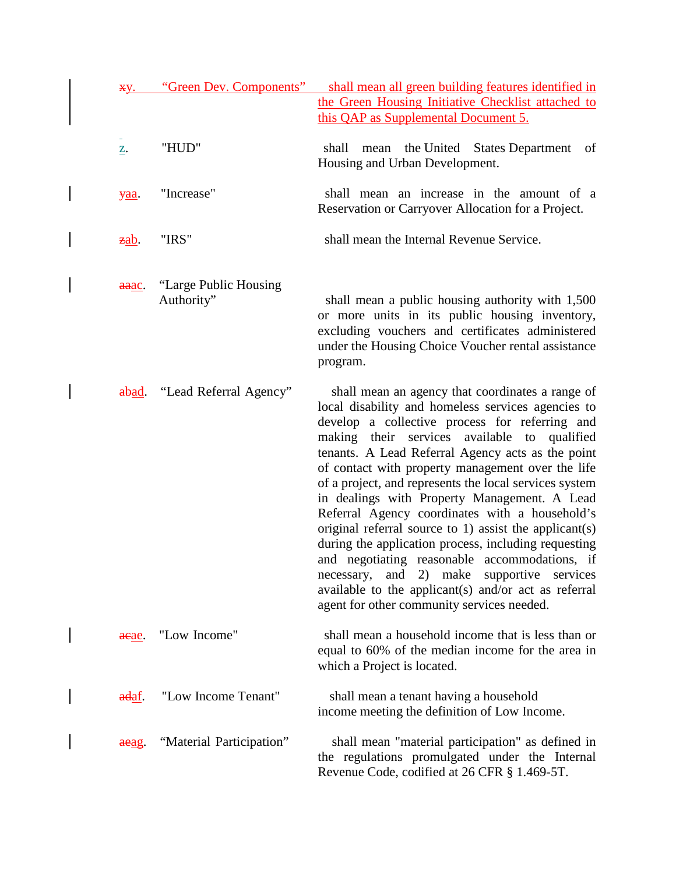|                 | xy. "Green Dev. Components"          | shall mean all green building features identified in<br>the Green Housing Initiative Checklist attached to                                                                                                                                                                                                                                                                                                                                                                                                                                                                                                                                                                                                                                                                                            |
|-----------------|--------------------------------------|-------------------------------------------------------------------------------------------------------------------------------------------------------------------------------------------------------------------------------------------------------------------------------------------------------------------------------------------------------------------------------------------------------------------------------------------------------------------------------------------------------------------------------------------------------------------------------------------------------------------------------------------------------------------------------------------------------------------------------------------------------------------------------------------------------|
|                 |                                      | this QAP as Supplemental Document 5.                                                                                                                                                                                                                                                                                                                                                                                                                                                                                                                                                                                                                                                                                                                                                                  |
| Z.              | "HUD"                                | shall<br>the United States Department<br>mean<br>of<br>Housing and Urban Development.                                                                                                                                                                                                                                                                                                                                                                                                                                                                                                                                                                                                                                                                                                                 |
| yaa.            | "Increase"                           | shall mean an increase in the amount of a<br>Reservation or Carryover Allocation for a Project.                                                                                                                                                                                                                                                                                                                                                                                                                                                                                                                                                                                                                                                                                                       |
| $z$ <u>ab</u> . | "IRS"                                | shall mean the Internal Revenue Service.                                                                                                                                                                                                                                                                                                                                                                                                                                                                                                                                                                                                                                                                                                                                                              |
| aaac.           | "Large Public Housing"<br>Authority" | shall mean a public housing authority with 1,500<br>or more units in its public housing inventory,<br>excluding vouchers and certificates administered<br>under the Housing Choice Voucher rental assistance<br>program.                                                                                                                                                                                                                                                                                                                                                                                                                                                                                                                                                                              |
| abad.           | "Lead Referral Agency"               | shall mean an agency that coordinates a range of<br>local disability and homeless services agencies to<br>develop a collective process for referring and<br>making their services available to qualified<br>tenants. A Lead Referral Agency acts as the point<br>of contact with property management over the life<br>of a project, and represents the local services system<br>in dealings with Property Management. A Lead<br>Referral Agency coordinates with a household's<br>original referral source to 1) assist the applicant(s)<br>during the application process, including requesting<br>and negotiating reasonable accommodations, if<br>necessary, and 2) make supportive services<br>available to the applicant(s) and/or act as referral<br>agent for other community services needed. |
| $a$ e $a$ e.    | "Low Income"                         | shall mean a household income that is less than or<br>equal to 60% of the median income for the area in<br>which a Project is located.                                                                                                                                                                                                                                                                                                                                                                                                                                                                                                                                                                                                                                                                |
| adaf.           | "Low Income Tenant"                  | shall mean a tenant having a household<br>income meeting the definition of Low Income.                                                                                                                                                                                                                                                                                                                                                                                                                                                                                                                                                                                                                                                                                                                |
| aeag.           | "Material Participation"             | shall mean "material participation" as defined in<br>the regulations promulgated under the Internal<br>Revenue Code, codified at 26 CFR § 1.469-5T.                                                                                                                                                                                                                                                                                                                                                                                                                                                                                                                                                                                                                                                   |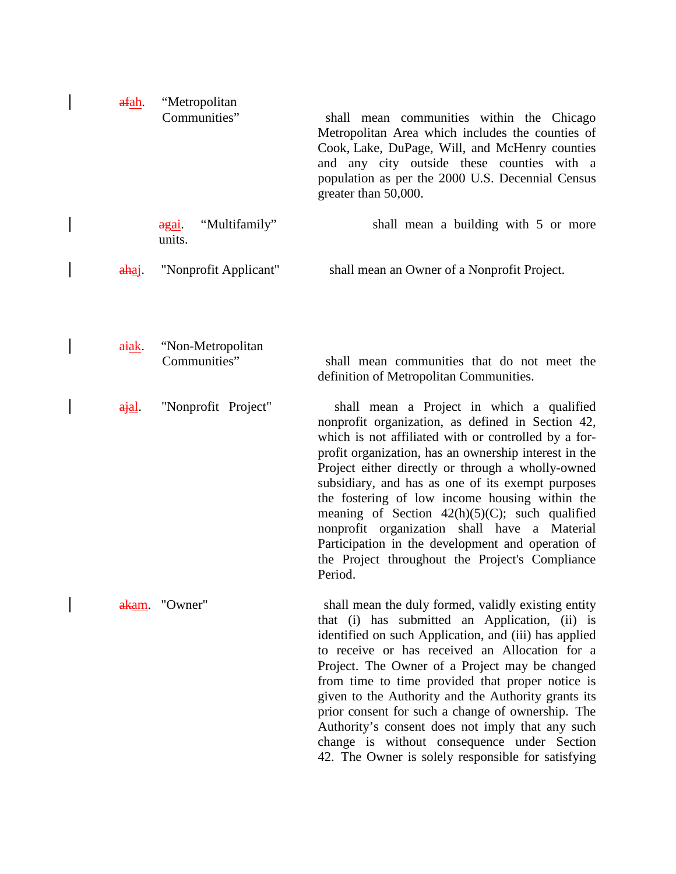| <del>af</del> ah. | "Metropolitan<br>Communities"     | shall mean communities within the Chicago<br>Metropolitan Area which includes the counties of<br>Cook, Lake, DuPage, Will, and McHenry counties<br>and any city outside these counties with a<br>population as per the 2000 U.S. Decennial Census<br>greater than 50,000.                                                                                                                                                                                                                                                                                                                           |
|-------------------|-----------------------------------|-----------------------------------------------------------------------------------------------------------------------------------------------------------------------------------------------------------------------------------------------------------------------------------------------------------------------------------------------------------------------------------------------------------------------------------------------------------------------------------------------------------------------------------------------------------------------------------------------------|
|                   | "Multifamily"<br>agai.<br>units.  | shall mean a building with 5 or more                                                                                                                                                                                                                                                                                                                                                                                                                                                                                                                                                                |
| ahaj.             | "Nonprofit Applicant"             | shall mean an Owner of a Nonprofit Project.                                                                                                                                                                                                                                                                                                                                                                                                                                                                                                                                                         |
| aiak.             | "Non-Metropolitan<br>Communities" | shall mean communities that do not meet the<br>definition of Metropolitan Communities.                                                                                                                                                                                                                                                                                                                                                                                                                                                                                                              |
| <u>ajal</u> .     | "Nonprofit Project"               | shall mean a Project in which a qualified<br>nonprofit organization, as defined in Section 42,<br>which is not affiliated with or controlled by a for-<br>profit organization, has an ownership interest in the<br>Project either directly or through a wholly-owned<br>subsidiary, and has as one of its exempt purposes<br>the fostering of low income housing within the<br>meaning of Section $42(h)(5)(C)$ ; such qualified<br>nonprofit organization shall have a Material<br>Participation in the development and operation of<br>the Project throughout the Project's Compliance<br>Period. |
|                   | akam. "Owner"                     | shall mean the duly formed, validly existing entity<br>that (i) has submitted an Application, (ii) is<br>identified on such Application, and (iii) has applied<br>to receive or has received an Allocation for a<br>Project. The Owner of a Project may be changed<br>from time to time provided that proper notice is<br>given to the Authority and the Authority grants its<br>prior consent for such a change of ownership. The<br>Authority's consent does not imply that any such<br>change is without consequence under Section                                                               |

 $\overline{\phantom{a}}$ 

 $\overline{\phantom{a}}$ 

 $\overline{\phantom{a}}$ 

 $\overline{\phantom{a}}$ 

42. The Owner is solely responsible for satisfying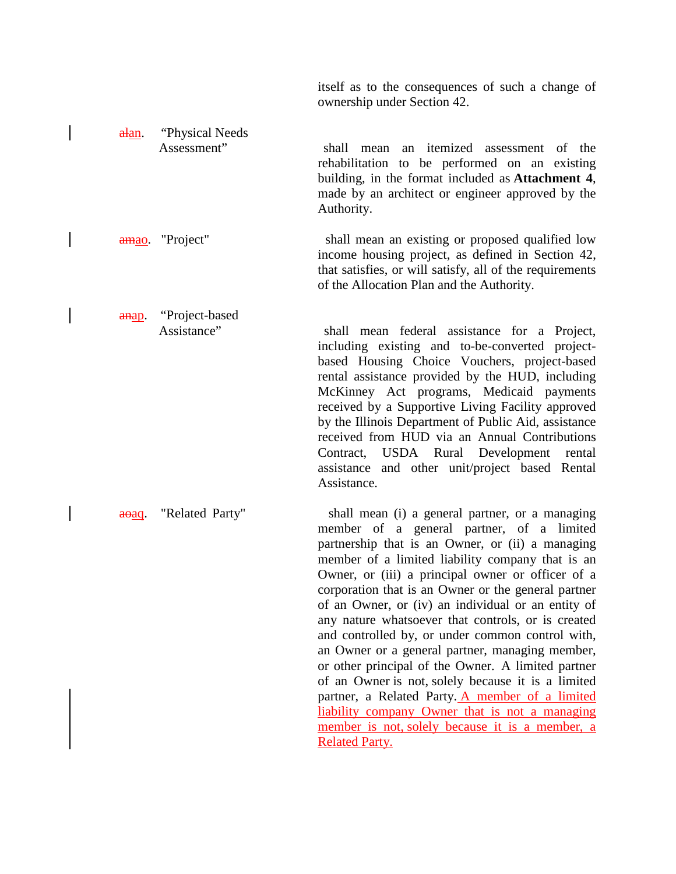ownership under Section 42. alan. "Physical Needs Assessment" shall mean an itemized assessment of the rehabilitation to be performed on an existing building, in the format included as **Attachment 4**, made by an architect or engineer approved by the Authority. amao. "Project" shall mean an existing or proposed qualified low income housing project, as defined in Section 42, that satisfies, or will satisfy, all of the requirements of the Allocation Plan and the Authority. anap. "Project-based Assistance" shall mean federal assistance for a Project, including existing and to-be-converted projectbased Housing Choice Vouchers, project-based rental assistance provided by the HUD, including McKinney Act programs, Medicaid payments received by a Supportive Living Facility approved by the Illinois Department of Public Aid, assistance received from HUD via an Annual Contributions Contract, USDA Rural Development rental assistance and other unit/project based Rental Assistance. aoaq. "Related Party" shall mean (i) a general partner, or a managing member of a general partner, of a limited partnership that is an Owner, or (ii) a managing member of a limited liability company that is an Owner, or (iii) a principal owner or officer of a corporation that is an Owner or the general partner of an Owner, or (iv) an individual or an entity of any nature whatsoever that controls, or is created and controlled by, or under common control with, an Owner or a general partner, managing member, or other principal of the Owner. A limited partner of an Owner is not, solely because it is a limited

Related Party.

itself as to the consequences of such a change of

partner, a Related Party. A member of a limited liability company Owner that is not a managing member is not, solely because it is a member, a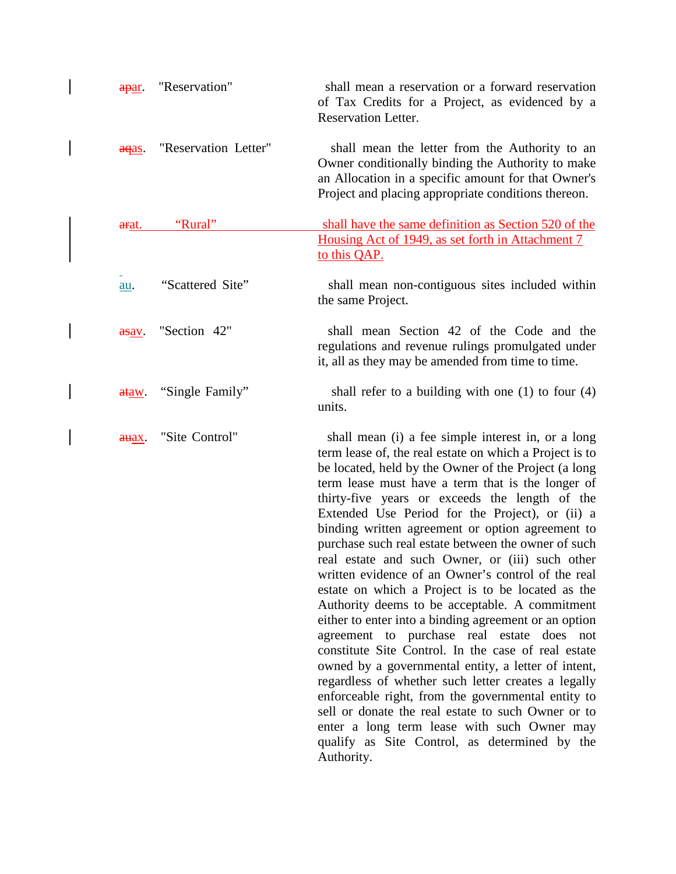| $a$ par.          | "Reservation"        | shall mean a reservation or a forward reservation<br>of Tax Credits for a Project, as evidenced by a<br>Reservation Letter.                                                                                                                                                                                                                                                                                                                                                                                                                                                                                                                                                                                                                                                                                                                                                                                                                                                                                                                                                                                                                                      |
|-------------------|----------------------|------------------------------------------------------------------------------------------------------------------------------------------------------------------------------------------------------------------------------------------------------------------------------------------------------------------------------------------------------------------------------------------------------------------------------------------------------------------------------------------------------------------------------------------------------------------------------------------------------------------------------------------------------------------------------------------------------------------------------------------------------------------------------------------------------------------------------------------------------------------------------------------------------------------------------------------------------------------------------------------------------------------------------------------------------------------------------------------------------------------------------------------------------------------|
| $aqas$ .          | "Reservation Letter" | shall mean the letter from the Authority to an<br>Owner conditionally binding the Authority to make<br>an Allocation in a specific amount for that Owner's<br>Project and placing appropriate conditions thereon.                                                                                                                                                                                                                                                                                                                                                                                                                                                                                                                                                                                                                                                                                                                                                                                                                                                                                                                                                |
| <del>ar</del> at. | "Rural"              | shall have the same definition as Section 520 of the<br><u>Housing Act of 1949, as set forth in Attachment 7</u><br>to this QAP.                                                                                                                                                                                                                                                                                                                                                                                                                                                                                                                                                                                                                                                                                                                                                                                                                                                                                                                                                                                                                                 |
| au.               | "Scattered Site"     | shall mean non-contiguous sites included within<br>the same Project.                                                                                                                                                                                                                                                                                                                                                                                                                                                                                                                                                                                                                                                                                                                                                                                                                                                                                                                                                                                                                                                                                             |
| asav.             | "Section 42"         | shall mean Section 42 of the Code and the<br>regulations and revenue rulings promulgated under<br>it, all as they may be amended from time to time.                                                                                                                                                                                                                                                                                                                                                                                                                                                                                                                                                                                                                                                                                                                                                                                                                                                                                                                                                                                                              |
| <del>at</del> aw  | "Single Family"      | shall refer to a building with one $(1)$ to four $(4)$<br>units.                                                                                                                                                                                                                                                                                                                                                                                                                                                                                                                                                                                                                                                                                                                                                                                                                                                                                                                                                                                                                                                                                                 |
| auax.             | "Site Control"       | shall mean (i) a fee simple interest in, or a long<br>term lease of, the real estate on which a Project is to<br>be located, held by the Owner of the Project (a long<br>term lease must have a term that is the longer of<br>thirty-five years or exceeds the length of the<br>Extended Use Period for the Project), or (ii) a<br>binding written agreement or option agreement to<br>purchase such real estate between the owner of such<br>real estate and such Owner, or (iii) such other<br>written evidence of an Owner's control of the real<br>estate on which a Project is to be located as the<br>Authority deems to be acceptable. A commitment<br>either to enter into a binding agreement or an option<br>agreement to purchase real estate does not<br>constitute Site Control. In the case of real estate<br>owned by a governmental entity, a letter of intent,<br>regardless of whether such letter creates a legally<br>enforceable right, from the governmental entity to<br>sell or donate the real estate to such Owner or to<br>enter a long term lease with such Owner may<br>qualify as Site Control, as determined by the<br>Authority. |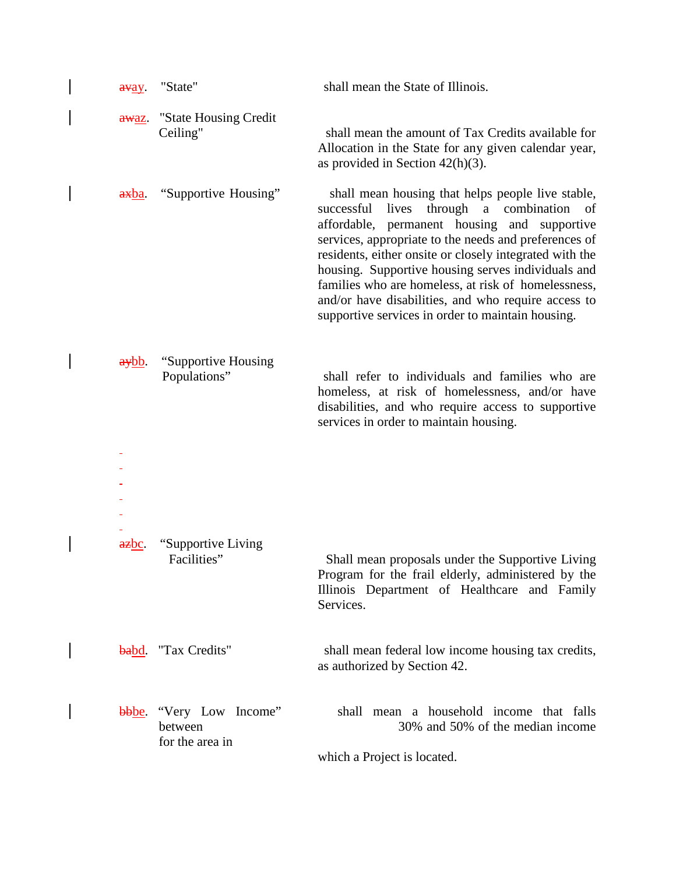| $a \vee a \vee$   | "State"                                               | shall mean the State of Illinois.                                                                                                                                                                                                                                                                                                                                                                                                                                                                 |
|-------------------|-------------------------------------------------------|---------------------------------------------------------------------------------------------------------------------------------------------------------------------------------------------------------------------------------------------------------------------------------------------------------------------------------------------------------------------------------------------------------------------------------------------------------------------------------------------------|
| <del>aw</del> az. | "State Housing Credit"<br>Ceiling"                    | shall mean the amount of Tax Credits available for<br>Allocation in the State for any given calendar year,<br>as provided in Section $42(h)(3)$ .                                                                                                                                                                                                                                                                                                                                                 |
| <del>ax</del> ba. | "Supportive Housing"                                  | shall mean housing that helps people live stable,<br>lives through a combination<br>successful<br>of<br>affordable, permanent housing and supportive<br>services, appropriate to the needs and preferences of<br>residents, either onsite or closely integrated with the<br>housing. Supportive housing serves individuals and<br>families who are homeless, at risk of homelessness,<br>and/or have disabilities, and who require access to<br>supportive services in order to maintain housing. |
| <u>aybb</u> .     | "Supportive Housing"<br>Populations"                  | shall refer to individuals and families who are<br>homeless, at risk of homelessness, and/or have<br>disabilities, and who require access to supportive<br>services in order to maintain housing.                                                                                                                                                                                                                                                                                                 |
| azbc.             | "Supportive Living"<br>Facilities"                    | Shall mean proposals under the Supportive Living<br>Program for the frail elderly, administered by the<br>Illinois Department of Healthcare and Family<br>Services.                                                                                                                                                                                                                                                                                                                               |
|                   | babd. "Tax Credits"                                   | shall mean federal low income housing tax credits,<br>as authorized by Section 42.                                                                                                                                                                                                                                                                                                                                                                                                                |
|                   | bbbe. "Very Low Income"<br>between<br>for the area in | shall mean a household income that falls<br>30% and 50% of the median income<br>which a Project is located.                                                                                                                                                                                                                                                                                                                                                                                       |

 $\overline{\phantom{a}}$ 

 $\begin{array}{c} \rule{0pt}{2.5ex} \rule{0pt}{2.5ex} \rule{0pt}{2.5ex} \rule{0pt}{2.5ex} \rule{0pt}{2.5ex} \rule{0pt}{2.5ex} \rule{0pt}{2.5ex} \rule{0pt}{2.5ex} \rule{0pt}{2.5ex} \rule{0pt}{2.5ex} \rule{0pt}{2.5ex} \rule{0pt}{2.5ex} \rule{0pt}{2.5ex} \rule{0pt}{2.5ex} \rule{0pt}{2.5ex} \rule{0pt}{2.5ex} \rule{0pt}{2.5ex} \rule{0pt}{2.5ex} \rule{0pt}{2.5ex} \rule{0$ 

 $\begin{array}{c} \hline \end{array}$ 

 $\begin{array}{c} \hline \end{array}$ 

 $\begin{array}{c} \hline \end{array}$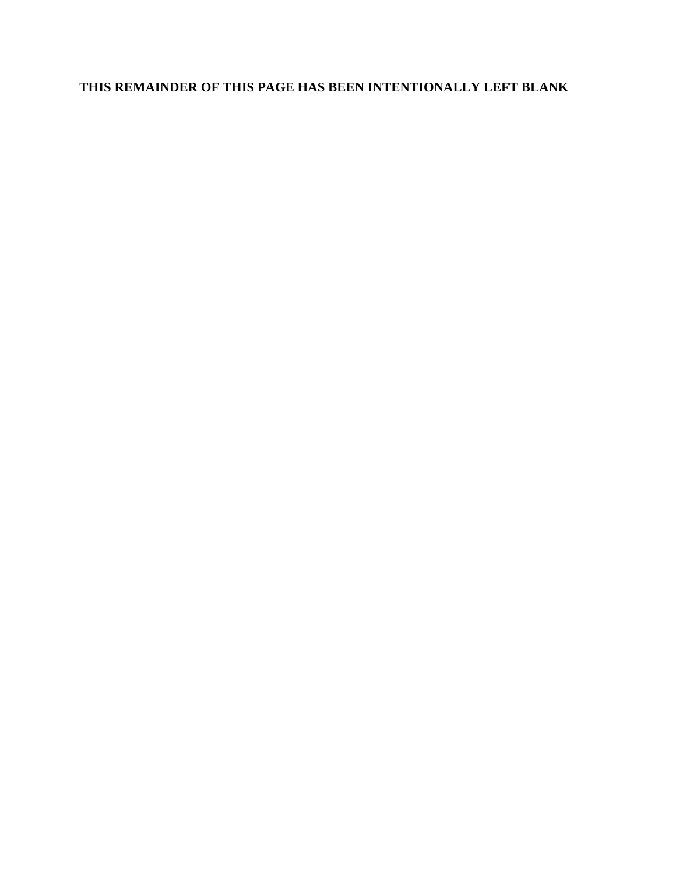## **THIS REMAINDER OF THIS PAGE HAS BEEN INTENTIONALLY LEFT BLANK**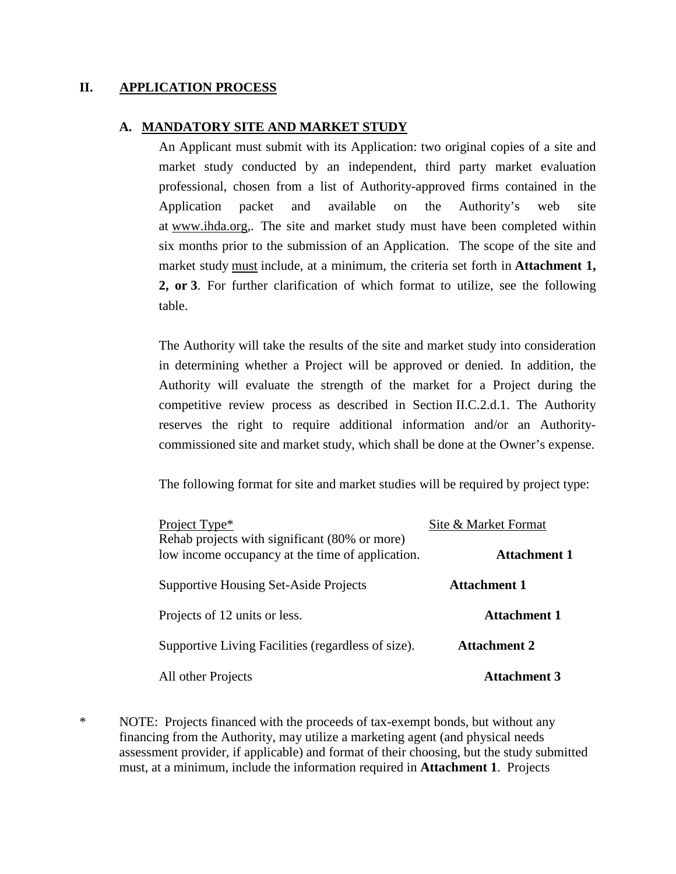#### **II. APPLICATION PROCESS**

#### **A. MANDATORY SITE AND MARKET STUDY**

An Applicant must submit with its Application: two original copies of a site and market study conducted by an independent, third party market evaluation professional, chosen from a list of Authority-approved firms contained in the Application packet and available on the Authority's web site at www.ihda.org,. The site and market study must have been completed within six months prior to the submission of an Application. The scope of the site and market study must include, at a minimum, the criteria set forth in **Attachment 1, 2, or 3**. For further clarification of which format to utilize, see the following table.

The Authority will take the results of the site and market study into consideration in determining whether a Project will be approved or denied. In addition, the Authority will evaluate the strength of the market for a Project during the competitive review process as described in Section II.C.2.d.1. The Authority reserves the right to require additional information and/or an Authoritycommissioned site and market study, which shall be done at the Owner's expense.

The following format for site and market studies will be required by project type:

| Project Type*                                                                                     | Site & Market Format |
|---------------------------------------------------------------------------------------------------|----------------------|
| Rehab projects with significant (80% or more)<br>low income occupancy at the time of application. | <b>Attachment 1</b>  |
| <b>Supportive Housing Set-Aside Projects</b>                                                      | <b>Attachment 1</b>  |
| Projects of 12 units or less.                                                                     | <b>Attachment 1</b>  |
| Supportive Living Facilities (regardless of size).                                                | <b>Attachment 2</b>  |
| All other Projects                                                                                | <b>Attachment 3</b>  |

\* NOTE: Projects financed with the proceeds of tax-exempt bonds, but without any financing from the Authority, may utilize a marketing agent (and physical needs assessment provider, if applicable) and format of their choosing, but the study submitted must, at a minimum, include the information required in **Attachment 1**. Projects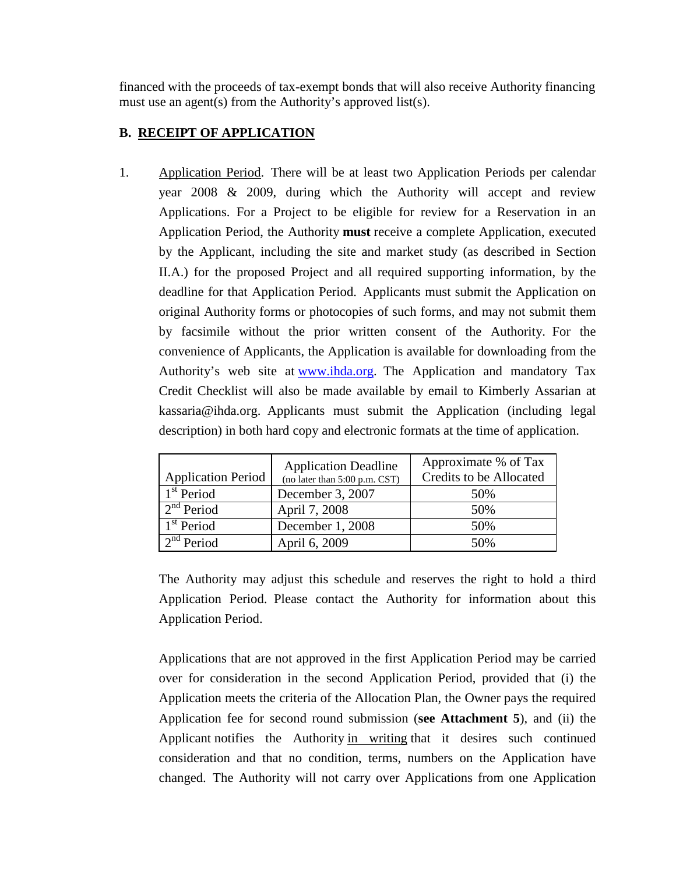financed with the proceeds of tax-exempt bonds that will also receive Authority financing must use an agent(s) from the Authority's approved list(s).

## **B. RECEIPT OF APPLICATION**

1. Application Period. There will be at least two Application Periods per calendar year 2008 & 2009, during which the Authority will accept and review Applications. For a Project to be eligible for review for a Reservation in an Application Period, the Authority **must** receive a complete Application, executed by the Applicant, including the site and market study (as described in Section II.A.) for the proposed Project and all required supporting information, by the deadline for that Application Period. Applicants must submit the Application on original Authority forms or photocopies of such forms, and may not submit them by facsimile without the prior written consent of the Authority. For the convenience of Applicants, the Application is available for downloading from the Authority's web site at www.ihda.org. The Application and mandatory Tax Credit Checklist will also be made available by email to Kimberly Assarian at kassaria@ihda.org. Applicants must submit the Application (including legal description) in both hard copy and electronic formats at the time of application.

| <b>Application Period</b> | <b>Application Deadline</b><br>(no later than 5:00 p.m. CST) | Approximate % of Tax<br>Credits to be Allocated |
|---------------------------|--------------------------------------------------------------|-------------------------------------------------|
| 1 <sup>st</sup> Period    | December 3, 2007                                             | 50%                                             |
| $\sqrt{2}^{nd}$ Period    | April 7, 2008                                                | 50%                                             |
| 1 <sup>st</sup> Period    | December 1, 2008                                             | 50%                                             |
| 2 <sup>nd</sup> Period    | April 6, 2009                                                | 50%                                             |

The Authority may adjust this schedule and reserves the right to hold a third Application Period. Please contact the Authority for information about this Application Period.

Applications that are not approved in the first Application Period may be carried over for consideration in the second Application Period, provided that (i) the Application meets the criteria of the Allocation Plan, the Owner pays the required Application fee for second round submission (**see Attachment 5**), and (ii) the Applicant notifies the Authority in writing that it desires such continued consideration and that no condition, terms, numbers on the Application have changed. The Authority will not carry over Applications from one Application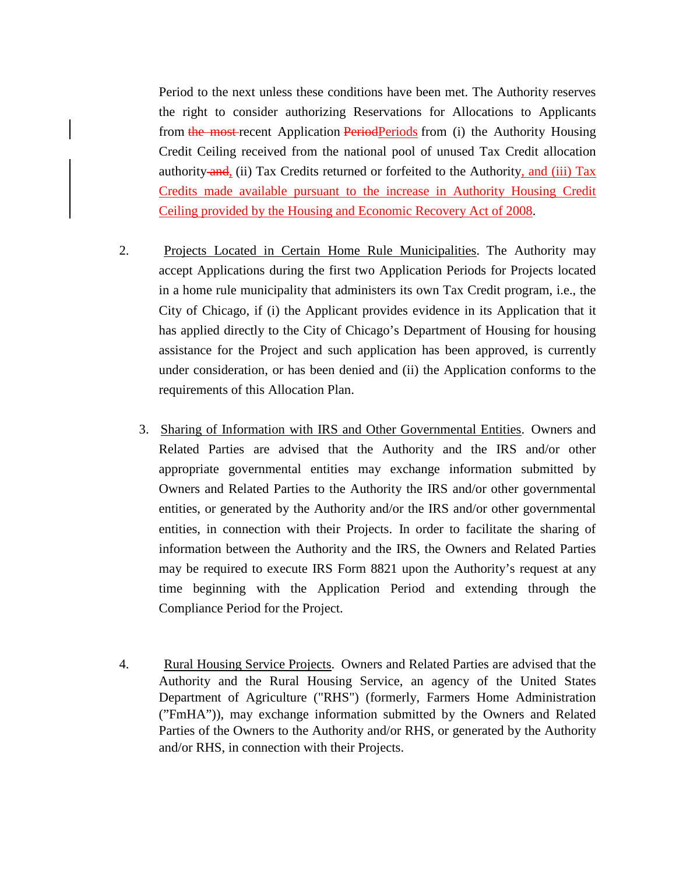Period to the next unless these conditions have been met. The Authority reserves the right to consider authorizing Reservations for Allocations to Applicants from the most recent Application PeriodPeriods from (i) the Authority Housing Credit Ceiling received from the national pool of unused Tax Credit allocation authority and, (ii) Tax Credits returned or forfeited to the Authority, and (iii) Tax Credits made available pursuant to the increase in Authority Housing Credit Ceiling provided by the Housing and Economic Recovery Act of 2008.

- 2. Projects Located in Certain Home Rule Municipalities. The Authority may accept Applications during the first two Application Periods for Projects located in a home rule municipality that administers its own Tax Credit program, i.e., the City of Chicago, if (i) the Applicant provides evidence in its Application that it has applied directly to the City of Chicago's Department of Housing for housing assistance for the Project and such application has been approved, is currently under consideration, or has been denied and (ii) the Application conforms to the requirements of this Allocation Plan.
	- 3. Sharing of Information with IRS and Other Governmental Entities. Owners and Related Parties are advised that the Authority and the IRS and/or other appropriate governmental entities may exchange information submitted by Owners and Related Parties to the Authority the IRS and/or other governmental entities, or generated by the Authority and/or the IRS and/or other governmental entities, in connection with their Projects. In order to facilitate the sharing of information between the Authority and the IRS, the Owners and Related Parties may be required to execute IRS Form 8821 upon the Authority's request at any time beginning with the Application Period and extending through the Compliance Period for the Project.
- 4. Rural Housing Service Projects. Owners and Related Parties are advised that the Authority and the Rural Housing Service, an agency of the United States Department of Agriculture ("RHS") (formerly, Farmers Home Administration ("FmHA")), may exchange information submitted by the Owners and Related Parties of the Owners to the Authority and/or RHS, or generated by the Authority and/or RHS, in connection with their Projects.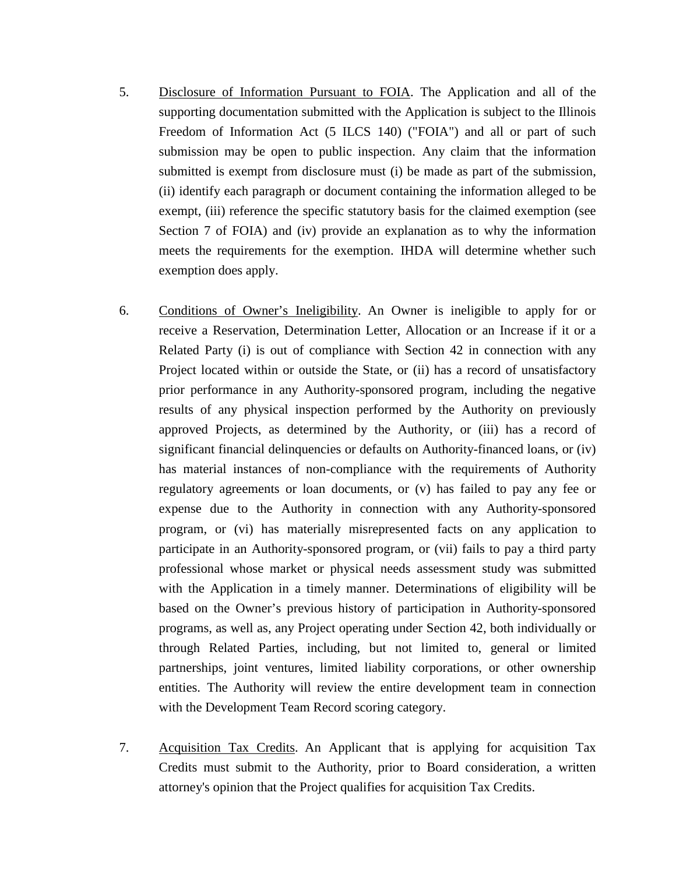- 5. Disclosure of Information Pursuant to FOIA. The Application and all of the supporting documentation submitted with the Application is subject to the Illinois Freedom of Information Act (5 ILCS 140) ("FOIA") and all or part of such submission may be open to public inspection. Any claim that the information submitted is exempt from disclosure must (i) be made as part of the submission, (ii) identify each paragraph or document containing the information alleged to be exempt, (iii) reference the specific statutory basis for the claimed exemption (see Section 7 of FOIA) and (iv) provide an explanation as to why the information meets the requirements for the exemption. IHDA will determine whether such exemption does apply.
- 6. Conditions of Owner's Ineligibility. An Owner is ineligible to apply for or receive a Reservation, Determination Letter, Allocation or an Increase if it or a Related Party (i) is out of compliance with Section 42 in connection with any Project located within or outside the State, or (ii) has a record of unsatisfactory prior performance in any Authority-sponsored program, including the negative results of any physical inspection performed by the Authority on previously approved Projects, as determined by the Authority, or (iii) has a record of significant financial delinquencies or defaults on Authority-financed loans, or (iv) has material instances of non-compliance with the requirements of Authority regulatory agreements or loan documents, or (v) has failed to pay any fee or expense due to the Authority in connection with any Authority-sponsored program, or (vi) has materially misrepresented facts on any application to participate in an Authority-sponsored program, or (vii) fails to pay a third party professional whose market or physical needs assessment study was submitted with the Application in a timely manner. Determinations of eligibility will be based on the Owner's previous history of participation in Authority-sponsored programs, as well as, any Project operating under Section 42, both individually or through Related Parties, including, but not limited to, general or limited partnerships, joint ventures, limited liability corporations, or other ownership entities. The Authority will review the entire development team in connection with the Development Team Record scoring category.
- 7. Acquisition Tax Credits. An Applicant that is applying for acquisition Tax Credits must submit to the Authority, prior to Board consideration, a written attorney's opinion that the Project qualifies for acquisition Tax Credits.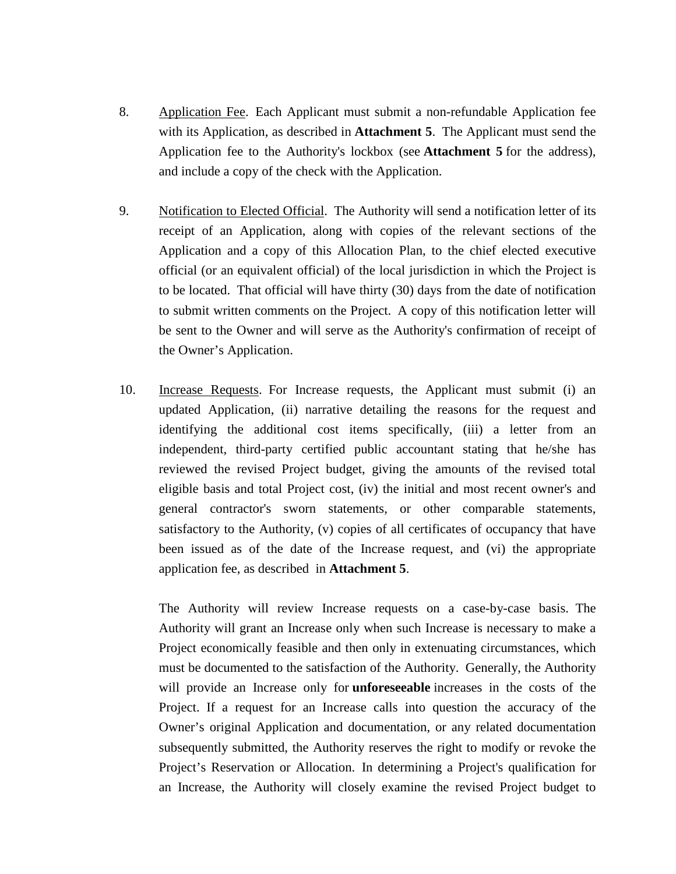- 8. Application Fee. Each Applicant must submit a non-refundable Application fee with its Application, as described in **Attachment 5**. The Applicant must send the Application fee to the Authority's lockbox (see **Attachment 5** for the address), and include a copy of the check with the Application.
- 9. Notification to Elected Official. The Authority will send a notification letter of its receipt of an Application, along with copies of the relevant sections of the Application and a copy of this Allocation Plan, to the chief elected executive official (or an equivalent official) of the local jurisdiction in which the Project is to be located. That official will have thirty (30) days from the date of notification to submit written comments on the Project. A copy of this notification letter will be sent to the Owner and will serve as the Authority's confirmation of receipt of the Owner's Application.
- 10. Increase Requests. For Increase requests, the Applicant must submit (i) an updated Application, (ii) narrative detailing the reasons for the request and identifying the additional cost items specifically, (iii) a letter from an independent, third-party certified public accountant stating that he/she has reviewed the revised Project budget, giving the amounts of the revised total eligible basis and total Project cost, (iv) the initial and most recent owner's and general contractor's sworn statements, or other comparable statements, satisfactory to the Authority, (v) copies of all certificates of occupancy that have been issued as of the date of the Increase request, and (vi) the appropriate application fee, as described in **Attachment 5**.

The Authority will review Increase requests on a case-by-case basis. The Authority will grant an Increase only when such Increase is necessary to make a Project economically feasible and then only in extenuating circumstances, which must be documented to the satisfaction of the Authority. Generally, the Authority will provide an Increase only for **unforeseeable** increases in the costs of the Project. If a request for an Increase calls into question the accuracy of the Owner's original Application and documentation, or any related documentation subsequently submitted, the Authority reserves the right to modify or revoke the Project's Reservation or Allocation. In determining a Project's qualification for an Increase, the Authority will closely examine the revised Project budget to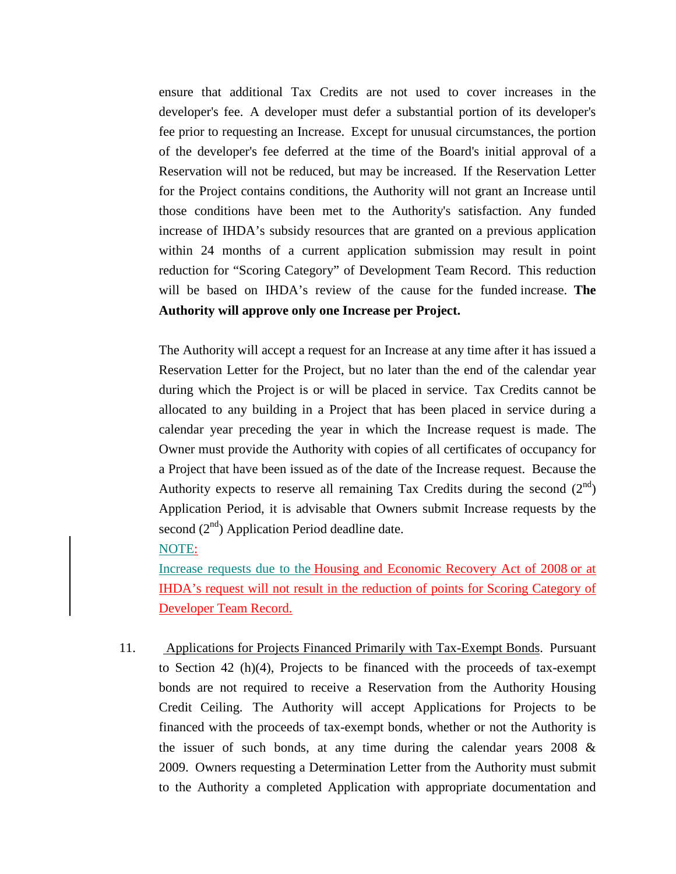ensure that additional Tax Credits are not used to cover increases in the developer's fee. A developer must defer a substantial portion of its developer's fee prior to requesting an Increase. Except for unusual circumstances, the portion of the developer's fee deferred at the time of the Board's initial approval of a Reservation will not be reduced, but may be increased. If the Reservation Letter for the Project contains conditions, the Authority will not grant an Increase until those conditions have been met to the Authority's satisfaction. Any funded increase of IHDA's subsidy resources that are granted on a previous application within 24 months of a current application submission may result in point reduction for "Scoring Category" of Development Team Record. This reduction will be based on IHDA's review of the cause for the funded increase. **The Authority will approve only one Increase per Project.**

The Authority will accept a request for an Increase at any time after it has issued a Reservation Letter for the Project, but no later than the end of the calendar year during which the Project is or will be placed in service. Tax Credits cannot be allocated to any building in a Project that has been placed in service during a calendar year preceding the year in which the Increase request is made. The Owner must provide the Authority with copies of all certificates of occupancy for a Project that have been issued as of the date of the Increase request. Because the Authority expects to reserve all remaining Tax Credits during the second  $(2^{na})$ Application Period, it is advisable that Owners submit Increase requests by the second  $(2<sup>nd</sup>)$  Application Period deadline date.

NOTE:

Increase requests due to the Housing and Economic Recovery Act of 2008 or at IHDA's request will not result in the reduction of points for Scoring Category of Developer Team Record.

11. Applications for Projects Financed Primarily with Tax-Exempt Bonds. Pursuant to Section 42 (h)(4), Projects to be financed with the proceeds of tax-exempt bonds are not required to receive a Reservation from the Authority Housing Credit Ceiling. The Authority will accept Applications for Projects to be financed with the proceeds of tax-exempt bonds, whether or not the Authority is the issuer of such bonds, at any time during the calendar years  $2008 \&$ 2009. Owners requesting a Determination Letter from the Authority must submit to the Authority a completed Application with appropriate documentation and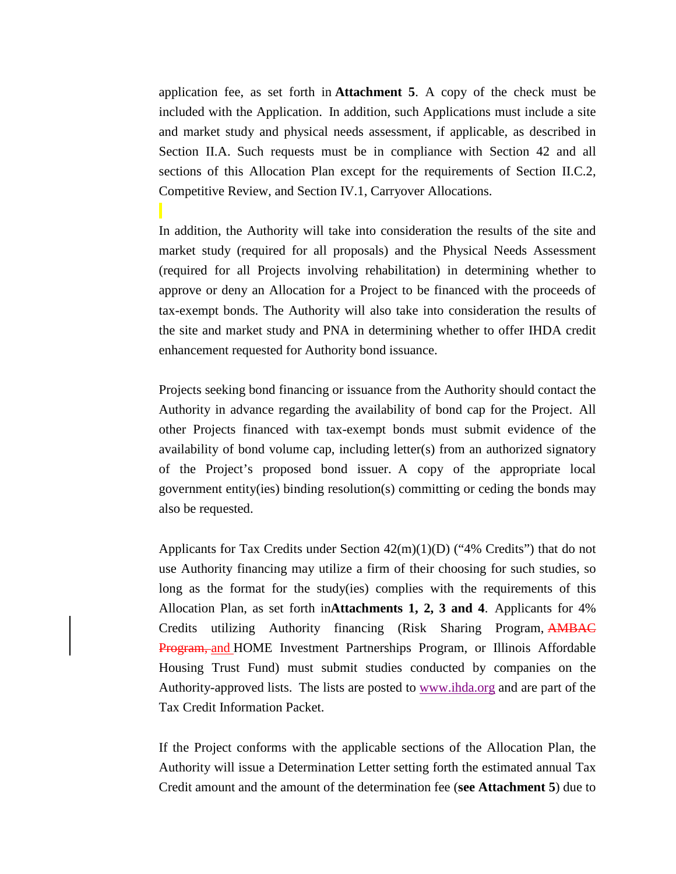application fee, as set forth in **Attachment 5**. A copy of the check must be included with the Application. In addition, such Applications must include a site and market study and physical needs assessment, if applicable, as described in Section II.A. Such requests must be in compliance with Section 42 and all sections of this Allocation Plan except for the requirements of Section II.C.2, Competitive Review, and Section IV.1, Carryover Allocations.

In addition, the Authority will take into consideration the results of the site and market study (required for all proposals) and the Physical Needs Assessment (required for all Projects involving rehabilitation) in determining whether to approve or deny an Allocation for a Project to be financed with the proceeds of tax-exempt bonds. The Authority will also take into consideration the results of the site and market study and PNA in determining whether to offer IHDA credit enhancement requested for Authority bond issuance.

Projects seeking bond financing or issuance from the Authority should contact the Authority in advance regarding the availability of bond cap for the Project. All other Projects financed with tax-exempt bonds must submit evidence of the availability of bond volume cap, including letter(s) from an authorized signatory of the Project's proposed bond issuer. A copy of the appropriate local government entity(ies) binding resolution(s) committing or ceding the bonds may also be requested.

Applicants for Tax Credits under Section  $42(m)(1)(D)$  ("4% Credits") that do not use Authority financing may utilize a firm of their choosing for such studies, so long as the format for the study(ies) complies with the requirements of this Allocation Plan, as set forth in**Attachments 1, 2, 3 and 4**. Applicants for 4% Credits utilizing Authority financing (Risk Sharing Program, AMBAC Program, and HOME Investment Partnerships Program, or Illinois Affordable Housing Trust Fund) must submit studies conducted by companies on the Authority-approved lists. The lists are posted to [www.ihda.org](http://www.ihda.org/) and are part of the Tax Credit Information Packet.

If the Project conforms with the applicable sections of the Allocation Plan, the Authority will issue a Determination Letter setting forth the estimated annual Tax Credit amount and the amount of the determination fee (**see Attachment 5**) due to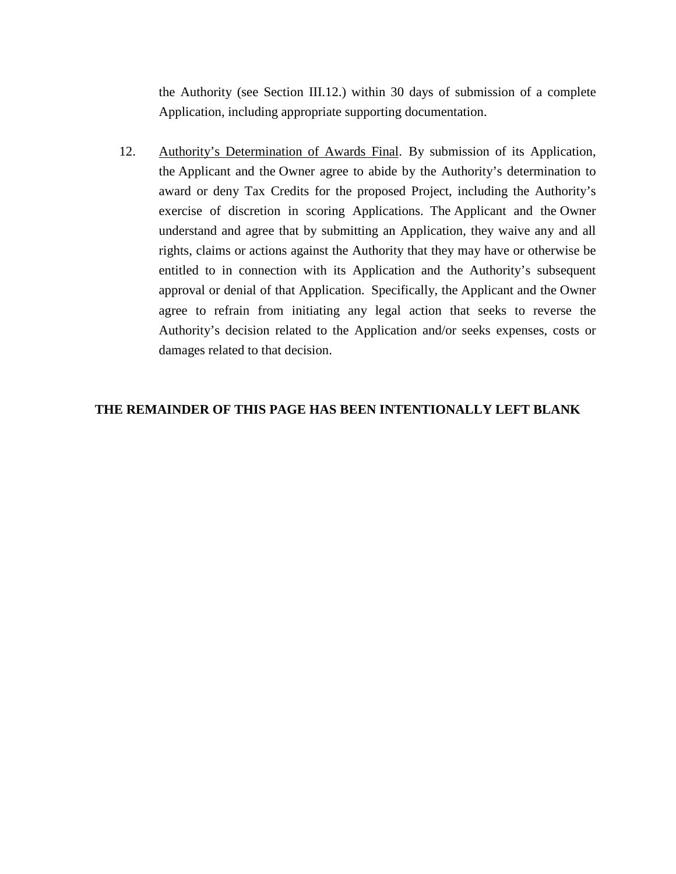the Authority (see Section III.12.) within 30 days of submission of a complete Application, including appropriate supporting documentation.

12. Authority's Determination of Awards Final. By submission of its Application, the Applicant and the Owner agree to abide by the Authority's determination to award or deny Tax Credits for the proposed Project, including the Authority's exercise of discretion in scoring Applications. The Applicant and the Owner understand and agree that by submitting an Application, they waive any and all rights, claims or actions against the Authority that they may have or otherwise be entitled to in connection with its Application and the Authority's subsequent approval or denial of that Application. Specifically, the Applicant and the Owner agree to refrain from initiating any legal action that seeks to reverse the Authority's decision related to the Application and/or seeks expenses, costs or damages related to that decision.

#### **THE REMAINDER OF THIS PAGE HAS BEEN INTENTIONALLY LEFT BLANK**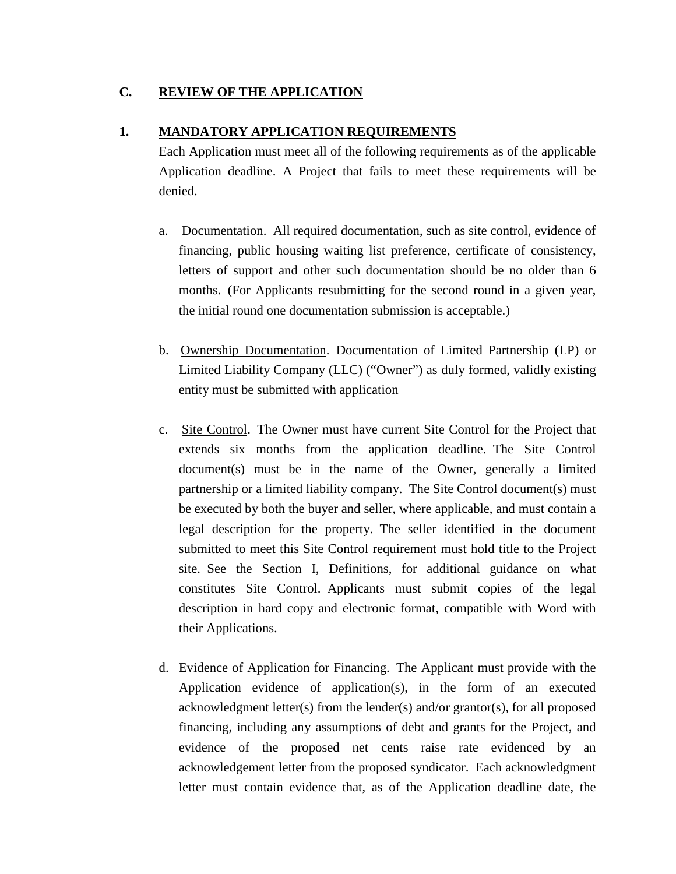## **C. REVIEW OF THE APPLICATION**

#### **1. MANDATORY APPLICATION REQUIREMENTS**

Each Application must meet all of the following requirements as of the applicable Application deadline. A Project that fails to meet these requirements will be denied.

- a. Documentation. All required documentation, such as site control, evidence of financing, public housing waiting list preference, certificate of consistency, letters of support and other such documentation should be no older than 6 months. (For Applicants resubmitting for the second round in a given year, the initial round one documentation submission is acceptable.)
- b. Ownership Documentation. Documentation of Limited Partnership (LP) or Limited Liability Company (LLC) ("Owner") as duly formed, validly existing entity must be submitted with application
- c. Site Control. The Owner must have current Site Control for the Project that extends six months from the application deadline. The Site Control document(s) must be in the name of the Owner, generally a limited partnership or a limited liability company. The Site Control document(s) must be executed by both the buyer and seller, where applicable, and must contain a legal description for the property. The seller identified in the document submitted to meet this Site Control requirement must hold title to the Project site. See the Section I, Definitions, for additional guidance on what constitutes Site Control. Applicants must submit copies of the legal description in hard copy and electronic format, compatible with Word with their Applications.
- d. Evidence of Application for Financing. The Applicant must provide with the Application evidence of application(s), in the form of an executed acknowledgment letter(s) from the lender(s) and/or grantor(s), for all proposed financing, including any assumptions of debt and grants for the Project, and evidence of the proposed net cents raise rate evidenced by an acknowledgement letter from the proposed syndicator. Each acknowledgment letter must contain evidence that, as of the Application deadline date, the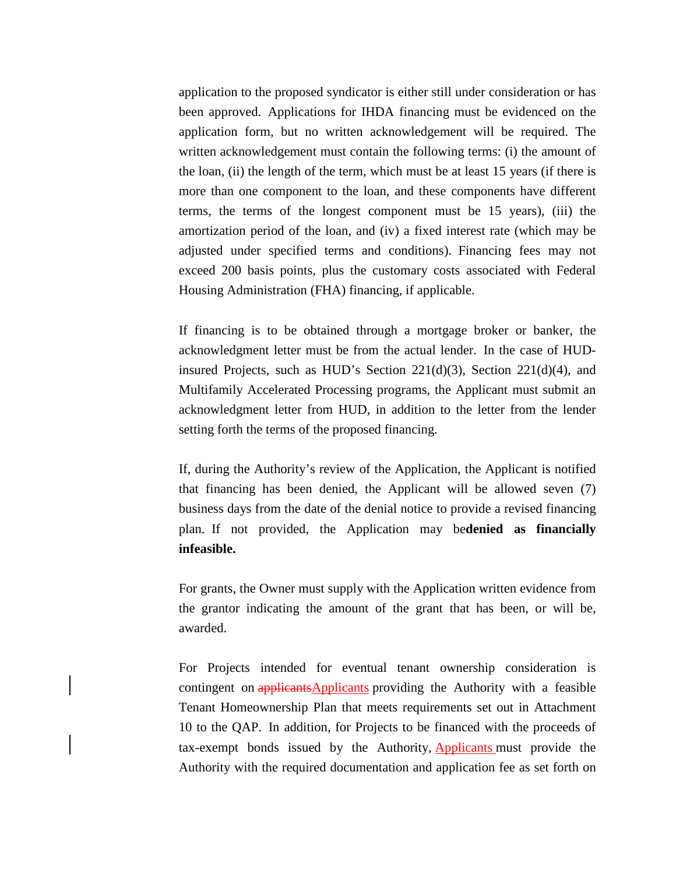application to the proposed syndicator is either still under consideration or has been approved. Applications for IHDA financing must be evidenced on the application form, but no written acknowledgement will be required. The written acknowledgement must contain the following terms: (i) the amount of the loan, (ii) the length of the term, which must be at least 15 years (if there is more than one component to the loan, and these components have different terms, the terms of the longest component must be 15 years), (iii) the amortization period of the loan, and (iv) a fixed interest rate (which may be adjusted under specified terms and conditions). Financing fees may not exceed 200 basis points, plus the customary costs associated with Federal Housing Administration (FHA) financing, if applicable.

If financing is to be obtained through a mortgage broker or banker, the acknowledgment letter must be from the actual lender. In the case of HUDinsured Projects, such as HUD's Section 221(d)(3), Section 221(d)(4), and Multifamily Accelerated Processing programs, the Applicant must submit an acknowledgment letter from HUD, in addition to the letter from the lender setting forth the terms of the proposed financing.

If, during the Authority's review of the Application, the Applicant is notified that financing has been denied, the Applicant will be allowed seven (7) business days from the date of the denial notice to provide a revised financing plan. If not provided, the Application may be**denied as financially infeasible.**

For grants, the Owner must supply with the Application written evidence from the grantor indicating the amount of the grant that has been, or will be, awarded.

For Projects intended for eventual tenant ownership consideration is contingent on **applicants** Applicants providing the Authority with a feasible Tenant Homeownership Plan that meets requirements set out in Attachment 10 to the QAP. In addition, for Projects to be financed with the proceeds of tax-exempt bonds issued by the Authority, Applicants must provide the Authority with the required documentation and application fee as set forth on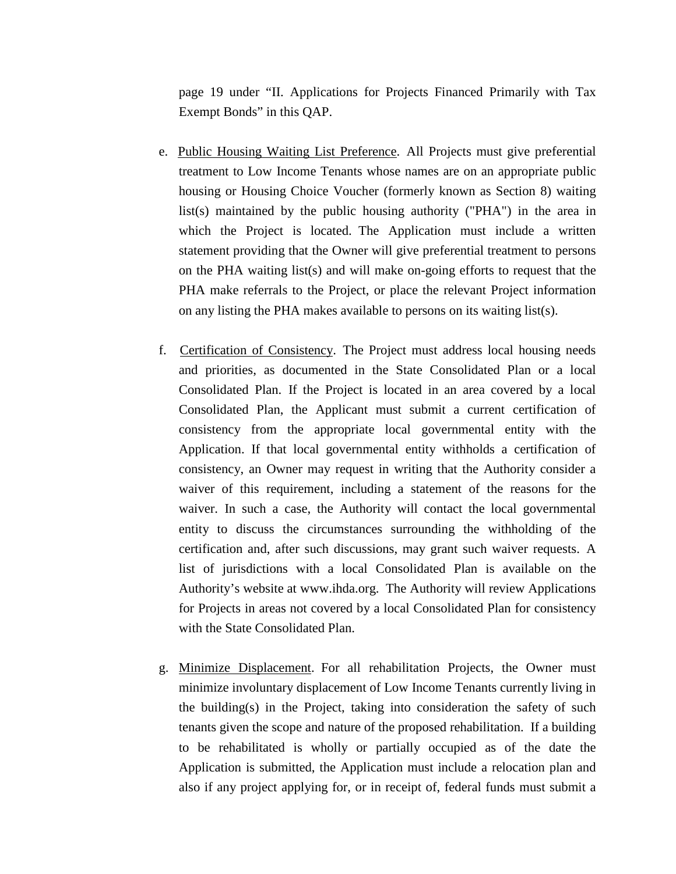page 19 under "II. Applications for Projects Financed Primarily with Tax Exempt Bonds" in this QAP.

- e. Public Housing Waiting List Preference. All Projects must give preferential treatment to Low Income Tenants whose names are on an appropriate public housing or Housing Choice Voucher (formerly known as Section 8) waiting list(s) maintained by the public housing authority ("PHA") in the area in which the Project is located. The Application must include a written statement providing that the Owner will give preferential treatment to persons on the PHA waiting list(s) and will make on-going efforts to request that the PHA make referrals to the Project, or place the relevant Project information on any listing the PHA makes available to persons on its waiting list(s).
- f. Certification of Consistency. The Project must address local housing needs and priorities, as documented in the State Consolidated Plan or a local Consolidated Plan. If the Project is located in an area covered by a local Consolidated Plan, the Applicant must submit a current certification of consistency from the appropriate local governmental entity with the Application. If that local governmental entity withholds a certification of consistency, an Owner may request in writing that the Authority consider a waiver of this requirement, including a statement of the reasons for the waiver. In such a case, the Authority will contact the local governmental entity to discuss the circumstances surrounding the withholding of the certification and, after such discussions, may grant such waiver requests. A list of jurisdictions with a local Consolidated Plan is available on the Authority's website at www.ihda.org. The Authority will review Applications for Projects in areas not covered by a local Consolidated Plan for consistency with the State Consolidated Plan.
- g. Minimize Displacement. For all rehabilitation Projects, the Owner must minimize involuntary displacement of Low Income Tenants currently living in the building(s) in the Project, taking into consideration the safety of such tenants given the scope and nature of the proposed rehabilitation. If a building to be rehabilitated is wholly or partially occupied as of the date the Application is submitted, the Application must include a relocation plan and also if any project applying for, or in receipt of, federal funds must submit a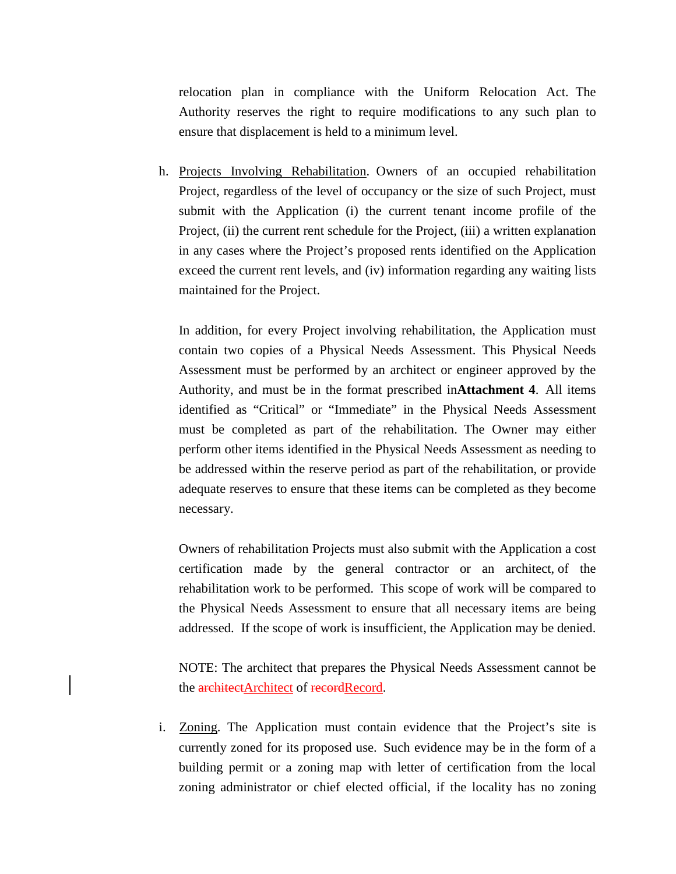relocation plan in compliance with the Uniform Relocation Act. The Authority reserves the right to require modifications to any such plan to ensure that displacement is held to a minimum level.

h. Projects Involving Rehabilitation. Owners of an occupied rehabilitation Project, regardless of the level of occupancy or the size of such Project, must submit with the Application (i) the current tenant income profile of the Project, (ii) the current rent schedule for the Project, (iii) a written explanation in any cases where the Project's proposed rents identified on the Application exceed the current rent levels, and (iv) information regarding any waiting lists maintained for the Project.

In addition, for every Project involving rehabilitation, the Application must contain two copies of a Physical Needs Assessment. This Physical Needs Assessment must be performed by an architect or engineer approved by the Authority, and must be in the format prescribed in**Attachment 4**. All items identified as "Critical" or "Immediate" in the Physical Needs Assessment must be completed as part of the rehabilitation. The Owner may either perform other items identified in the Physical Needs Assessment as needing to be addressed within the reserve period as part of the rehabilitation, or provide adequate reserves to ensure that these items can be completed as they become necessary.

Owners of rehabilitation Projects must also submit with the Application a cost certification made by the general contractor or an architect, of the rehabilitation work to be performed. This scope of work will be compared to the Physical Needs Assessment to ensure that all necessary items are being addressed. If the scope of work is insufficient, the Application may be denied.

NOTE: The architect that prepares the Physical Needs Assessment cannot be the architectArchitect of recordRecord.

i. Zoning. The Application must contain evidence that the Project's site is currently zoned for its proposed use. Such evidence may be in the form of a building permit or a zoning map with letter of certification from the local zoning administrator or chief elected official, if the locality has no zoning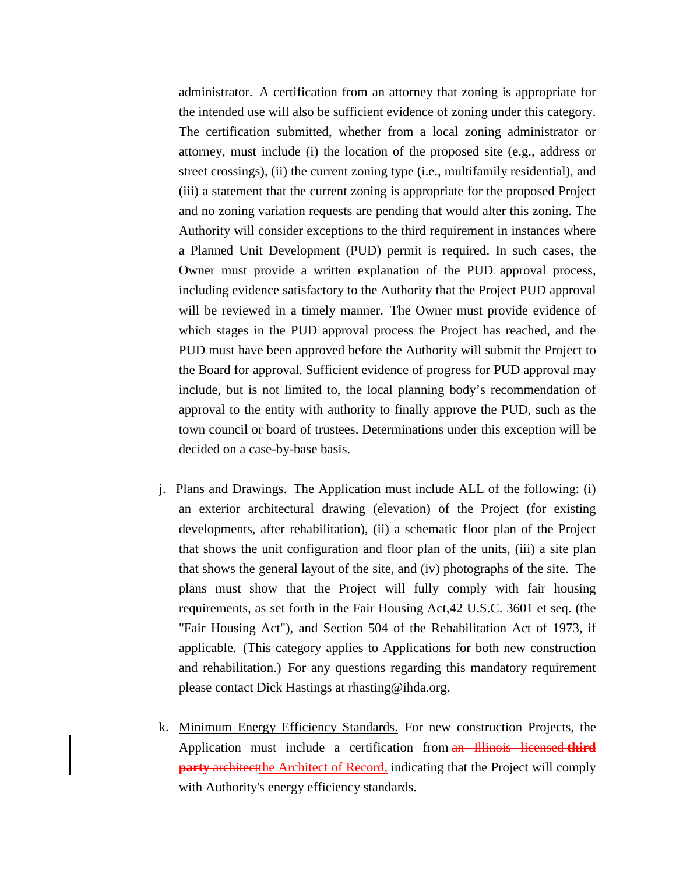administrator. A certification from an attorney that zoning is appropriate for the intended use will also be sufficient evidence of zoning under this category. The certification submitted, whether from a local zoning administrator or attorney, must include (i) the location of the proposed site (e.g., address or street crossings), (ii) the current zoning type (i.e., multifamily residential), and (iii) a statement that the current zoning is appropriate for the proposed Project and no zoning variation requests are pending that would alter this zoning. The Authority will consider exceptions to the third requirement in instances where a Planned Unit Development (PUD) permit is required. In such cases, the Owner must provide a written explanation of the PUD approval process, including evidence satisfactory to the Authority that the Project PUD approval will be reviewed in a timely manner. The Owner must provide evidence of which stages in the PUD approval process the Project has reached, and the PUD must have been approved before the Authority will submit the Project to the Board for approval. Sufficient evidence of progress for PUD approval may include, but is not limited to, the local planning body's recommendation of approval to the entity with authority to finally approve the PUD, such as the town council or board of trustees. Determinations under this exception will be decided on a case-by-base basis.

- j. Plans and Drawings. The Application must include ALL of the following: (i) an exterior architectural drawing (elevation) of the Project (for existing developments, after rehabilitation), (ii) a schematic floor plan of the Project that shows the unit configuration and floor plan of the units, (iii) a site plan that shows the general layout of the site, and (iv) photographs of the site. The plans must show that the Project will fully comply with fair housing requirements, as set forth in the Fair Housing Act,42 U.S.C. 3601 et seq. (the "Fair Housing Act"), and Section 504 of the Rehabilitation Act of 1973, if applicable. (This category applies to Applications for both new construction and rehabilitation.) For any questions regarding this mandatory requirement please contact Dick Hastings at rhasting@ihda.org.
- k. Minimum Energy Efficiency Standards. For new construction Projects, the Application must include a certification from an Illinois licensed **third party** architectifice Architect of Record, indicating that the Project will comply with Authority's energy efficiency standards.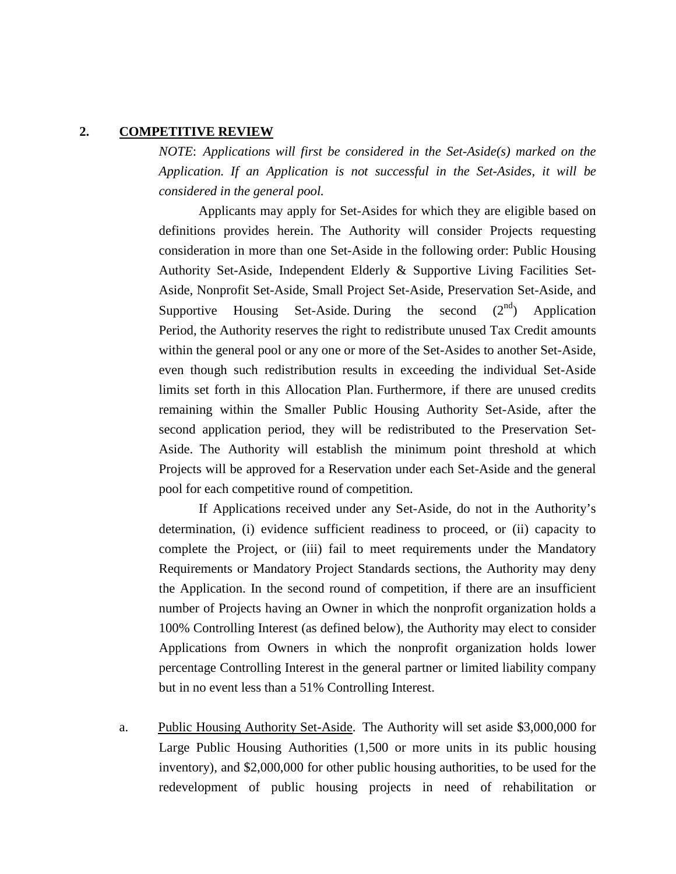#### **2. COMPETITIVE REVIEW**

*NOTE*: *Applications will first be considered in the Set-Aside(s) marked on the Application. If an Application is not successful in the Set-Asides, it will be considered in the general pool.*

Applicants may apply for Set-Asides for which they are eligible based on definitions provides herein. The Authority will consider Projects requesting consideration in more than one Set-Aside in the following order: Public Housing Authority Set-Aside, Independent Elderly & Supportive Living Facilities Set-Aside, Nonprofit Set-Aside, Small Project Set-Aside, Preservation Set-Aside, and Supportive Housing Set-Aside. During the second  $(2<sup>nd</sup>)$  Application Period, the Authority reserves the right to redistribute unused Tax Credit amounts within the general pool or any one or more of the Set-Asides to another Set-Aside, even though such redistribution results in exceeding the individual Set-Aside limits set forth in this Allocation Plan. Furthermore, if there are unused credits remaining within the Smaller Public Housing Authority Set-Aside, after the second application period, they will be redistributed to the Preservation Set-Aside. The Authority will establish the minimum point threshold at which Projects will be approved for a Reservation under each Set-Aside and the general pool for each competitive round of competition.

 If Applications received under any Set-Aside, do not in the Authority's determination, (i) evidence sufficient readiness to proceed, or (ii) capacity to complete the Project, or (iii) fail to meet requirements under the Mandatory Requirements or Mandatory Project Standards sections, the Authority may deny the Application. In the second round of competition, if there are an insufficient number of Projects having an Owner in which the nonprofit organization holds a 100% Controlling Interest (as defined below), the Authority may elect to consider Applications from Owners in which the nonprofit organization holds lower percentage Controlling Interest in the general partner or limited liability company but in no event less than a 51% Controlling Interest.

a. Public Housing Authority Set-Aside. The Authority will set aside \$3,000,000 for Large Public Housing Authorities (1,500 or more units in its public housing inventory), and \$2,000,000 for other public housing authorities, to be used for the redevelopment of public housing projects in need of rehabilitation or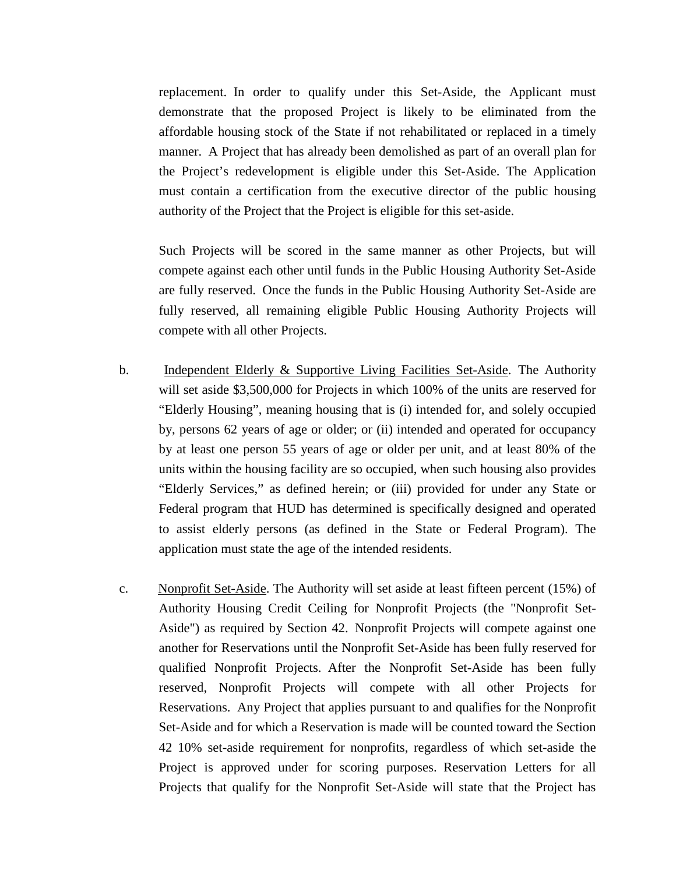replacement. In order to qualify under this Set-Aside, the Applicant must demonstrate that the proposed Project is likely to be eliminated from the affordable housing stock of the State if not rehabilitated or replaced in a timely manner. A Project that has already been demolished as part of an overall plan for the Project's redevelopment is eligible under this Set-Aside. The Application must contain a certification from the executive director of the public housing authority of the Project that the Project is eligible for this set-aside.

 Such Projects will be scored in the same manner as other Projects, but will compete against each other until funds in the Public Housing Authority Set-Aside are fully reserved. Once the funds in the Public Housing Authority Set-Aside are fully reserved, all remaining eligible Public Housing Authority Projects will compete with all other Projects.

- b. Independent Elderly & Supportive Living Facilities Set-Aside. The Authority will set aside \$3,500,000 for Projects in which 100% of the units are reserved for "Elderly Housing", meaning housing that is (i) intended for, and solely occupied by, persons 62 years of age or older; or (ii) intended and operated for occupancy by at least one person 55 years of age or older per unit, and at least 80% of the units within the housing facility are so occupied, when such housing also provides "Elderly Services," as defined herein; or (iii) provided for under any State or Federal program that HUD has determined is specifically designed and operated to assist elderly persons (as defined in the State or Federal Program). The application must state the age of the intended residents.
- c. Nonprofit Set-Aside. The Authority will set aside at least fifteen percent (15%) of Authority Housing Credit Ceiling for Nonprofit Projects (the "Nonprofit Set-Aside") as required by Section 42. Nonprofit Projects will compete against one another for Reservations until the Nonprofit Set-Aside has been fully reserved for qualified Nonprofit Projects. After the Nonprofit Set-Aside has been fully reserved, Nonprofit Projects will compete with all other Projects for Reservations. Any Project that applies pursuant to and qualifies for the Nonprofit Set-Aside and for which a Reservation is made will be counted toward the Section 42 10% set-aside requirement for nonprofits, regardless of which set-aside the Project is approved under for scoring purposes. Reservation Letters for all Projects that qualify for the Nonprofit Set-Aside will state that the Project has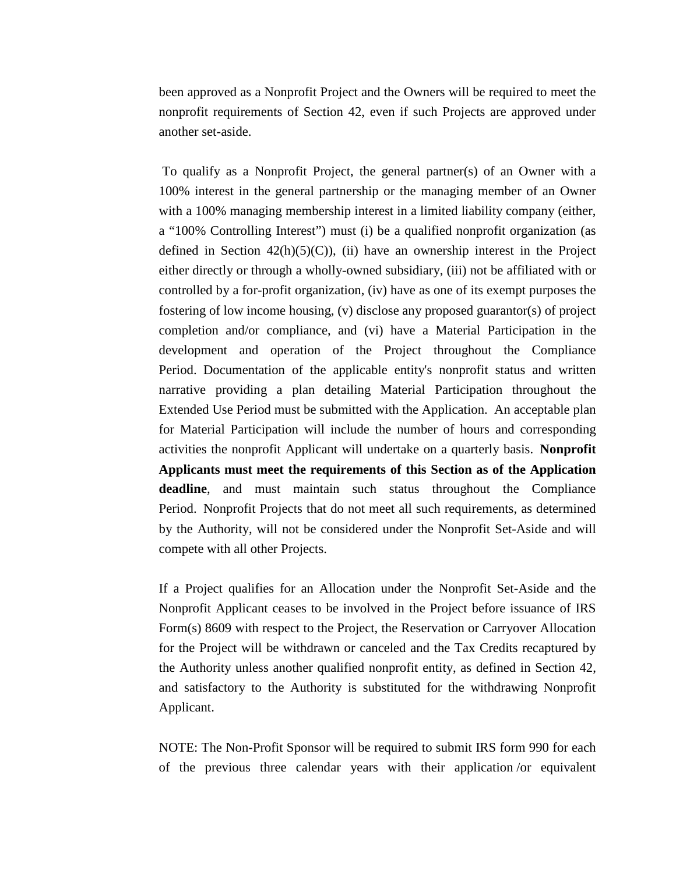been approved as a Nonprofit Project and the Owners will be required to meet the nonprofit requirements of Section 42, even if such Projects are approved under another set-aside.

To qualify as a Nonprofit Project, the general partner(s) of an Owner with a 100% interest in the general partnership or the managing member of an Owner with a 100% managing membership interest in a limited liability company (either, a "100% Controlling Interest") must (i) be a qualified nonprofit organization (as defined in Section  $42(h)(5)(C)$ , (ii) have an ownership interest in the Project either directly or through a wholly-owned subsidiary, (iii) not be affiliated with or controlled by a for-profit organization, (iv) have as one of its exempt purposes the fostering of low income housing, (v) disclose any proposed guarantor(s) of project completion and/or compliance, and (vi) have a Material Participation in the development and operation of the Project throughout the Compliance Period. Documentation of the applicable entity's nonprofit status and written narrative providing a plan detailing Material Participation throughout the Extended Use Period must be submitted with the Application. An acceptable plan for Material Participation will include the number of hours and corresponding activities the nonprofit Applicant will undertake on a quarterly basis. **Nonprofit Applicants must meet the requirements of this Section as of the Application deadline**, and must maintain such status throughout the Compliance Period. Nonprofit Projects that do not meet all such requirements, as determined by the Authority, will not be considered under the Nonprofit Set-Aside and will compete with all other Projects.

If a Project qualifies for an Allocation under the Nonprofit Set-Aside and the Nonprofit Applicant ceases to be involved in the Project before issuance of IRS Form(s) 8609 with respect to the Project, the Reservation or Carryover Allocation for the Project will be withdrawn or canceled and the Tax Credits recaptured by the Authority unless another qualified nonprofit entity, as defined in Section 42, and satisfactory to the Authority is substituted for the withdrawing Nonprofit Applicant.

NOTE: The Non-Profit Sponsor will be required to submit IRS form 990 for each of the previous three calendar years with their application /or equivalent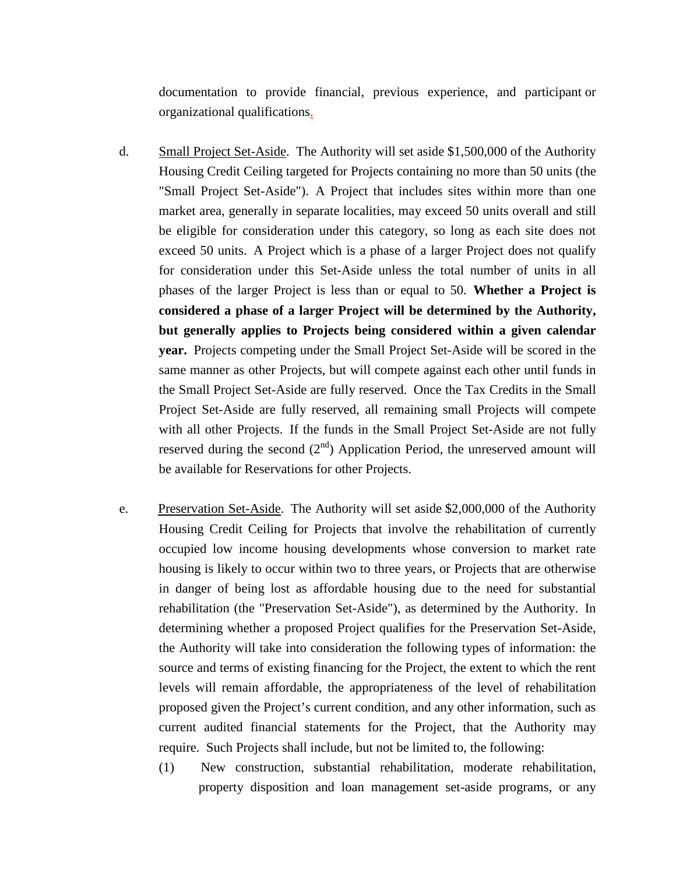documentation to provide financial, previous experience, and participant or organizational qualifications.

- d. Small Project Set-Aside. The Authority will set aside \$1,500,000 of the Authority Housing Credit Ceiling targeted for Projects containing no more than 50 units (the "Small Project Set-Aside"). A Project that includes sites within more than one market area, generally in separate localities, may exceed 50 units overall and still be eligible for consideration under this category, so long as each site does not exceed 50 units. A Project which is a phase of a larger Project does not qualify for consideration under this Set-Aside unless the total number of units in all phases of the larger Project is less than or equal to 50. **Whether a Project is considered a phase of a larger Project will be determined by the Authority, but generally applies to Projects being considered within a given calendar year.** Projects competing under the Small Project Set-Aside will be scored in the same manner as other Projects, but will compete against each other until funds in the Small Project Set-Aside are fully reserved. Once the Tax Credits in the Small Project Set-Aside are fully reserved, all remaining small Projects will compete with all other Projects. If the funds in the Small Project Set-Aside are not fully reserved during the second  $(2<sup>nd</sup>)$  Application Period, the unreserved amount will be available for Reservations for other Projects.
- e. Preservation Set-Aside. The Authority will set aside \$2,000,000 of the Authority Housing Credit Ceiling for Projects that involve the rehabilitation of currently occupied low income housing developments whose conversion to market rate housing is likely to occur within two to three years, or Projects that are otherwise in danger of being lost as affordable housing due to the need for substantial rehabilitation (the "Preservation Set-Aside"), as determined by the Authority. In determining whether a proposed Project qualifies for the Preservation Set-Aside, the Authority will take into consideration the following types of information: the source and terms of existing financing for the Project, the extent to which the rent levels will remain affordable, the appropriateness of the level of rehabilitation proposed given the Project's current condition, and any other information, such as current audited financial statements for the Project, that the Authority may require. Such Projects shall include, but not be limited to, the following:
	- (1) New construction, substantial rehabilitation, moderate rehabilitation, property disposition and loan management set-aside programs, or any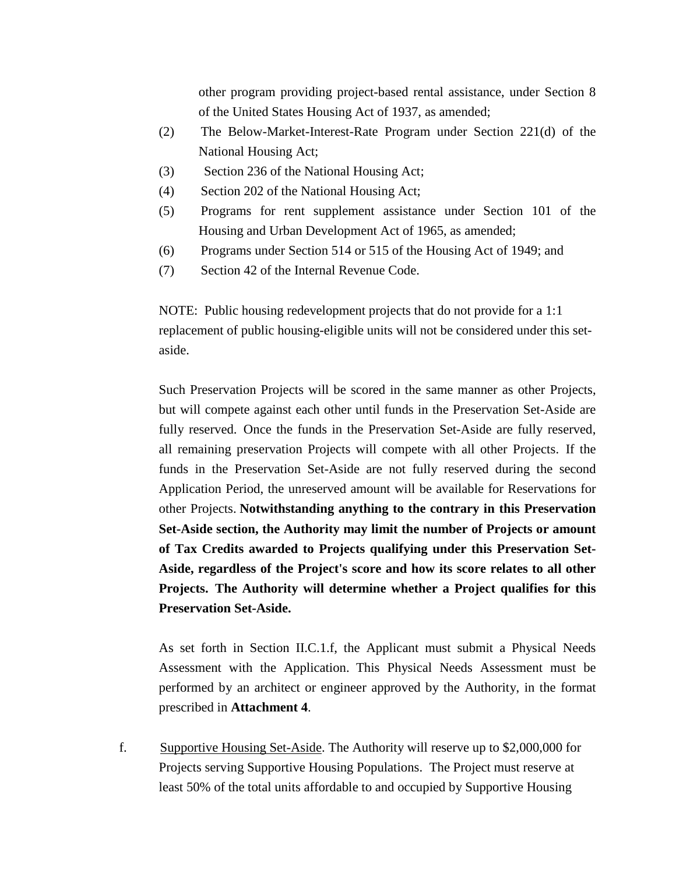other program providing project-based rental assistance, under Section 8 of the United States Housing Act of 1937, as amended;

- (2) The Below-Market-Interest-Rate Program under Section 221(d) of the National Housing Act;
- (3) Section 236 of the National Housing Act;
- (4) Section 202 of the National Housing Act;
- (5) Programs for rent supplement assistance under Section 101 of the Housing and Urban Development Act of 1965, as amended;
- (6) Programs under Section 514 or 515 of the Housing Act of 1949; and
- (7) Section 42 of the Internal Revenue Code.

NOTE: Public housing redevelopment projects that do not provide for a 1:1 replacement of public housing-eligible units will not be considered under this setaside.

Such Preservation Projects will be scored in the same manner as other Projects, but will compete against each other until funds in the Preservation Set-Aside are fully reserved. Once the funds in the Preservation Set-Aside are fully reserved, all remaining preservation Projects will compete with all other Projects. If the funds in the Preservation Set-Aside are not fully reserved during the second Application Period, the unreserved amount will be available for Reservations for other Projects. **Notwithstanding anything to the contrary in this Preservation Set-Aside section, the Authority may limit the number of Projects or amount of Tax Credits awarded to Projects qualifying under this Preservation Set-Aside, regardless of the Project's score and how its score relates to all other Projects. The Authority will determine whether a Project qualifies for this Preservation Set-Aside.**

As set forth in Section II.C.1.f, the Applicant must submit a Physical Needs Assessment with the Application. This Physical Needs Assessment must be performed by an architect or engineer approved by the Authority, in the format prescribed in **Attachment 4**.

f. Supportive Housing Set-Aside. The Authority will reserve up to \$2,000,000 for Projects serving Supportive Housing Populations. The Project must reserve at least 50% of the total units affordable to and occupied by Supportive Housing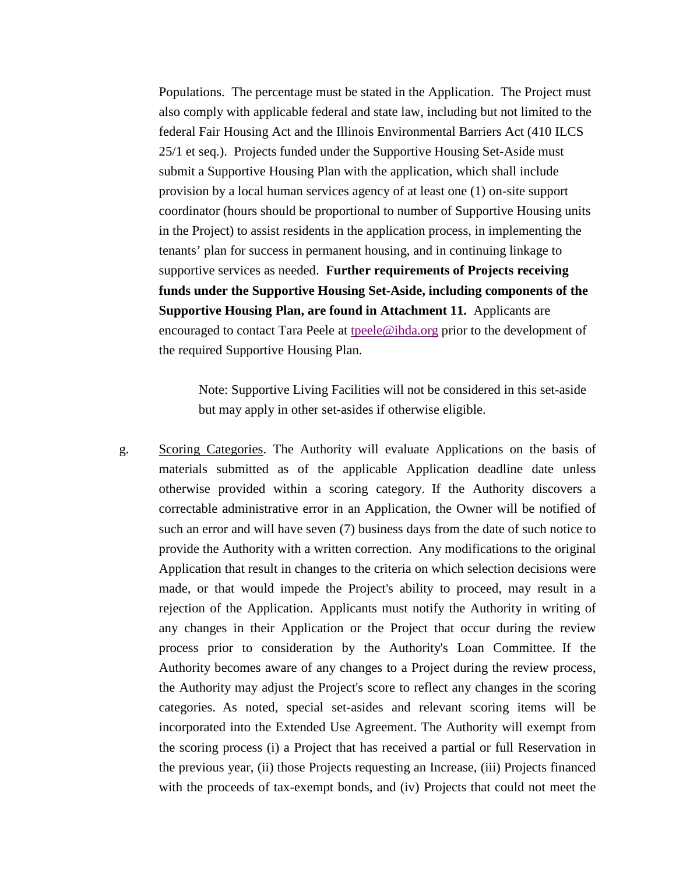Populations. The percentage must be stated in the Application. The Project must also comply with applicable federal and state law, including but not limited to the federal Fair Housing Act and the Illinois Environmental Barriers Act (410 ILCS 25/1 et seq.). Projects funded under the Supportive Housing Set-Aside must submit a Supportive Housing Plan with the application, which shall include provision by a local human services agency of at least one (1) on-site support coordinator (hours should be proportional to number of Supportive Housing units in the Project) to assist residents in the application process, in implementing the tenants' plan for success in permanent housing, and in continuing linkage to supportive services as needed. **Further requirements of Projects receiving funds under the Supportive Housing Set-Aside, including components of the Supportive Housing Plan, are found in Attachment 11.** Applicants are encouraged to contact Tara Peele at [tpeele@ihda.org](mailto:tpeele@ihda.org) prior to the development of the required Supportive Housing Plan.

Note: Supportive Living Facilities will not be considered in this set-aside but may apply in other set-asides if otherwise eligible.

g. Scoring Categories. The Authority will evaluate Applications on the basis of materials submitted as of the applicable Application deadline date unless otherwise provided within a scoring category. If the Authority discovers a correctable administrative error in an Application, the Owner will be notified of such an error and will have seven (7) business days from the date of such notice to provide the Authority with a written correction. Any modifications to the original Application that result in changes to the criteria on which selection decisions were made, or that would impede the Project's ability to proceed, may result in a rejection of the Application. Applicants must notify the Authority in writing of any changes in their Application or the Project that occur during the review process prior to consideration by the Authority's Loan Committee. If the Authority becomes aware of any changes to a Project during the review process, the Authority may adjust the Project's score to reflect any changes in the scoring categories. As noted, special set-asides and relevant scoring items will be incorporated into the Extended Use Agreement. The Authority will exempt from the scoring process (i) a Project that has received a partial or full Reservation in the previous year, (ii) those Projects requesting an Increase, (iii) Projects financed with the proceeds of tax-exempt bonds, and (iv) Projects that could not meet the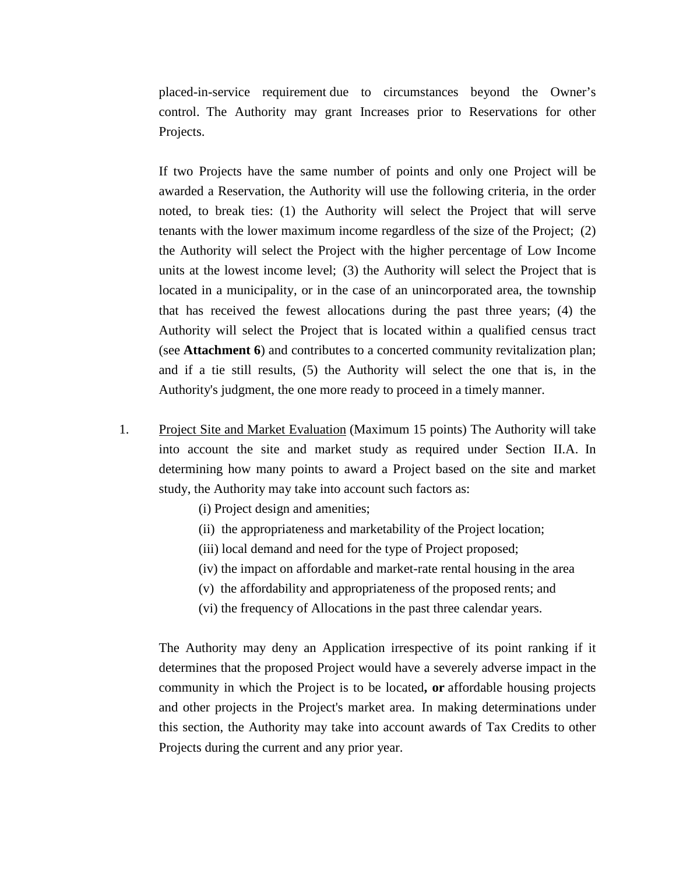placed-in-service requirement due to circumstances beyond the Owner's control. The Authority may grant Increases prior to Reservations for other Projects.

If two Projects have the same number of points and only one Project will be awarded a Reservation, the Authority will use the following criteria, in the order noted, to break ties: (1) the Authority will select the Project that will serve tenants with the lower maximum income regardless of the size of the Project; (2) the Authority will select the Project with the higher percentage of Low Income units at the lowest income level; (3) the Authority will select the Project that is located in a municipality, or in the case of an unincorporated area, the township that has received the fewest allocations during the past three years; (4) the Authority will select the Project that is located within a qualified census tract (see **Attachment 6**) and contributes to a concerted community revitalization plan; and if a tie still results, (5) the Authority will select the one that is, in the Authority's judgment, the one more ready to proceed in a timely manner.

- 1. Project Site and Market Evaluation (Maximum 15 points) The Authority will take into account the site and market study as required under Section II.A. In determining how many points to award a Project based on the site and market study, the Authority may take into account such factors as:
	- (i) Project design and amenities;
	- (ii) the appropriateness and marketability of the Project location;
	- (iii) local demand and need for the type of Project proposed;
	- (iv) the impact on affordable and market-rate rental housing in the area
	- (v) the affordability and appropriateness of the proposed rents; and
	- (vi) the frequency of Allocations in the past three calendar years.

The Authority may deny an Application irrespective of its point ranking if it determines that the proposed Project would have a severely adverse impact in the community in which the Project is to be located**, or** affordable housing projects and other projects in the Project's market area. In making determinations under this section, the Authority may take into account awards of Tax Credits to other Projects during the current and any prior year.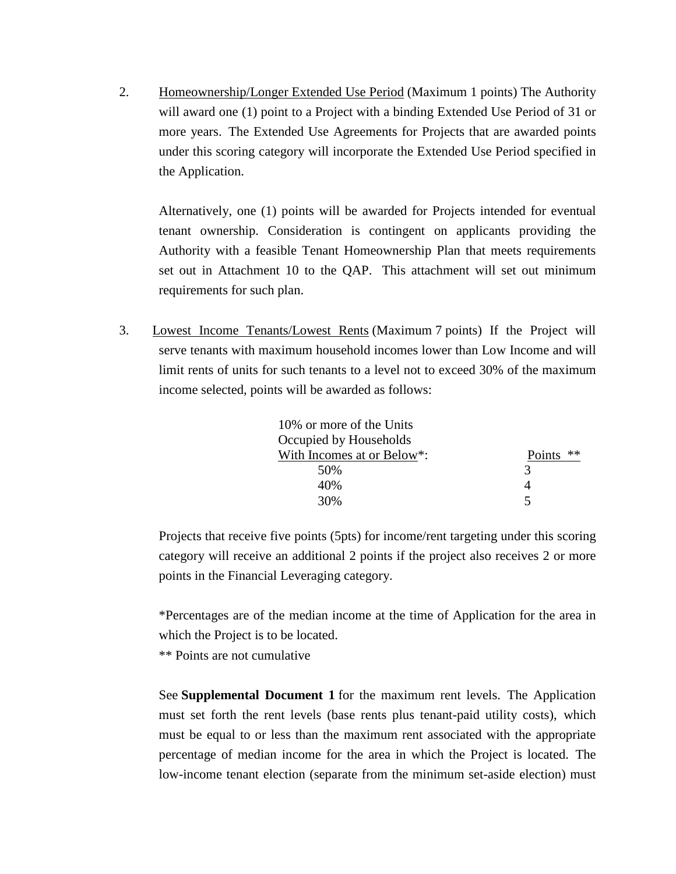2. Homeownership/Longer Extended Use Period (Maximum 1 points) The Authority will award one (1) point to a Project with a binding Extended Use Period of 31 or more years. The Extended Use Agreements for Projects that are awarded points under this scoring category will incorporate the Extended Use Period specified in the Application.

Alternatively, one (1) points will be awarded for Projects intended for eventual tenant ownership. Consideration is contingent on applicants providing the Authority with a feasible Tenant Homeownership Plan that meets requirements set out in Attachment 10 to the QAP. This attachment will set out minimum requirements for such plan.

3. Lowest Income Tenants/Lowest Rents (Maximum 7 points) If the Project will serve tenants with maximum household incomes lower than Low Income and will limit rents of units for such tenants to a level not to exceed 30% of the maximum income selected, points will be awarded as follows:

| 10% or more of the Units   |                |
|----------------------------|----------------|
| Occupied by Households     |                |
| With Incomes at or Below*: | $**$<br>Points |
| 50%                        | 3              |
| 40%                        | 4              |
| 30%                        | 5              |

Projects that receive five points (5pts) for income/rent targeting under this scoring category will receive an additional 2 points if the project also receives 2 or more points in the Financial Leveraging category.

\*Percentages are of the median income at the time of Application for the area in which the Project is to be located.

\*\* Points are not cumulative

See **Supplemental Document 1** for the maximum rent levels. The Application must set forth the rent levels (base rents plus tenant-paid utility costs), which must be equal to or less than the maximum rent associated with the appropriate percentage of median income for the area in which the Project is located. The low-income tenant election (separate from the minimum set-aside election) must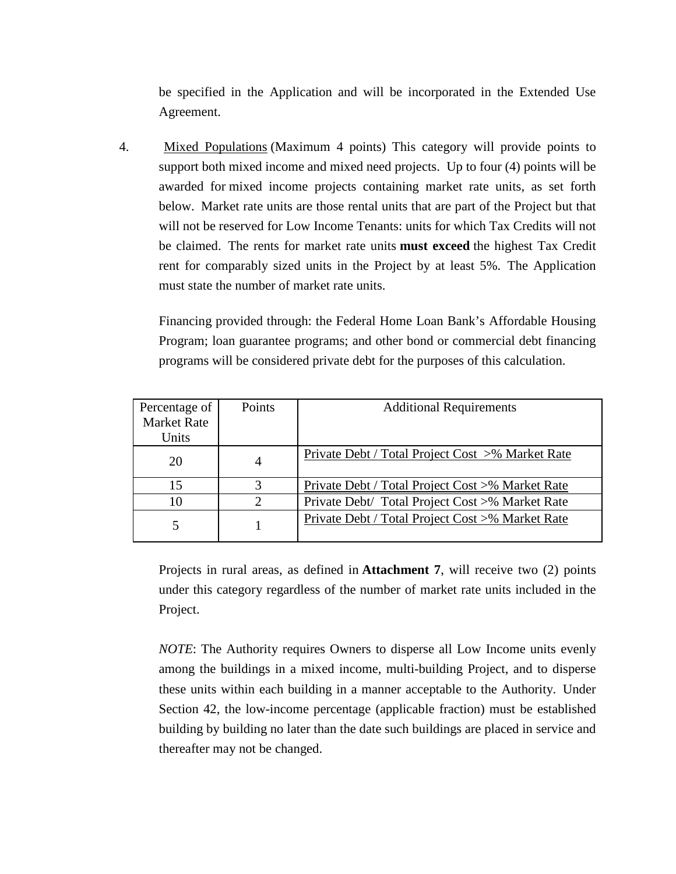be specified in the Application and will be incorporated in the Extended Use Agreement.

4. Mixed Populations (Maximum 4 points) This category will provide points to support both mixed income and mixed need projects. Up to four (4) points will be awarded for mixed income projects containing market rate units, as set forth below. Market rate units are those rental units that are part of the Project but that will not be reserved for Low Income Tenants: units for which Tax Credits will not be claimed. The rents for market rate units **must exceed** the highest Tax Credit rent for comparably sized units in the Project by at least 5%. The Application must state the number of market rate units.

Financing provided through: the Federal Home Loan Bank's Affordable Housing Program; loan guarantee programs; and other bond or commercial debt financing programs will be considered private debt for the purposes of this calculation.

| Percentage of      | Points | <b>Additional Requirements</b>                   |
|--------------------|--------|--------------------------------------------------|
| <b>Market Rate</b> |        |                                                  |
| Units              |        |                                                  |
| 20                 | 4      | Private Debt / Total Project Cost >% Market Rate |
| 15                 |        | Private Debt / Total Project Cost >% Market Rate |
| 10                 |        | Private Debt/ Total Project Cost >% Market Rate  |
| 5                  |        | Private Debt / Total Project Cost >% Market Rate |

Projects in rural areas, as defined in **Attachment 7**, will receive two (2) points under this category regardless of the number of market rate units included in the Project.

*NOTE*: The Authority requires Owners to disperse all Low Income units evenly among the buildings in a mixed income, multi-building Project, and to disperse these units within each building in a manner acceptable to the Authority. Under Section 42, the low-income percentage (applicable fraction) must be established building by building no later than the date such buildings are placed in service and thereafter may not be changed.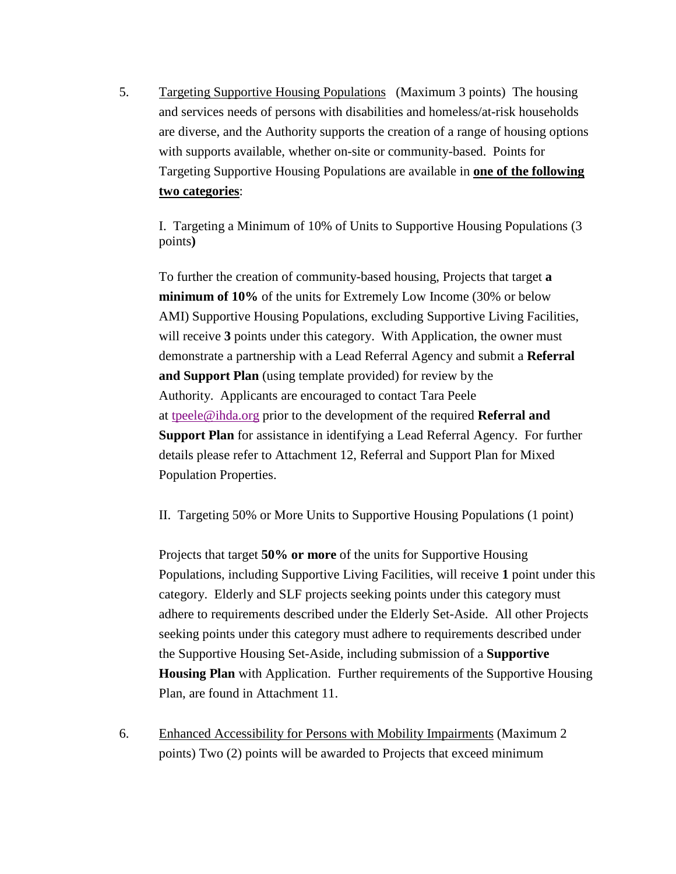5. Targeting Supportive Housing Populations (Maximum 3 points) The housing and services needs of persons with disabilities and homeless/at-risk households are diverse, and the Authority supports the creation of a range of housing options with supports available, whether on-site or community-based. Points for Targeting Supportive Housing Populations are available in **one of the following two categories**:

I. Targeting a Minimum of 10% of Units to Supportive Housing Populations (3 points**)**

To further the creation of community-based housing, Projects that target **a minimum of 10%** of the units for Extremely Low Income (30% or below AMI) Supportive Housing Populations, excluding Supportive Living Facilities, will receive **3** points under this category. With Application, the owner must demonstrate a partnership with a Lead Referral Agency and submit a **Referral and Support Plan** (using template provided) for review by the Authority. Applicants are encouraged to contact Tara Peele at [tpeele@ihda.org](mailto:tpeele@ihda.org) prior to the development of the required **Referral and Support Plan** for assistance in identifying a Lead Referral Agency. For further details please refer to Attachment 12, Referral and Support Plan for Mixed Population Properties.

II. Targeting 50% or More Units to Supportive Housing Populations (1 point)

Projects that target **50% or more** of the units for Supportive Housing Populations, including Supportive Living Facilities, will receive **1** point under this category. Elderly and SLF projects seeking points under this category must adhere to requirements described under the Elderly Set-Aside. All other Projects seeking points under this category must adhere to requirements described under the Supportive Housing Set-Aside, including submission of a **Supportive Housing Plan** with Application. Further requirements of the Supportive Housing Plan, are found in Attachment 11.

6. Enhanced Accessibility for Persons with Mobility Impairments (Maximum 2 points) Two (2) points will be awarded to Projects that exceed minimum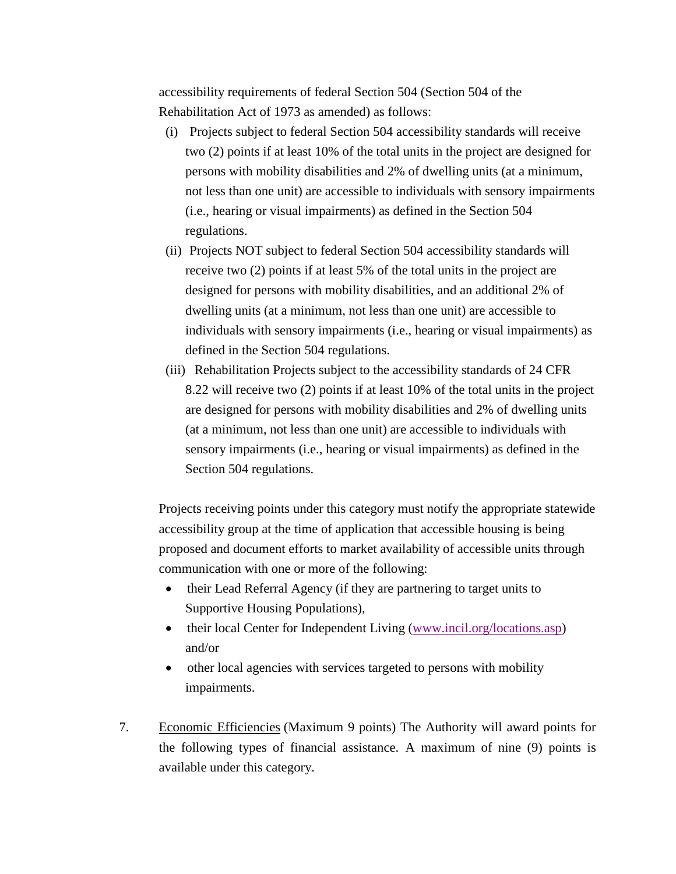accessibility requirements of federal Section 504 (Section 504 of the Rehabilitation Act of 1973 as amended) as follows:

- (i) Projects subject to federal Section 504 accessibility standards will receive two (2) points if at least 10% of the total units in the project are designed for persons with mobility disabilities and 2% of dwelling units (at a minimum, not less than one unit) are accessible to individuals with sensory impairments (i.e., hearing or visual impairments) as defined in the Section 504 regulations.
- (ii) Projects NOT subject to federal Section 504 accessibility standards will receive two (2) points if at least 5% of the total units in the project are designed for persons with mobility disabilities, and an additional 2% of dwelling units (at a minimum, not less than one unit) are accessible to individuals with sensory impairments (i.e., hearing or visual impairments) as defined in the Section 504 regulations.
- (iii) Rehabilitation Projects subject to the accessibility standards of 24 CFR 8.22 will receive two (2) points if at least 10% of the total units in the project are designed for persons with mobility disabilities and 2% of dwelling units (at a minimum, not less than one unit) are accessible to individuals with sensory impairments (i.e., hearing or visual impairments) as defined in the Section 504 regulations.

Projects receiving points under this category must notify the appropriate statewide accessibility group at the time of application that accessible housing is being proposed and document efforts to market availability of accessible units through communication with one or more of the following:

- their Lead Referral Agency (if they are partnering to target units to Supportive Housing Populations),
- their local Center for Independent Living [\(www.incil.org/locations.asp\)](http://www.incil.org/locations.asp) and/or
- other local agencies with services targeted to persons with mobility impairments.
- 7. Economic Efficiencies (Maximum 9 points) The Authority will award points for the following types of financial assistance. A maximum of nine (9) points is available under this category.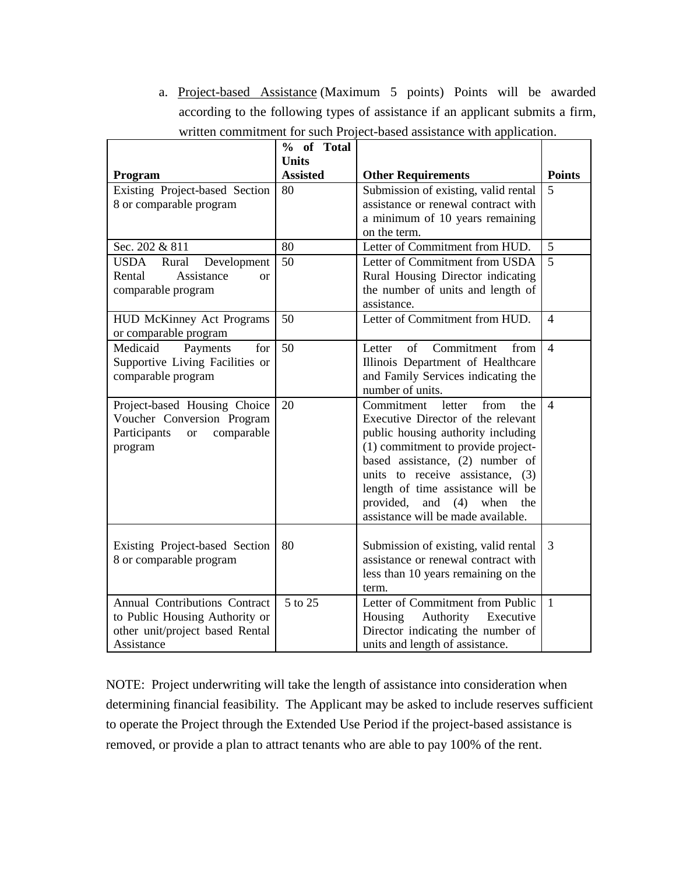a. Project-based Assistance (Maximum 5 points) Points will be awarded according to the following types of assistance if an applicant submits a firm, written commitment for such Project-based assistance with application.

|                                                                                                                         | % of Total                      |                                                                                                                                                                                                                                                                                                                                                  |                |
|-------------------------------------------------------------------------------------------------------------------------|---------------------------------|--------------------------------------------------------------------------------------------------------------------------------------------------------------------------------------------------------------------------------------------------------------------------------------------------------------------------------------------------|----------------|
| <b>Program</b>                                                                                                          | <b>Units</b><br><b>Assisted</b> | <b>Other Requirements</b>                                                                                                                                                                                                                                                                                                                        | <b>Points</b>  |
| Existing Project-based Section<br>8 or comparable program                                                               | 80                              | Submission of existing, valid rental<br>assistance or renewal contract with<br>a minimum of 10 years remaining<br>on the term.                                                                                                                                                                                                                   | 5              |
| Sec. 202 & 811                                                                                                          | 80                              | Letter of Commitment from HUD.                                                                                                                                                                                                                                                                                                                   | 5              |
| <b>USDA</b><br>Development<br>Rural<br>Assistance<br>Rental<br>or<br>comparable program                                 | 50                              | Letter of Commitment from USDA<br>Rural Housing Director indicating<br>the number of units and length of<br>assistance.                                                                                                                                                                                                                          | $\overline{5}$ |
| <b>HUD McKinney Act Programs</b><br>or comparable program                                                               | 50                              | Letter of Commitment from HUD.                                                                                                                                                                                                                                                                                                                   | 4              |
| Medicaid<br>for<br>Payments<br>Supportive Living Facilities or<br>comparable program                                    | 50                              | of<br>Commitment<br>from<br>Letter<br>Illinois Department of Healthcare<br>and Family Services indicating the<br>number of units.                                                                                                                                                                                                                | $\overline{4}$ |
| Project-based Housing Choice<br>Voucher Conversion Program<br>Participants<br>comparable<br><b>or</b><br>program        | 20                              | Commitment<br>letter<br>from<br>the<br>Executive Director of the relevant<br>public housing authority including<br>(1) commitment to provide project-<br>based assistance, (2) number of<br>units to receive assistance, (3)<br>length of time assistance will be<br>provided,<br>and $(4)$<br>when<br>the<br>assistance will be made available. | $\overline{4}$ |
| Existing Project-based Section<br>8 or comparable program                                                               | 80                              | Submission of existing, valid rental<br>assistance or renewal contract with<br>less than 10 years remaining on the<br>term.                                                                                                                                                                                                                      | 3              |
| <b>Annual Contributions Contract</b><br>to Public Housing Authority or<br>other unit/project based Rental<br>Assistance | 5 to 25                         | Letter of Commitment from Public<br>Authority<br>Housing<br>Executive<br>Director indicating the number of<br>units and length of assistance.                                                                                                                                                                                                    | 1              |

NOTE: Project underwriting will take the length of assistance into consideration when determining financial feasibility. The Applicant may be asked to include reserves sufficient to operate the Project through the Extended Use Period if the project-based assistance is removed, or provide a plan to attract tenants who are able to pay 100% of the rent.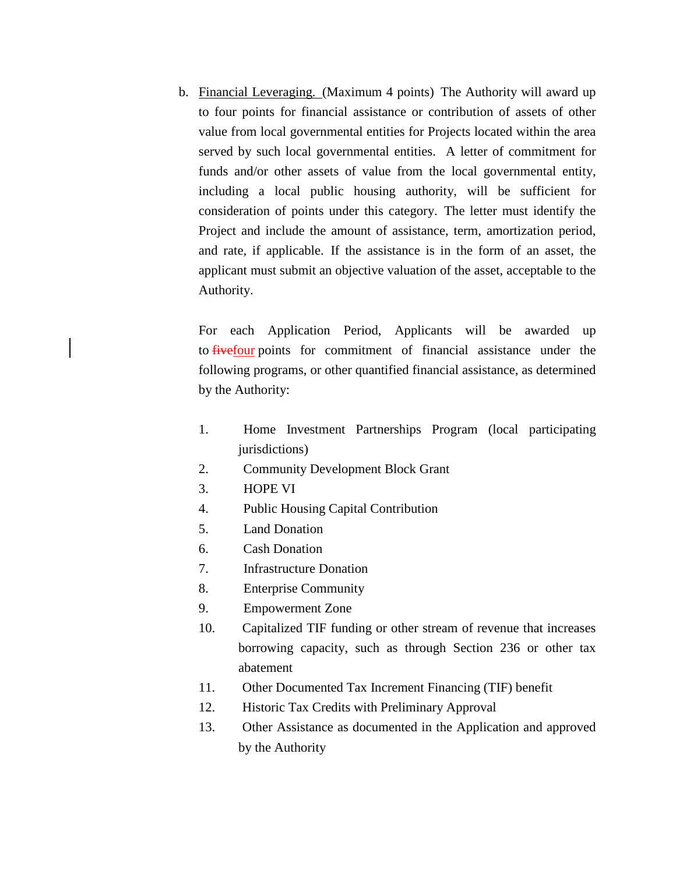b. Financial Leveraging. (Maximum 4 points) The Authority will award up to four points for financial assistance or contribution of assets of other value from local governmental entities for Projects located within the area served by such local governmental entities. A letter of commitment for funds and/or other assets of value from the local governmental entity, including a local public housing authority, will be sufficient for consideration of points under this category. The letter must identify the Project and include the amount of assistance, term, amortization period, and rate, if applicable. If the assistance is in the form of an asset, the applicant must submit an objective valuation of the asset, acceptable to the Authority.

 For each Application Period, Applicants will be awarded up to fivefour points for commitment of financial assistance under the following programs, or other quantified financial assistance, as determined by the Authority:

- 1. Home Investment Partnerships Program (local participating jurisdictions)
- 2. Community Development Block Grant
- 3. HOPE VI
- 4. Public Housing Capital Contribution
- 5. Land Donation
- 6. Cash Donation
- 7. Infrastructure Donation
- 8. Enterprise Community
- 9. Empowerment Zone
- 10. Capitalized TIF funding or other stream of revenue that increases borrowing capacity, such as through Section 236 or other tax abatement
- 11. Other Documented Tax Increment Financing (TIF) benefit
- 12. Historic Tax Credits with Preliminary Approval
- 13. Other Assistance as documented in the Application and approved by the Authority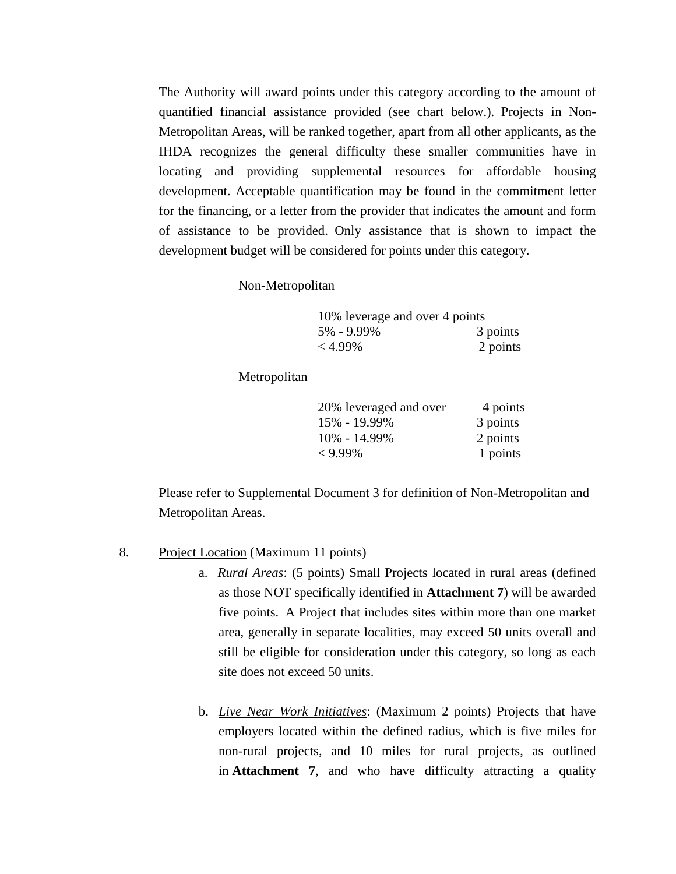The Authority will award points under this category according to the amount of quantified financial assistance provided (see chart below.). Projects in Non-Metropolitan Areas, will be ranked together, apart from all other applicants, as the IHDA recognizes the general difficulty these smaller communities have in locating and providing supplemental resources for affordable housing development. Acceptable quantification may be found in the commitment letter for the financing, or a letter from the provider that indicates the amount and form of assistance to be provided. Only assistance that is shown to impact the development budget will be considered for points under this category.

Non-Metropolitan

|            | 10% leverage and over 4 points |  |
|------------|--------------------------------|--|
| 5% - 9.99% | 3 points                       |  |
| $< 4.99\%$ | 2 points                       |  |

Metropolitan

| 20% leveraged and over | 4 points |
|------------------------|----------|
| 15% - 19.99%           | 3 points |
| 10% - 14.99%           | 2 points |
| $< 9.99\%$             | 1 points |

 Please refer to Supplemental Document 3 for definition of Non-Metropolitan and Metropolitan Areas.

- 8. Project Location (Maximum 11 points)
	- a. *Rural Areas*: (5 points) Small Projects located in rural areas (defined as those NOT specifically identified in **Attachment 7**) will be awarded five points. A Project that includes sites within more than one market area, generally in separate localities, may exceed 50 units overall and still be eligible for consideration under this category, so long as each site does not exceed 50 units.
	- b. *Live Near Work Initiatives*: (Maximum 2 points) Projects that have employers located within the defined radius, which is five miles for non-rural projects, and 10 miles for rural projects, as outlined in **Attachment 7**, and who have difficulty attracting a quality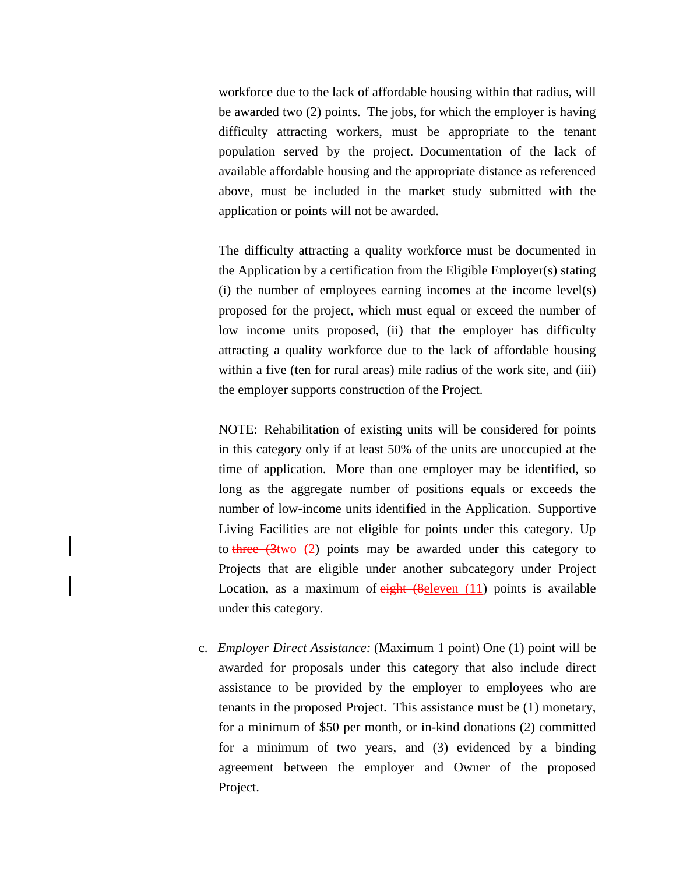workforce due to the lack of affordable housing within that radius, will be awarded two (2) points. The jobs, for which the employer is having difficulty attracting workers, must be appropriate to the tenant population served by the project. Documentation of the lack of available affordable housing and the appropriate distance as referenced above, must be included in the market study submitted with the application or points will not be awarded.

The difficulty attracting a quality workforce must be documented in the Application by a certification from the Eligible Employer(s) stating (i) the number of employees earning incomes at the income level(s) proposed for the project, which must equal or exceed the number of low income units proposed, (ii) that the employer has difficulty attracting a quality workforce due to the lack of affordable housing within a five (ten for rural areas) mile radius of the work site, and (iii) the employer supports construction of the Project.

 NOTE: Rehabilitation of existing units will be considered for points in this category only if at least 50% of the units are unoccupied at the time of application. More than one employer may be identified, so long as the aggregate number of positions equals or exceeds the number of low-income units identified in the Application. Supportive Living Facilities are not eligible for points under this category. Up to three  $(3$ two  $(2)$  points may be awarded under this category to Projects that are eligible under another subcategory under Project Location, as a maximum of  $e^{i}$ ght  $(8e^{i}$ eleven  $(11)$  points is available under this category.

c. *Employer Direct Assistance:* (Maximum 1 point) One (1) point will be awarded for proposals under this category that also include direct assistance to be provided by the employer to employees who are tenants in the proposed Project. This assistance must be (1) monetary, for a minimum of \$50 per month, or in-kind donations (2) committed for a minimum of two years, and (3) evidenced by a binding agreement between the employer and Owner of the proposed Project.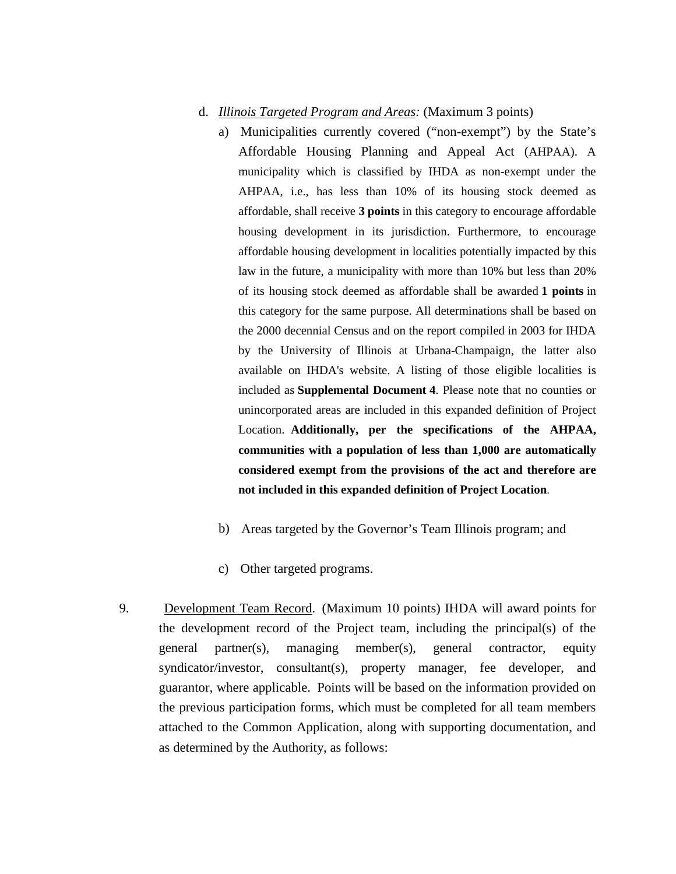- d. *Illinois Targeted Program and Areas:* (Maximum 3 points)
	- a) Municipalities currently covered ("non-exempt") by the State's Affordable Housing Planning and Appeal Act (AHPAA). A municipality which is classified by IHDA as non-exempt under the AHPAA, i.e., has less than 10% of its housing stock deemed as affordable, shall receive **3 points** in this category to encourage affordable housing development in its jurisdiction. Furthermore, to encourage affordable housing development in localities potentially impacted by this law in the future, a municipality with more than 10% but less than 20% of its housing stock deemed as affordable shall be awarded **1 points** in this category for the same purpose. All determinations shall be based on the 2000 decennial Census and on the report compiled in 2003 for IHDA by the University of Illinois at Urbana-Champaign, the latter also available on IHDA's website. A listing of those eligible localities is included as **Supplemental Document 4**. Please note that no counties or unincorporated areas are included in this expanded definition of Project Location. **Additionally, per the specifications of the AHPAA, communities with a population of less than 1,000 are automatically considered exempt from the provisions of the act and therefore are not included in this expanded definition of Project Location**.
	- b) Areas targeted by the Governor's Team Illinois program; and
	- c) Other targeted programs.
- 9. Development Team Record. (Maximum 10 points) IHDA will award points for the development record of the Project team, including the principal(s) of the general partner(s), managing member(s), general contractor, equity syndicator/investor, consultant(s), property manager, fee developer, and guarantor, where applicable. Points will be based on the information provided on the previous participation forms, which must be completed for all team members attached to the Common Application, along with supporting documentation, and as determined by the Authority, as follows: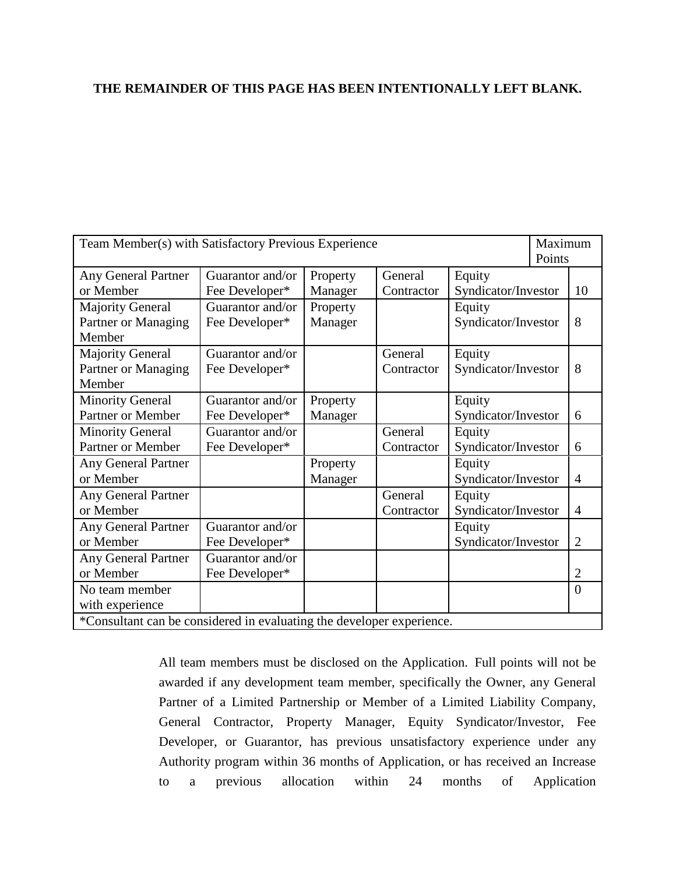# **THE REMAINDER OF THIS PAGE HAS BEEN INTENTIONALLY LEFT BLANK.**

| Maximum<br>Team Member(s) with Satisfactory Previous Experience       |                                                   |          |            |                     |  |                |
|-----------------------------------------------------------------------|---------------------------------------------------|----------|------------|---------------------|--|----------------|
|                                                                       |                                                   | Points   |            |                     |  |                |
| Any General Partner                                                   | General<br>Equity<br>Guarantor and/or<br>Property |          |            |                     |  |                |
| or Member                                                             | Fee Developer*                                    | Manager  | Contractor | Syndicator/Investor |  | 10             |
| <b>Majority General</b>                                               | Guarantor and/or                                  | Property |            | Equity              |  |                |
| Partner or Managing                                                   | Fee Developer*                                    | Manager  |            | Syndicator/Investor |  | 8              |
| Member                                                                |                                                   |          |            |                     |  |                |
| <b>Majority General</b>                                               | Guarantor and/or                                  |          | General    | Equity              |  |                |
| Partner or Managing                                                   | Fee Developer*                                    |          | Contractor | Syndicator/Investor |  | 8              |
| Member                                                                |                                                   |          |            |                     |  |                |
| <b>Minority General</b>                                               | Guarantor and/or                                  | Property |            | Equity              |  |                |
| Partner or Member                                                     | Fee Developer*                                    | Manager  |            | Syndicator/Investor |  | 6              |
| <b>Minority General</b>                                               | Guarantor and/or                                  |          | General    | Equity              |  |                |
| Partner or Member                                                     | Fee Developer*                                    |          | Contractor | Syndicator/Investor |  | 6              |
| Any General Partner                                                   |                                                   | Property |            | Equity              |  |                |
| or Member                                                             |                                                   | Manager  |            | Syndicator/Investor |  | $\overline{4}$ |
| Any General Partner                                                   |                                                   |          | General    | Equity              |  |                |
| or Member                                                             |                                                   |          | Contractor | Syndicator/Investor |  | $\overline{4}$ |
| Any General Partner                                                   | Guarantor and/or                                  |          |            | Equity              |  |                |
| or Member                                                             | Fee Developer*                                    |          |            | Syndicator/Investor |  | $\overline{2}$ |
| <b>Any General Partner</b>                                            | Guarantor and/or                                  |          |            |                     |  |                |
| or Member                                                             | Fee Developer*                                    |          |            |                     |  | $\overline{2}$ |
| No team member                                                        |                                                   |          |            |                     |  | $\overline{0}$ |
| with experience                                                       |                                                   |          |            |                     |  |                |
| *Consultant can be considered in evaluating the developer experience. |                                                   |          |            |                     |  |                |

All team members must be disclosed on the Application. Full points will not be awarded if any development team member, specifically the Owner, any General Partner of a Limited Partnership or Member of a Limited Liability Company, General Contractor, Property Manager, Equity Syndicator/Investor, Fee Developer, or Guarantor, has previous unsatisfactory experience under any Authority program within 36 months of Application, or has received an Increase to a previous allocation within 24 months of Application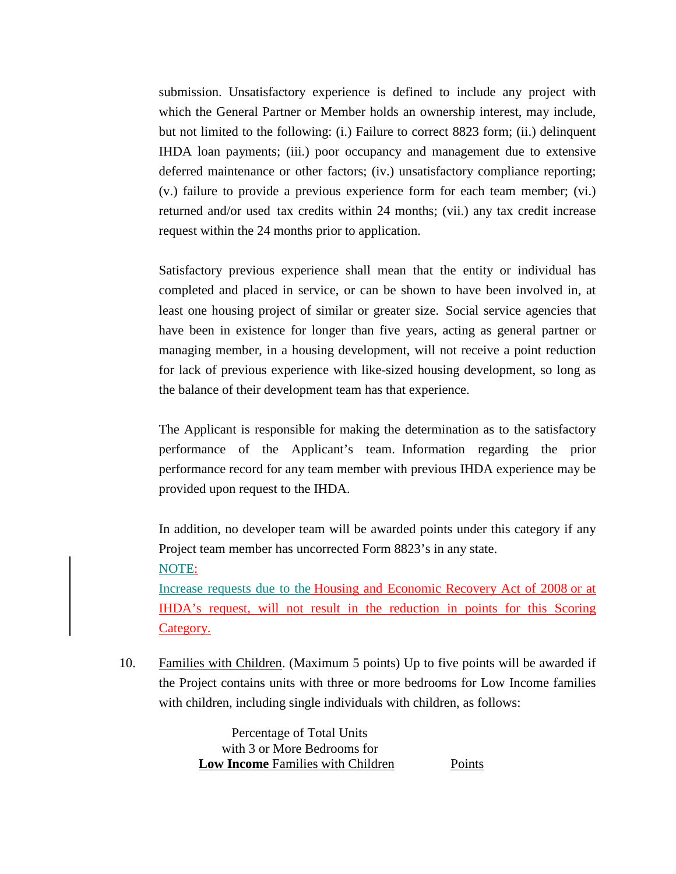submission. Unsatisfactory experience is defined to include any project with which the General Partner or Member holds an ownership interest, may include, but not limited to the following: (i.) Failure to correct 8823 form; (ii.) delinquent IHDA loan payments; (iii.) poor occupancy and management due to extensive deferred maintenance or other factors; (iv.) unsatisfactory compliance reporting; (v.) failure to provide a previous experience form for each team member; (vi.) returned and/or used tax credits within 24 months; (vii.) any tax credit increase request within the 24 months prior to application.

Satisfactory previous experience shall mean that the entity or individual has completed and placed in service, or can be shown to have been involved in, at least one housing project of similar or greater size. Social service agencies that have been in existence for longer than five years, acting as general partner or managing member, in a housing development, will not receive a point reduction for lack of previous experience with like-sized housing development, so long as the balance of their development team has that experience.

 The Applicant is responsible for making the determination as to the satisfactory performance of the Applicant's team. Information regarding the prior performance record for any team member with previous IHDA experience may be provided upon request to the IHDA.

In addition, no developer team will be awarded points under this category if any Project team member has uncorrected Form 8823's in any state.

### NOTE:

Increase requests due to the Housing and Economic Recovery Act of 2008 or at IHDA's request, will not result in the reduction in points for this Scoring Category.

10. Families with Children. (Maximum 5 points) Up to five points will be awarded if the Project contains units with three or more bedrooms for Low Income families with children, including single individuals with children, as follows:

> Percentage of Total Units with 3 or More Bedrooms for **Low Income** Families with Children Points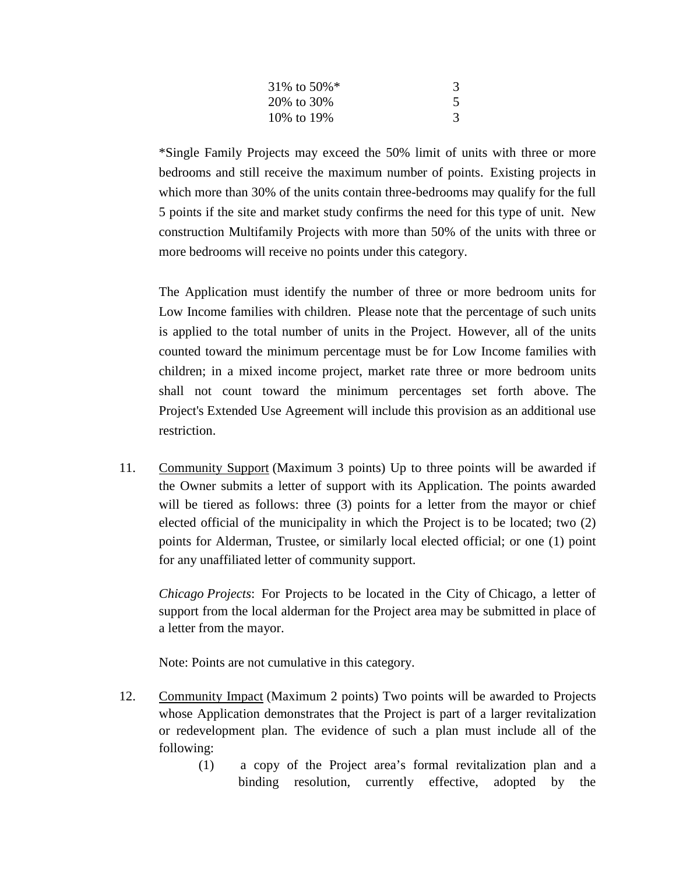| 31\% to 50\% $*$ |  |
|------------------|--|
| 20\% to 30\%     |  |
| 10\% to 19\%     |  |

\*Single Family Projects may exceed the 50% limit of units with three or more bedrooms and still receive the maximum number of points. Existing projects in which more than 30% of the units contain three-bedrooms may qualify for the full 5 points if the site and market study confirms the need for this type of unit. New construction Multifamily Projects with more than 50% of the units with three or more bedrooms will receive no points under this category.

The Application must identify the number of three or more bedroom units for Low Income families with children. Please note that the percentage of such units is applied to the total number of units in the Project. However, all of the units counted toward the minimum percentage must be for Low Income families with children; in a mixed income project, market rate three or more bedroom units shall not count toward the minimum percentages set forth above. The Project's Extended Use Agreement will include this provision as an additional use restriction.

11. Community Support (Maximum 3 points) Up to three points will be awarded if the Owner submits a letter of support with its Application. The points awarded will be tiered as follows: three (3) points for a letter from the mayor or chief elected official of the municipality in which the Project is to be located; two (2) points for Alderman, Trustee, or similarly local elected official; or one (1) point for any unaffiliated letter of community support.

*Chicago Projects*: For Projects to be located in the City of Chicago, a letter of support from the local alderman for the Project area may be submitted in place of a letter from the mayor.

Note: Points are not cumulative in this category.

- 12. Community Impact (Maximum 2 points) Two points will be awarded to Projects whose Application demonstrates that the Project is part of a larger revitalization or redevelopment plan. The evidence of such a plan must include all of the following:
	- (1) a copy of the Project area's formal revitalization plan and a binding resolution, currently effective, adopted by the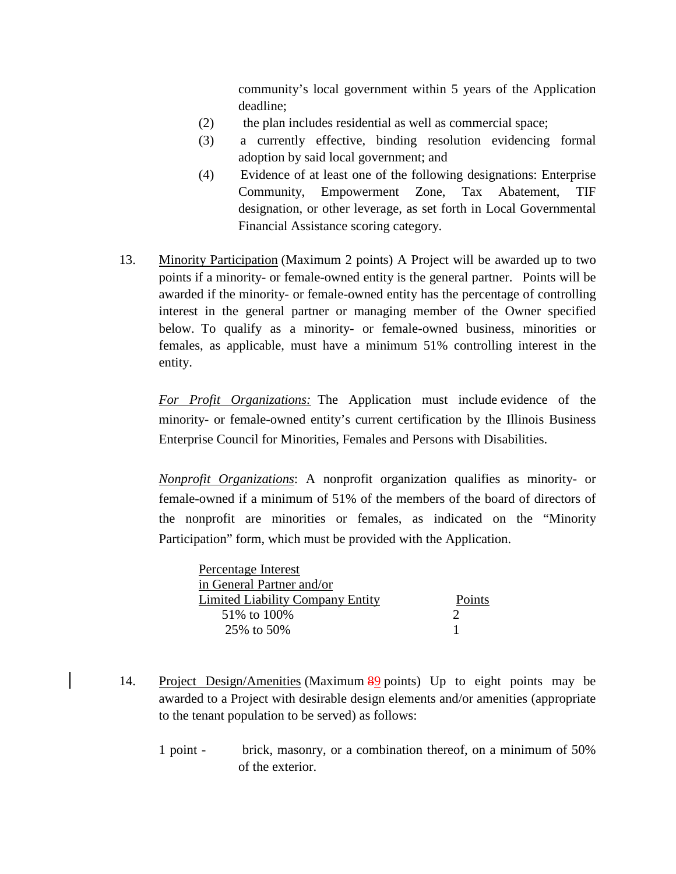community's local government within 5 years of the Application deadline;

- (2) the plan includes residential as well as commercial space;
- (3) a currently effective, binding resolution evidencing formal adoption by said local government; and
- (4) Evidence of at least one of the following designations: Enterprise Community, Empowerment Zone, Tax Abatement, TIF designation, or other leverage, as set forth in Local Governmental Financial Assistance scoring category.
- 13. Minority Participation (Maximum 2 points) A Project will be awarded up to two points if a minority- or female-owned entity is the general partner. Points will be awarded if the minority- or female-owned entity has the percentage of controlling interest in the general partner or managing member of the Owner specified below. To qualify as a minority- or female-owned business, minorities or females, as applicable, must have a minimum 51% controlling interest in the entity.

*For Profit Organizations:* The Application must include evidence of the minority- or female-owned entity's current certification by the Illinois Business Enterprise Council for Minorities, Females and Persons with Disabilities.

*Nonprofit Organizations*: A nonprofit organization qualifies as minority- or female-owned if a minimum of 51% of the members of the board of directors of the nonprofit are minorities or females, as indicated on the "Minority Participation" form, which must be provided with the Application.

| Percentage Interest              |        |
|----------------------------------|--------|
| in General Partner and/or        |        |
| Limited Liability Company Entity | Points |
| 51\% to 100\%                    |        |
| 25% to 50%                       |        |

- 14. Project Design/Amenities (Maximum 89 points) Up to eight points may be awarded to a Project with desirable design elements and/or amenities (appropriate to the tenant population to be served) as follows:
	- 1 point brick, masonry, or a combination thereof, on a minimum of 50% of the exterior.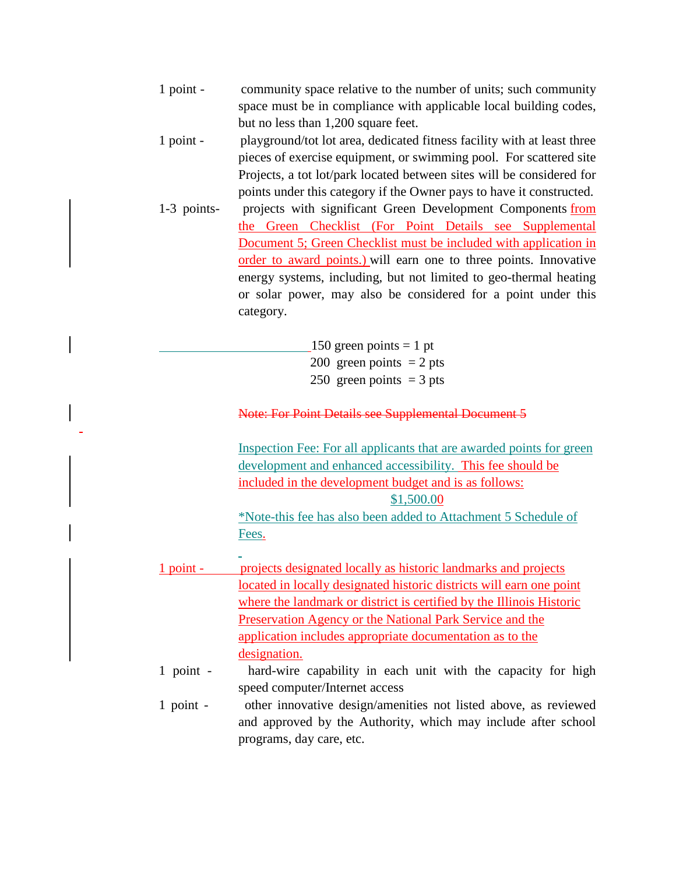- 1 point community space relative to the number of units; such community space must be in compliance with applicable local building codes, but no less than 1,200 square feet.
- 1 point playground/tot lot area, dedicated fitness facility with at least three pieces of exercise equipment, or swimming pool. For scattered site Projects, a tot lot/park located between sites will be considered for points under this category if the Owner pays to have it constructed.
- 1-3 points- projects with significant Green Development Components from the Green Checklist (For Point Details see Supplemental Document 5; Green Checklist must be included with application in order to award points.) will earn one to three points. Innovative energy systems, including, but not limited to geo-thermal heating or solar power, may also be considered for a point under this category.

150 green points  $= 1$  pt 200 green points  $= 2$  pts 250 green points  $=$  3 pts

Note: For Point Details see Supplemental Document 5

Inspection Fee: For all applicants that are awarded points for green development and enhanced accessibility. This fee should be included in the development budget and is as follows:

\$1,500.00

\*Note-this fee has also been added to Attachment 5 Schedule of Fees.

- 1 point projects designated locally as historic landmarks and projects located in locally designated historic districts will earn one point where the landmark or district is certified by the Illinois Historic Preservation Agency or the National Park Service and the application includes appropriate documentation as to the designation.
- 1 point hard-wire capability in each unit with the capacity for high speed computer/Internet access
- 1 point other innovative design/amenities not listed above, as reviewed and approved by the Authority, which may include after school programs, day care, etc.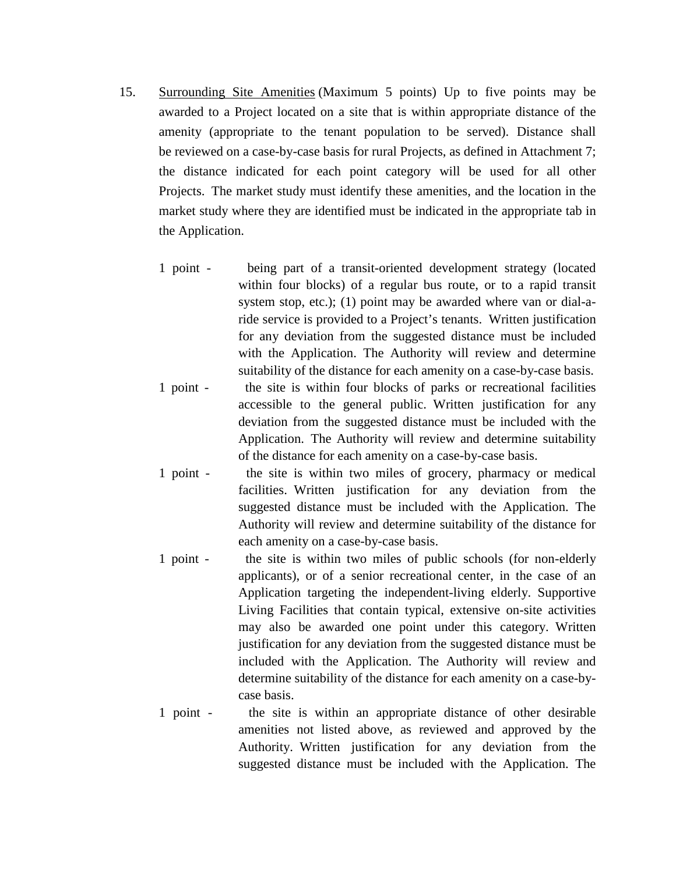- 15. Surrounding Site Amenities (Maximum 5 points) Up to five points may be awarded to a Project located on a site that is within appropriate distance of the amenity (appropriate to the tenant population to be served). Distance shall be reviewed on a case-by-case basis for rural Projects, as defined in Attachment 7; the distance indicated for each point category will be used for all other Projects. The market study must identify these amenities, and the location in the market study where they are identified must be indicated in the appropriate tab in the Application.
	- 1 point being part of a transit-oriented development strategy (located within four blocks) of a regular bus route, or to a rapid transit system stop, etc.); (1) point may be awarded where van or dial-aride service is provided to a Project's tenants. Written justification for any deviation from the suggested distance must be included with the Application. The Authority will review and determine suitability of the distance for each amenity on a case-by-case basis.
	- 1 point the site is within four blocks of parks or recreational facilities accessible to the general public. Written justification for any deviation from the suggested distance must be included with the Application. The Authority will review and determine suitability of the distance for each amenity on a case-by-case basis.
	- 1 point the site is within two miles of grocery, pharmacy or medical facilities. Written justification for any deviation from the suggested distance must be included with the Application. The Authority will review and determine suitability of the distance for each amenity on a case-by-case basis.
	- 1 point the site is within two miles of public schools (for non-elderly applicants), or of a senior recreational center, in the case of an Application targeting the independent-living elderly. Supportive Living Facilities that contain typical, extensive on-site activities may also be awarded one point under this category. Written justification for any deviation from the suggested distance must be included with the Application. The Authority will review and determine suitability of the distance for each amenity on a case-bycase basis.
	- 1 point the site is within an appropriate distance of other desirable amenities not listed above, as reviewed and approved by the Authority. Written justification for any deviation from the suggested distance must be included with the Application. The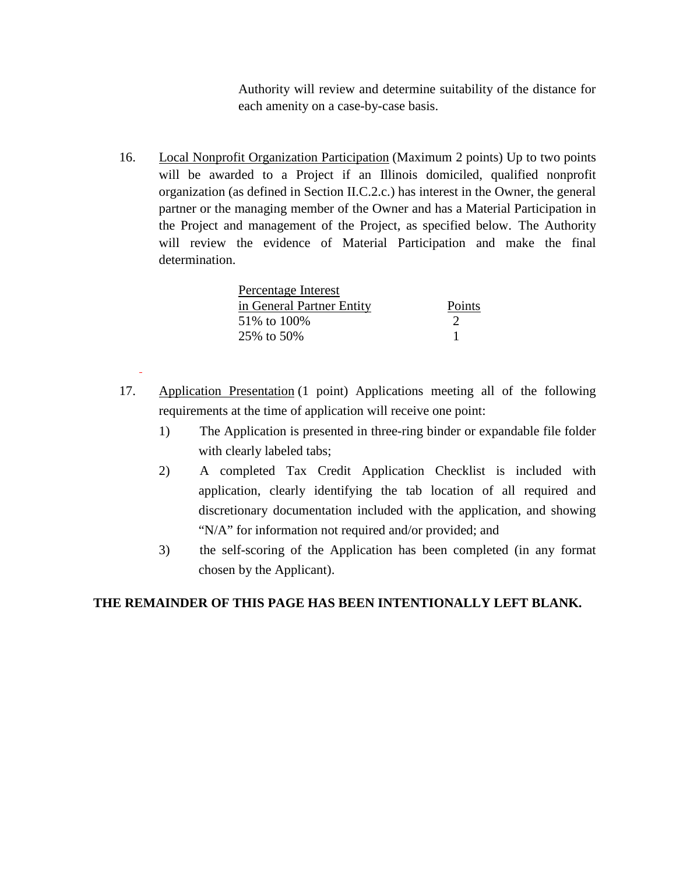Authority will review and determine suitability of the distance for each amenity on a case-by-case basis.

16. Local Nonprofit Organization Participation (Maximum 2 points) Up to two points will be awarded to a Project if an Illinois domiciled, qualified nonprofit organization (as defined in Section II.C.2.c.) has interest in the Owner, the general partner or the managing member of the Owner and has a Material Participation in the Project and management of the Project, as specified below. The Authority will review the evidence of Material Participation and make the final determination.

| Percentage Interest       |        |
|---------------------------|--------|
| in General Partner Entity | Points |
| 51\% to 100\%             |        |
| 25% to 50%                |        |

- 17. Application Presentation (1 point) Applications meeting all of the following requirements at the time of application will receive one point:
	- 1) The Application is presented in three-ring binder or expandable file folder with clearly labeled tabs;
	- 2) A completed Tax Credit Application Checklist is included with application, clearly identifying the tab location of all required and discretionary documentation included with the application, and showing "N/A" for information not required and/or provided; and
	- 3) the self-scoring of the Application has been completed (in any format chosen by the Applicant).

## **THE REMAINDER OF THIS PAGE HAS BEEN INTENTIONALLY LEFT BLANK.**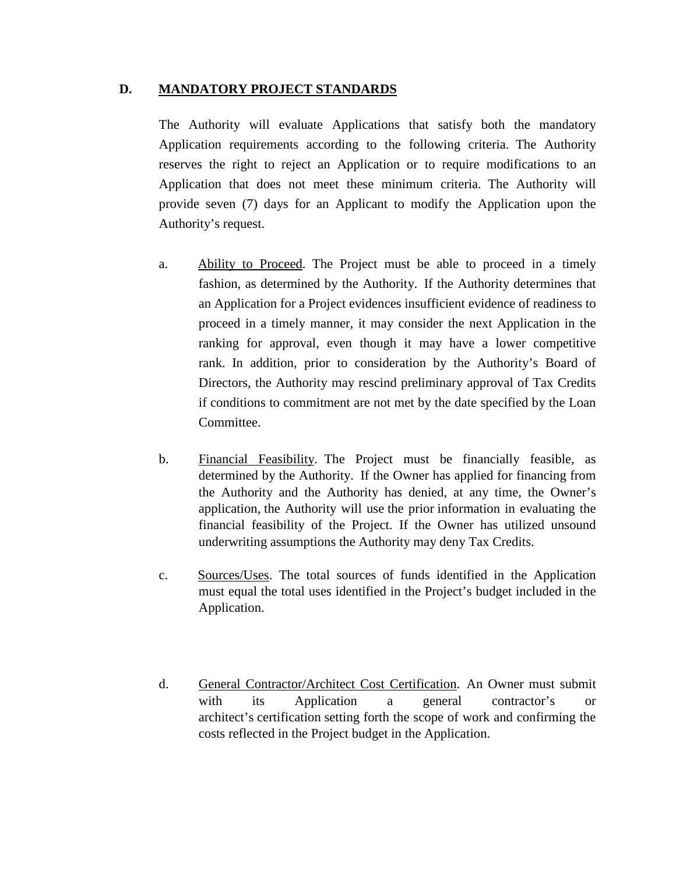# **D. MANDATORY PROJECT STANDARDS**

The Authority will evaluate Applications that satisfy both the mandatory Application requirements according to the following criteria. The Authority reserves the right to reject an Application or to require modifications to an Application that does not meet these minimum criteria. The Authority will provide seven (7) days for an Applicant to modify the Application upon the Authority's request.

- a. Ability to Proceed. The Project must be able to proceed in a timely fashion, as determined by the Authority. If the Authority determines that an Application for a Project evidences insufficient evidence of readiness to proceed in a timely manner, it may consider the next Application in the ranking for approval, even though it may have a lower competitive rank. In addition, prior to consideration by the Authority's Board of Directors, the Authority may rescind preliminary approval of Tax Credits if conditions to commitment are not met by the date specified by the Loan Committee.
- b. Financial Feasibility. The Project must be financially feasible, as determined by the Authority. If the Owner has applied for financing from the Authority and the Authority has denied, at any time, the Owner's application, the Authority will use the prior information in evaluating the financial feasibility of the Project. If the Owner has utilized unsound underwriting assumptions the Authority may deny Tax Credits.
- c. Sources/Uses. The total sources of funds identified in the Application must equal the total uses identified in the Project's budget included in the Application.
- d. General Contractor/Architect Cost Certification. An Owner must submit with its Application a general contractor's or architect's certification setting forth the scope of work and confirming the costs reflected in the Project budget in the Application.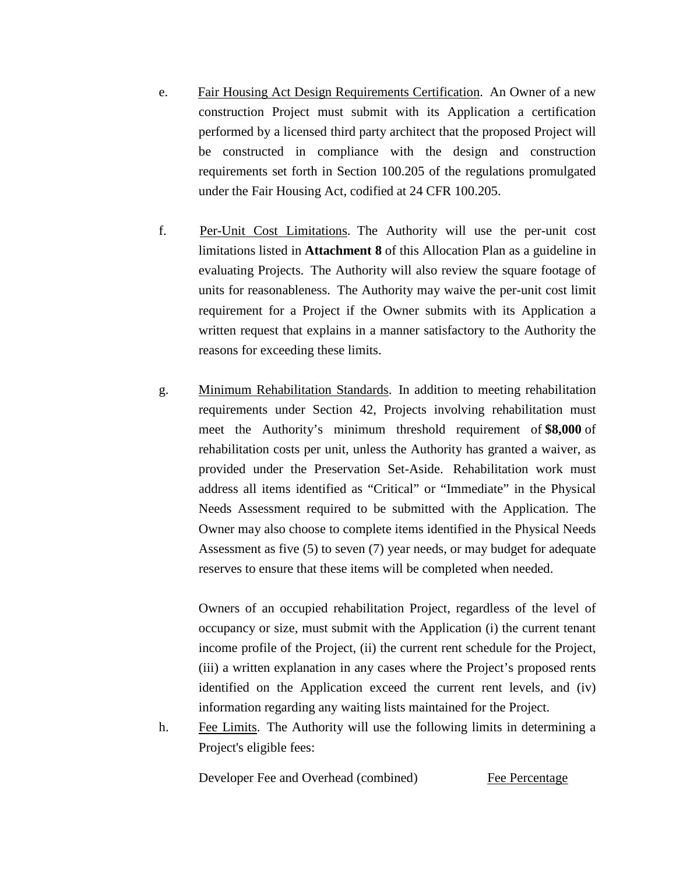- e. Fair Housing Act Design Requirements Certification. An Owner of a new construction Project must submit with its Application a certification performed by a licensed third party architect that the proposed Project will be constructed in compliance with the design and construction requirements set forth in Section 100.205 of the regulations promulgated under the Fair Housing Act, codified at 24 CFR 100.205.
- f. Per-Unit Cost Limitations. The Authority will use the per-unit cost limitations listed in **Attachment 8** of this Allocation Plan as a guideline in evaluating Projects. The Authority will also review the square footage of units for reasonableness. The Authority may waive the per-unit cost limit requirement for a Project if the Owner submits with its Application a written request that explains in a manner satisfactory to the Authority the reasons for exceeding these limits.
- g. Minimum Rehabilitation Standards. In addition to meeting rehabilitation requirements under Section 42, Projects involving rehabilitation must meet the Authority's minimum threshold requirement of **\$8,000** of rehabilitation costs per unit, unless the Authority has granted a waiver, as provided under the Preservation Set-Aside. Rehabilitation work must address all items identified as "Critical" or "Immediate" in the Physical Needs Assessment required to be submitted with the Application. The Owner may also choose to complete items identified in the Physical Needs Assessment as five (5) to seven (7) year needs, or may budget for adequate reserves to ensure that these items will be completed when needed.

Owners of an occupied rehabilitation Project, regardless of the level of occupancy or size, must submit with the Application (i) the current tenant income profile of the Project, (ii) the current rent schedule for the Project, (iii) a written explanation in any cases where the Project's proposed rents identified on the Application exceed the current rent levels, and (iv) information regarding any waiting lists maintained for the Project.

h. Fee Limits. The Authority will use the following limits in determining a Project's eligible fees:

Developer Fee and Overhead (combined) Fee Percentage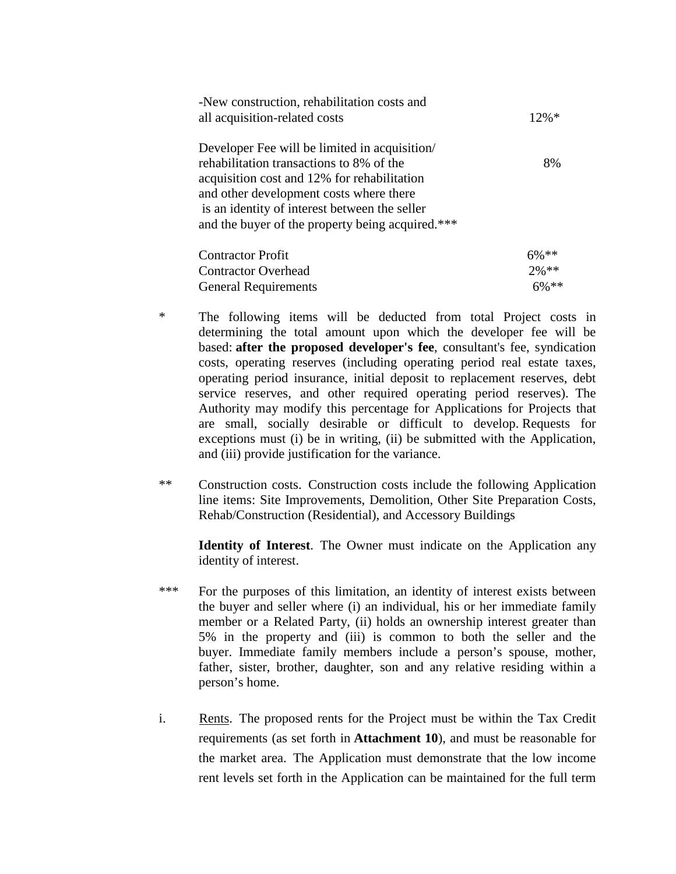| -New construction, rehabilitation costs and<br>all acquisition-related costs                                                                                                                                                                                                            | $12\%*$  |
|-----------------------------------------------------------------------------------------------------------------------------------------------------------------------------------------------------------------------------------------------------------------------------------------|----------|
| Developer Fee will be limited in acquisition<br>rehabilitation transactions to 8% of the<br>acquisition cost and 12% for rehabilitation<br>and other development costs where there<br>is an identity of interest between the seller<br>and the buyer of the property being acquired.*** | 8%       |
| <b>Contractor Profit</b>                                                                                                                                                                                                                                                                | $6\%$ ** |
| <b>Contractor Overhead</b>                                                                                                                                                                                                                                                              | $2\%$ ** |
| <b>General Requirements</b>                                                                                                                                                                                                                                                             | $6\%$ ** |

- \* The following items will be deducted from total Project costs in determining the total amount upon which the developer fee will be based: **after the proposed developer's fee**, consultant's fee, syndication costs, operating reserves (including operating period real estate taxes, operating period insurance, initial deposit to replacement reserves, debt service reserves, and other required operating period reserves). The Authority may modify this percentage for Applications for Projects that are small, socially desirable or difficult to develop. Requests for exceptions must (i) be in writing, (ii) be submitted with the Application, and (iii) provide justification for the variance.
- \*\* Construction costs. Construction costs include the following Application line items: Site Improvements, Demolition, Other Site Preparation Costs, Rehab/Construction (Residential), and Accessory Buildings

**Identity of Interest**. The Owner must indicate on the Application any identity of interest.

- \*\*\* For the purposes of this limitation, an identity of interest exists between the buyer and seller where (i) an individual, his or her immediate family member or a Related Party, (ii) holds an ownership interest greater than 5% in the property and (iii) is common to both the seller and the buyer. Immediate family members include a person's spouse, mother, father, sister, brother, daughter, son and any relative residing within a person's home.
- i. Rents. The proposed rents for the Project must be within the Tax Credit requirements (as set forth in **Attachment 10**), and must be reasonable for the market area. The Application must demonstrate that the low income rent levels set forth in the Application can be maintained for the full term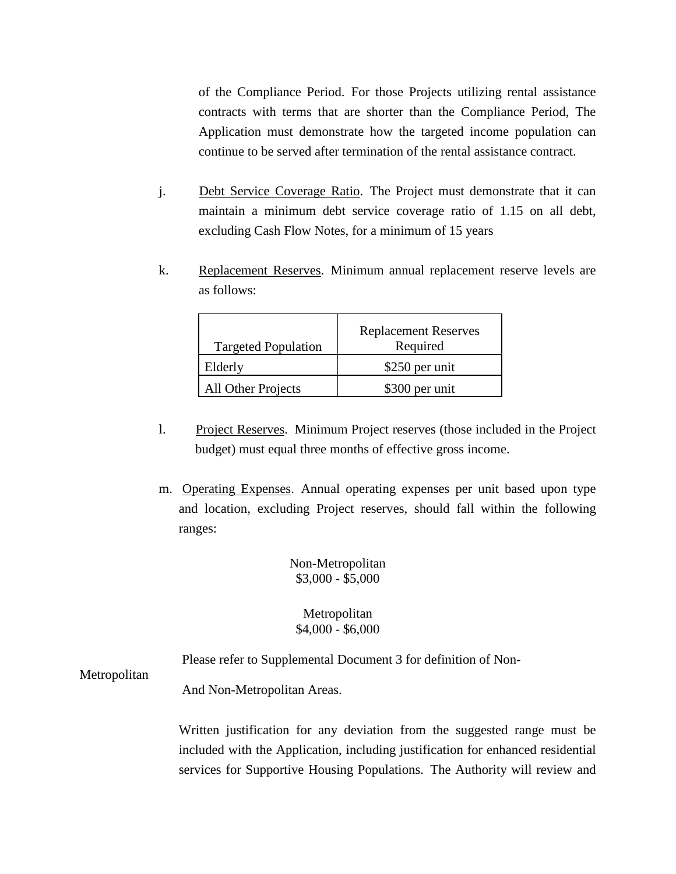of the Compliance Period. For those Projects utilizing rental assistance contracts with terms that are shorter than the Compliance Period, The Application must demonstrate how the targeted income population can continue to be served after termination of the rental assistance contract.

- j. Debt Service Coverage Ratio. The Project must demonstrate that it can maintain a minimum debt service coverage ratio of 1.15 on all debt, excluding Cash Flow Notes, for a minimum of 15 years
- k. Replacement Reserves. Minimum annual replacement reserve levels are as follows:

| <b>Targeted Population</b> | <b>Replacement Reserves</b><br>Required |
|----------------------------|-----------------------------------------|
| Elderly                    | \$250 per unit                          |
| All Other Projects         | \$300 per unit                          |

- l. Project Reserves. Minimum Project reserves (those included in the Project budget) must equal three months of effective gross income.
- m. Operating Expenses. Annual operating expenses per unit based upon type and location, excluding Project reserves, should fall within the following ranges:

## Non-Metropolitan \$3,000 - \$5,000

## Metropolitan \$4,000 - \$6,000

Please refer to Supplemental Document 3 for definition of Non-

Metropolitan

And Non-Metropolitan Areas.

Written justification for any deviation from the suggested range must be included with the Application, including justification for enhanced residential services for Supportive Housing Populations. The Authority will review and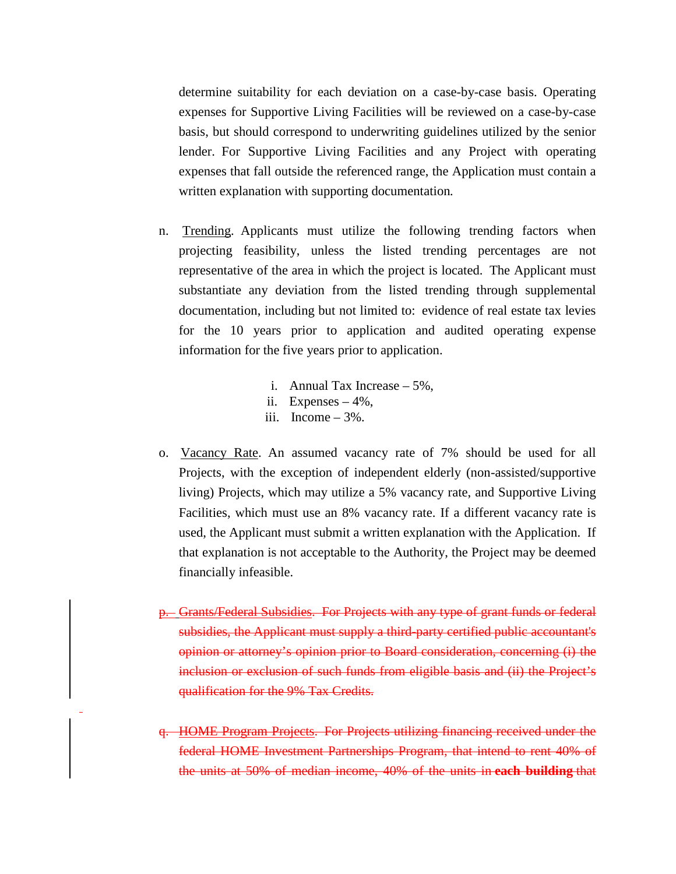determine suitability for each deviation on a case-by-case basis. Operating expenses for Supportive Living Facilities will be reviewed on a case-by-case basis, but should correspond to underwriting guidelines utilized by the senior lender. For Supportive Living Facilities and any Project with operating expenses that fall outside the referenced range, the Application must contain a written explanation with supporting documentation*.*

- n. Trending. Applicants must utilize the following trending factors when projecting feasibility, unless the listed trending percentages are not representative of the area in which the project is located. The Applicant must substantiate any deviation from the listed trending through supplemental documentation, including but not limited to: evidence of real estate tax levies for the 10 years prior to application and audited operating expense information for the five years prior to application.
	- i. Annual Tax Increase 5%,
	- ii. Expenses  $-4\%$ ,
	- iii. Income  $-3\%$ .
- o. Vacancy Rate. An assumed vacancy rate of 7% should be used for all Projects, with the exception of independent elderly (non-assisted/supportive living) Projects, which may utilize a 5% vacancy rate, and Supportive Living Facilities, which must use an 8% vacancy rate. If a different vacancy rate is used, the Applicant must submit a written explanation with the Application. If that explanation is not acceptable to the Authority, the Project may be deemed financially infeasible.
- p. Grants/Federal Subsidies. For Projects with any type of grant funds or federal subsidies, the Applicant must supply a third-party certified public accountant's opinion or attorney's opinion prior to Board consideration, concerning (i) the inclusion or exclusion of such funds from eligible basis and (ii) the Project's qualification for the 9% Tax Credits.
- q. HOME Program Projects. For Projects utilizing financing received under the federal HOME Investment Partnerships Program, that intend to rent 40% of the units at 50% of median income, 40% of the units in **each building** that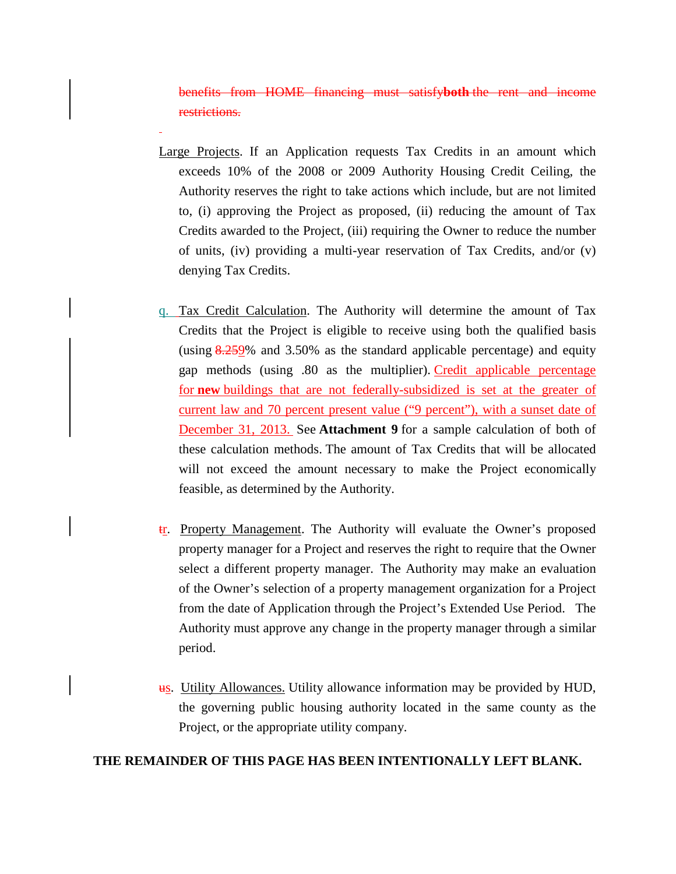benefits from HOME financing must satisfy**both** the rent and income restrictions.

- Large Projects. If an Application requests Tax Credits in an amount which exceeds 10% of the 2008 or 2009 Authority Housing Credit Ceiling, the Authority reserves the right to take actions which include, but are not limited to, (i) approving the Project as proposed, (ii) reducing the amount of Tax Credits awarded to the Project, (iii) requiring the Owner to reduce the number of units, (iv) providing a multi-year reservation of Tax Credits, and/or (v) denying Tax Credits.
- q. Tax Credit Calculation. The Authority will determine the amount of Tax Credits that the Project is eligible to receive using both the qualified basis (using 8.259% and 3.50% as the standard applicable percentage) and equity gap methods (using .80 as the multiplier). Credit applicable percentage for **new** buildings that are not federally-subsidized is set at the greater of current law and 70 percent present value ("9 percent"), with a sunset date of December 31, 2013. See **Attachment 9** for a sample calculation of both of these calculation methods. The amount of Tax Credits that will be allocated will not exceed the amount necessary to make the Project economically feasible, as determined by the Authority.
- $t$ . Property Management. The Authority will evaluate the Owner's proposed property manager for a Project and reserves the right to require that the Owner select a different property manager. The Authority may make an evaluation of the Owner's selection of a property management organization for a Project from the date of Application through the Project's Extended Use Period. The Authority must approve any change in the property manager through a similar period.
- us. Utility Allowances. Utility allowance information may be provided by HUD, the governing public housing authority located in the same county as the Project, or the appropriate utility company.

### **THE REMAINDER OF THIS PAGE HAS BEEN INTENTIONALLY LEFT BLANK.**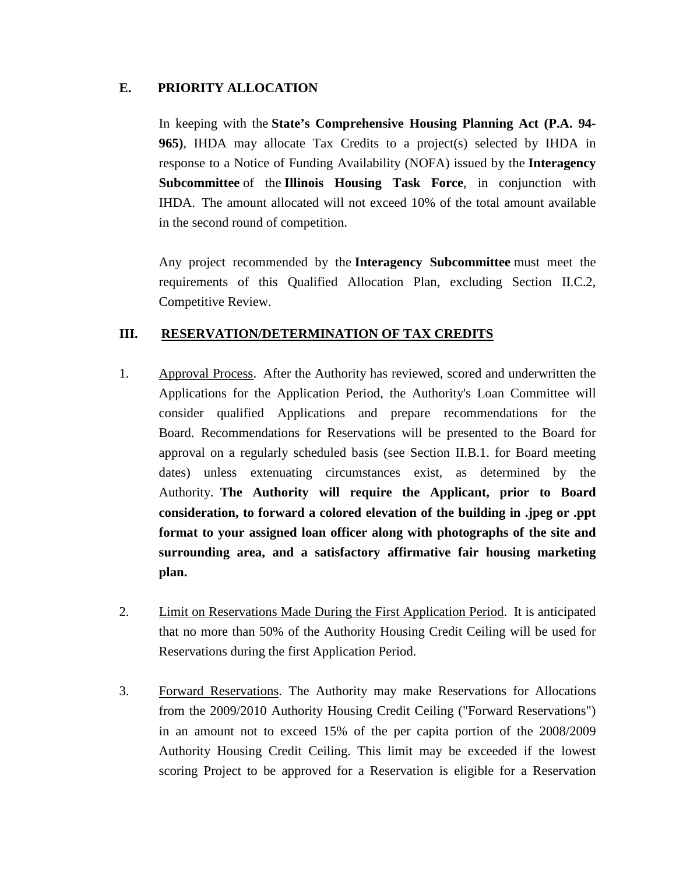# **E. PRIORITY ALLOCATION**

In keeping with the **State's Comprehensive Housing Planning Act (P.A. 94- 965**), IHDA may allocate Tax Credits to a project(s) selected by IHDA in response to a Notice of Funding Availability (NOFA) issued by the **Interagency Subcommittee** of the **Illinois Housing Task Force**, in conjunction with IHDA. The amount allocated will not exceed 10% of the total amount available in the second round of competition.

Any project recommended by the **Interagency Subcommittee** must meet the requirements of this Qualified Allocation Plan, excluding Section II.C.2, Competitive Review.

# **III. RESERVATION/DETERMINATION OF TAX CREDITS**

- 1. Approval Process. After the Authority has reviewed, scored and underwritten the Applications for the Application Period, the Authority's Loan Committee will consider qualified Applications and prepare recommendations for the Board. Recommendations for Reservations will be presented to the Board for approval on a regularly scheduled basis (see Section II.B.1. for Board meeting dates) unless extenuating circumstances exist, as determined by the Authority. **The Authority will require the Applicant, prior to Board consideration, to forward a colored elevation of the building in .jpeg or .ppt format to your assigned loan officer along with photographs of the site and surrounding area, and a satisfactory affirmative fair housing marketing plan.**
- 2. Limit on Reservations Made During the First Application Period. It is anticipated that no more than 50% of the Authority Housing Credit Ceiling will be used for Reservations during the first Application Period.
- 3. Forward Reservations. The Authority may make Reservations for Allocations from the 2009/2010 Authority Housing Credit Ceiling ("Forward Reservations") in an amount not to exceed 15% of the per capita portion of the 2008/2009 Authority Housing Credit Ceiling. This limit may be exceeded if the lowest scoring Project to be approved for a Reservation is eligible for a Reservation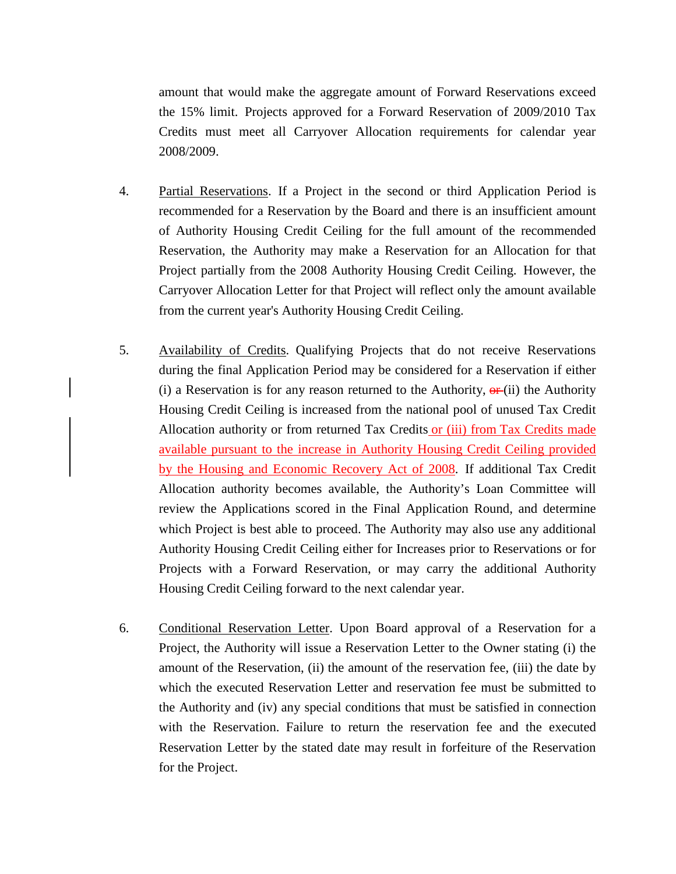amount that would make the aggregate amount of Forward Reservations exceed the 15% limit. Projects approved for a Forward Reservation of 2009/2010 Tax Credits must meet all Carryover Allocation requirements for calendar year 2008/2009.

- 4. Partial Reservations. If a Project in the second or third Application Period is recommended for a Reservation by the Board and there is an insufficient amount of Authority Housing Credit Ceiling for the full amount of the recommended Reservation, the Authority may make a Reservation for an Allocation for that Project partially from the 2008 Authority Housing Credit Ceiling. However, the Carryover Allocation Letter for that Project will reflect only the amount available from the current year's Authority Housing Credit Ceiling.
- 5. Availability of Credits. Qualifying Projects that do not receive Reservations during the final Application Period may be considered for a Reservation if either (i) a Reservation is for any reason returned to the Authority,  $\Theta F$  (ii) the Authority Housing Credit Ceiling is increased from the national pool of unused Tax Credit Allocation authority or from returned Tax Credits or (iii) from Tax Credits made available pursuant to the increase in Authority Housing Credit Ceiling provided by the Housing and Economic Recovery Act of 2008. If additional Tax Credit Allocation authority becomes available, the Authority's Loan Committee will review the Applications scored in the Final Application Round, and determine which Project is best able to proceed. The Authority may also use any additional Authority Housing Credit Ceiling either for Increases prior to Reservations or for Projects with a Forward Reservation, or may carry the additional Authority Housing Credit Ceiling forward to the next calendar year.
- 6. Conditional Reservation Letter. Upon Board approval of a Reservation for a Project, the Authority will issue a Reservation Letter to the Owner stating (i) the amount of the Reservation, (ii) the amount of the reservation fee, (iii) the date by which the executed Reservation Letter and reservation fee must be submitted to the Authority and (iv) any special conditions that must be satisfied in connection with the Reservation. Failure to return the reservation fee and the executed Reservation Letter by the stated date may result in forfeiture of the Reservation for the Project.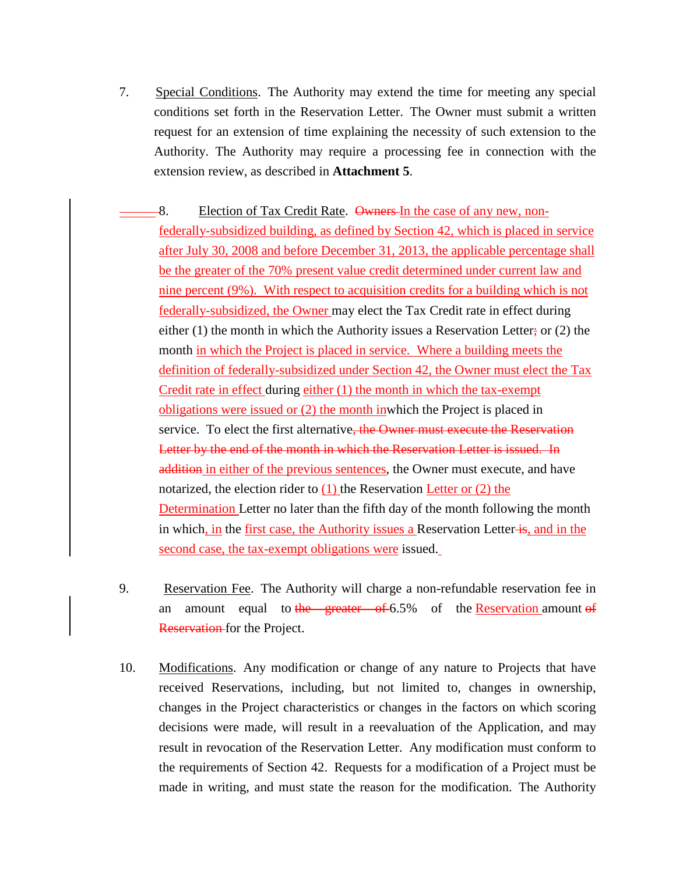- 7. Special Conditions. The Authority may extend the time for meeting any special conditions set forth in the Reservation Letter. The Owner must submit a written request for an extension of time explaining the necessity of such extension to the Authority. The Authority may require a processing fee in connection with the extension review, as described in **Attachment 5**.
- -8. Election of Tax Credit Rate. Owners In the case of any new, nonfederally-subsidized building, as defined by Section 42, which is placed in service after July 30, 2008 and before December 31, 2013, the applicable percentage shall be the greater of the 70% present value credit determined under current law and nine percent (9%). With respect to acquisition credits for a building which is not federally-subsidized, the Owner may elect the Tax Credit rate in effect during either (1) the month in which the Authority issues a Reservation Letter; or (2) the month in which the Project is placed in service. Where a building meets the definition of federally-subsidized under Section 42, the Owner must elect the Tax Credit rate in effect during either (1) the month in which the tax-exempt obligations were issued or (2) the month inwhich the Project is placed in service. To elect the first alternative, the Owner must execute the Reservation Letter by the end of the month in which the Reservation Letter is issued. In addition in either of the previous sentences, the Owner must execute, and have notarized, the election rider to  $(1)$  the Reservation Letter or  $(2)$  the Determination Letter no later than the fifth day of the month following the month in which, in the first case, the Authority issues a Reservation Letter is, and in the second case, the tax-exempt obligations were issued.
- 9. Reservation Fee. The Authority will charge a non-refundable reservation fee in an amount equal to the greater  $\sigma$  6.5% of the Reservation amount  $\sigma$ Reservation for the Project.
- 10. Modifications. Any modification or change of any nature to Projects that have received Reservations, including, but not limited to, changes in ownership, changes in the Project characteristics or changes in the factors on which scoring decisions were made, will result in a reevaluation of the Application, and may result in revocation of the Reservation Letter. Any modification must conform to the requirements of Section 42. Requests for a modification of a Project must be made in writing, and must state the reason for the modification. The Authority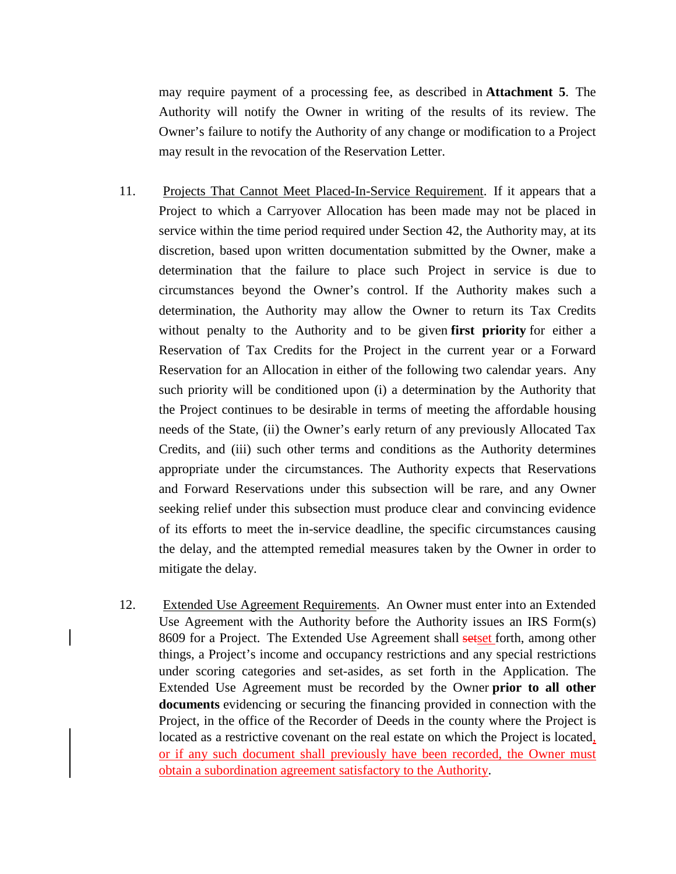may require payment of a processing fee, as described in **Attachment 5**. The Authority will notify the Owner in writing of the results of its review. The Owner's failure to notify the Authority of any change or modification to a Project may result in the revocation of the Reservation Letter.

- 11. Projects That Cannot Meet Placed-In-Service Requirement. If it appears that a Project to which a Carryover Allocation has been made may not be placed in service within the time period required under Section 42, the Authority may, at its discretion, based upon written documentation submitted by the Owner, make a determination that the failure to place such Project in service is due to circumstances beyond the Owner's control. If the Authority makes such a determination, the Authority may allow the Owner to return its Tax Credits without penalty to the Authority and to be given **first priority** for either a Reservation of Tax Credits for the Project in the current year or a Forward Reservation for an Allocation in either of the following two calendar years. Any such priority will be conditioned upon (i) a determination by the Authority that the Project continues to be desirable in terms of meeting the affordable housing needs of the State, (ii) the Owner's early return of any previously Allocated Tax Credits, and (iii) such other terms and conditions as the Authority determines appropriate under the circumstances. The Authority expects that Reservations and Forward Reservations under this subsection will be rare, and any Owner seeking relief under this subsection must produce clear and convincing evidence of its efforts to meet the in-service deadline, the specific circumstances causing the delay, and the attempted remedial measures taken by the Owner in order to mitigate the delay.
- 12. Extended Use Agreement Requirements. An Owner must enter into an Extended Use Agreement with the Authority before the Authority issues an IRS Form(s) 8609 for a Project. The Extended Use Agreement shall setset forth, among other things, a Project's income and occupancy restrictions and any special restrictions under scoring categories and set-asides, as set forth in the Application. The Extended Use Agreement must be recorded by the Owner **prior to all other documents** evidencing or securing the financing provided in connection with the Project, in the office of the Recorder of Deeds in the county where the Project is located as a restrictive covenant on the real estate on which the Project is located, or if any such document shall previously have been recorded, the Owner must obtain a subordination agreement satisfactory to the Authority.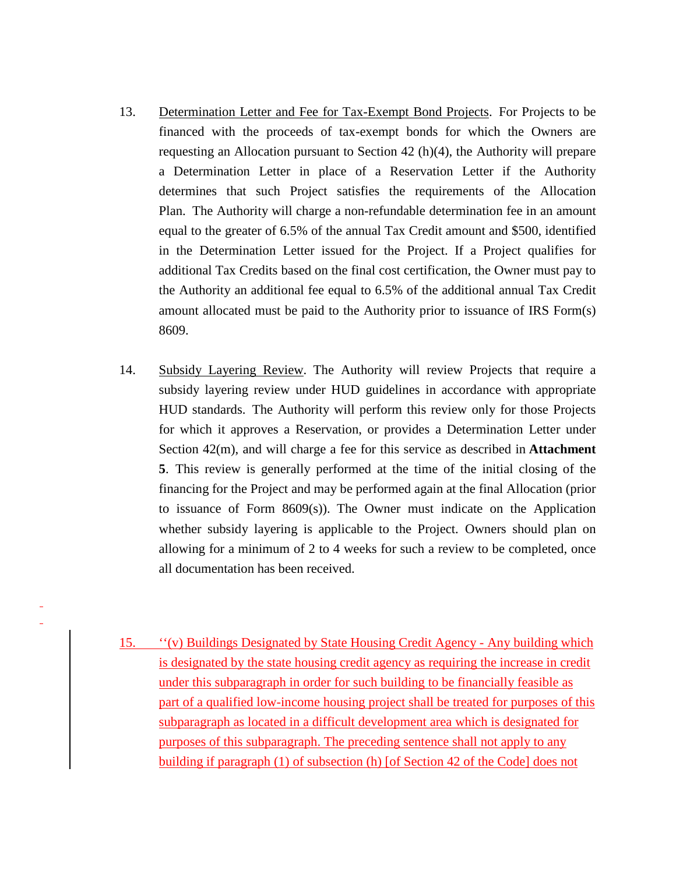- 13. Determination Letter and Fee for Tax-Exempt Bond Projects. For Projects to be financed with the proceeds of tax-exempt bonds for which the Owners are requesting an Allocation pursuant to Section 42 (h)(4), the Authority will prepare a Determination Letter in place of a Reservation Letter if the Authority determines that such Project satisfies the requirements of the Allocation Plan. The Authority will charge a non-refundable determination fee in an amount equal to the greater of 6.5% of the annual Tax Credit amount and \$500, identified in the Determination Letter issued for the Project. If a Project qualifies for additional Tax Credits based on the final cost certification, the Owner must pay to the Authority an additional fee equal to 6.5% of the additional annual Tax Credit amount allocated must be paid to the Authority prior to issuance of IRS Form(s) 8609.
- 14. Subsidy Layering Review. The Authority will review Projects that require a subsidy layering review under HUD guidelines in accordance with appropriate HUD standards. The Authority will perform this review only for those Projects for which it approves a Reservation, or provides a Determination Letter under Section 42(m), and will charge a fee for this service as described in **Attachment 5**. This review is generally performed at the time of the initial closing of the financing for the Project and may be performed again at the final Allocation (prior to issuance of Form 8609(s)). The Owner must indicate on the Application whether subsidy layering is applicable to the Project. Owners should plan on allowing for a minimum of 2 to 4 weeks for such a review to be completed, once all documentation has been received.
- 15. ''(v) Buildings Designated by State Housing Credit Agency Any building which is designated by the state housing credit agency as requiring the increase in credit under this subparagraph in order for such building to be financially feasible as part of a qualified low-income housing project shall be treated for purposes of this subparagraph as located in a difficult development area which is designated for purposes of this subparagraph. The preceding sentence shall not apply to any building if paragraph (1) of subsection (h) [of Section 42 of the Code] does not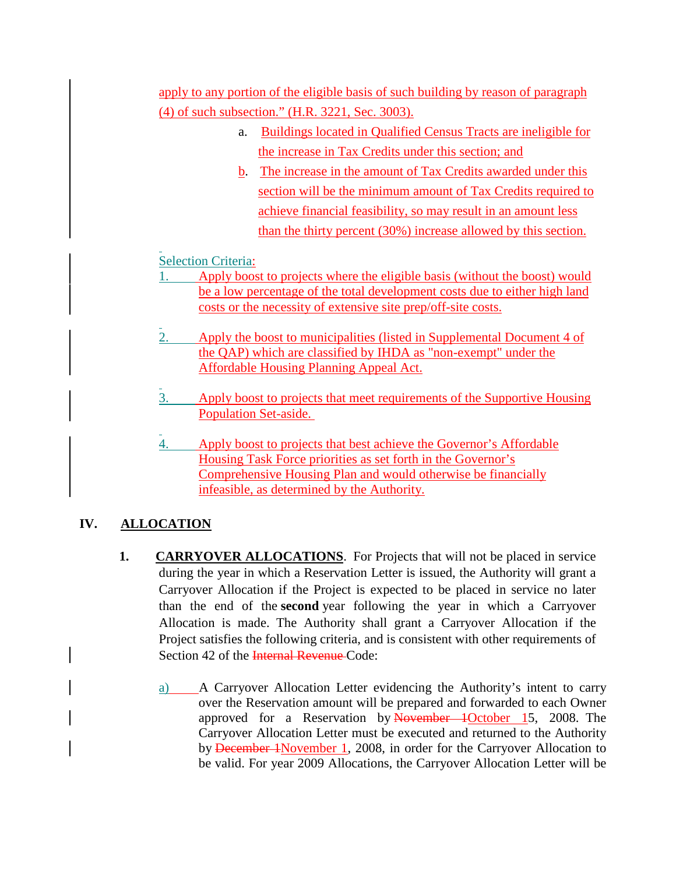apply to any portion of the eligible basis of such building by reason of paragraph (4) of such subsection." (H.R. 3221, Sec. 3003).

- a. Buildings located in Qualified Census Tracts are ineligible for the increase in Tax Credits under this section; and
- b. The increase in the amount of Tax Credits awarded under this section will be the minimum amount of Tax Credits required to achieve financial feasibility, so may result in an amount less than the thirty percent (30%) increase allowed by this section.

# Selection Criteria:

- 1. Apply boost to projects where the eligible basis (without the boost) would be a low percentage of the total development costs due to either high land costs or the necessity of extensive site prep/off-site costs.
- 2. Apply the boost to municipalities (listed in Supplemental Document 4 of the QAP) which are classified by IHDA as "non-exempt" under the Affordable Housing Planning Appeal Act.
- 3. Apply boost to projects that meet requirements of the Supportive Housing Population Set-aside.
- 4. Apply boost to projects that best achieve the Governor's Affordable Housing Task Force priorities as set forth in the Governor's Comprehensive Housing Plan and would otherwise be financially infeasible, as determined by the Authority.

# **IV. ALLOCATION**

- **1. CARRYOVER ALLOCATIONS**. For Projects that will not be placed in service during the year in which a Reservation Letter is issued, the Authority will grant a Carryover Allocation if the Project is expected to be placed in service no later than the end of the **second** year following the year in which a Carryover Allocation is made. The Authority shall grant a Carryover Allocation if the Project satisfies the following criteria, and is consistent with other requirements of Section 42 of the Internal Revenue Code:
	- a) A Carryover Allocation Letter evidencing the Authority's intent to carry over the Reservation amount will be prepared and forwarded to each Owner approved for a Reservation by November 1October 15, 2008. The Carryover Allocation Letter must be executed and returned to the Authority by December 1November 1, 2008, in order for the Carryover Allocation to be valid. For year 2009 Allocations, the Carryover Allocation Letter will be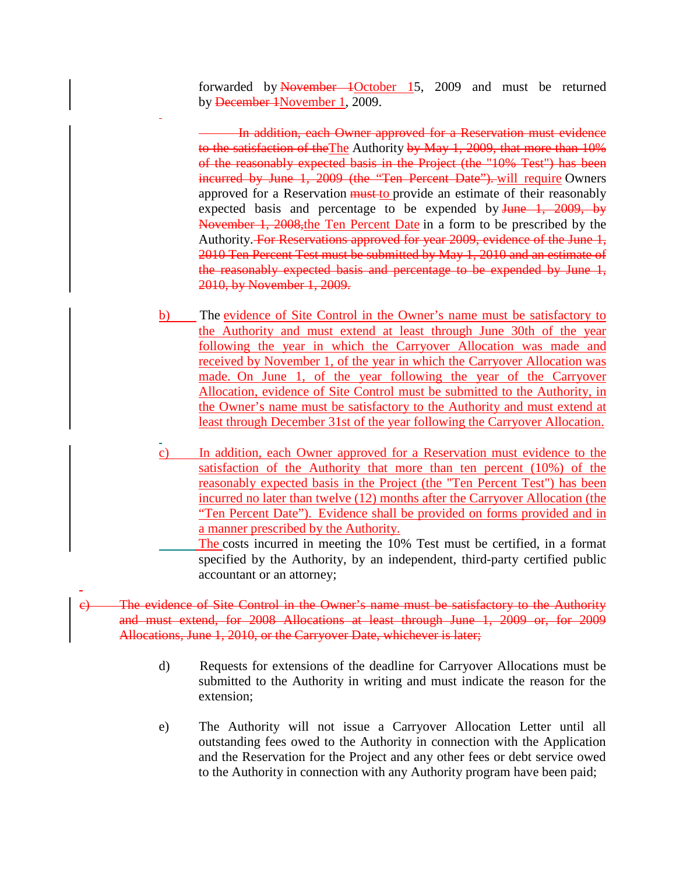forwarded by November 10ctober 15, 2009 and must be returned by December 1November 1, 2009.

 In addition, each Owner approved for a Reservation must evidence to the satisfaction of the The Authority by May 1, 2009, that more than 10% of the reasonably expected basis in the Project (the "10% Test") has been incurred by June 1, 2009 (the "Ten Percent Date"). will require Owners approved for a Reservation must to provide an estimate of their reasonably expected basis and percentage to be expended by  $\frac{I}{I}$ une 1, 2009, by November 1, 2008, the Ten Percent Date in a form to be prescribed by the Authority. For Reservations approved for year 2009, evidence of the June 1, 2010 Ten Percent Test must be submitted by May 1, 2010 and an estimate of the reasonably expected basis and percentage to be expended by June 1, 2010, by November 1, 2009.

- b) The evidence of Site Control in the Owner's name must be satisfactory to the Authority and must extend at least through June 30th of the year following the year in which the Carryover Allocation was made and received by November 1, of the year in which the Carryover Allocation was made. On June 1, of the year following the year of the Carryover Allocation, evidence of Site Control must be submitted to the Authority, in the Owner's name must be satisfactory to the Authority and must extend at least through December 31st of the year following the Carryover Allocation.
- c) In addition, each Owner approved for a Reservation must evidence to the satisfaction of the Authority that more than ten percent (10%) of the reasonably expected basis in the Project (the "Ten Percent Test") has been incurred no later than twelve (12) months after the Carryover Allocation (the "Ten Percent Date"). Evidence shall be provided on forms provided and in a manner prescribed by the Authority.
	- The costs incurred in meeting the 10% Test must be certified, in a format specified by the Authority, by an independent, third-party certified public accountant or an attorney;

The evidence of Site Control in the Owner's name must be satisfactory to the Authority and must extend, for 2008 Allocations at least through June 1, 2009 or, for 2009 Allocations, June 1, 2010, or the Carryover Date, whichever is later;

- d) Requests for extensions of the deadline for Carryover Allocations must be submitted to the Authority in writing and must indicate the reason for the extension;
- e) The Authority will not issue a Carryover Allocation Letter until all outstanding fees owed to the Authority in connection with the Application and the Reservation for the Project and any other fees or debt service owed to the Authority in connection with any Authority program have been paid;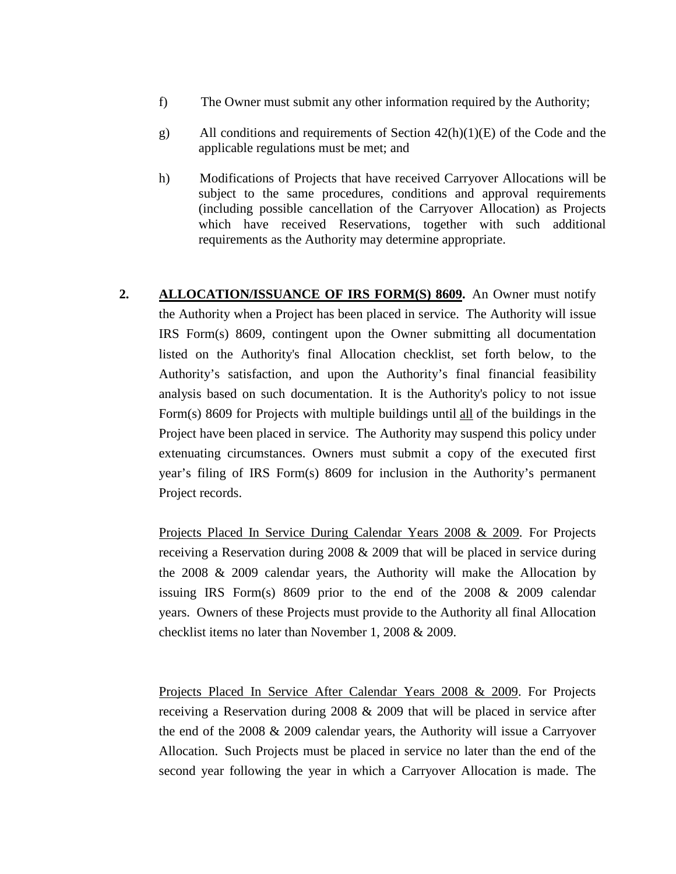- f) The Owner must submit any other information required by the Authority;
- g) All conditions and requirements of Section 42(h)(1)(E) of the Code and the applicable regulations must be met; and
- h) Modifications of Projects that have received Carryover Allocations will be subject to the same procedures, conditions and approval requirements (including possible cancellation of the Carryover Allocation) as Projects which have received Reservations, together with such additional requirements as the Authority may determine appropriate.
- **2. ALLOCATION/ISSUANCE OF IRS FORM(S) 8609.** An Owner must notify the Authority when a Project has been placed in service. The Authority will issue IRS Form(s) 8609, contingent upon the Owner submitting all documentation listed on the Authority's final Allocation checklist, set forth below, to the Authority's satisfaction, and upon the Authority's final financial feasibility analysis based on such documentation. It is the Authority's policy to not issue Form(s) 8609 for Projects with multiple buildings until all of the buildings in the Project have been placed in service. The Authority may suspend this policy under extenuating circumstances. Owners must submit a copy of the executed first year's filing of IRS Form(s) 8609 for inclusion in the Authority's permanent Project records.

Projects Placed In Service During Calendar Years 2008 & 2009. For Projects receiving a Reservation during 2008 & 2009 that will be placed in service during the 2008 & 2009 calendar years, the Authority will make the Allocation by issuing IRS Form(s) 8609 prior to the end of the 2008 & 2009 calendar years. Owners of these Projects must provide to the Authority all final Allocation checklist items no later than November 1, 2008 & 2009.

Projects Placed In Service After Calendar Years 2008 & 2009. For Projects receiving a Reservation during 2008 & 2009 that will be placed in service after the end of the 2008 & 2009 calendar years, the Authority will issue a Carryover Allocation. Such Projects must be placed in service no later than the end of the second year following the year in which a Carryover Allocation is made. The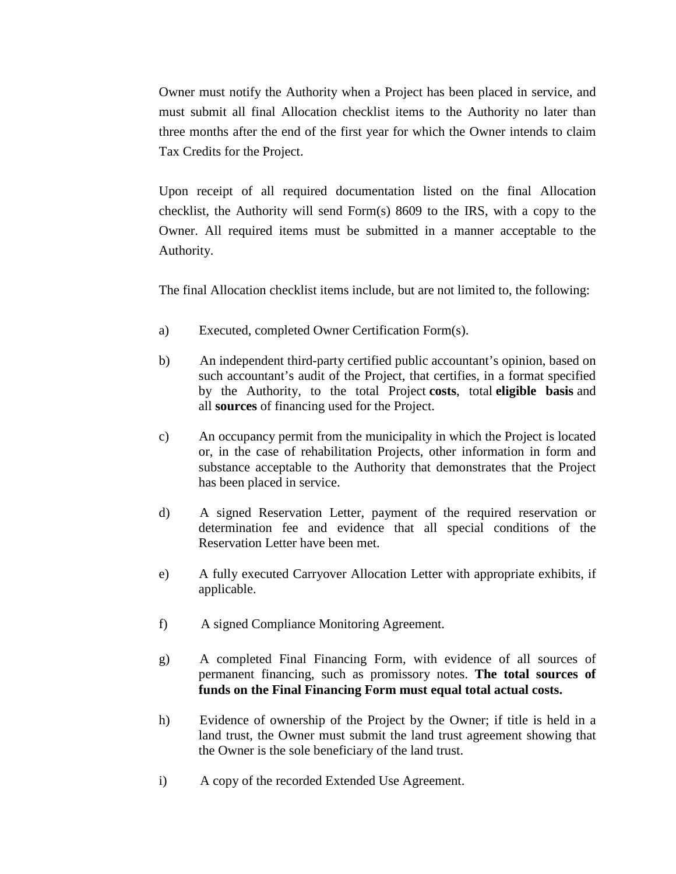Owner must notify the Authority when a Project has been placed in service, and must submit all final Allocation checklist items to the Authority no later than three months after the end of the first year for which the Owner intends to claim Tax Credits for the Project.

Upon receipt of all required documentation listed on the final Allocation checklist, the Authority will send Form(s) 8609 to the IRS, with a copy to the Owner. All required items must be submitted in a manner acceptable to the Authority.

The final Allocation checklist items include, but are not limited to, the following:

- a) Executed, completed Owner Certification Form(s).
- b) An independent third-party certified public accountant's opinion, based on such accountant's audit of the Project, that certifies, in a format specified by the Authority, to the total Project **costs**, total **eligible basis** and all **sources** of financing used for the Project.
- c) An occupancy permit from the municipality in which the Project is located or, in the case of rehabilitation Projects, other information in form and substance acceptable to the Authority that demonstrates that the Project has been placed in service.
- d) A signed Reservation Letter, payment of the required reservation or determination fee and evidence that all special conditions of the Reservation Letter have been met.
- e) A fully executed Carryover Allocation Letter with appropriate exhibits, if applicable.
- f) A signed Compliance Monitoring Agreement.
- g) A completed Final Financing Form, with evidence of all sources of permanent financing, such as promissory notes. **The total sources of funds on the Final Financing Form must equal total actual costs.**
- h) Evidence of ownership of the Project by the Owner; if title is held in a land trust, the Owner must submit the land trust agreement showing that the Owner is the sole beneficiary of the land trust.
- i) A copy of the recorded Extended Use Agreement.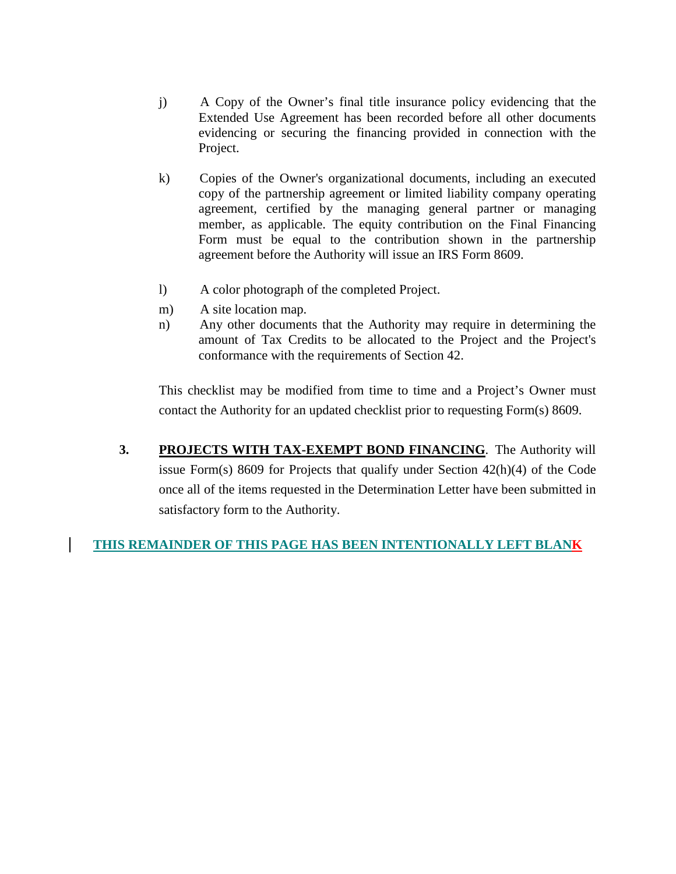- j) A Copy of the Owner's final title insurance policy evidencing that the Extended Use Agreement has been recorded before all other documents evidencing or securing the financing provided in connection with the Project.
- k) Copies of the Owner's organizational documents, including an executed copy of the partnership agreement or limited liability company operating agreement, certified by the managing general partner or managing member, as applicable. The equity contribution on the Final Financing Form must be equal to the contribution shown in the partnership agreement before the Authority will issue an IRS Form 8609.
- l) A color photograph of the completed Project.
- m) A site location map.
- n) Any other documents that the Authority may require in determining the amount of Tax Credits to be allocated to the Project and the Project's conformance with the requirements of Section 42.

This checklist may be modified from time to time and a Project's Owner must contact the Authority for an updated checklist prior to requesting Form(s) 8609.

**3. PROJECTS WITH TAX-EXEMPT BOND FINANCING**. The Authority will issue Form(s) 8609 for Projects that qualify under Section 42(h)(4) of the Code once all of the items requested in the Determination Letter have been submitted in satisfactory form to the Authority.

**THIS REMAINDER OF THIS PAGE HAS BEEN INTENTIONALLY LEFT BLANK**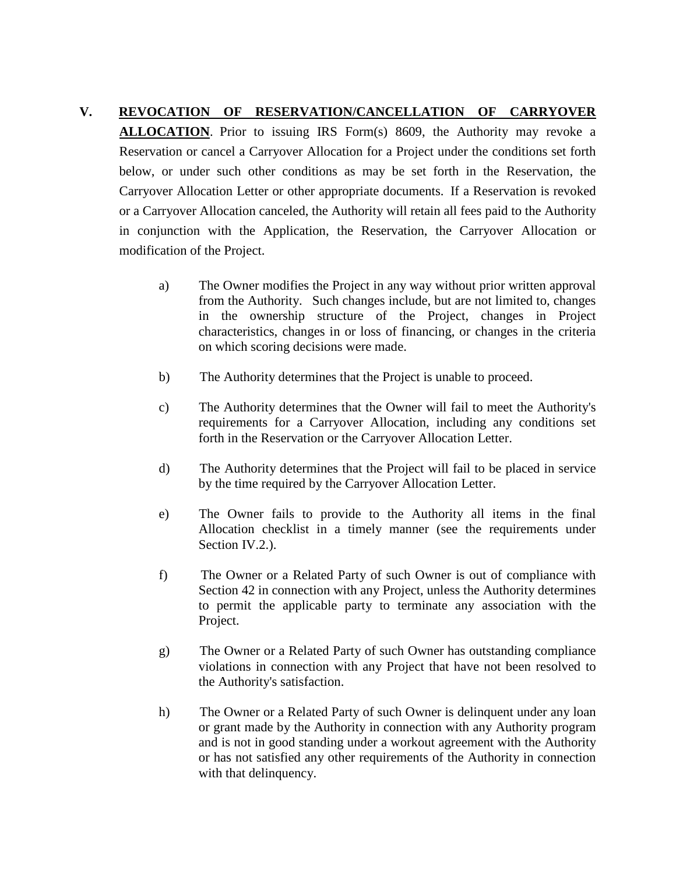# **V. REVOCATION OF RESERVATION/CANCELLATION OF CARRYOVER ALLOCATION**. Prior to issuing IRS Form(s) 8609, the Authority may revoke a Reservation or cancel a Carryover Allocation for a Project under the conditions set forth below, or under such other conditions as may be set forth in the Reservation, the Carryover Allocation Letter or other appropriate documents. If a Reservation is revoked or a Carryover Allocation canceled, the Authority will retain all fees paid to the Authority in conjunction with the Application, the Reservation, the Carryover Allocation or modification of the Project.

- a) The Owner modifies the Project in any way without prior written approval from the Authority. Such changes include, but are not limited to, changes in the ownership structure of the Project, changes in Project characteristics, changes in or loss of financing, or changes in the criteria on which scoring decisions were made.
- b) The Authority determines that the Project is unable to proceed.
- c) The Authority determines that the Owner will fail to meet the Authority's requirements for a Carryover Allocation, including any conditions set forth in the Reservation or the Carryover Allocation Letter.
- d) The Authority determines that the Project will fail to be placed in service by the time required by the Carryover Allocation Letter.
- e) The Owner fails to provide to the Authority all items in the final Allocation checklist in a timely manner (see the requirements under Section IV.2.).
- f) The Owner or a Related Party of such Owner is out of compliance with Section 42 in connection with any Project, unless the Authority determines to permit the applicable party to terminate any association with the Project.
- g) The Owner or a Related Party of such Owner has outstanding compliance violations in connection with any Project that have not been resolved to the Authority's satisfaction.
- h) The Owner or a Related Party of such Owner is delinquent under any loan or grant made by the Authority in connection with any Authority program and is not in good standing under a workout agreement with the Authority or has not satisfied any other requirements of the Authority in connection with that delinquency.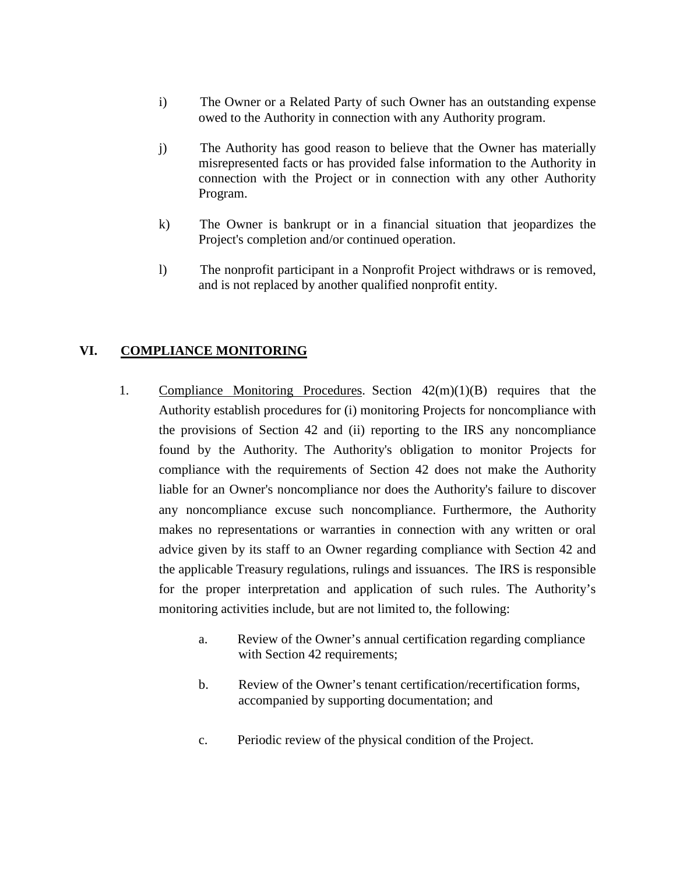- i) The Owner or a Related Party of such Owner has an outstanding expense owed to the Authority in connection with any Authority program.
- j) The Authority has good reason to believe that the Owner has materially misrepresented facts or has provided false information to the Authority in connection with the Project or in connection with any other Authority Program.
- k) The Owner is bankrupt or in a financial situation that jeopardizes the Project's completion and/or continued operation.
- l) The nonprofit participant in a Nonprofit Project withdraws or is removed, and is not replaced by another qualified nonprofit entity.

# **VI. COMPLIANCE MONITORING**

- 1. Compliance Monitoring Procedures. Section 42(m)(1)(B) requires that the Authority establish procedures for (i) monitoring Projects for noncompliance with the provisions of Section 42 and (ii) reporting to the IRS any noncompliance found by the Authority. The Authority's obligation to monitor Projects for compliance with the requirements of Section 42 does not make the Authority liable for an Owner's noncompliance nor does the Authority's failure to discover any noncompliance excuse such noncompliance. Furthermore, the Authority makes no representations or warranties in connection with any written or oral advice given by its staff to an Owner regarding compliance with Section 42 and the applicable Treasury regulations, rulings and issuances. The IRS is responsible for the proper interpretation and application of such rules. The Authority's monitoring activities include, but are not limited to, the following:
	- a. Review of the Owner's annual certification regarding compliance with Section 42 requirements;
	- b. Review of the Owner's tenant certification/recertification forms, accompanied by supporting documentation; and
	- c. Periodic review of the physical condition of the Project.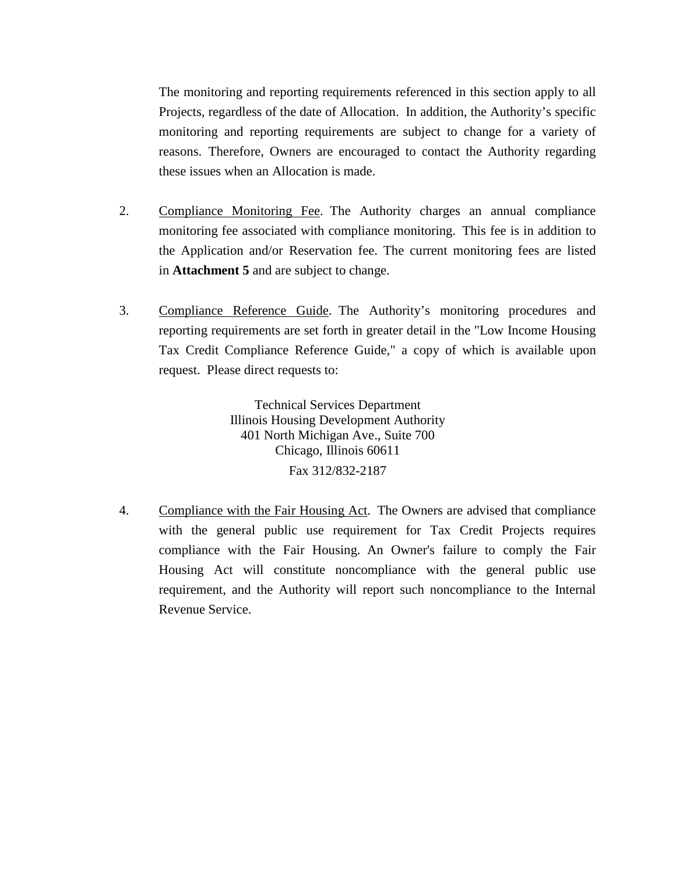The monitoring and reporting requirements referenced in this section apply to all Projects, regardless of the date of Allocation. In addition, the Authority's specific monitoring and reporting requirements are subject to change for a variety of reasons. Therefore, Owners are encouraged to contact the Authority regarding these issues when an Allocation is made.

- 2. Compliance Monitoring Fee. The Authority charges an annual compliance monitoring fee associated with compliance monitoring. This fee is in addition to the Application and/or Reservation fee. The current monitoring fees are listed in **Attachment 5** and are subject to change.
- 3. Compliance Reference Guide. The Authority's monitoring procedures and reporting requirements are set forth in greater detail in the "Low Income Housing Tax Credit Compliance Reference Guide," a copy of which is available upon request. Please direct requests to:

Technical Services Department Illinois Housing Development Authority 401 North Michigan Ave., Suite 700 Chicago, Illinois 60611 Fax 312/832-2187

4. Compliance with the Fair Housing Act. The Owners are advised that compliance with the general public use requirement for Tax Credit Projects requires compliance with the Fair Housing. An Owner's failure to comply the Fair Housing Act will constitute noncompliance with the general public use requirement, and the Authority will report such noncompliance to the Internal Revenue Service.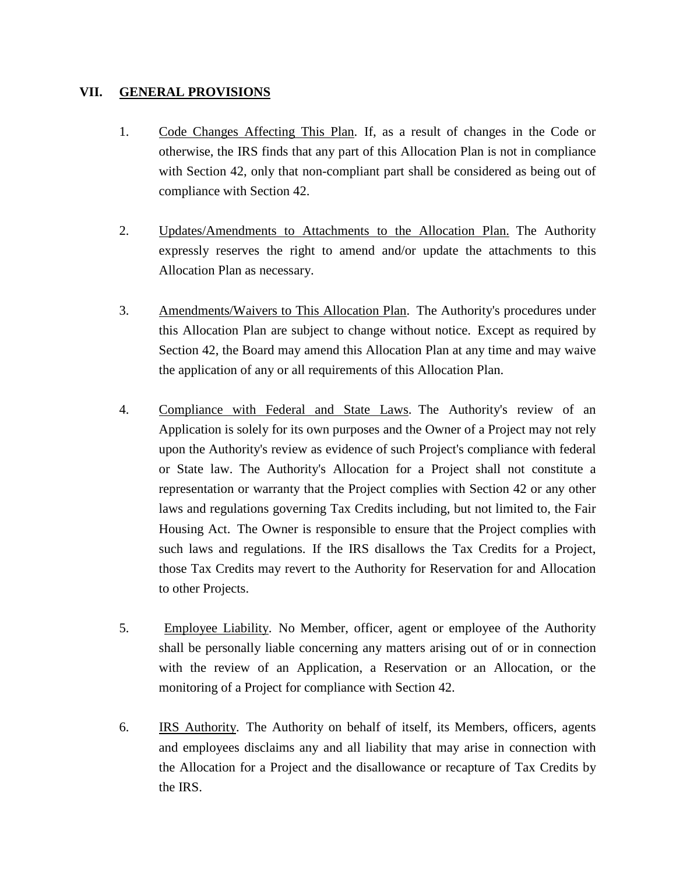# **VII. GENERAL PROVISIONS**

- 1. Code Changes Affecting This Plan. If, as a result of changes in the Code or otherwise, the IRS finds that any part of this Allocation Plan is not in compliance with Section 42, only that non-compliant part shall be considered as being out of compliance with Section 42.
- 2. Updates/Amendments to Attachments to the Allocation Plan. The Authority expressly reserves the right to amend and/or update the attachments to this Allocation Plan as necessary.
- 3. Amendments/Waivers to This Allocation Plan. The Authority's procedures under this Allocation Plan are subject to change without notice. Except as required by Section 42, the Board may amend this Allocation Plan at any time and may waive the application of any or all requirements of this Allocation Plan.
- 4. Compliance with Federal and State Laws. The Authority's review of an Application is solely for its own purposes and the Owner of a Project may not rely upon the Authority's review as evidence of such Project's compliance with federal or State law. The Authority's Allocation for a Project shall not constitute a representation or warranty that the Project complies with Section 42 or any other laws and regulations governing Tax Credits including, but not limited to, the Fair Housing Act. The Owner is responsible to ensure that the Project complies with such laws and regulations. If the IRS disallows the Tax Credits for a Project, those Tax Credits may revert to the Authority for Reservation for and Allocation to other Projects.
- 5. Employee Liability. No Member, officer, agent or employee of the Authority shall be personally liable concerning any matters arising out of or in connection with the review of an Application, a Reservation or an Allocation, or the monitoring of a Project for compliance with Section 42.
- 6. IRS Authority. The Authority on behalf of itself, its Members, officers, agents and employees disclaims any and all liability that may arise in connection with the Allocation for a Project and the disallowance or recapture of Tax Credits by the IRS.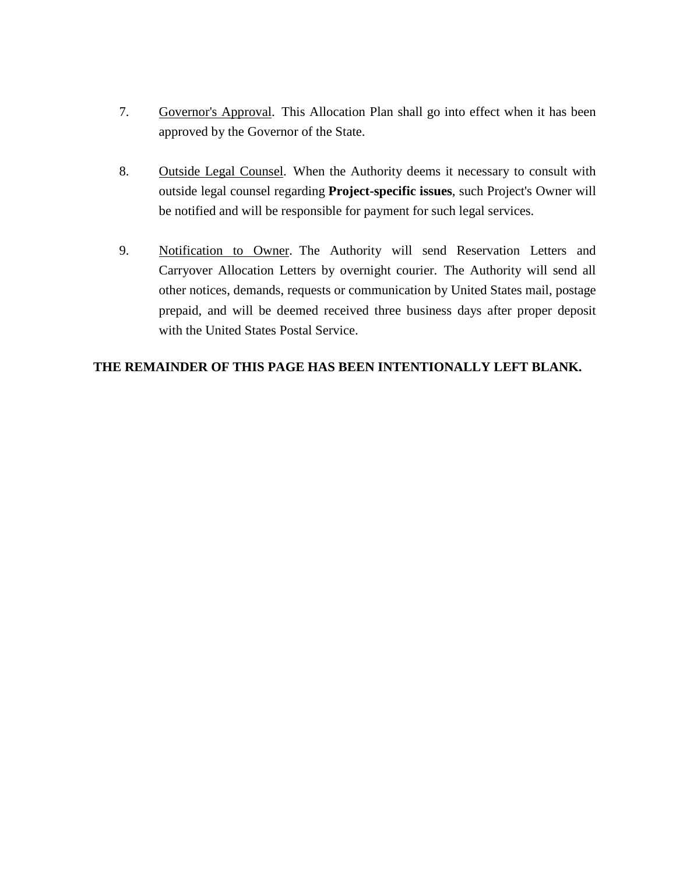- 7. Governor's Approval. This Allocation Plan shall go into effect when it has been approved by the Governor of the State.
- 8. Outside Legal Counsel. When the Authority deems it necessary to consult with outside legal counsel regarding **Project-specific issues**, such Project's Owner will be notified and will be responsible for payment for such legal services.
- 9. Notification to Owner. The Authority will send Reservation Letters and Carryover Allocation Letters by overnight courier. The Authority will send all other notices, demands, requests or communication by United States mail, postage prepaid, and will be deemed received three business days after proper deposit with the United States Postal Service.

# **THE REMAINDER OF THIS PAGE HAS BEEN INTENTIONALLY LEFT BLANK.**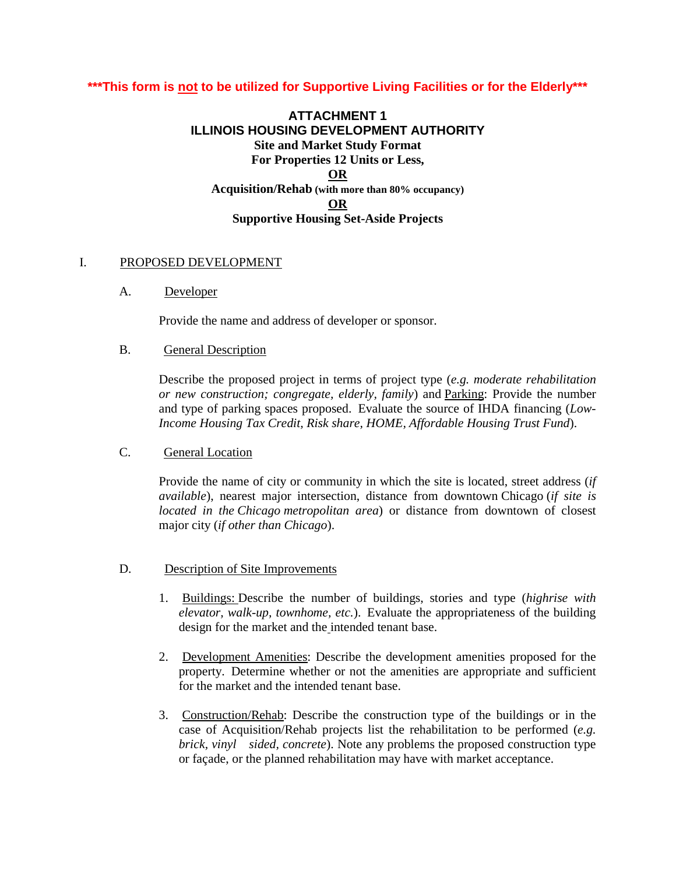# **\*\*\*This form is not to be utilized for Supportive Living Facilities or for the Elderly\*\*\***

# **ATTACHMENT 1 ILLINOIS HOUSING DEVELOPMENT AUTHORITY Site and Market Study Format For Properties 12 Units or Less, OR Acquisition/Rehab (with more than 80% occupancy) OR Supportive Housing Set-Aside Projects**

### I. PROPOSED DEVELOPMENT

A. Developer

Provide the name and address of developer or sponsor.

### B. General Description

Describe the proposed project in terms of project type (*e.g. moderate rehabilitation or new construction; congregate, elderly, family*) and Parking: Provide the number and type of parking spaces proposed. Evaluate the source of IHDA financing (*Low-Income Housing Tax Credit, Risk share, HOME, Affordable Housing Trust Fund*).

## C. General Location

Provide the name of city or community in which the site is located, street address (*if available*), nearest major intersection, distance from downtown Chicago (*if site is located in the Chicago metropolitan area*) or distance from downtown of closest major city (*if other than Chicago*).

## D. Description of Site Improvements

- 1. Buildings: Describe the number of buildings, stories and type (*highrise with elevator, walk-up, townhome, etc.*). Evaluate the appropriateness of the building design for the market and the intended tenant base.
- 2. Development Amenities: Describe the development amenities proposed for the property. Determine whether or not the amenities are appropriate and sufficient for the market and the intended tenant base.
- 3. Construction/Rehab: Describe the construction type of the buildings or in the case of Acquisition/Rehab projects list the rehabilitation to be performed (*e.g. brick, vinyl sided, concrete*). Note any problems the proposed construction type or façade, or the planned rehabilitation may have with market acceptance.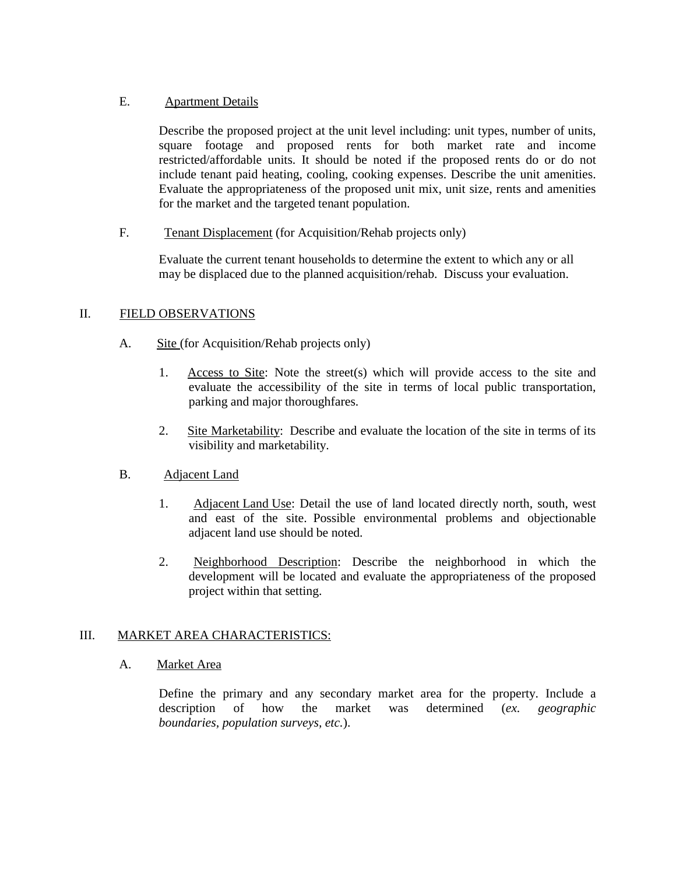#### E. Apartment Details

Describe the proposed project at the unit level including: unit types, number of units, square footage and proposed rents for both market rate and income restricted/affordable units. It should be noted if the proposed rents do or do not include tenant paid heating, cooling, cooking expenses. Describe the unit amenities. Evaluate the appropriateness of the proposed unit mix, unit size, rents and amenities for the market and the targeted tenant population.

F. Tenant Displacement (for Acquisition/Rehab projects only)

Evaluate the current tenant households to determine the extent to which any or all may be displaced due to the planned acquisition/rehab. Discuss your evaluation.

#### II. FIELD OBSERVATIONS

- A. Site (for Acquisition/Rehab projects only)
	- 1. Access to Site: Note the street(s) which will provide access to the site and evaluate the accessibility of the site in terms of local public transportation, parking and major thoroughfares.
	- 2. Site Marketability: Describe and evaluate the location of the site in terms of its visibility and marketability.

## B. Adjacent Land

- 1. Adjacent Land Use: Detail the use of land located directly north, south, west and east of the site. Possible environmental problems and objectionable adjacent land use should be noted.
- 2. Neighborhood Description: Describe the neighborhood in which the development will be located and evaluate the appropriateness of the proposed project within that setting.

## III. MARKET AREA CHARACTERISTICS:

#### A. Market Area

Define the primary and any secondary market area for the property. Include a description of how the market was determined (*ex. geographic boundaries, population surveys, etc.*).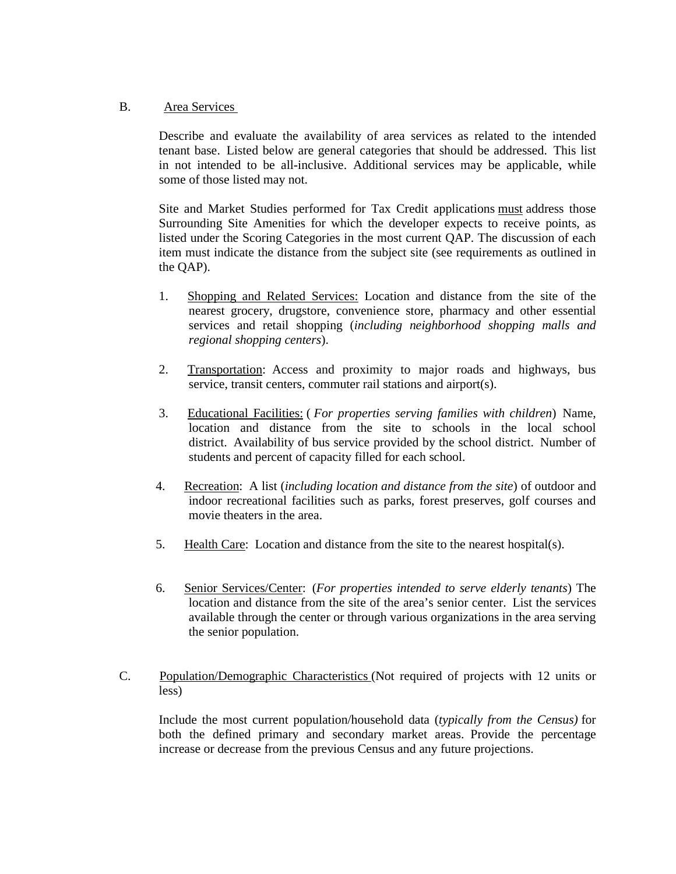#### B. Area Services

Describe and evaluate the availability of area services as related to the intended tenant base. Listed below are general categories that should be addressed. This list in not intended to be all-inclusive. Additional services may be applicable, while some of those listed may not.

Site and Market Studies performed for Tax Credit applications must address those Surrounding Site Amenities for which the developer expects to receive points, as listed under the Scoring Categories in the most current QAP. The discussion of each item must indicate the distance from the subject site (see requirements as outlined in the QAP).

- 1. Shopping and Related Services: Location and distance from the site of the nearest grocery, drugstore, convenience store, pharmacy and other essential services and retail shopping (*including neighborhood shopping malls and regional shopping centers*).
- 2. Transportation: Access and proximity to major roads and highways, bus service, transit centers, commuter rail stations and airport(s).
- 3. Educational Facilities: ( *For properties serving families with children*) Name, location and distance from the site to schools in the local school district. Availability of bus service provided by the school district. Number of students and percent of capacity filled for each school.
- 4. Recreation: A list (*including location and distance from the site*) of outdoor and indoor recreational facilities such as parks, forest preserves, golf courses and movie theaters in the area.
- 5. Health Care: Location and distance from the site to the nearest hospital(s).
- 6. Senior Services/Center: (*For properties intended to serve elderly tenants*) The location and distance from the site of the area's senior center. List the services available through the center or through various organizations in the area serving the senior population.
- C. Population/Demographic Characteristics (Not required of projects with 12 units or less)

Include the most current population/household data (*typically from the Census)* for both the defined primary and secondary market areas. Provide the percentage increase or decrease from the previous Census and any future projections.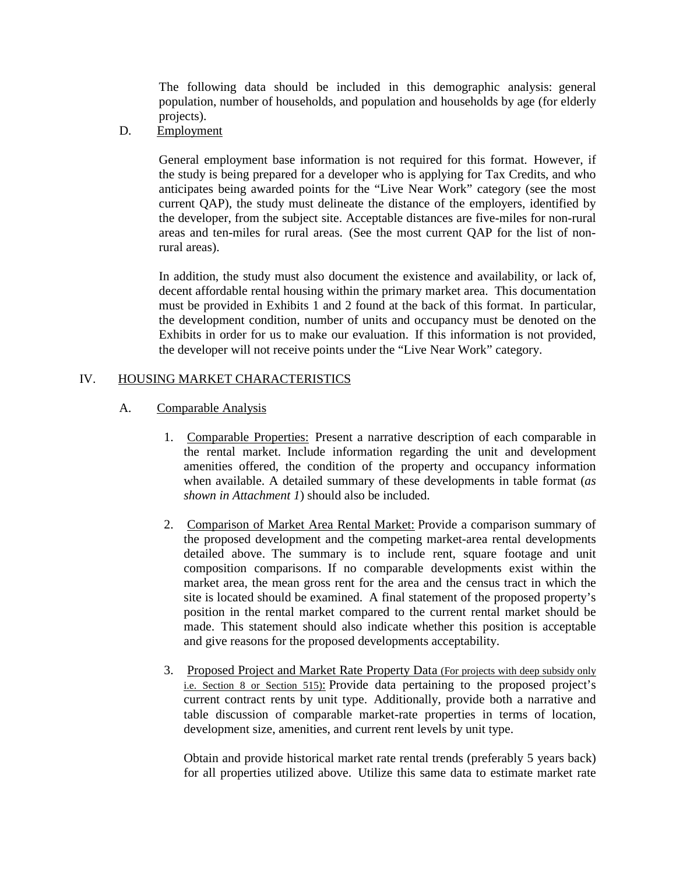The following data should be included in this demographic analysis: general population, number of households, and population and households by age (for elderly projects).

D. Employment

General employment base information is not required for this format. However, if the study is being prepared for a developer who is applying for Tax Credits, and who anticipates being awarded points for the "Live Near Work" category (see the most current QAP), the study must delineate the distance of the employers, identified by the developer, from the subject site. Acceptable distances are five-miles for non-rural areas and ten-miles for rural areas. (See the most current QAP for the list of nonrural areas).

In addition, the study must also document the existence and availability, or lack of, decent affordable rental housing within the primary market area. This documentation must be provided in Exhibits 1 and 2 found at the back of this format. In particular, the development condition, number of units and occupancy must be denoted on the Exhibits in order for us to make our evaluation. If this information is not provided, the developer will not receive points under the "Live Near Work" category.

#### IV. HOUSING MARKET CHARACTERISTICS

- A. Comparable Analysis
	- 1. Comparable Properties: Present a narrative description of each comparable in the rental market. Include information regarding the unit and development amenities offered, the condition of the property and occupancy information when available. A detailed summary of these developments in table format (*as shown in Attachment 1*) should also be included.
	- 2. Comparison of Market Area Rental Market: Provide a comparison summary of the proposed development and the competing market-area rental developments detailed above. The summary is to include rent, square footage and unit composition comparisons. If no comparable developments exist within the market area, the mean gross rent for the area and the census tract in which the site is located should be examined. A final statement of the proposed property's position in the rental market compared to the current rental market should be made. This statement should also indicate whether this position is acceptable and give reasons for the proposed developments acceptability.
	- 3. Proposed Project and Market Rate Property Data (For projects with deep subsidy only i.e. Section 8 or Section 515): Provide data pertaining to the proposed project's current contract rents by unit type. Additionally, provide both a narrative and table discussion of comparable market-rate properties in terms of location, development size, amenities, and current rent levels by unit type.

Obtain and provide historical market rate rental trends (preferably 5 years back) for all properties utilized above. Utilize this same data to estimate market rate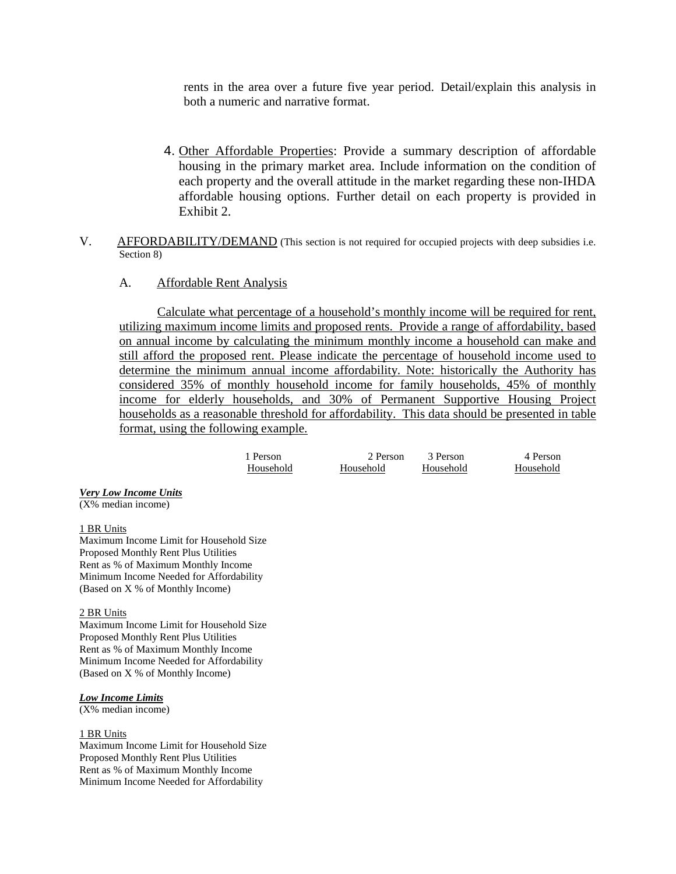rents in the area over a future five year period. Detail/explain this analysis in both a numeric and narrative format.

- 4. Other Affordable Properties: Provide a summary description of affordable housing in the primary market area. Include information on the condition of each property and the overall attitude in the market regarding these non-IHDA affordable housing options. Further detail on each property is provided in Exhibit 2.
- V. AFFORDABILITY/DEMAND (This section is not required for occupied projects with deep subsidies i.e. Section 8)
	- A. Affordable Rent Analysis

 Calculate what percentage of a household's monthly income will be required for rent, utilizing maximum income limits and proposed rents. Provide a range of affordability, based on annual income by calculating the minimum monthly income a household can make and still afford the proposed rent. Please indicate the percentage of household income used to determine the minimum annual income affordability. Note: historically the Authority has considered 35% of monthly household income for family households, 45% of monthly income for elderly households, and 30% of Permanent Supportive Housing Project households as a reasonable threshold for affordability. This data should be presented in table format, using the following example.

| l Person  | 2 Person  | 3 Person  | 4 Person  |
|-----------|-----------|-----------|-----------|
| Household | Household | Household | Household |

#### *Very Low Income Units*

 $(X\%$  median income)

1 BR Units

Maximum Income Limit for Household Size Proposed Monthly Rent Plus Utilities Rent as % of Maximum Monthly Income Minimum Income Needed for Affordability (Based on X % of Monthly Income)

#### 2 BR Units

Maximum Income Limit for Household Size Proposed Monthly Rent Plus Utilities Rent as % of Maximum Monthly Income Minimum Income Needed for Affordability (Based on X % of Monthly Income)

#### *Low Income Limits*

 $(X\%$  median income)

#### 1 BR Units

Maximum Income Limit for Household Size Proposed Monthly Rent Plus Utilities Rent as % of Maximum Monthly Income Minimum Income Needed for Affordability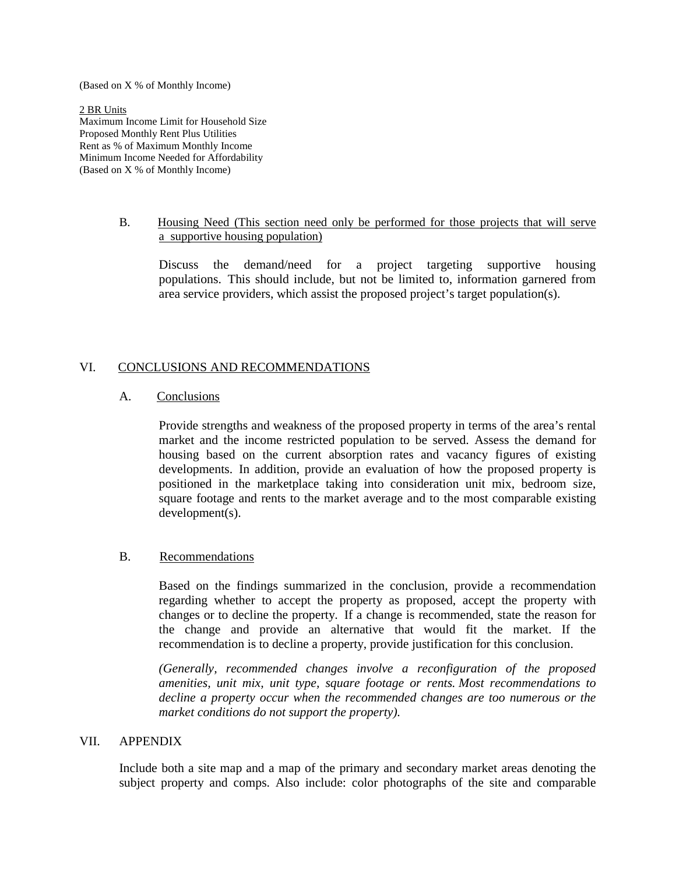(Based on X % of Monthly Income)

2 BR Units Maximum Income Limit for Household Size Proposed Monthly Rent Plus Utilities Rent as % of Maximum Monthly Income Minimum Income Needed for Affordability (Based on X % of Monthly Income)

> B. Housing Need (This section need only be performed for those projects that will serve a supportive housing population)

Discuss the demand/need for a project targeting supportive housing populations. This should include, but not be limited to, information garnered from area service providers, which assist the proposed project's target population(s).

#### VI. CONCLUSIONS AND RECOMMENDATIONS

#### A. Conclusions

Provide strengths and weakness of the proposed property in terms of the area's rental market and the income restricted population to be served. Assess the demand for housing based on the current absorption rates and vacancy figures of existing developments. In addition, provide an evaluation of how the proposed property is positioned in the marketplace taking into consideration unit mix, bedroom size, square footage and rents to the market average and to the most comparable existing development(s).

#### B. Recommendations

Based on the findings summarized in the conclusion, provide a recommendation regarding whether to accept the property as proposed, accept the property with changes or to decline the property. If a change is recommended, state the reason for the change and provide an alternative that would fit the market. If the recommendation is to decline a property, provide justification for this conclusion.

*(Generally, recommended changes involve a reconfiguration of the proposed amenities, unit mix, unit type, square footage or rents. Most recommendations to decline a property occur when the recommended changes are too numerous or the market conditions do not support the property).*

#### VII. APPENDIX

Include both a site map and a map of the primary and secondary market areas denoting the subject property and comps. Also include: color photographs of the site and comparable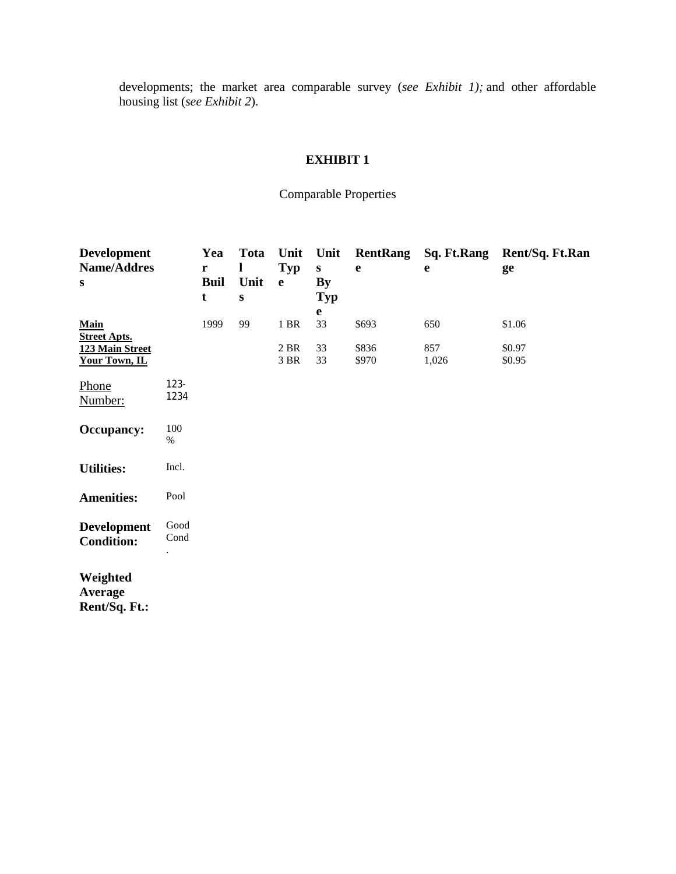developments; the market area comparable survey (*see Exhibit 1);* and other affordable housing list (*see Exhibit 2*).

#### **EXHIBIT 1**

## Comparable Properties

| <b>Development</b><br><b>Name/Addres</b><br>$\bf{s}$ |                 | Yea<br>r<br><b>Buil</b><br>t | <b>Tota</b><br>$\mathbf l$<br>Unit<br>S | Unit<br><b>Typ</b><br>$\mathbf e$ | Unit<br>${\bf S}$<br>By<br><b>Typ</b><br>e | <b>RentRang</b><br>e | Sq. Ft.Rang<br>e | Rent/Sq. Ft.Ran<br>ge |
|------------------------------------------------------|-----------------|------------------------------|-----------------------------------------|-----------------------------------|--------------------------------------------|----------------------|------------------|-----------------------|
| Main<br><b>Street Apts.</b>                          |                 | 1999                         | 99                                      | 1 BR                              | 33                                         | \$693                | 650              | \$1.06                |
| 123 Main Street<br>Your Town, IL                     |                 |                              |                                         | 2 BR<br>3 BR                      | 33<br>33                                   | \$836<br>\$970       | 857<br>1,026     | \$0.97<br>\$0.95      |
| Phone<br>Number:                                     | $123 -$<br>1234 |                              |                                         |                                   |                                            |                      |                  |                       |
| <b>Occupancy:</b>                                    | 100<br>$\%$     |                              |                                         |                                   |                                            |                      |                  |                       |
| <b>Utilities:</b>                                    | Incl.           |                              |                                         |                                   |                                            |                      |                  |                       |
| <b>Amenities:</b>                                    | Pool            |                              |                                         |                                   |                                            |                      |                  |                       |
| <b>Development</b><br><b>Condition:</b>              | Good<br>Cond    |                              |                                         |                                   |                                            |                      |                  |                       |
| Weighted<br>Average<br>Rent/Sq. Ft.:                 |                 |                              |                                         |                                   |                                            |                      |                  |                       |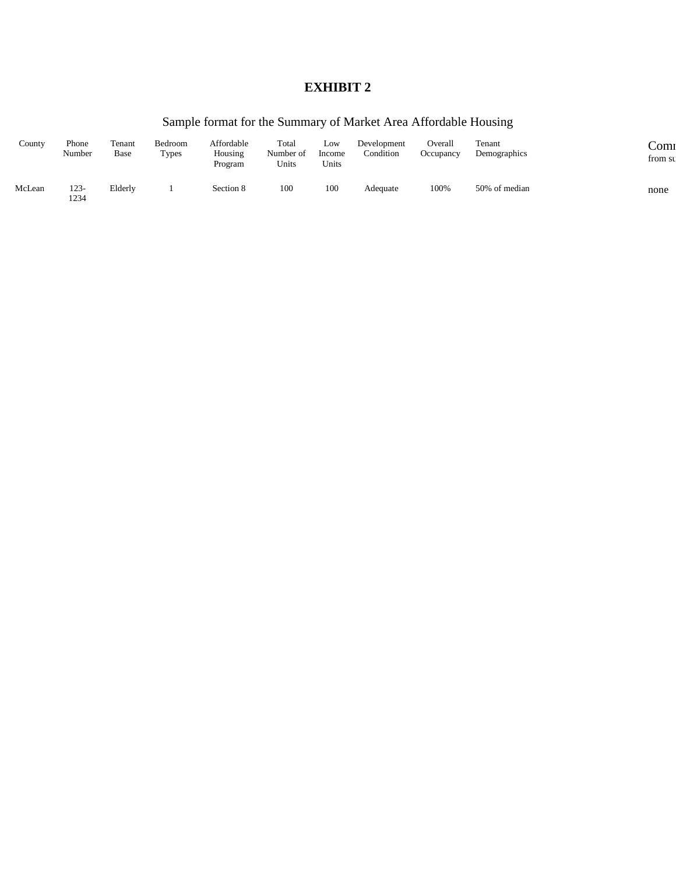# **EXHIBIT 2**

# Sample format for the Summary of Market Area Affordable Housing

| $\mathcal{L}$ ounty | Phone<br>Number | Tenant<br>Base | Bedroom<br>Types | Affordable<br>Housing<br>Program | Total<br>Number of<br>Units | Low<br>Income<br>Units | Development<br>Condition | Overall<br>Occupancy | Tenant<br>Demographics | Comr<br>from su |
|---------------------|-----------------|----------------|------------------|----------------------------------|-----------------------------|------------------------|--------------------------|----------------------|------------------------|-----------------|
| McLean              | $123 -$<br>1234 | Elderly        |                  | Section 8                        | 100                         | 100                    | Adequate                 | 100%                 | 50% of median          | none            |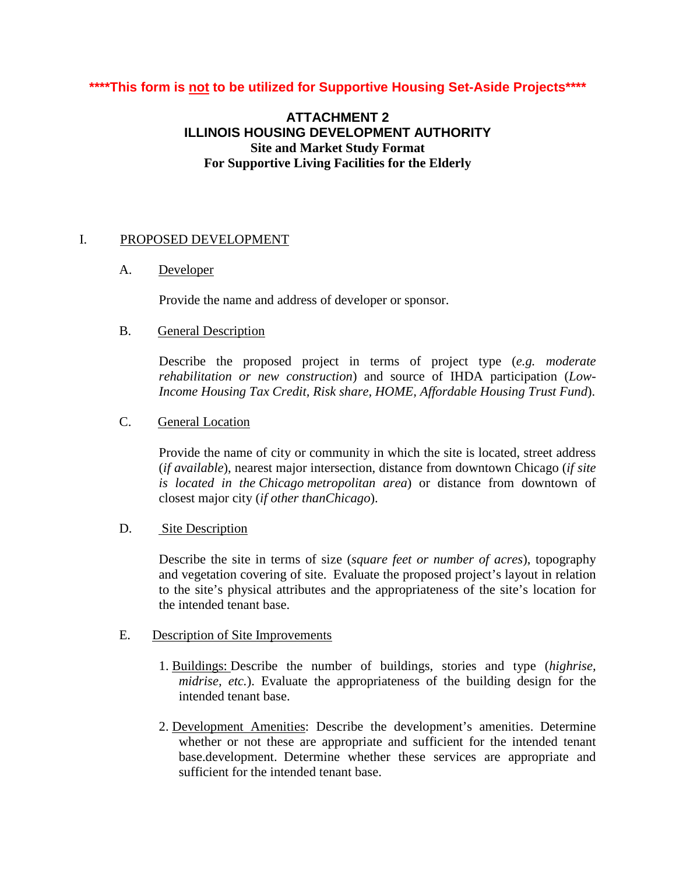## **\*\*\*\*This form is not to be utilized for Supportive Housing Set-Aside Projects\*\*\*\***

## **ATTACHMENT 2 ILLINOIS HOUSING DEVELOPMENT AUTHORITY Site and Market Study Format For Supportive Living Facilities for the Elderly**

#### I. PROPOSED DEVELOPMENT

#### A. Developer

Provide the name and address of developer or sponsor.

#### B. General Description

Describe the proposed project in terms of project type (*e.g. moderate rehabilitation or new construction*) and source of IHDA participation (*Low-Income Housing Tax Credit, Risk share, HOME, Affordable Housing Trust Fund*).

#### C. General Location

Provide the name of city or community in which the site is located, street address (*if available*), nearest major intersection, distance from downtown Chicago (*if site is located in the Chicago metropolitan area*) or distance from downtown of closest major city (*if other thanChicago*).

#### D. Site Description

Describe the site in terms of size (*square feet or number of acres*), topography and vegetation covering of site. Evaluate the proposed project's layout in relation to the site's physical attributes and the appropriateness of the site's location for the intended tenant base.

#### E. Description of Site Improvements

- 1. Buildings: Describe the number of buildings, stories and type (*highrise, midrise, etc.*). Evaluate the appropriateness of the building design for the intended tenant base.
- 2. Development Amenities: Describe the development's amenities. Determine whether or not these are appropriate and sufficient for the intended tenant base.development. Determine whether these services are appropriate and sufficient for the intended tenant base.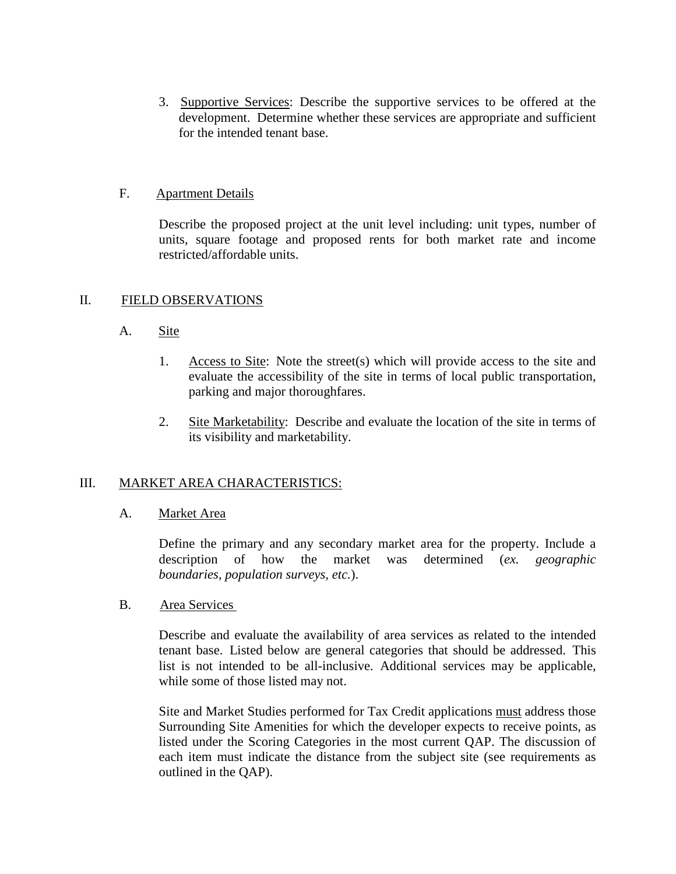3. Supportive Services: Describe the supportive services to be offered at the development. Determine whether these services are appropriate and sufficient for the intended tenant base.

#### F. Apartment Details

Describe the proposed project at the unit level including: unit types, number of units, square footage and proposed rents for both market rate and income restricted/affordable units.

#### II. FIELD OBSERVATIONS

- A. Site
	- 1. Access to Site: Note the street(s) which will provide access to the site and evaluate the accessibility of the site in terms of local public transportation, parking and major thoroughfares.
	- 2. Site Marketability: Describe and evaluate the location of the site in terms of its visibility and marketability.

#### III. MARKET AREA CHARACTERISTICS:

A. Market Area

Define the primary and any secondary market area for the property. Include a description of how the market was determined (*ex. geographic boundaries, population surveys, etc.*).

B. Area Services

Describe and evaluate the availability of area services as related to the intended tenant base. Listed below are general categories that should be addressed. This list is not intended to be all-inclusive. Additional services may be applicable, while some of those listed may not.

Site and Market Studies performed for Tax Credit applications must address those Surrounding Site Amenities for which the developer expects to receive points, as listed under the Scoring Categories in the most current QAP. The discussion of each item must indicate the distance from the subject site (see requirements as outlined in the QAP).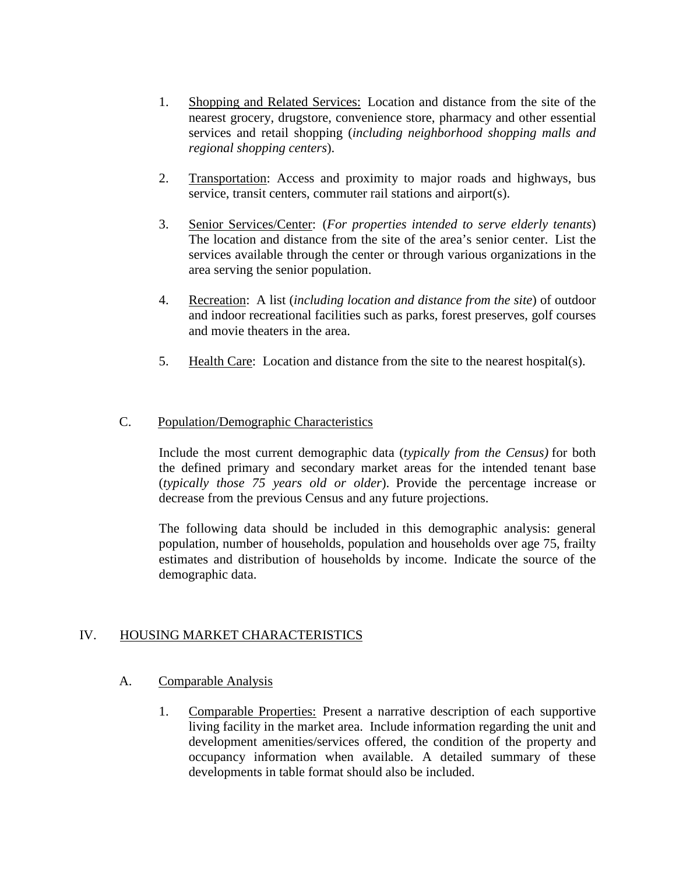- 1. Shopping and Related Services: Location and distance from the site of the nearest grocery, drugstore, convenience store, pharmacy and other essential services and retail shopping (*including neighborhood shopping malls and regional shopping centers*).
- 2. Transportation: Access and proximity to major roads and highways, bus service, transit centers, commuter rail stations and airport(s).
- 3. Senior Services/Center: (*For properties intended to serve elderly tenants*) The location and distance from the site of the area's senior center. List the services available through the center or through various organizations in the area serving the senior population.
- 4. Recreation: A list (*including location and distance from the site*) of outdoor and indoor recreational facilities such as parks, forest preserves, golf courses and movie theaters in the area.
- 5. Health Care: Location and distance from the site to the nearest hospital(s).

#### C. Population/Demographic Characteristics

Include the most current demographic data (*typically from the Census)* for both the defined primary and secondary market areas for the intended tenant base (*typically those 75 years old or older*). Provide the percentage increase or decrease from the previous Census and any future projections.

The following data should be included in this demographic analysis: general population, number of households, population and households over age 75, frailty estimates and distribution of households by income. Indicate the source of the demographic data.

## IV. HOUSING MARKET CHARACTERISTICS

- A. Comparable Analysis
	- 1. Comparable Properties: Present a narrative description of each supportive living facility in the market area. Include information regarding the unit and development amenities/services offered, the condition of the property and occupancy information when available. A detailed summary of these developments in table format should also be included.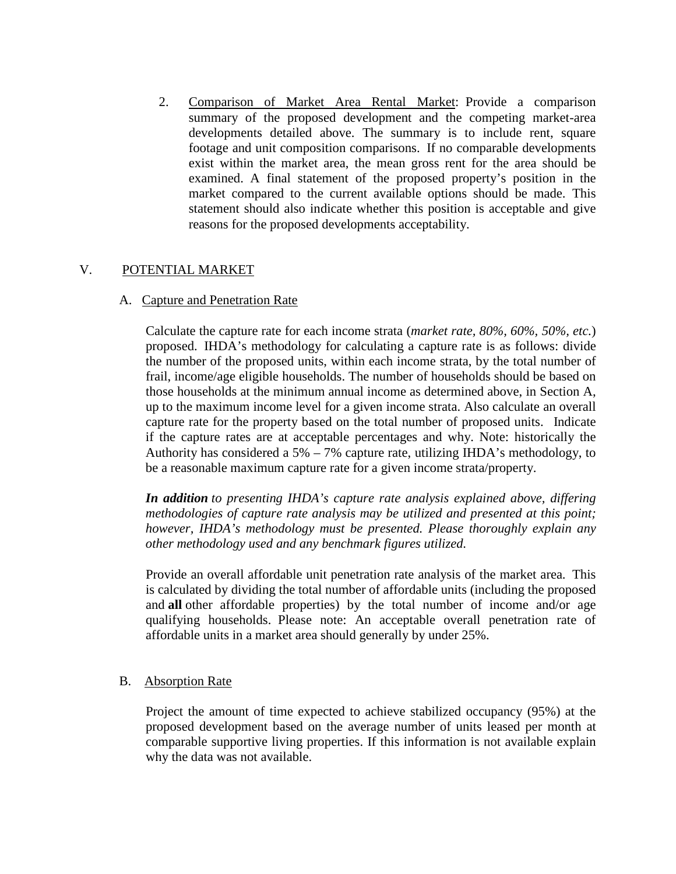2. Comparison of Market Area Rental Market: Provide a comparison summary of the proposed development and the competing market-area developments detailed above. The summary is to include rent, square footage and unit composition comparisons. If no comparable developments exist within the market area, the mean gross rent for the area should be examined. A final statement of the proposed property's position in the market compared to the current available options should be made. This statement should also indicate whether this position is acceptable and give reasons for the proposed developments acceptability.

#### V. POTENTIAL MARKET

#### A. Capture and Penetration Rate

Calculate the capture rate for each income strata (*market rate, 80%, 60%, 50%, etc.*) proposed. IHDA's methodology for calculating a capture rate is as follows: divide the number of the proposed units, within each income strata, by the total number of frail, income/age eligible households. The number of households should be based on those households at the minimum annual income as determined above, in Section A, up to the maximum income level for a given income strata. Also calculate an overall capture rate for the property based on the total number of proposed units. Indicate if the capture rates are at acceptable percentages and why. Note: historically the Authority has considered a 5% – 7% capture rate, utilizing IHDA's methodology, to be a reasonable maximum capture rate for a given income strata/property.

*In addition to presenting IHDA's capture rate analysis explained above, differing methodologies of capture rate analysis may be utilized and presented at this point; however, IHDA's methodology must be presented. Please thoroughly explain any other methodology used and any benchmark figures utilized.*

Provide an overall affordable unit penetration rate analysis of the market area. This is calculated by dividing the total number of affordable units (including the proposed and **all** other affordable properties) by the total number of income and/or age qualifying households. Please note: An acceptable overall penetration rate of affordable units in a market area should generally by under 25%.

#### B. Absorption Rate

Project the amount of time expected to achieve stabilized occupancy (95%) at the proposed development based on the average number of units leased per month at comparable supportive living properties. If this information is not available explain why the data was not available.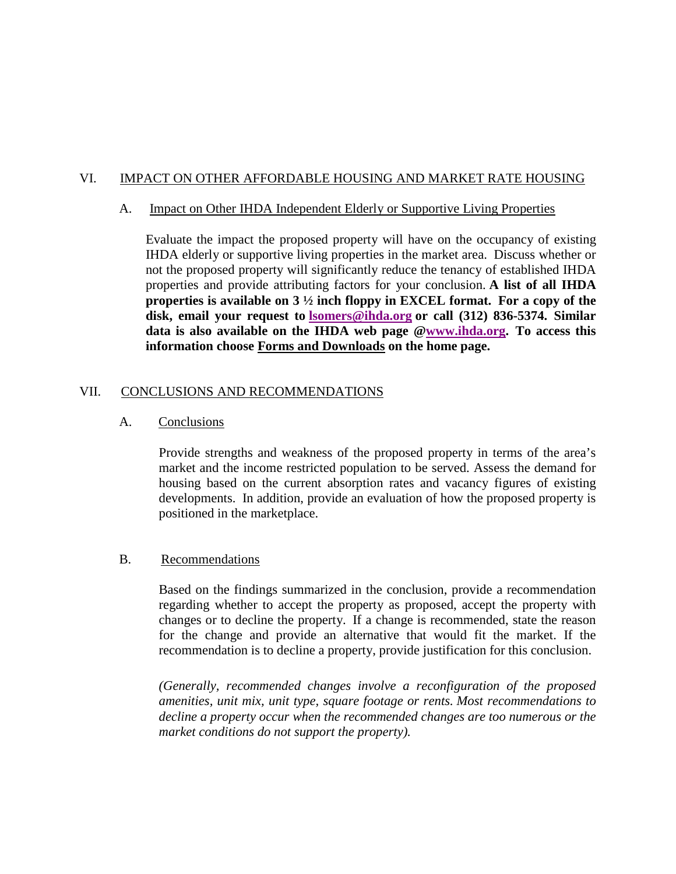## VI. IMPACT ON OTHER AFFORDABLE HOUSING AND MARKET RATE HOUSING

#### A. Impact on Other IHDA Independent Elderly or Supportive Living Properties

Evaluate the impact the proposed property will have on the occupancy of existing IHDA elderly or supportive living properties in the market area. Discuss whether or not the proposed property will significantly reduce the tenancy of established IHDA properties and provide attributing factors for your conclusion. **A list of all IHDA properties is available on 3 ½ inch floppy in EXCEL format. For a copy of the disk, email your request to [lsomers@ihda.org](mailto:lsomers@ihda.org) or call (312) 836-5374. Similar**  data is also available on the IHDA web page  $@www.ihda.org$ . To access this **information choose Forms and Downloads on the home page.**

## VII. CONCLUSIONS AND RECOMMENDATIONS

#### A. Conclusions

Provide strengths and weakness of the proposed property in terms of the area's market and the income restricted population to be served. Assess the demand for housing based on the current absorption rates and vacancy figures of existing developments. In addition, provide an evaluation of how the proposed property is positioned in the marketplace.

#### B. Recommendations

Based on the findings summarized in the conclusion, provide a recommendation regarding whether to accept the property as proposed, accept the property with changes or to decline the property. If a change is recommended, state the reason for the change and provide an alternative that would fit the market. If the recommendation is to decline a property, provide justification for this conclusion.

*(Generally, recommended changes involve a reconfiguration of the proposed amenities, unit mix, unit type, square footage or rents. Most recommendations to decline a property occur when the recommended changes are too numerous or the market conditions do not support the property).*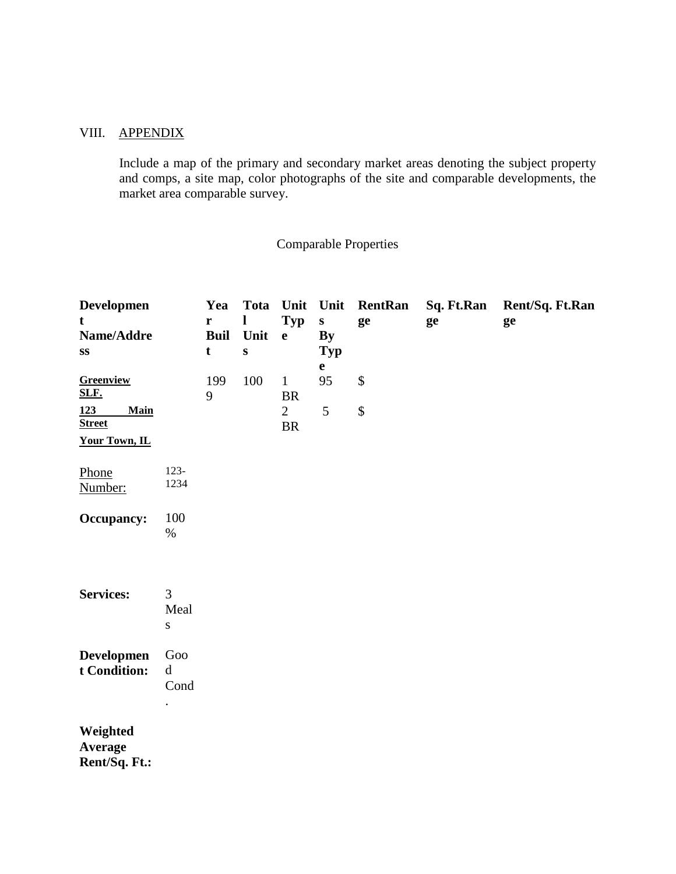#### VIII. APPENDIX

Include a map of the primary and secondary market areas denoting the subject property and comps, a site map, color photographs of the site and comparable developments, the market area comparable survey.

Comparable Properties

| <b>Developmen</b><br>t<br>Name/Addre          |                                         | Yea<br>r<br><b>Buil</b> | <b>Tota</b><br>l<br>Unit | Unit<br><b>Typ</b>          | Unit<br>${\bf S}$                      | <b>RentRan</b><br>ge | Sq. Ft.Ran<br>ge | Rent/Sq. Ft.Ran<br>ge |
|-----------------------------------------------|-----------------------------------------|-------------------------|--------------------------|-----------------------------|----------------------------------------|----------------------|------------------|-----------------------|
| $\mathbf{S}\mathbf{S}$                        |                                         | t                       | ${\bf S}$                | $\mathbf e$                 | <b>By</b><br><b>Typ</b><br>$\mathbf e$ |                      |                  |                       |
| Greenview<br>SLF.                             |                                         | 199<br>9                | 100                      | $\mathbf{1}$<br><b>BR</b>   | 95                                     | \$                   |                  |                       |
| 123<br>Main<br><b>Street</b><br>Your Town, IL |                                         |                         |                          | $\overline{2}$<br><b>BR</b> | 5                                      | \$                   |                  |                       |
| Phone<br>Number:                              | $123 -$<br>1234                         |                         |                          |                             |                                        |                      |                  |                       |
| <b>Occupancy:</b>                             | 100<br>$\%$                             |                         |                          |                             |                                        |                      |                  |                       |
| <b>Services:</b>                              | 3<br>Meal<br>${\bf S}$                  |                         |                          |                             |                                        |                      |                  |                       |
| <b>Developmen</b><br>t Condition:             | Goo<br>$\mathbf d$<br>Cond<br>$\bullet$ |                         |                          |                             |                                        |                      |                  |                       |
| Weighted<br><b>Average</b><br>Rent/Sq. Ft.:   |                                         |                         |                          |                             |                                        |                      |                  |                       |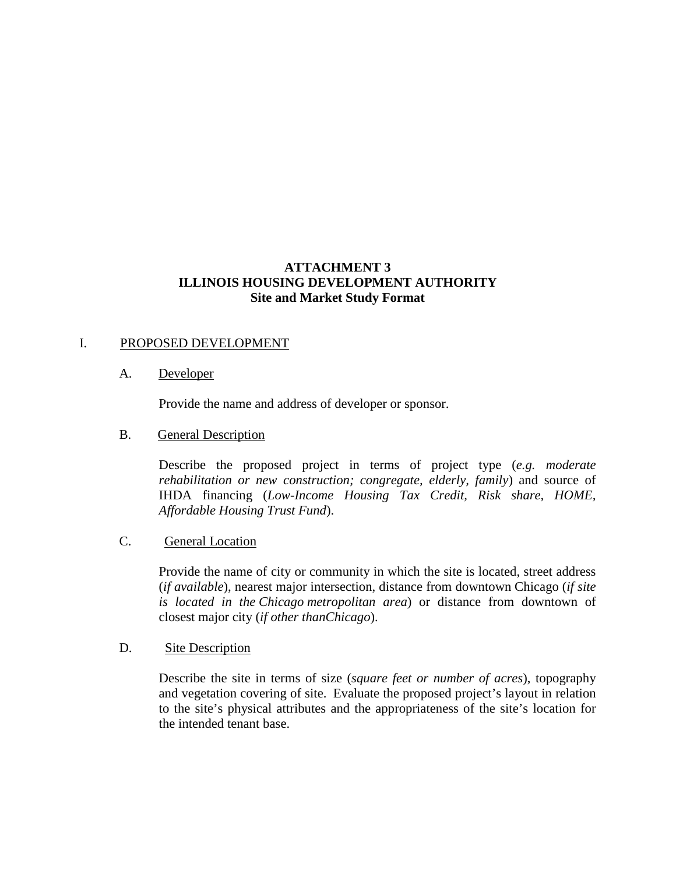## **ATTACHMENT 3 ILLINOIS HOUSING DEVELOPMENT AUTHORITY Site and Market Study Format**

#### I. PROPOSED DEVELOPMENT

#### A. Developer

Provide the name and address of developer or sponsor.

#### B. General Description

Describe the proposed project in terms of project type (*e.g. moderate rehabilitation or new construction; congregate, elderly, family*) and source of IHDA financing (*Low-Income Housing Tax Credit, Risk share, HOME, Affordable Housing Trust Fund*).

#### C. General Location

Provide the name of city or community in which the site is located, street address (*if available*), nearest major intersection, distance from downtown Chicago (*if site is located in the Chicago metropolitan area*) or distance from downtown of closest major city (*if other thanChicago*).

#### D. Site Description

Describe the site in terms of size (*square feet or number of acres*), topography and vegetation covering of site. Evaluate the proposed project's layout in relation to the site's physical attributes and the appropriateness of the site's location for the intended tenant base.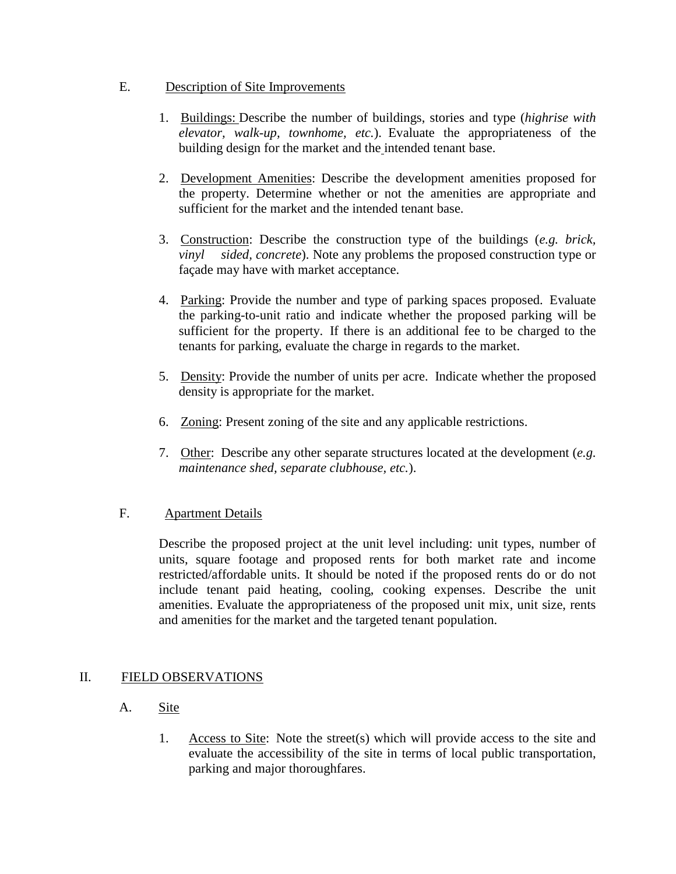#### E. Description of Site Improvements

- 1. Buildings: Describe the number of buildings, stories and type (*highrise with elevator, walk-up, townhome, etc.*). Evaluate the appropriateness of the building design for the market and the intended tenant base.
- 2. Development Amenities: Describe the development amenities proposed for the property. Determine whether or not the amenities are appropriate and sufficient for the market and the intended tenant base.
- 3. Construction: Describe the construction type of the buildings (*e.g. brick, vinyl sided, concrete*). Note any problems the proposed construction type or façade may have with market acceptance.
- 4. Parking: Provide the number and type of parking spaces proposed. Evaluate the parking-to-unit ratio and indicate whether the proposed parking will be sufficient for the property. If there is an additional fee to be charged to the tenants for parking, evaluate the charge in regards to the market.
- 5. Density: Provide the number of units per acre. Indicate whether the proposed density is appropriate for the market.
- 6. Zoning: Present zoning of the site and any applicable restrictions.
- 7. Other: Describe any other separate structures located at the development (*e.g. maintenance shed, separate clubhouse, etc.*).

# F. Apartment Details

Describe the proposed project at the unit level including: unit types, number of units, square footage and proposed rents for both market rate and income restricted/affordable units. It should be noted if the proposed rents do or do not include tenant paid heating, cooling, cooking expenses. Describe the unit amenities. Evaluate the appropriateness of the proposed unit mix, unit size, rents and amenities for the market and the targeted tenant population.

# II. FIELD OBSERVATIONS

- A. Site
	- 1. Access to Site: Note the street(s) which will provide access to the site and evaluate the accessibility of the site in terms of local public transportation, parking and major thoroughfares.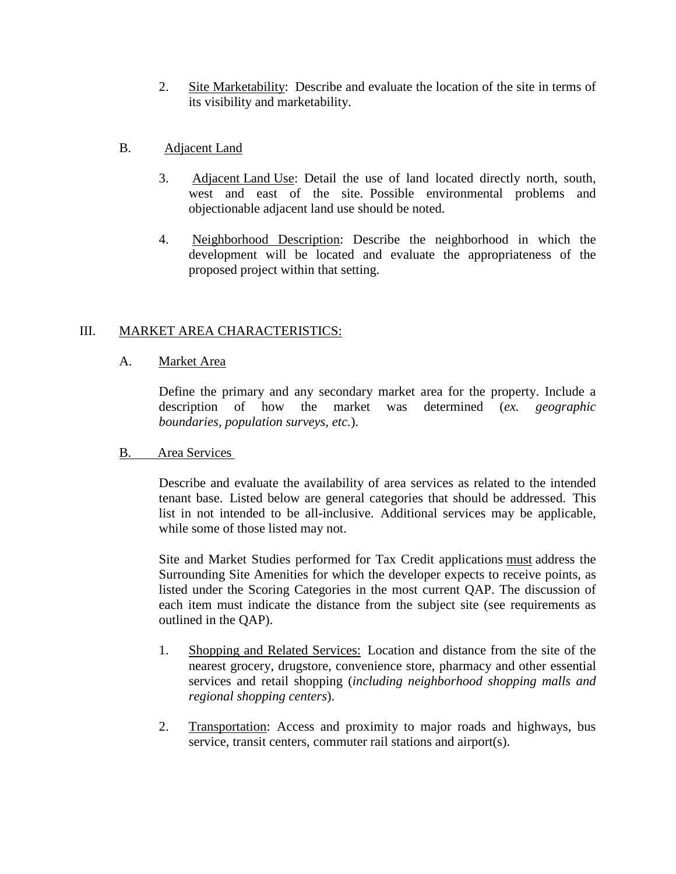- 2. Site Marketability: Describe and evaluate the location of the site in terms of its visibility and marketability.
- B. Adjacent Land
	- 3. Adjacent Land Use: Detail the use of land located directly north, south, west and east of the site. Possible environmental problems and objectionable adjacent land use should be noted.
	- 4. Neighborhood Description: Describe the neighborhood in which the development will be located and evaluate the appropriateness of the proposed project within that setting.

## III. MARKET AREA CHARACTERISTICS:

A. Market Area

Define the primary and any secondary market area for the property. Include a description of how the market was determined (*ex. geographic boundaries, population surveys, etc.*).

B. Area Services

Describe and evaluate the availability of area services as related to the intended tenant base. Listed below are general categories that should be addressed. This list in not intended to be all-inclusive. Additional services may be applicable, while some of those listed may not.

Site and Market Studies performed for Tax Credit applications must address the Surrounding Site Amenities for which the developer expects to receive points, as listed under the Scoring Categories in the most current QAP. The discussion of each item must indicate the distance from the subject site (see requirements as outlined in the QAP).

- 1. Shopping and Related Services: Location and distance from the site of the nearest grocery, drugstore, convenience store, pharmacy and other essential services and retail shopping (*including neighborhood shopping malls and regional shopping centers*).
- 2. Transportation: Access and proximity to major roads and highways, bus service, transit centers, commuter rail stations and airport(s).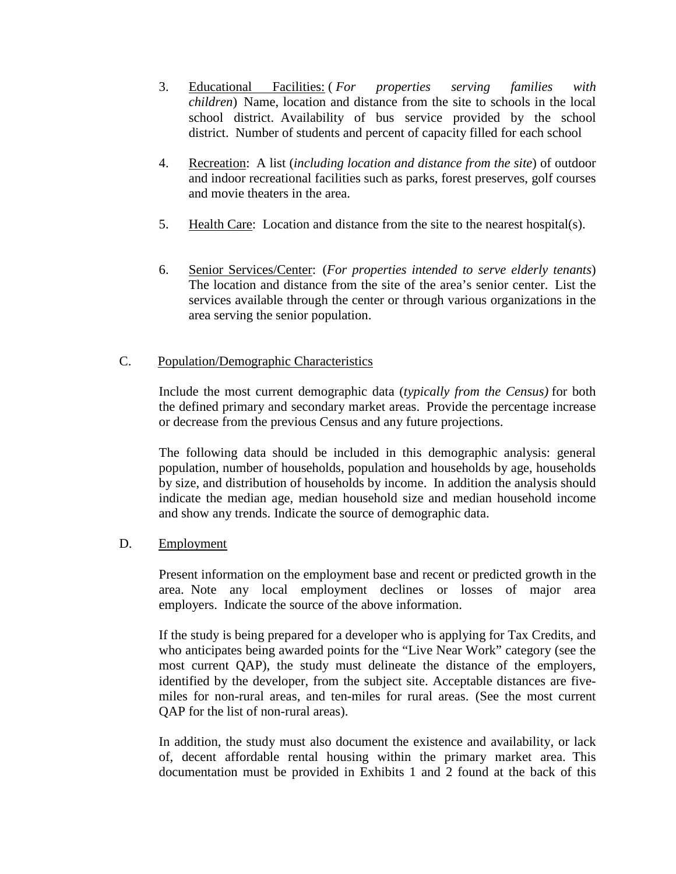- 3. Educational Facilities: ( *For properties serving families with children*) Name, location and distance from the site to schools in the local school district. Availability of bus service provided by the school district. Number of students and percent of capacity filled for each school
- 4. Recreation: A list (*including location and distance from the site*) of outdoor and indoor recreational facilities such as parks, forest preserves, golf courses and movie theaters in the area.
- 5. Health Care: Location and distance from the site to the nearest hospital(s).
- 6. Senior Services/Center: (*For properties intended to serve elderly tenants*) The location and distance from the site of the area's senior center. List the services available through the center or through various organizations in the area serving the senior population.

#### C. Population/Demographic Characteristics

Include the most current demographic data (*typically from the Census)* for both the defined primary and secondary market areas. Provide the percentage increase or decrease from the previous Census and any future projections.

The following data should be included in this demographic analysis: general population, number of households, population and households by age, households by size, and distribution of households by income. In addition the analysis should indicate the median age, median household size and median household income and show any trends. Indicate the source of demographic data.

#### D. Employment

Present information on the employment base and recent or predicted growth in the area. Note any local employment declines or losses of major area employers. Indicate the source of the above information.

If the study is being prepared for a developer who is applying for Tax Credits, and who anticipates being awarded points for the "Live Near Work" category (see the most current QAP), the study must delineate the distance of the employers, identified by the developer, from the subject site. Acceptable distances are fivemiles for non-rural areas, and ten-miles for rural areas. (See the most current QAP for the list of non-rural areas).

In addition, the study must also document the existence and availability, or lack of, decent affordable rental housing within the primary market area. This documentation must be provided in Exhibits 1 and 2 found at the back of this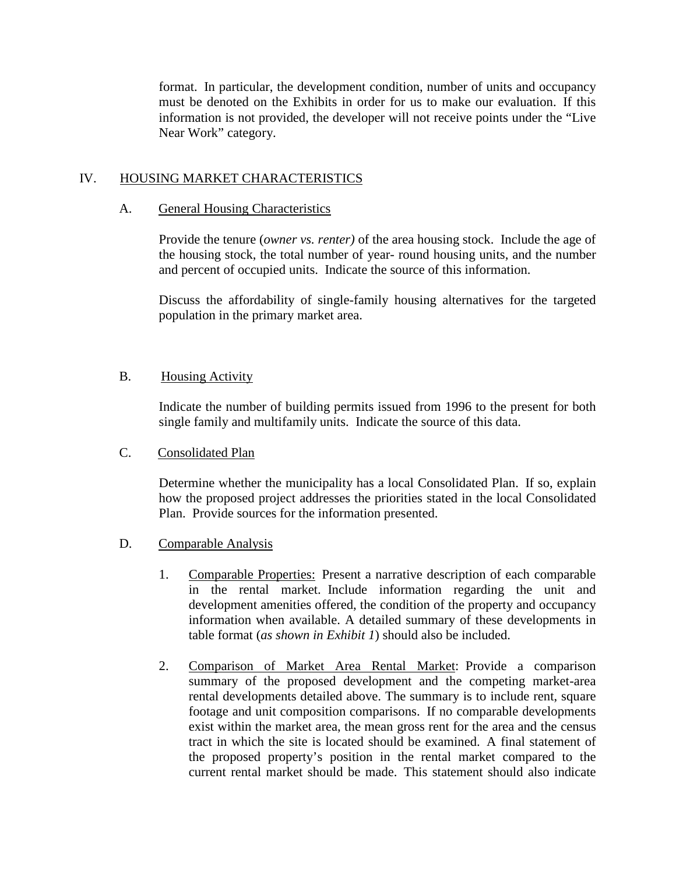format. In particular, the development condition, number of units and occupancy must be denoted on the Exhibits in order for us to make our evaluation. If this information is not provided, the developer will not receive points under the "Live Near Work" category.

#### IV. HOUSING MARKET CHARACTERISTICS

#### A. General Housing Characteristics

Provide the tenure (*owner vs. renter)* of the area housing stock. Include the age of the housing stock, the total number of year- round housing units, and the number and percent of occupied units. Indicate the source of this information.

Discuss the affordability of single-family housing alternatives for the targeted population in the primary market area.

#### B. Housing Activity

Indicate the number of building permits issued from 1996 to the present for both single family and multifamily units. Indicate the source of this data.

#### C. Consolidated Plan

Determine whether the municipality has a local Consolidated Plan. If so, explain how the proposed project addresses the priorities stated in the local Consolidated Plan. Provide sources for the information presented.

#### D. Comparable Analysis

- 1. Comparable Properties: Present a narrative description of each comparable in the rental market. Include information regarding the unit and development amenities offered, the condition of the property and occupancy information when available. A detailed summary of these developments in table format (*as shown in Exhibit 1*) should also be included.
- 2. Comparison of Market Area Rental Market: Provide a comparison summary of the proposed development and the competing market-area rental developments detailed above. The summary is to include rent, square footage and unit composition comparisons. If no comparable developments exist within the market area, the mean gross rent for the area and the census tract in which the site is located should be examined. A final statement of the proposed property's position in the rental market compared to the current rental market should be made. This statement should also indicate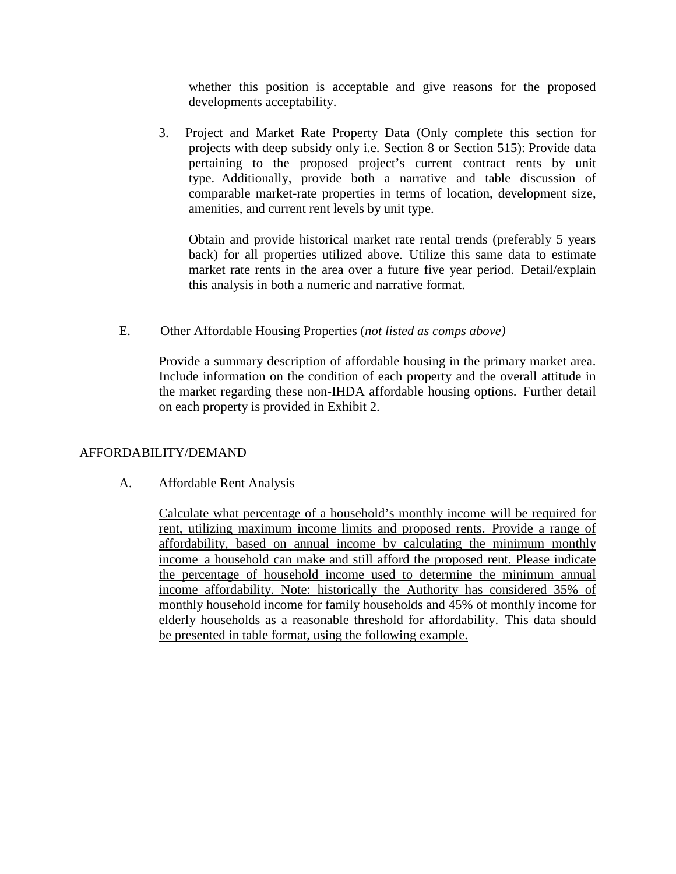whether this position is acceptable and give reasons for the proposed developments acceptability.

3. Project and Market Rate Property Data (Only complete this section for projects with deep subsidy only i.e. Section 8 or Section 515): Provide data pertaining to the proposed project's current contract rents by unit type. Additionally, provide both a narrative and table discussion of comparable market-rate properties in terms of location, development size, amenities, and current rent levels by unit type.

Obtain and provide historical market rate rental trends (preferably 5 years back) for all properties utilized above. Utilize this same data to estimate market rate rents in the area over a future five year period. Detail/explain this analysis in both a numeric and narrative format.

E. Other Affordable Housing Properties (*not listed as comps above)*

Provide a summary description of affordable housing in the primary market area. Include information on the condition of each property and the overall attitude in the market regarding these non-IHDA affordable housing options. Further detail on each property is provided in Exhibit 2.

# AFFORDABILITY/DEMAND

## A. Affordable Rent Analysis

Calculate what percentage of a household's monthly income will be required for rent, utilizing maximum income limits and proposed rents. Provide a range of affordability, based on annual income by calculating the minimum monthly income a household can make and still afford the proposed rent. Please indicate the percentage of household income used to determine the minimum annual income affordability. Note: historically the Authority has considered 35% of monthly household income for family households and 45% of monthly income for elderly households as a reasonable threshold for affordability. This data should be presented in table format, using the following example.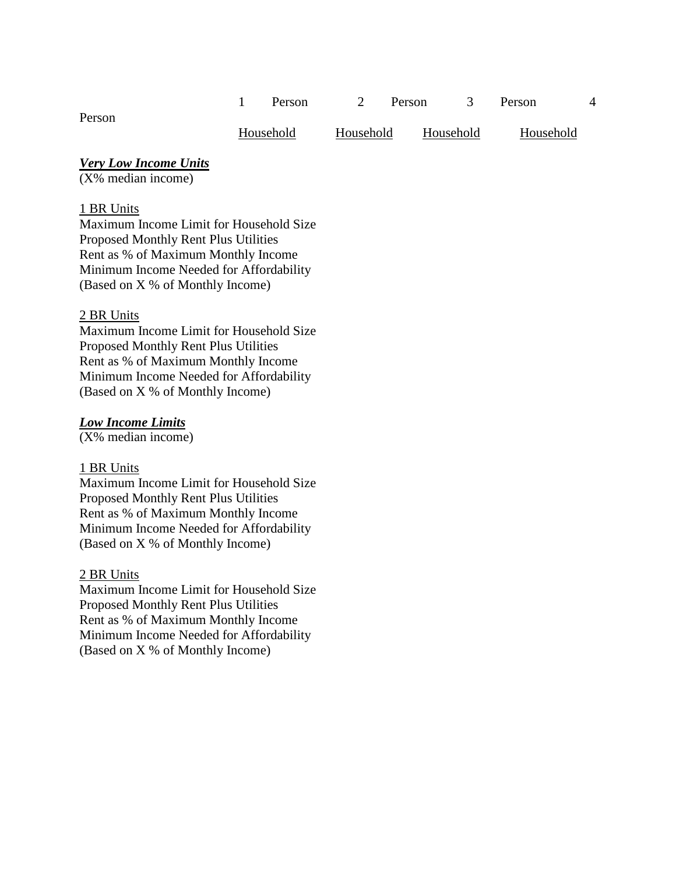1 Person 2 Person 3 Person 4

Person

Household Household Household Household

*Very Low Income Units*

(X% median income)

#### 1 BR Units

Maximum Income Limit for Household Size Proposed Monthly Rent Plus Utilities Rent as % of Maximum Monthly Income Minimum Income Needed for Affordability (Based on X % of Monthly Income)

#### 2 BR Units

Maximum Income Limit for Household Size Proposed Monthly Rent Plus Utilities Rent as % of Maximum Monthly Income Minimum Income Needed for Affordability (Based on X % of Monthly Income)

#### *Low Income Limits*

(X% median income)

#### 1 BR Units

Maximum Income Limit for Household Size Proposed Monthly Rent Plus Utilities Rent as % of Maximum Monthly Income Minimum Income Needed for Affordability (Based on X % of Monthly Income)

#### 2 BR Units

Maximum Income Limit for Household Size Proposed Monthly Rent Plus Utilities Rent as % of Maximum Monthly Income Minimum Income Needed for Affordability (Based on X % of Monthly Income)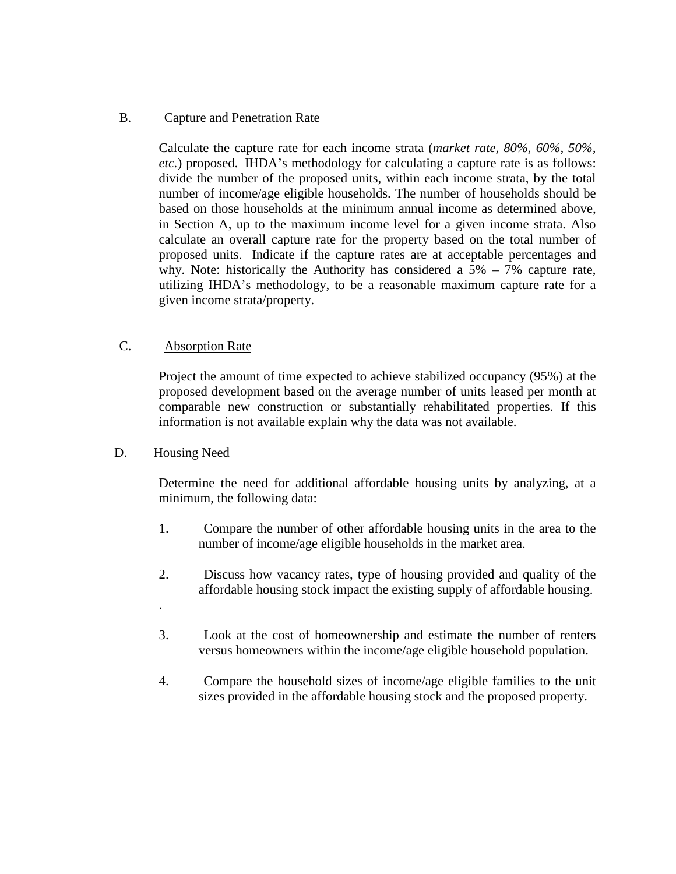#### B. Capture and Penetration Rate

Calculate the capture rate for each income strata (*market rate, 80%, 60%, 50%, etc.*) proposed. IHDA's methodology for calculating a capture rate is as follows: divide the number of the proposed units, within each income strata, by the total number of income/age eligible households. The number of households should be based on those households at the minimum annual income as determined above, in Section A, up to the maximum income level for a given income strata. Also calculate an overall capture rate for the property based on the total number of proposed units. Indicate if the capture rates are at acceptable percentages and why. Note: historically the Authority has considered a  $5\%$  – 7% capture rate, utilizing IHDA's methodology, to be a reasonable maximum capture rate for a given income strata/property.

## C. Absorption Rate

Project the amount of time expected to achieve stabilized occupancy (95%) at the proposed development based on the average number of units leased per month at comparable new construction or substantially rehabilitated properties. If this information is not available explain why the data was not available.

#### D. Housing Need

.

Determine the need for additional affordable housing units by analyzing, at a minimum, the following data:

- 1. Compare the number of other affordable housing units in the area to the number of income/age eligible households in the market area.
- 2. Discuss how vacancy rates, type of housing provided and quality of the affordable housing stock impact the existing supply of affordable housing.
- 3. Look at the cost of homeownership and estimate the number of renters versus homeowners within the income/age eligible household population.
- 4. Compare the household sizes of income/age eligible families to the unit sizes provided in the affordable housing stock and the proposed property.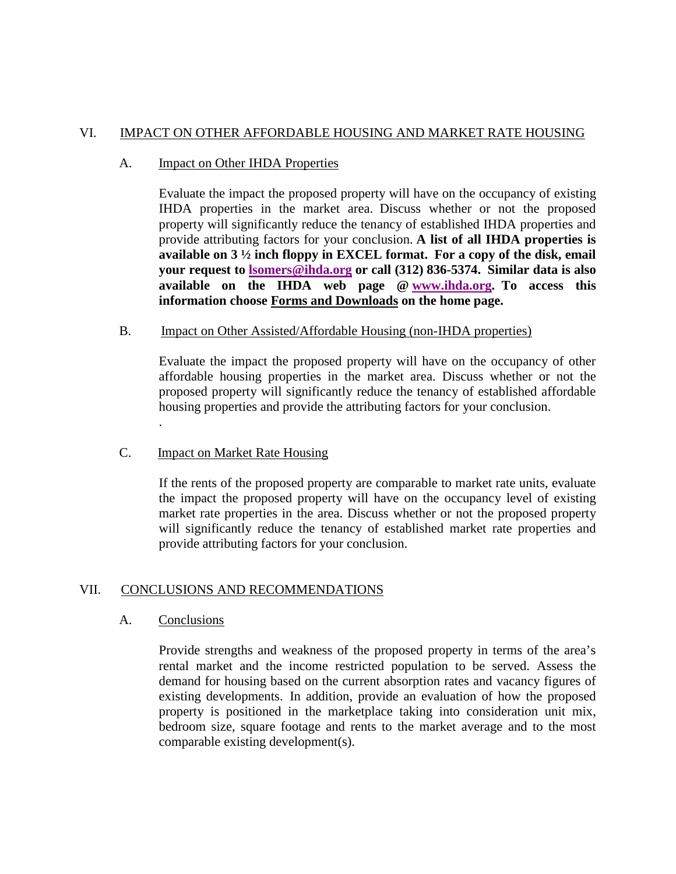#### VI. IMPACT ON OTHER AFFORDABLE HOUSING AND MARKET RATE HOUSING

#### A. Impact on Other IHDA Properties

Evaluate the impact the proposed property will have on the occupancy of existing IHDA properties in the market area. Discuss whether or not the proposed property will significantly reduce the tenancy of established IHDA properties and provide attributing factors for your conclusion. **A list of all IHDA properties is available on 3 ½ inch floppy in EXCEL format. For a copy of the disk, email your request to [lsomers@ihda.org](mailto:lsomers@ihda.org) or call (312) 836-5374. Similar data is also available on the IHDA web page @ [www.ihda.org.](http://www.ihda.org/) To access this information choose Forms and Downloads on the home page.**

#### B. Impact on Other Assisted/Affordable Housing (non-IHDA properties)

Evaluate the impact the proposed property will have on the occupancy of other affordable housing properties in the market area. Discuss whether or not the proposed property will significantly reduce the tenancy of established affordable housing properties and provide the attributing factors for your conclusion.

## C. Impact on Market Rate Housing

If the rents of the proposed property are comparable to market rate units, evaluate the impact the proposed property will have on the occupancy level of existing market rate properties in the area. Discuss whether or not the proposed property will significantly reduce the tenancy of established market rate properties and provide attributing factors for your conclusion.

#### VII. CONCLUSIONS AND RECOMMENDATIONS

#### A. Conclusions

.

Provide strengths and weakness of the proposed property in terms of the area's rental market and the income restricted population to be served. Assess the demand for housing based on the current absorption rates and vacancy figures of existing developments. In addition, provide an evaluation of how the proposed property is positioned in the marketplace taking into consideration unit mix, bedroom size, square footage and rents to the market average and to the most comparable existing development(s).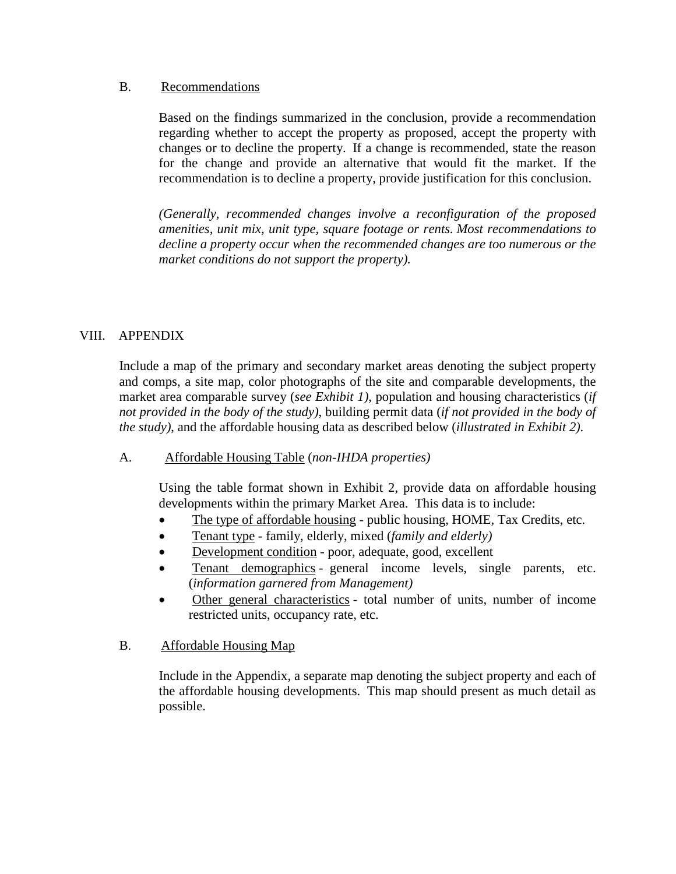#### B. Recommendations

Based on the findings summarized in the conclusion, provide a recommendation regarding whether to accept the property as proposed, accept the property with changes or to decline the property. If a change is recommended, state the reason for the change and provide an alternative that would fit the market. If the recommendation is to decline a property, provide justification for this conclusion.

*(Generally, recommended changes involve a reconfiguration of the proposed amenities, unit mix, unit type, square footage or rents. Most recommendations to decline a property occur when the recommended changes are too numerous or the market conditions do not support the property).*

## VIII. APPENDIX

Include a map of the primary and secondary market areas denoting the subject property and comps, a site map, color photographs of the site and comparable developments, the market area comparable survey (*see Exhibit 1)*, population and housing characteristics (*if not provided in the body of the study)*, building permit data (*if not provided in the body of the study)*, and the affordable housing data as described below (*illustrated in Exhibit 2)*.

#### A. Affordable Housing Table (*non-IHDA properties)*

Using the table format shown in Exhibit 2, provide data on affordable housing developments within the primary Market Area. This data is to include:

- The type of affordable housing public housing, HOME, Tax Credits, etc.
- Tenant type family, elderly, mixed (*family and elderly)*
- Development condition poor, adequate, good, excellent
- Tenant demographics general income levels, single parents, etc. (*information garnered from Management)*
- Other general characteristics total number of units, number of income restricted units, occupancy rate, etc.

## B. Affordable Housing Map

 Include in the Appendix, a separate map denoting the subject property and each of the affordable housing developments. This map should present as much detail as possible.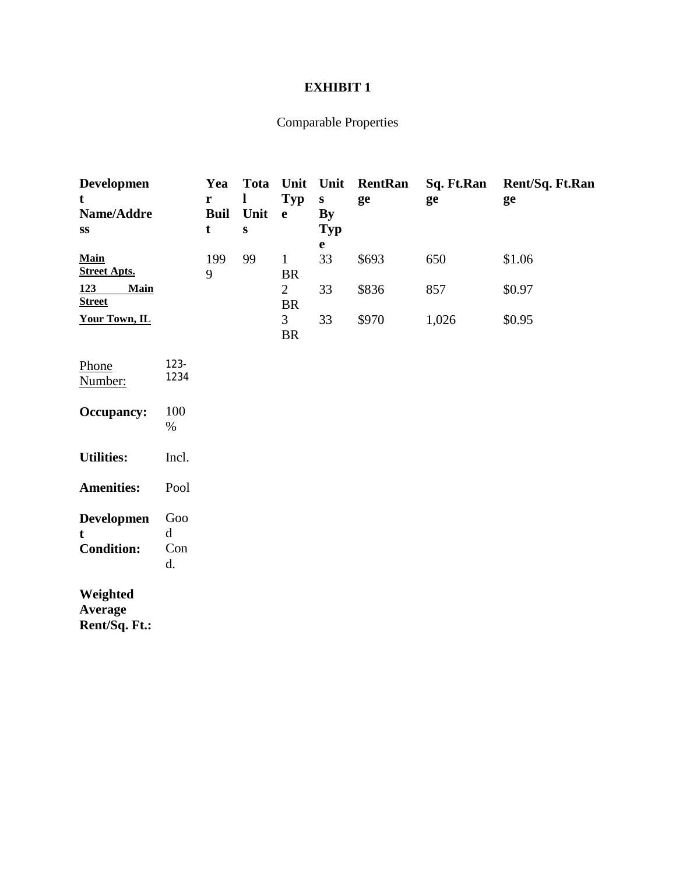# **EXHIBIT 1**

# Comparable Properties

| <b>Developmen</b><br>t<br>Name/Addre<br>SS  |                       | Yea<br>${\bf r}$<br><b>Buil</b><br>t | Tota<br>l<br>Unit<br>$\bf{s}$ | Unit<br><b>Typ</b><br>$\mathbf e$ | Unit<br>${\bf S}$<br><b>By</b><br><b>Typ</b><br>e | RentRan<br>ge | Sq. Ft.Ran<br>ge | Rent/Sq. Ft.Ran<br>ge |
|---------------------------------------------|-----------------------|--------------------------------------|-------------------------------|-----------------------------------|---------------------------------------------------|---------------|------------------|-----------------------|
| Main<br><b>Street Apts.</b>                 |                       | 199<br>9                             | 99                            | $\mathbf{1}$<br><b>BR</b>         | 33                                                | \$693         | 650              | \$1.06                |
| 123<br>Main<br><b>Street</b>                |                       |                                      |                               | $\overline{2}$<br><b>BR</b>       | 33                                                | \$836         | 857              | \$0.97                |
| Your Town, IL                               |                       |                                      |                               | 3<br><b>BR</b>                    | 33                                                | \$970         | 1,026            | \$0.95                |
| Phone<br>Number:                            | $123 -$<br>1234       |                                      |                               |                                   |                                                   |               |                  |                       |
| <b>Occupancy:</b>                           | 100<br>$\%$           |                                      |                               |                                   |                                                   |               |                  |                       |
| <b>Utilities:</b>                           | Incl.                 |                                      |                               |                                   |                                                   |               |                  |                       |
| <b>Amenities:</b>                           | Pool                  |                                      |                               |                                   |                                                   |               |                  |                       |
| <b>Developmen</b><br>t<br><b>Condition:</b> | Goo<br>d<br>Con<br>d. |                                      |                               |                                   |                                                   |               |                  |                       |
| Weighted<br><b>Average</b><br>Rent/Sq. Ft.: |                       |                                      |                               |                                   |                                                   |               |                  |                       |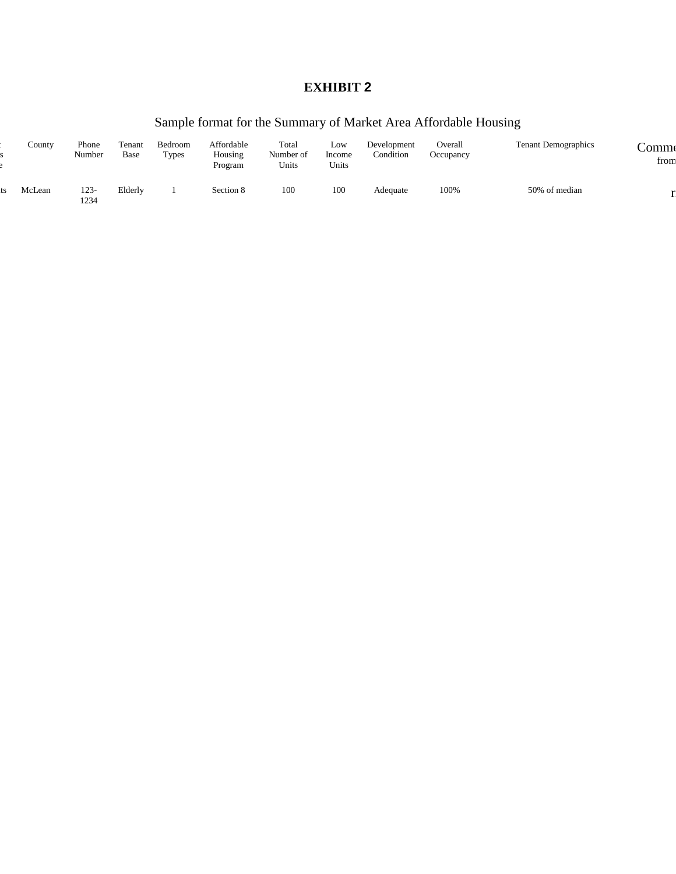# **EXHIBIT 2**

# Sample format for the Summary of Market Area Affordable Housing

| County | Phone<br>Number | Tenant<br>Base | Bedroom<br><b>Types</b> | Affordable<br>Housing<br>Program | Total<br>Number of<br>Units | LOW<br>Income<br>Units | Development<br>Condition | Overall<br>Occupancy | <b>Tenant Demographics</b> | .`omme<br>trom |
|--------|-----------------|----------------|-------------------------|----------------------------------|-----------------------------|------------------------|--------------------------|----------------------|----------------------------|----------------|
| McLean | $123 -$<br>1234 | Elderly        |                         | Section 8                        | 100                         | 100                    | Adequate                 | 100%                 | 50% of median              |                |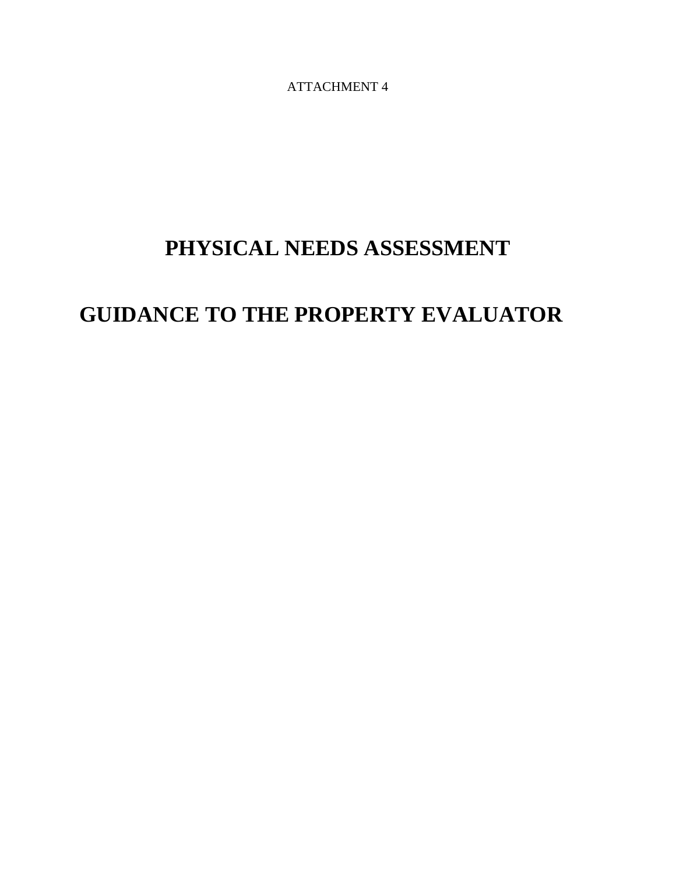ATTACHMENT 4

# **PHYSICAL NEEDS ASSESSMENT**

# **GUIDANCE TO THE PROPERTY EVALUATOR**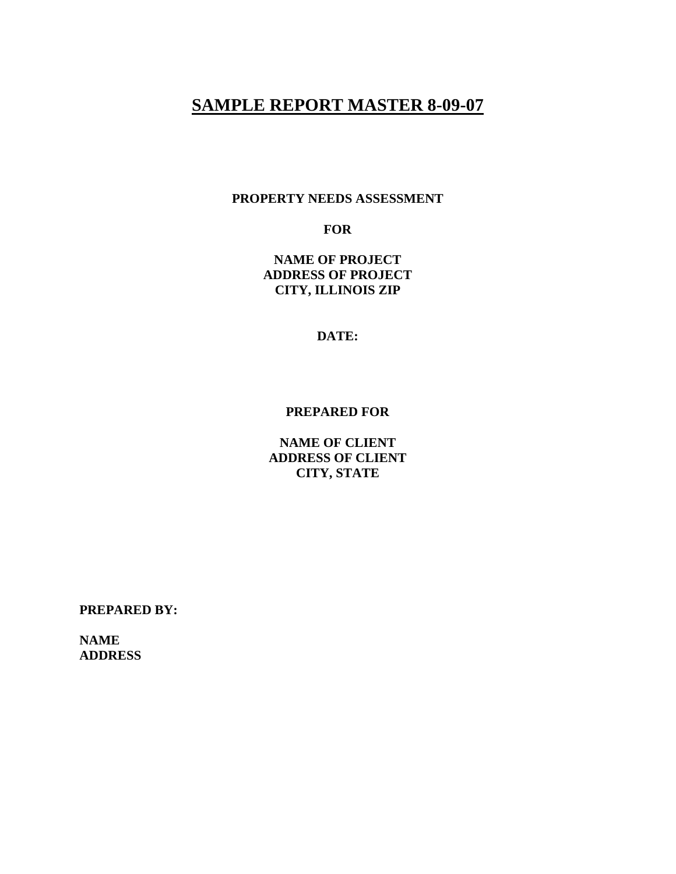# **SAMPLE REPORT MASTER 8-09-07**

#### **PROPERTY NEEDS ASSESSMENT**

#### **FOR**

**NAME OF PROJECT ADDRESS OF PROJECT CITY, ILLINOIS ZIP**

## **DATE:**

#### **PREPARED FOR**

**NAME OF CLIENT ADDRESS OF CLIENT CITY, STATE**

**PREPARED BY:**

**NAME ADDRESS**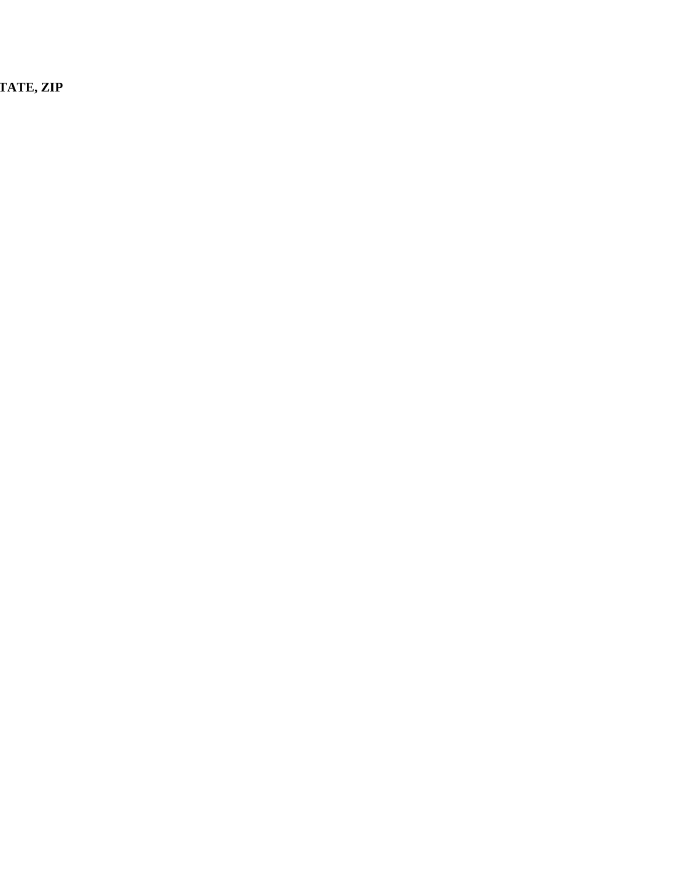**TATE, ZIP**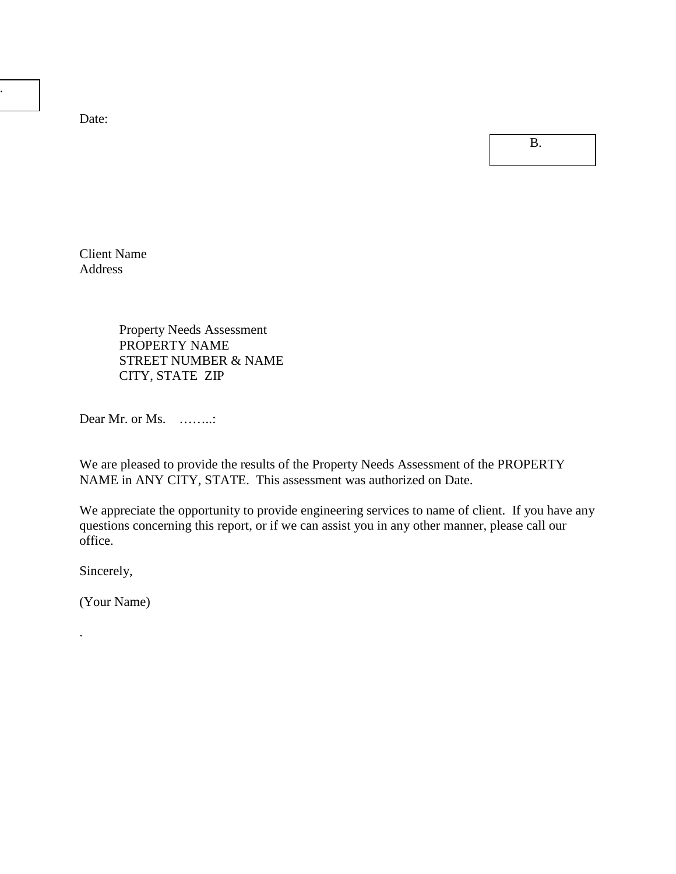B.

Client Name Address

> Property Needs Assessment PROPERTY NAME STREET NUMBER & NAME CITY, STATE ZIP

Dear Mr. or Ms. ……..:

We are pleased to provide the results of the Property Needs Assessment of the PROPERTY NAME in ANY CITY, STATE. This assessment was authorized on Date.

We appreciate the opportunity to provide engineering services to name of client. If you have any questions concerning this report, or if we can assist you in any other manner, please call our office.

Sincerely,

.

(Your Name)

Date:

.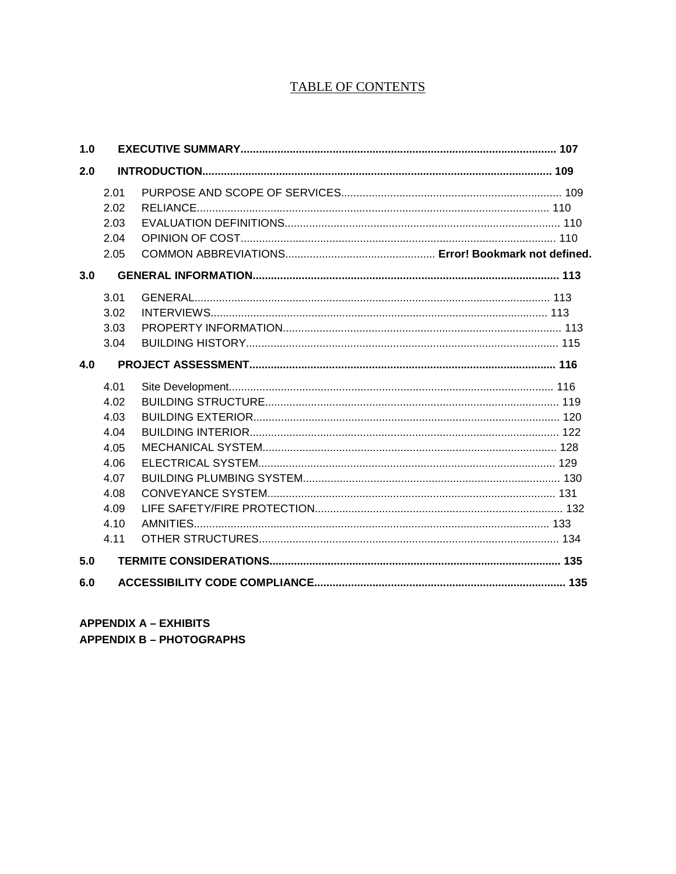## **TABLE OF CONTENTS**

| 1.0 |                                                                                      |  |
|-----|--------------------------------------------------------------------------------------|--|
| 2.0 |                                                                                      |  |
| 3.0 | 2.01<br>2.02<br>2.03<br>2.04<br>2.05                                                 |  |
|     | 3.01<br>3.02<br>3.03<br>3.04                                                         |  |
| 4.0 |                                                                                      |  |
|     | 4.01<br>4.02<br>4.03<br>4.04<br>4.05<br>4.06<br>4.07<br>4.08<br>4.09<br>4.10<br>4.11 |  |
| 5.0 |                                                                                      |  |
| 6.0 |                                                                                      |  |

**APPENDIX A - EXHIBITS APPENDIX B - PHOTOGRAPHS**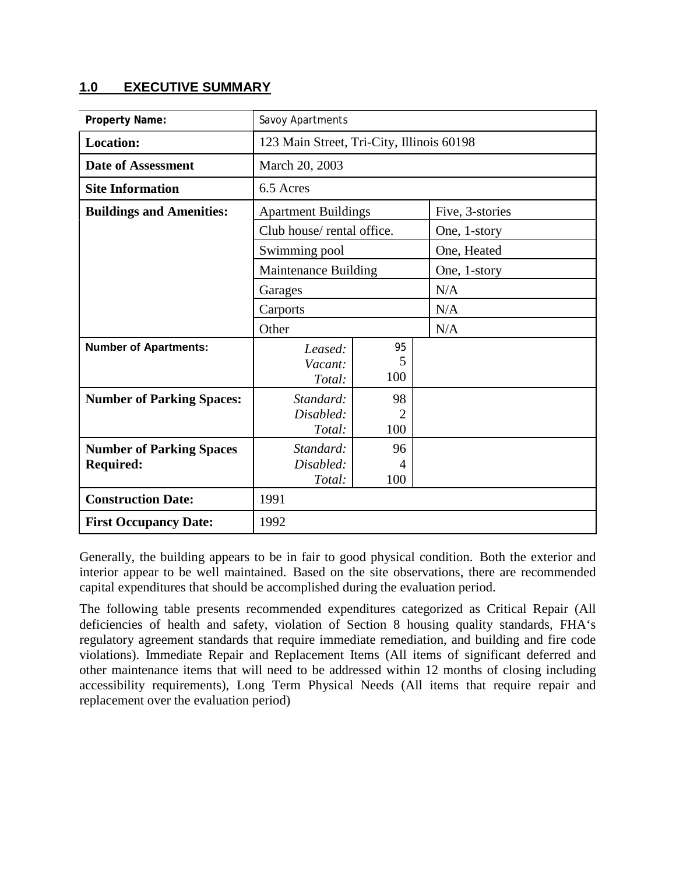# **1.0 EXECUTIVE SUMMARY**

| <b>Property Name:</b>            | Savoy Apartments                          |                      |                 |
|----------------------------------|-------------------------------------------|----------------------|-----------------|
| <b>Location:</b>                 | 123 Main Street, Tri-City, Illinois 60198 |                      |                 |
| <b>Date of Assessment</b>        | March 20, 2003                            |                      |                 |
| <b>Site Information</b>          | 6.5 Acres                                 |                      |                 |
| <b>Buildings and Amenities:</b>  | <b>Apartment Buildings</b>                |                      | Five, 3-stories |
|                                  | Club house/ rental office.                |                      | One, 1-story    |
|                                  | Swimming pool                             |                      | One, Heated     |
|                                  | Maintenance Building                      |                      | One, 1-story    |
|                                  | Garages                                   |                      | N/A             |
|                                  | Carports                                  |                      | N/A             |
|                                  | Other                                     |                      | N/A             |
| <b>Number of Apartments:</b>     | Leased:                                   | 95                   |                 |
|                                  | Vacant:                                   | 5<br>100             |                 |
|                                  | Total:                                    |                      |                 |
| <b>Number of Parking Spaces:</b> | Standard:<br>Disabled:                    | 98<br>$\overline{2}$ |                 |
|                                  | Total:                                    | 100                  |                 |
| <b>Number of Parking Spaces</b>  | Standard:                                 | 96                   |                 |
| <b>Required:</b>                 | Disabled:                                 | 4                    |                 |
|                                  | Total:                                    | 100                  |                 |
| <b>Construction Date:</b>        | 1991                                      |                      |                 |
| <b>First Occupancy Date:</b>     | 1992                                      |                      |                 |

Generally, the building appears to be in fair to good physical condition. Both the exterior and interior appear to be well maintained. Based on the site observations, there are recommended capital expenditures that should be accomplished during the evaluation period.

The following table presents recommended expenditures categorized as Critical Repair (All deficiencies of health and safety, violation of Section 8 housing quality standards, FHA's regulatory agreement standards that require immediate remediation, and building and fire code violations). Immediate Repair and Replacement Items (All items of significant deferred and other maintenance items that will need to be addressed within 12 months of closing including accessibility requirements), Long Term Physical Needs (All items that require repair and replacement over the evaluation period)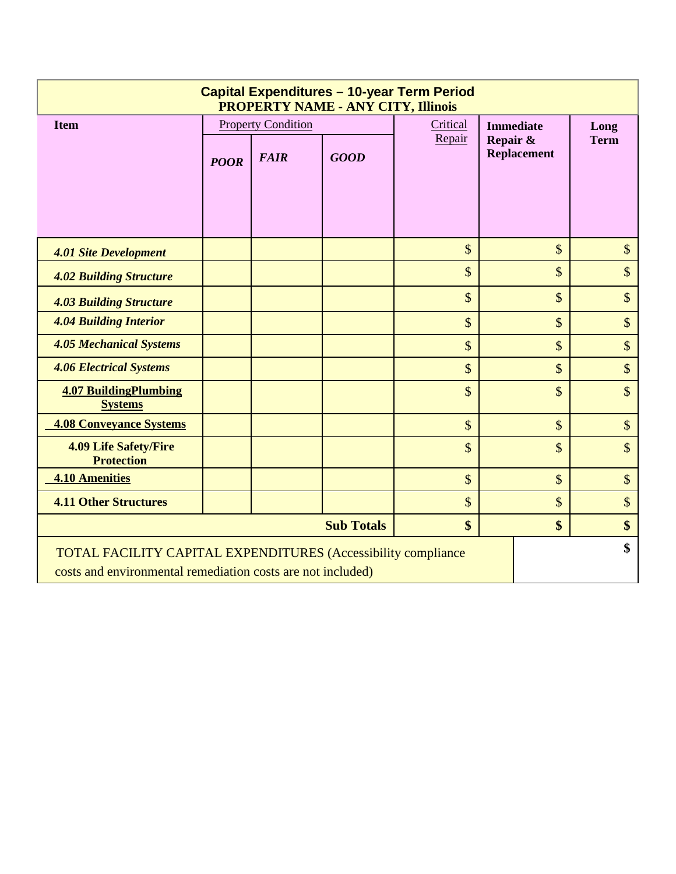| <b>Capital Expenditures - 10-year Term Period</b><br><b>PROPERTY NAME - ANY CITY, Illinois</b>                                      |             |                           |                   |               |                                |                           |  |  |  |  |
|-------------------------------------------------------------------------------------------------------------------------------------|-------------|---------------------------|-------------------|---------------|--------------------------------|---------------------------|--|--|--|--|
| <b>Item</b>                                                                                                                         |             | <b>Property Condition</b> |                   | Critical      | <b>Immediate</b>               | Long                      |  |  |  |  |
|                                                                                                                                     | <b>POOR</b> | <b>FAIR</b>               | <b>GOOD</b>       | Repair        | Repair &<br><b>Replacement</b> | <b>Term</b>               |  |  |  |  |
| <b>4.01 Site Development</b>                                                                                                        |             |                           |                   | \$            | \$                             | $\boldsymbol{\$}$         |  |  |  |  |
| <b>4.02 Building Structure</b>                                                                                                      |             |                           |                   | \$            | \$                             | $\mathsf{\$}$             |  |  |  |  |
| <b>4.03 Building Structure</b>                                                                                                      |             |                           |                   | $\mathsf{\$}$ | \$                             | $\boldsymbol{\mathsf{S}}$ |  |  |  |  |
| <b>4.04 Building Interior</b>                                                                                                       |             |                           |                   | $\mathbb{S}$  | \$                             | $\boldsymbol{\mathsf{S}}$ |  |  |  |  |
| <b>4.05 Mechanical Systems</b>                                                                                                      |             |                           |                   | \$            | \$                             | \$                        |  |  |  |  |
| <b>4.06 Electrical Systems</b>                                                                                                      |             |                           |                   | \$            | \$                             | $\boldsymbol{\mathsf{S}}$ |  |  |  |  |
| <b>4.07 BuildingPlumbing</b><br><b>Systems</b>                                                                                      |             |                           |                   | \$            | \$                             | $\mathbb{S}$              |  |  |  |  |
| <b>4.08 Conveyance Systems</b>                                                                                                      |             |                           |                   | $\mathcal{S}$ | \$                             | $\sqrt{\ }$               |  |  |  |  |
| <b>4.09 Life Safety/Fire</b><br><b>Protection</b>                                                                                   |             |                           |                   | \$            | $\mathbf{\hat{S}}$             | $\mathbb{S}$              |  |  |  |  |
| <b>4.10 Amenities</b>                                                                                                               |             |                           |                   | $\mathcal{S}$ | $\mathbf{\hat{S}}$             | $\sqrt{\ }$               |  |  |  |  |
| <b>4.11 Other Structures</b>                                                                                                        |             |                           |                   | $\mathbb{S}$  | $\mathbf{\hat{S}}$             | $\boldsymbol{\mathsf{S}}$ |  |  |  |  |
|                                                                                                                                     |             |                           | <b>Sub Totals</b> | \$            | \$                             | \$                        |  |  |  |  |
| <b>TOTAL FACILITY CAPITAL EXPENDITURES (Accessibility compliance</b><br>costs and environmental remediation costs are not included) |             | \$                        |                   |               |                                |                           |  |  |  |  |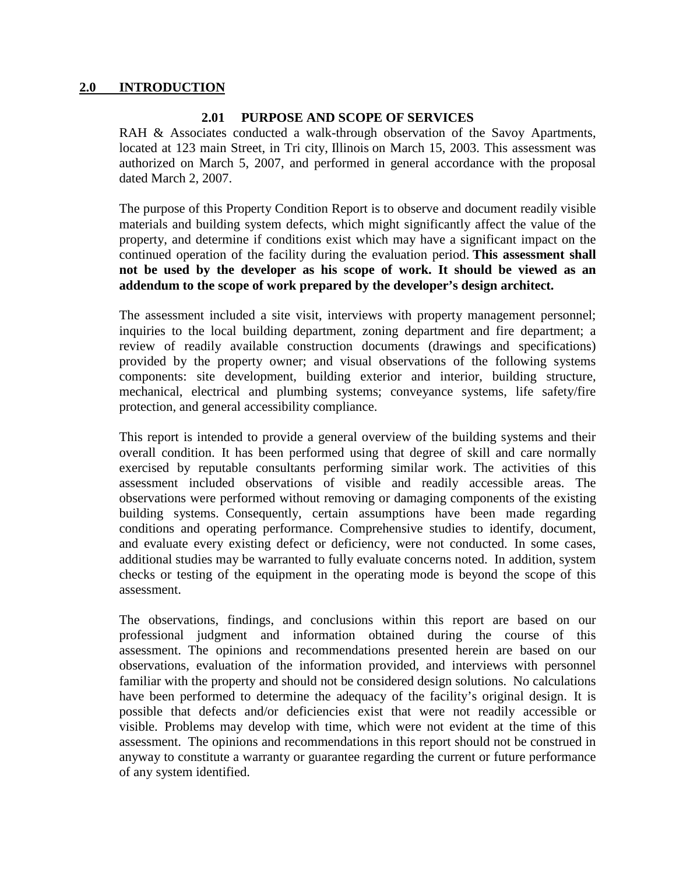#### **2.0 INTRODUCTION**

#### **2.01 PURPOSE AND SCOPE OF SERVICES**

RAH & Associates conducted a walk-through observation of the Savoy Apartments, located at 123 main Street, in Tri city, Illinois on March 15, 2003. This assessment was authorized on March 5, 2007, and performed in general accordance with the proposal dated March 2, 2007.

The purpose of this Property Condition Report is to observe and document readily visible materials and building system defects, which might significantly affect the value of the property, and determine if conditions exist which may have a significant impact on the continued operation of the facility during the evaluation period. **This assessment shall not be used by the developer as his scope of work. It should be viewed as an addendum to the scope of work prepared by the developer's design architect.**

The assessment included a site visit, interviews with property management personnel; inquiries to the local building department, zoning department and fire department; a review of readily available construction documents (drawings and specifications) provided by the property owner; and visual observations of the following systems components: site development, building exterior and interior, building structure, mechanical, electrical and plumbing systems; conveyance systems, life safety/fire protection, and general accessibility compliance.

This report is intended to provide a general overview of the building systems and their overall condition. It has been performed using that degree of skill and care normally exercised by reputable consultants performing similar work. The activities of this assessment included observations of visible and readily accessible areas. The observations were performed without removing or damaging components of the existing building systems. Consequently, certain assumptions have been made regarding conditions and operating performance. Comprehensive studies to identify, document, and evaluate every existing defect or deficiency, were not conducted. In some cases, additional studies may be warranted to fully evaluate concerns noted. In addition, system checks or testing of the equipment in the operating mode is beyond the scope of this assessment.

The observations, findings, and conclusions within this report are based on our professional judgment and information obtained during the course of this assessment. The opinions and recommendations presented herein are based on our observations, evaluation of the information provided, and interviews with personnel familiar with the property and should not be considered design solutions. No calculations have been performed to determine the adequacy of the facility's original design. It is possible that defects and/or deficiencies exist that were not readily accessible or visible. Problems may develop with time, which were not evident at the time of this assessment. The opinions and recommendations in this report should not be construed in anyway to constitute a warranty or guarantee regarding the current or future performance of any system identified.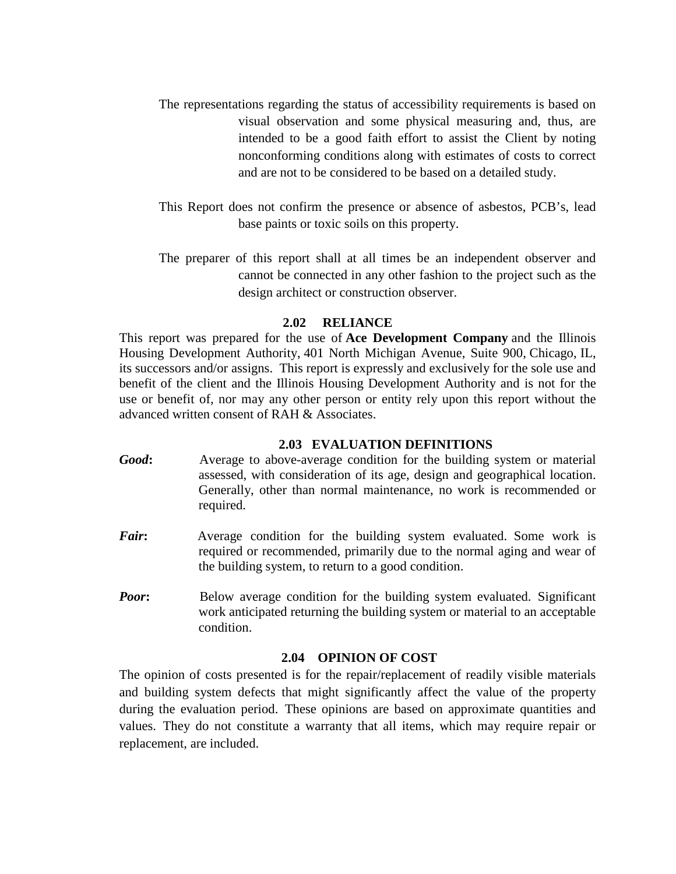- The representations regarding the status of accessibility requirements is based on visual observation and some physical measuring and, thus, are intended to be a good faith effort to assist the Client by noting nonconforming conditions along with estimates of costs to correct and are not to be considered to be based on a detailed study.
- This Report does not confirm the presence or absence of asbestos, PCB's, lead base paints or toxic soils on this property.
- The preparer of this report shall at all times be an independent observer and cannot be connected in any other fashion to the project such as the design architect or construction observer.

#### **2.02 RELIANCE**

This report was prepared for the use of **Ace Development Company** and the Illinois Housing Development Authority, 401 North Michigan Avenue, Suite 900, Chicago, IL, its successors and/or assigns. This report is expressly and exclusively for the sole use and benefit of the client and the Illinois Housing Development Authority and is not for the use or benefit of, nor may any other person or entity rely upon this report without the advanced written consent of RAH & Associates.

#### **2.03 EVALUATION DEFINITIONS**

- *Good***:** Average to above-average condition for the building system or material assessed, with consideration of its age, design and geographical location. Generally, other than normal maintenance, no work is recommended or required.
- *Fair*: Average condition for the building system evaluated. Some work is required or recommended, primarily due to the normal aging and wear of the building system, to return to a good condition.
- *Poor***:** Below average condition for the building system evaluated. Significant work anticipated returning the building system or material to an acceptable condition.

#### **2.04 OPINION OF COST**

The opinion of costs presented is for the repair/replacement of readily visible materials and building system defects that might significantly affect the value of the property during the evaluation period. These opinions are based on approximate quantities and values. They do not constitute a warranty that all items, which may require repair or replacement, are included.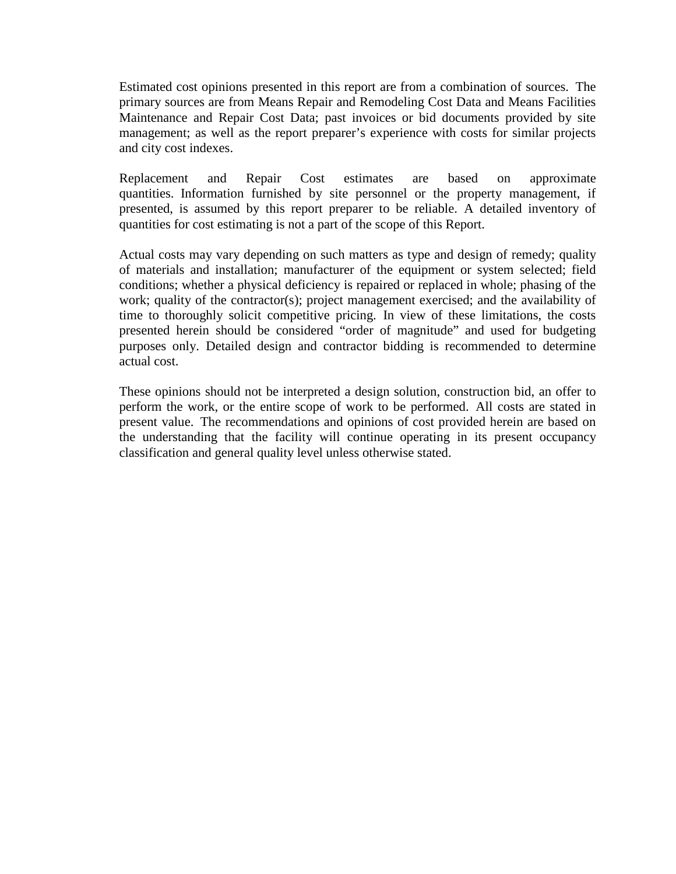Estimated cost opinions presented in this report are from a combination of sources. The primary sources are from Means Repair and Remodeling Cost Data and Means Facilities Maintenance and Repair Cost Data; past invoices or bid documents provided by site management; as well as the report preparer's experience with costs for similar projects and city cost indexes.

Replacement and Repair Cost estimates are based on approximate quantities. Information furnished by site personnel or the property management, if presented, is assumed by this report preparer to be reliable. A detailed inventory of quantities for cost estimating is not a part of the scope of this Report.

Actual costs may vary depending on such matters as type and design of remedy; quality of materials and installation; manufacturer of the equipment or system selected; field conditions; whether a physical deficiency is repaired or replaced in whole; phasing of the work; quality of the contractor(s); project management exercised; and the availability of time to thoroughly solicit competitive pricing. In view of these limitations, the costs presented herein should be considered "order of magnitude" and used for budgeting purposes only. Detailed design and contractor bidding is recommended to determine actual cost.

These opinions should not be interpreted a design solution, construction bid, an offer to perform the work, or the entire scope of work to be performed. All costs are stated in present value. The recommendations and opinions of cost provided herein are based on the understanding that the facility will continue operating in its present occupancy classification and general quality level unless otherwise stated.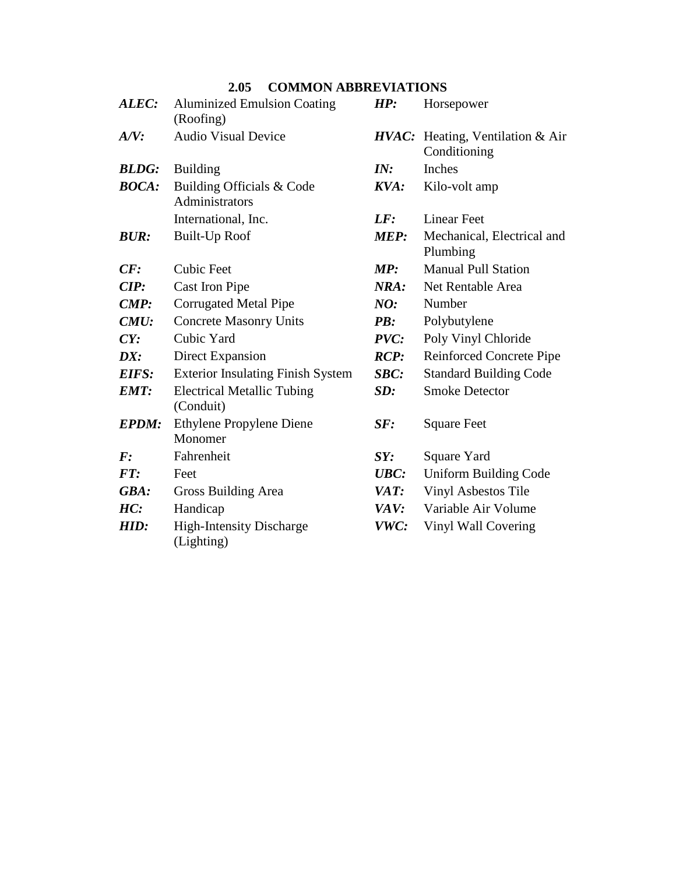### **2.05 COMMON ABBREVIATIONS**

| ALEC:              | <b>Aluminized Emulsion Coating</b><br>(Roofing) | HP:         | Horsepower                                       |
|--------------------|-------------------------------------------------|-------------|--------------------------------------------------|
| A/V:               | <b>Audio Visual Device</b>                      |             | HVAC: Heating, Ventilation & Air<br>Conditioning |
| BLDG:              | <b>Building</b>                                 | IN:         | <b>Inches</b>                                    |
| <b>BOCA:</b>       | Building Officials & Code<br>Administrators     | KVA:        | Kilo-volt amp                                    |
|                    | International, Inc.                             | LF:         | <b>Linear Feet</b>                               |
| <b>BUR:</b>        | <b>Built-Up Roof</b>                            | <b>MEP:</b> | Mechanical, Electrical and<br>Plumbing           |
| CF:                | <b>Cubic Feet</b>                               | MP:         | <b>Manual Pull Station</b>                       |
| CIP:               | <b>Cast Iron Pipe</b>                           | $NRA$ :     | Net Rentable Area                                |
| $\mathbf{CMP:}$    | <b>Corrugated Metal Pipe</b>                    | NO:         | Number                                           |
| CMU:               | <b>Concrete Masonry Units</b>                   | PB:         | Polybutylene                                     |
| CY:                | Cubic Yard                                      | PVC:        | Poly Vinyl Chloride                              |
| DX:                | Direct Expansion                                | RCP:        | <b>Reinforced Concrete Pipe</b>                  |
| <b>EIFS:</b>       | <b>Exterior Insulating Finish System</b>        | SBC:        | <b>Standard Building Code</b>                    |
| <b>EMT:</b>        | <b>Electrical Metallic Tubing</b><br>(Conduit)  | SD:         | <b>Smoke Detector</b>                            |
| <b>EPDM:</b>       | <b>Ethylene Propylene Diene</b><br>Monomer      | SF:         | <b>Square Feet</b>                               |
| $\boldsymbol{F}$ : | Fahrenheit                                      | SY:         | Square Yard                                      |
| FT:                | Feet                                            | UBC:        | <b>Uniform Building Code</b>                     |
| GBA:               | Gross Building Area                             | VAT:        | <b>Vinyl Asbestos Tile</b>                       |
| HC:                | Handicap                                        | VAV:        | Variable Air Volume                              |
| HID:               | <b>High-Intensity Discharge</b><br>(Lighting)   | VWC:        | Vinyl Wall Covering                              |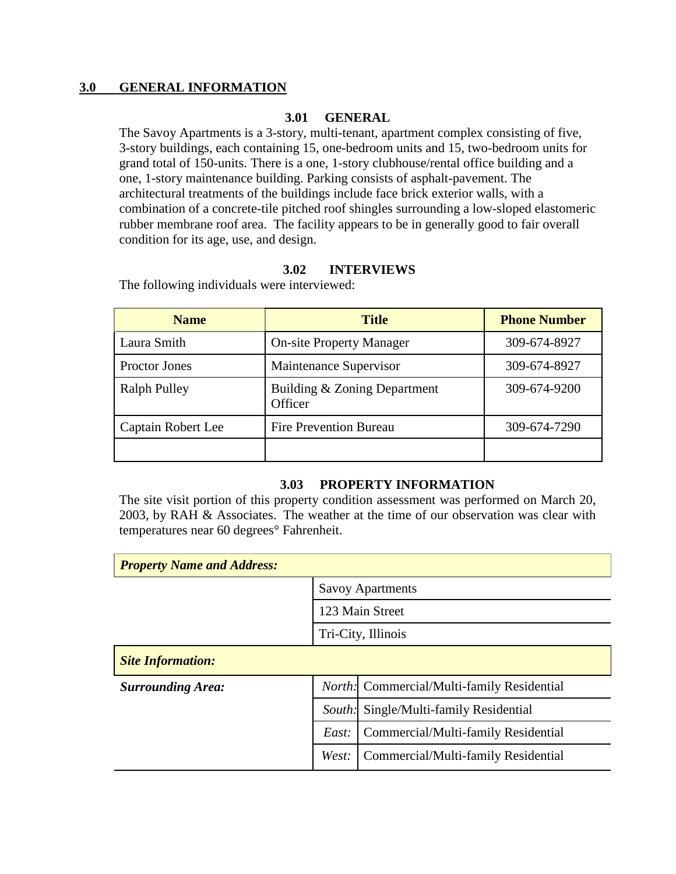#### **3.0 GENERAL INFORMATION**

#### **3.01 GENERAL**

The Savoy Apartments is a 3-story, multi-tenant, apartment complex consisting of five, 3-story buildings, each containing 15, one-bedroom units and 15, two-bedroom units for grand total of 150-units. There is a one, 1-story clubhouse/rental office building and a one, 1-story maintenance building. Parking consists of asphalt-pavement. The architectural treatments of the buildings include face brick exterior walls, with a combination of a concrete-tile pitched roof shingles surrounding a low-sloped elastomeric rubber membrane roof area. The facility appears to be in generally good to fair overall condition for its age, use, and design.

#### **3.02 INTERVIEWS**

| <b>Name</b>          | <b>Title</b>                            | <b>Phone Number</b> |
|----------------------|-----------------------------------------|---------------------|
| Laura Smith          | <b>On-site Property Manager</b>         | 309-674-8927        |
| <b>Proctor Jones</b> | Maintenance Supervisor                  | 309-674-8927        |
| <b>Ralph Pulley</b>  | Building & Zoning Department<br>Officer | 309-674-9200        |
| Captain Robert Lee   | <b>Fire Prevention Bureau</b>           | 309-674-7290        |
|                      |                                         |                     |

The following individuals were interviewed:

#### **3.03 PROPERTY INFORMATION**

The site visit portion of this property condition assessment was performed on March 20, 2003, by RAH & Associates. The weather at the time of our observation was clear with temperatures near 60 degrees° Fahrenheit.

| <b>Property Name and Address:</b> |                         |                                                   |  |  |
|-----------------------------------|-------------------------|---------------------------------------------------|--|--|
|                                   | <b>Savoy Apartments</b> |                                                   |  |  |
|                                   | 123 Main Street         |                                                   |  |  |
|                                   | Tri-City, Illinois      |                                                   |  |  |
| <b>Site Information:</b>          |                         |                                                   |  |  |
| <b>Surrounding Area:</b>          |                         | <i>North:</i> Commercial/Multi-family Residential |  |  |
|                                   |                         | South: Single/Multi-family Residential            |  |  |
|                                   | East:                   | Commercial/Multi-family Residential               |  |  |
|                                   | West:                   | Commercial/Multi-family Residential               |  |  |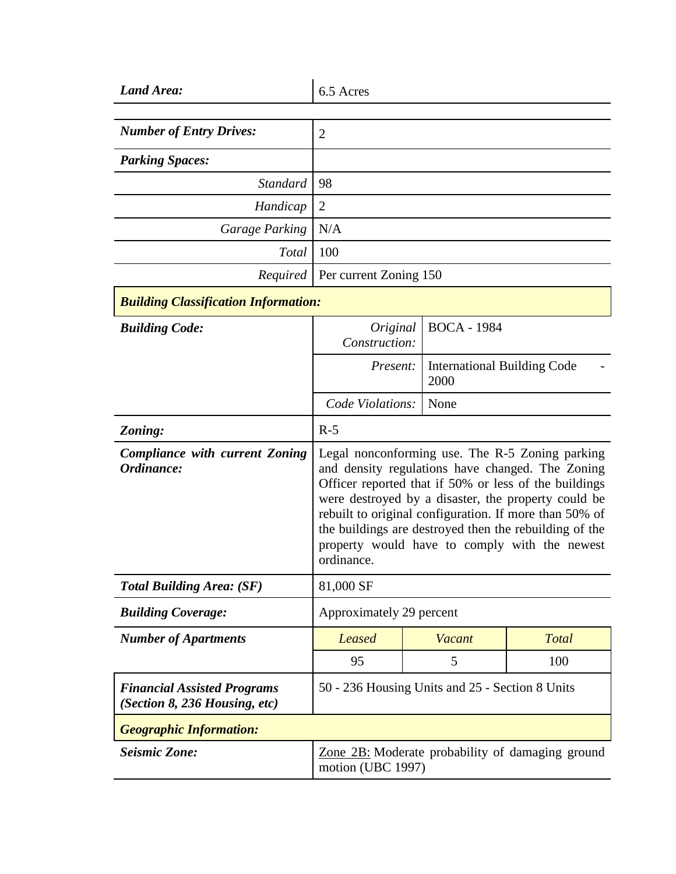| <b>Land Area:</b>                                                   | 6.5 Acres                                                                                                                                                                                                                                                                                                                                                                                              |  |                                            |              |
|---------------------------------------------------------------------|--------------------------------------------------------------------------------------------------------------------------------------------------------------------------------------------------------------------------------------------------------------------------------------------------------------------------------------------------------------------------------------------------------|--|--------------------------------------------|--------------|
|                                                                     |                                                                                                                                                                                                                                                                                                                                                                                                        |  |                                            |              |
| <b>Number of Entry Drives:</b>                                      | $\overline{2}$                                                                                                                                                                                                                                                                                                                                                                                         |  |                                            |              |
| <b>Parking Spaces:</b>                                              |                                                                                                                                                                                                                                                                                                                                                                                                        |  |                                            |              |
| <b>Standard</b>                                                     | 98                                                                                                                                                                                                                                                                                                                                                                                                     |  |                                            |              |
| Handicap                                                            | $\overline{2}$                                                                                                                                                                                                                                                                                                                                                                                         |  |                                            |              |
| <b>Garage Parking</b>                                               | N/A                                                                                                                                                                                                                                                                                                                                                                                                    |  |                                            |              |
| <b>Total</b>                                                        | 100                                                                                                                                                                                                                                                                                                                                                                                                    |  |                                            |              |
| Required                                                            | Per current Zoning 150                                                                                                                                                                                                                                                                                                                                                                                 |  |                                            |              |
| <b>Building Classification Information:</b>                         |                                                                                                                                                                                                                                                                                                                                                                                                        |  |                                            |              |
| <b>Building Code:</b>                                               | Original<br>Construction:                                                                                                                                                                                                                                                                                                                                                                              |  | <b>BOCA - 1984</b>                         |              |
|                                                                     | Present:                                                                                                                                                                                                                                                                                                                                                                                               |  | <b>International Building Code</b><br>2000 |              |
|                                                                     | Code Violations:                                                                                                                                                                                                                                                                                                                                                                                       |  | None                                       |              |
| Zoning:                                                             | $R-5$                                                                                                                                                                                                                                                                                                                                                                                                  |  |                                            |              |
| <b>Compliance with current Zoning</b><br>Ordinance:                 | Legal nonconforming use. The R-5 Zoning parking<br>and density regulations have changed. The Zoning<br>Officer reported that if 50% or less of the buildings<br>were destroyed by a disaster, the property could be<br>rebuilt to original configuration. If more than 50% of<br>the buildings are destroyed then the rebuilding of the<br>property would have to comply with the newest<br>ordinance. |  |                                            |              |
| <b>Total Building Area: (SF)</b>                                    | 81,000 SF                                                                                                                                                                                                                                                                                                                                                                                              |  |                                            |              |
| <b>Building Coverage:</b>                                           | Approximately 29 percent                                                                                                                                                                                                                                                                                                                                                                               |  |                                            |              |
| <b>Number of Apartments</b>                                         | <b>Leased</b>                                                                                                                                                                                                                                                                                                                                                                                          |  | Vacant                                     | <b>Total</b> |
|                                                                     | 95                                                                                                                                                                                                                                                                                                                                                                                                     |  | 5                                          | 100          |
| <b>Financial Assisted Programs</b><br>(Section 8, 236 Housing, etc) | 50 - 236 Housing Units and 25 - Section 8 Units                                                                                                                                                                                                                                                                                                                                                        |  |                                            |              |
| <b>Geographic Information:</b>                                      |                                                                                                                                                                                                                                                                                                                                                                                                        |  |                                            |              |
| <b>Seismic Zone:</b>                                                | Zone 2B: Moderate probability of damaging ground<br>motion (UBC 1997)                                                                                                                                                                                                                                                                                                                                  |  |                                            |              |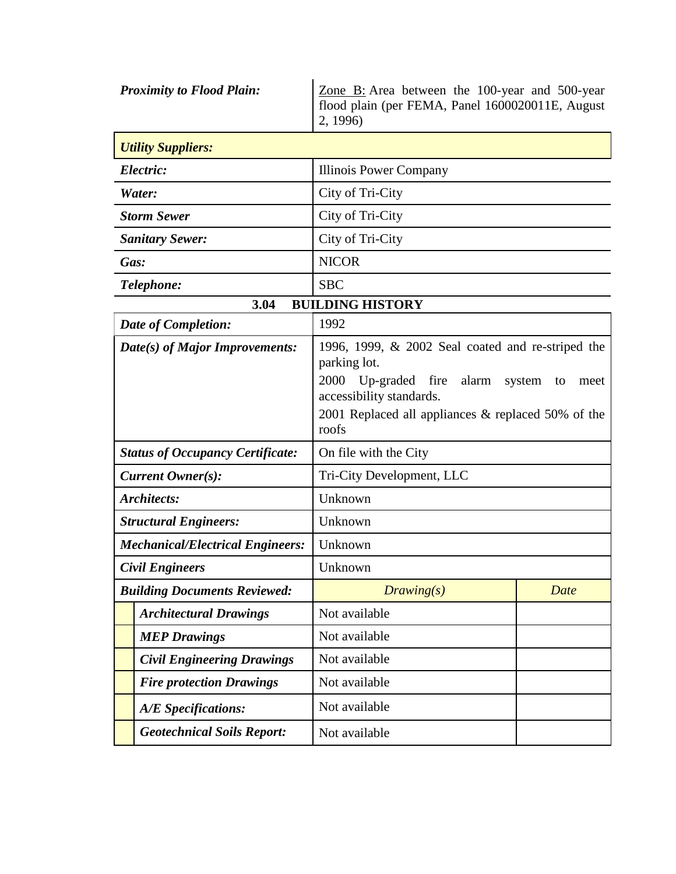| <b>Proximity to Flood Plain:</b>    |                                         | Zone B: Area between the 100-year and 500-year<br>flood plain (per FEMA, Panel 1600020011E, August<br>2, 1996)                                                                                                      |      |  |
|-------------------------------------|-----------------------------------------|---------------------------------------------------------------------------------------------------------------------------------------------------------------------------------------------------------------------|------|--|
|                                     | <b>Utility Suppliers:</b>               |                                                                                                                                                                                                                     |      |  |
|                                     | Electric:                               | Illinois Power Company                                                                                                                                                                                              |      |  |
|                                     | Water:                                  | City of Tri-City                                                                                                                                                                                                    |      |  |
|                                     | <b>Storm Sewer</b>                      | City of Tri-City                                                                                                                                                                                                    |      |  |
|                                     | <b>Sanitary Sewer:</b>                  | City of Tri-City                                                                                                                                                                                                    |      |  |
| Gas:                                |                                         | <b>NICOR</b>                                                                                                                                                                                                        |      |  |
|                                     | Telephone:                              | <b>SBC</b>                                                                                                                                                                                                          |      |  |
|                                     | 3.04                                    | <b>BUILDING HISTORY</b>                                                                                                                                                                                             |      |  |
|                                     | <b>Date of Completion:</b>              | 1992                                                                                                                                                                                                                |      |  |
| Date(s) of Major Improvements:      |                                         | 1996, 1999, $& 2002$ Seal coated and re-striped the<br>parking lot.<br>2000<br>Up-graded fire<br>alarm<br>system<br>to<br>meet<br>accessibility standards.<br>2001 Replaced all appliances $\&$ replaced 50% of the |      |  |
|                                     | roofs                                   |                                                                                                                                                                                                                     |      |  |
|                                     | <b>Status of Occupancy Certificate:</b> | On file with the City                                                                                                                                                                                               |      |  |
|                                     | Current Owner(s):                       | Tri-City Development, LLC                                                                                                                                                                                           |      |  |
|                                     | <b>Architects:</b>                      | Unknown                                                                                                                                                                                                             |      |  |
|                                     | <b>Structural Engineers:</b>            | Unknown                                                                                                                                                                                                             |      |  |
|                                     | <b>Mechanical/Electrical Engineers:</b> | Unknown                                                                                                                                                                                                             |      |  |
|                                     | <b>Civil Engineers</b>                  | Unknown                                                                                                                                                                                                             |      |  |
| <b>Building Documents Reviewed:</b> |                                         | Drawing(s)                                                                                                                                                                                                          | Date |  |
|                                     | <b>Architectural Drawings</b>           | Not available                                                                                                                                                                                                       |      |  |
|                                     | <b>MEP Drawings</b>                     | Not available                                                                                                                                                                                                       |      |  |
|                                     | <b>Civil Engineering Drawings</b>       | Not available                                                                                                                                                                                                       |      |  |
|                                     | <b>Fire protection Drawings</b>         | Not available                                                                                                                                                                                                       |      |  |
|                                     | <b>A/E</b> Specifications:              | Not available                                                                                                                                                                                                       |      |  |
|                                     | <b>Geotechnical Soils Report:</b>       | Not available                                                                                                                                                                                                       |      |  |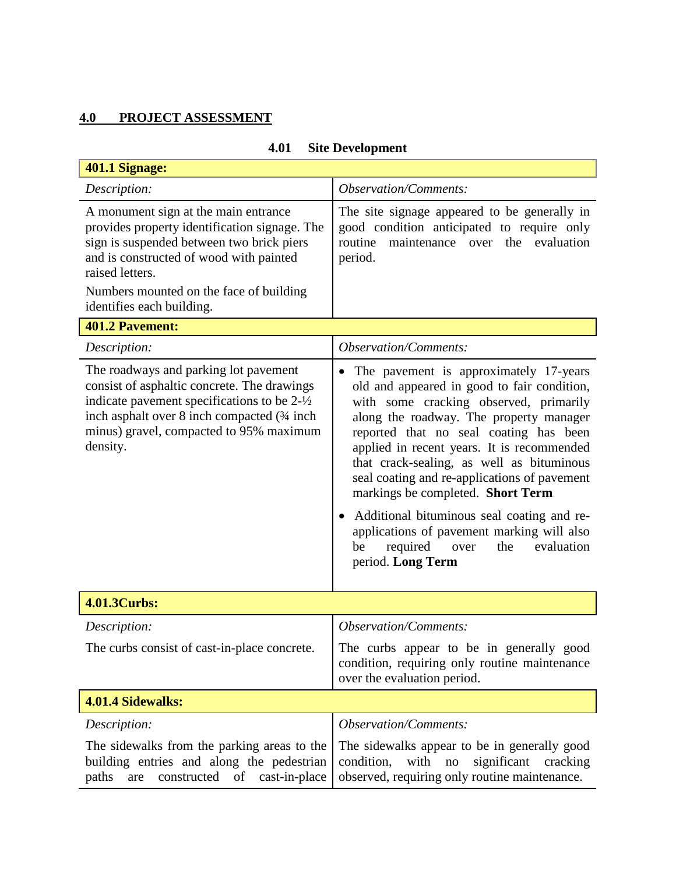# **4.0 PROJECT ASSESSMENT**

| 401.1 Signage:                                                                                                                                                                                                                                         |                                                                                                                                                                                                                                                                                                                                                                                                                                                                                                                                                                      |
|--------------------------------------------------------------------------------------------------------------------------------------------------------------------------------------------------------------------------------------------------------|----------------------------------------------------------------------------------------------------------------------------------------------------------------------------------------------------------------------------------------------------------------------------------------------------------------------------------------------------------------------------------------------------------------------------------------------------------------------------------------------------------------------------------------------------------------------|
| Description:                                                                                                                                                                                                                                           | <b>Observation/Comments:</b>                                                                                                                                                                                                                                                                                                                                                                                                                                                                                                                                         |
| A monument sign at the main entrance<br>provides property identification signage. The<br>sign is suspended between two brick piers<br>and is constructed of wood with painted<br>raised letters.<br>Numbers mounted on the face of building            | The site signage appeared to be generally in<br>good condition anticipated to require only<br>routine<br>maintenance over the<br>evaluation<br>period.                                                                                                                                                                                                                                                                                                                                                                                                               |
| identifies each building.                                                                                                                                                                                                                              |                                                                                                                                                                                                                                                                                                                                                                                                                                                                                                                                                                      |
| 401.2 Pavement:                                                                                                                                                                                                                                        |                                                                                                                                                                                                                                                                                                                                                                                                                                                                                                                                                                      |
| Description:                                                                                                                                                                                                                                           | <b>Observation/Comments:</b>                                                                                                                                                                                                                                                                                                                                                                                                                                                                                                                                         |
| The roadways and parking lot pavement<br>consist of asphaltic concrete. The drawings<br>indicate pavement specifications to be $2-\frac{1}{2}$<br>inch asphalt over 8 inch compacted (3/4 inch)<br>minus) gravel, compacted to 95% maximum<br>density. | The pavement is approximately 17-years<br>old and appeared in good to fair condition,<br>with some cracking observed, primarily<br>along the roadway. The property manager<br>reported that no seal coating has been<br>applied in recent years. It is recommended<br>that crack-sealing, as well as bituminous<br>seal coating and re-applications of pavement<br>markings be completed. Short Term<br>Additional bituminous seal coating and re-<br>applications of pavement marking will also<br>required<br>evaluation<br>the<br>be<br>over<br>period. Long Term |
| 4.01.3Curbs:                                                                                                                                                                                                                                           |                                                                                                                                                                                                                                                                                                                                                                                                                                                                                                                                                                      |
| Description:                                                                                                                                                                                                                                           | Observation/Comments:                                                                                                                                                                                                                                                                                                                                                                                                                                                                                                                                                |
| The curbs consist of cast-in-place concrete.                                                                                                                                                                                                           | The curbs appear to be in generally good<br>condition, requiring only routine maintenance<br>over the evaluation period.                                                                                                                                                                                                                                                                                                                                                                                                                                             |
| 4.01.4 Sidewalks:                                                                                                                                                                                                                                      |                                                                                                                                                                                                                                                                                                                                                                                                                                                                                                                                                                      |
| Description:                                                                                                                                                                                                                                           | <i>Observation/Comments:</i>                                                                                                                                                                                                                                                                                                                                                                                                                                                                                                                                         |
| The sidewalks from the parking areas to the<br>building entries and along the pedestrian<br>paths<br>constructed<br>cast-in-place<br>of<br>are                                                                                                         | The sidewalks appear to be in generally good<br>with<br>significant<br>condition,<br>no<br>cracking<br>observed, requiring only routine maintenance.                                                                                                                                                                                                                                                                                                                                                                                                                 |

# **4.01 Site Development**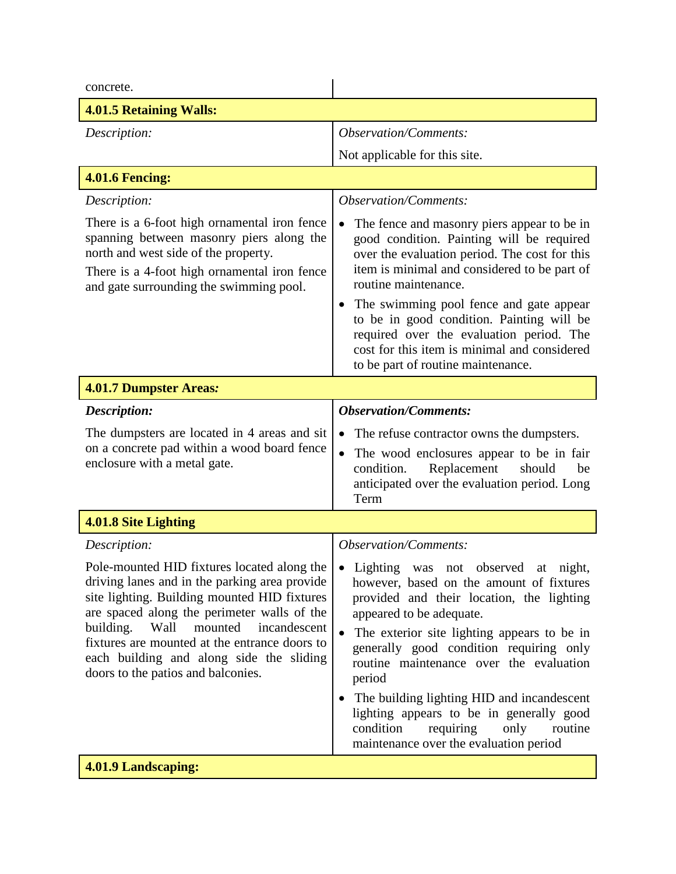| concrete.                                                                                                                                                                                                                                                                                                                                                                                                             |                                                                                                                                                                                                                                                                                                                                                                                                                                                                                                                                      |
|-----------------------------------------------------------------------------------------------------------------------------------------------------------------------------------------------------------------------------------------------------------------------------------------------------------------------------------------------------------------------------------------------------------------------|--------------------------------------------------------------------------------------------------------------------------------------------------------------------------------------------------------------------------------------------------------------------------------------------------------------------------------------------------------------------------------------------------------------------------------------------------------------------------------------------------------------------------------------|
| <b>4.01.5 Retaining Walls:</b>                                                                                                                                                                                                                                                                                                                                                                                        |                                                                                                                                                                                                                                                                                                                                                                                                                                                                                                                                      |
| Description:                                                                                                                                                                                                                                                                                                                                                                                                          | <b>Observation/Comments:</b>                                                                                                                                                                                                                                                                                                                                                                                                                                                                                                         |
|                                                                                                                                                                                                                                                                                                                                                                                                                       | Not applicable for this site.                                                                                                                                                                                                                                                                                                                                                                                                                                                                                                        |
| <b>4.01.6 Fencing:</b>                                                                                                                                                                                                                                                                                                                                                                                                |                                                                                                                                                                                                                                                                                                                                                                                                                                                                                                                                      |
| Description:                                                                                                                                                                                                                                                                                                                                                                                                          | <b>Observation/Comments:</b>                                                                                                                                                                                                                                                                                                                                                                                                                                                                                                         |
| There is a 6-foot high ornamental iron fence<br>spanning between masonry piers along the<br>north and west side of the property.<br>There is a 4-foot high ornamental iron fence<br>and gate surrounding the swimming pool.                                                                                                                                                                                           | The fence and masonry piers appear to be in<br>good condition. Painting will be required<br>over the evaluation period. The cost for this<br>item is minimal and considered to be part of<br>routine maintenance.<br>The swimming pool fence and gate appear<br>$\bullet$<br>to be in good condition. Painting will be<br>required over the evaluation period. The<br>cost for this item is minimal and considered<br>to be part of routine maintenance.                                                                             |
| 4.01.7 Dumpster Areas:                                                                                                                                                                                                                                                                                                                                                                                                |                                                                                                                                                                                                                                                                                                                                                                                                                                                                                                                                      |
| Description:                                                                                                                                                                                                                                                                                                                                                                                                          | <b>Observation/Comments:</b>                                                                                                                                                                                                                                                                                                                                                                                                                                                                                                         |
| The dumpsters are located in 4 areas and sit<br>on a concrete pad within a wood board fence<br>enclosure with a metal gate.                                                                                                                                                                                                                                                                                           | The refuse contractor owns the dumpsters.<br>$\bullet$<br>The wood enclosures appear to be in fair<br>Replacement<br>condition.<br>should<br>be<br>anticipated over the evaluation period. Long<br>Term                                                                                                                                                                                                                                                                                                                              |
| 4.01.8 Site Lighting                                                                                                                                                                                                                                                                                                                                                                                                  |                                                                                                                                                                                                                                                                                                                                                                                                                                                                                                                                      |
| Description:<br>Pole-mounted HID fixtures located along the<br>driving lanes and in the parking area provide<br>site lighting. Building mounted HID fixtures<br>are spaced along the perimeter walls of the<br>mounted<br>building.<br>Wall<br>incandescent<br>fixtures are mounted at the entrance doors to<br>each building and along side the sliding<br>doors to the patios and balconies.<br>4.01.9 Landscaping: | <b>Observation/Comments:</b><br>Lighting<br>observed<br>night,<br>was not<br>at<br>however, based on the amount of fixtures<br>provided and their location, the lighting<br>appeared to be adequate.<br>The exterior site lighting appears to be in<br>generally good condition requiring only<br>routine maintenance over the evaluation<br>period<br>The building lighting HID and incandescent<br>lighting appears to be in generally good<br>condition<br>only<br>requiring<br>routine<br>maintenance over the evaluation period |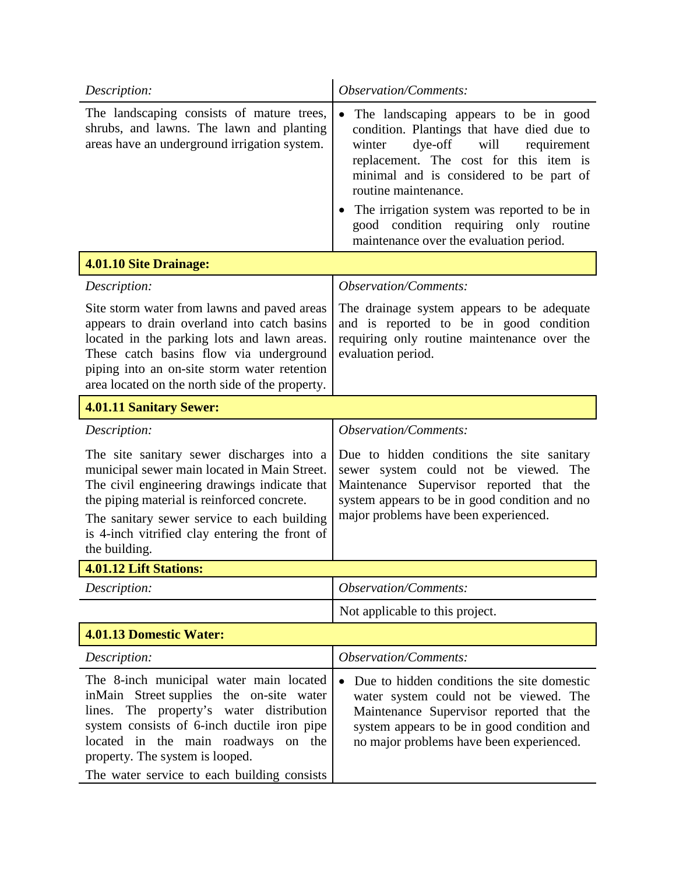| Description:                                                                                                                                                                                                                                                                                               | <b>Observation/Comments:</b>                                                                                                                                                                                                                                                                                                                                                                 |
|------------------------------------------------------------------------------------------------------------------------------------------------------------------------------------------------------------------------------------------------------------------------------------------------------------|----------------------------------------------------------------------------------------------------------------------------------------------------------------------------------------------------------------------------------------------------------------------------------------------------------------------------------------------------------------------------------------------|
| The landscaping consists of mature trees,<br>shrubs, and lawns. The lawn and planting<br>areas have an underground irrigation system.                                                                                                                                                                      | The landscaping appears to be in good<br>$\bullet$<br>condition. Plantings that have died due to<br>dye-off<br>will<br>requirement<br>winter<br>replacement. The cost for this item is<br>minimal and is considered to be part of<br>routine maintenance.<br>The irrigation system was reported to be in<br>good condition requiring only routine<br>maintenance over the evaluation period. |
| 4.01.10 Site Drainage:                                                                                                                                                                                                                                                                                     |                                                                                                                                                                                                                                                                                                                                                                                              |
| Description:                                                                                                                                                                                                                                                                                               | <b>Observation/Comments:</b>                                                                                                                                                                                                                                                                                                                                                                 |
| Site storm water from lawns and paved areas<br>appears to drain overland into catch basins<br>located in the parking lots and lawn areas.<br>These catch basins flow via underground<br>piping into an on-site storm water retention<br>area located on the north side of the property.                    | The drainage system appears to be adequate<br>and is reported to be in good condition<br>requiring only routine maintenance over the<br>evaluation period.                                                                                                                                                                                                                                   |
| 4.01.11 Sanitary Sewer:                                                                                                                                                                                                                                                                                    |                                                                                                                                                                                                                                                                                                                                                                                              |
| Description:                                                                                                                                                                                                                                                                                               | <b>Observation/Comments:</b>                                                                                                                                                                                                                                                                                                                                                                 |
| The site sanitary sewer discharges into a<br>municipal sewer main located in Main Street.<br>The civil engineering drawings indicate that<br>the piping material is reinforced concrete.<br>The sanitary sewer service to each building<br>is 4-inch vitrified clay entering the front of<br>the building. | Due to hidden conditions the site sanitary<br>sewer system could not be viewed. The<br>Maintenance Supervisor reported that the<br>system appears to be in good condition and no<br>major problems have been experienced.                                                                                                                                                                    |
| 4.01.12 Lift Stations:                                                                                                                                                                                                                                                                                     |                                                                                                                                                                                                                                                                                                                                                                                              |
| Description:                                                                                                                                                                                                                                                                                               | <b>Observation/Comments:</b>                                                                                                                                                                                                                                                                                                                                                                 |
|                                                                                                                                                                                                                                                                                                            | Not applicable to this project.                                                                                                                                                                                                                                                                                                                                                              |
| 4.01.13 Domestic Water:                                                                                                                                                                                                                                                                                    |                                                                                                                                                                                                                                                                                                                                                                                              |
| Description:                                                                                                                                                                                                                                                                                               | <b>Observation/Comments:</b>                                                                                                                                                                                                                                                                                                                                                                 |
| The 8-inch municipal water main located<br>inMain Street supplies the on-site water<br>lines. The property's water distribution<br>system consists of 6-inch ductile iron pipe<br>located in the main roadways on the<br>property. The system is looped.<br>The water service to each building consists    | Due to hidden conditions the site domestic<br>water system could not be viewed. The<br>Maintenance Supervisor reported that the<br>system appears to be in good condition and<br>no major problems have been experienced.                                                                                                                                                                    |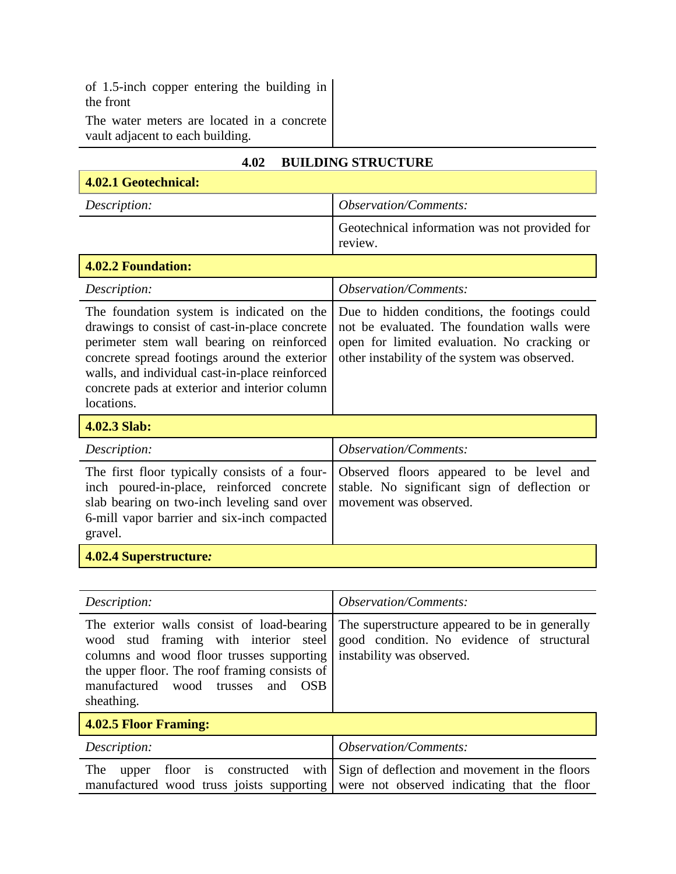of 1.5-inch copper entering the building in the front

The water meters are located in a concrete vault adjacent to each building.

#### **4.02 BUILDING STRUCTURE**

#### **4.02.1 Geotechnical:**

| Description: | <i>Observation/Comments:</i>                             |
|--------------|----------------------------------------------------------|
|              | Geotechnical information was not provided for<br>review. |

#### **4.02.2 Foundation:**

| Description:                                                                                                                                                                                                | Observation/Comments:                                                                                                                                                                                                                                                          |
|-------------------------------------------------------------------------------------------------------------------------------------------------------------------------------------------------------------|--------------------------------------------------------------------------------------------------------------------------------------------------------------------------------------------------------------------------------------------------------------------------------|
| concrete spread footings around the exterior other instability of the system was observed.<br>walls, and individual cast-in-place reinforced<br>concrete pads at exterior and interior column<br>locations. | The foundation system is indicated on the Due to hidden conditions, the footings could<br>drawings to consist of cast-in-place concrete   not be evaluated. The foundation walls were<br>perimeter stem wall bearing on reinforced open for limited evaluation. No cracking or |

#### **4.02.3 Slab:** *Description: Observation/Comments:* The first floor typically consists of a fourinch poured-in-place, reinforced concrete slab bearing on two-inch leveling sand over 6-mill vapor barrier and six-inch compacted gravel. Observed floors appeared to be level and stable. No significant sign of deflection or movement was observed. **4.02.4 Superstructure***:*

| Description:                                                                                                                                                                                                                                   | <i><b>Observation/Comments:</b></i>                                                                                                    |  |
|------------------------------------------------------------------------------------------------------------------------------------------------------------------------------------------------------------------------------------------------|----------------------------------------------------------------------------------------------------------------------------------------|--|
| The exterior walls consist of load-bearing<br>wood stud framing with interior steel<br>columns and wood floor trusses supporting<br>the upper floor. The roof framing consists of<br>manufactured wood trusses and<br><b>OSB</b><br>sheathing. | The superstructure appeared to be in generally<br>good condition. No evidence of structural<br>instability was observed.               |  |
| <b>4.02.5 Floor Framing:</b>                                                                                                                                                                                                                   |                                                                                                                                        |  |
| Description:                                                                                                                                                                                                                                   | Observation/Comments:                                                                                                                  |  |
| with<br>The<br>floor is constructed<br>upper                                                                                                                                                                                                   | Sign of deflection and movement in the floors<br>manufactured wood truss joists supporting were not observed indicating that the floor |  |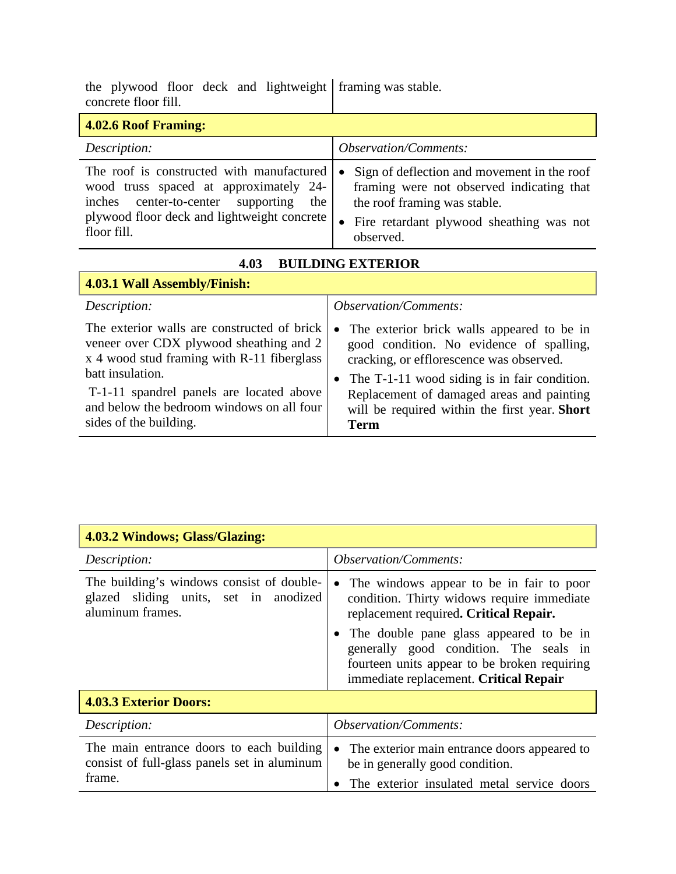the plywood floor deck and lightweight concrete floor fill. framing was stable.

| <b>4.02.6 Roof Framing:</b>                                                                                                                                                                          |                                                                                                                                                                                                             |
|------------------------------------------------------------------------------------------------------------------------------------------------------------------------------------------------------|-------------------------------------------------------------------------------------------------------------------------------------------------------------------------------------------------------------|
| Description:                                                                                                                                                                                         | <i>Observation/Comments:</i>                                                                                                                                                                                |
| The roof is constructed with manufactured<br>wood truss spaced at approximately 24-<br>center-to-center<br>supporting<br>inches<br>the<br>plywood floor deck and lightweight concrete<br>floor fill. | Sign of deflection and movement in the roof<br>$\bullet$<br>framing were not observed indicating that<br>the roof framing was stable.<br>Fire retardant plywood sheathing was not<br>$\bullet$<br>observed. |

| 4.03 | <b>BUILDING EXTERIOR</b> |
|------|--------------------------|
|------|--------------------------|

| 4.03.1 Wall Assembly/Finish:                                                                                                                                                                                                                                                |                                                                                                                                                                                                                                                                                          |  |  |
|-----------------------------------------------------------------------------------------------------------------------------------------------------------------------------------------------------------------------------------------------------------------------------|------------------------------------------------------------------------------------------------------------------------------------------------------------------------------------------------------------------------------------------------------------------------------------------|--|--|
| Description:                                                                                                                                                                                                                                                                | <i>Observation/Comments:</i>                                                                                                                                                                                                                                                             |  |  |
| The exterior walls are constructed of brick<br>veneer over CDX plywood sheathing and 2<br>x 4 wood stud framing with R-11 fiberglass<br>batt insulation.<br>T-1-11 spandrel panels are located above<br>and below the bedroom windows on all four<br>sides of the building. | The exterior brick walls appeared to be in<br>good condition. No evidence of spalling,<br>cracking, or efflorescence was observed.<br>The T-1-11 wood siding is in fair condition.<br>Replacement of damaged areas and painting<br>will be required within the first year. Short<br>Term |  |  |

| 4.03.2 Windows; Glass/Glazing:                                                                                                                                                           |  |  |
|------------------------------------------------------------------------------------------------------------------------------------------------------------------------------------------|--|--|
| <b>Observation/Comments:</b>                                                                                                                                                             |  |  |
| The windows appear to be in fair to poor<br>$\bullet$<br>condition. Thirty widows require immediate<br>replacement required. Critical Repair.                                            |  |  |
| The double pane glass appeared to be in<br>$\bullet$<br>generally good condition. The seals in<br>fourteen units appear to be broken requiring<br>immediate replacement. Critical Repair |  |  |
| <b>4.03.3 Exterior Doors:</b>                                                                                                                                                            |  |  |
| <i><b>Observation/Comments:</b></i>                                                                                                                                                      |  |  |
| The exterior main entrance doors appeared to<br>$\bullet$<br>be in generally good condition.<br>The exterior insulated metal service doors                                               |  |  |
| glazed sliding units, set in anodized                                                                                                                                                    |  |  |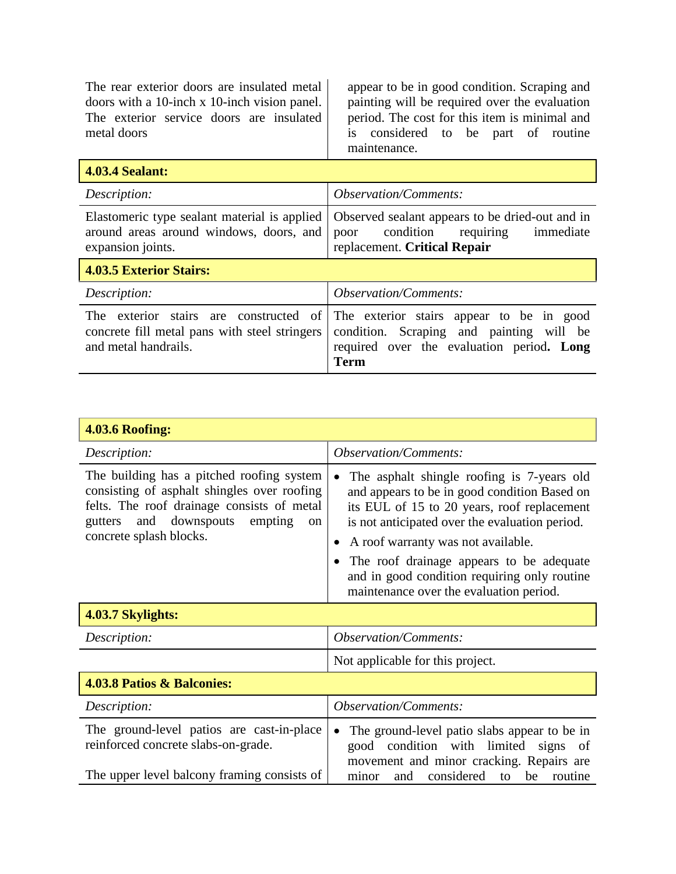The rear exterior doors are insulated metal doors with a 10-inch x 10-inch vision panel. The exterior service doors are insulated metal doors

appear to be in good condition. Scraping and painting will be required over the evaluation period. The cost for this item is minimal and is considered to be part of routine maintenance.

٦

| <b>4.03.4 Sealant:</b>                                                                                          |                                                                                                                                                  |  |  |
|-----------------------------------------------------------------------------------------------------------------|--------------------------------------------------------------------------------------------------------------------------------------------------|--|--|
| Description:                                                                                                    | <i>Observation/Comments:</i>                                                                                                                     |  |  |
| Elastomeric type sealant material is applied<br>around areas around windows, doors, and<br>expansion joints.    | Observed sealant appears to be dried-out and in<br>condition<br>requiring<br>immediate<br>poor<br>replacement. Critical Repair                   |  |  |
| <b>4.03.5 Exterior Stairs:</b>                                                                                  |                                                                                                                                                  |  |  |
| Description:                                                                                                    | <b>Observation/Comments:</b>                                                                                                                     |  |  |
| The exterior stairs are constructed of<br>concrete fill metal pans with steel stringers<br>and metal handrails. | The exterior stairs appear to be in good<br>condition. Scraping and painting will be<br>required over the evaluation period. Long<br><b>Term</b> |  |  |

| <b>4.03.6 Roofing:</b>                                                                                                                                                                                             |                                                                                                                                                                                                                                                                                                                                                                          |  |  |
|--------------------------------------------------------------------------------------------------------------------------------------------------------------------------------------------------------------------|--------------------------------------------------------------------------------------------------------------------------------------------------------------------------------------------------------------------------------------------------------------------------------------------------------------------------------------------------------------------------|--|--|
| Description:                                                                                                                                                                                                       | <i><b>Observation/Comments:</b></i>                                                                                                                                                                                                                                                                                                                                      |  |  |
| The building has a pitched roofing system<br>consisting of asphalt shingles over roofing<br>felts. The roof drainage consists of metal<br>downspouts<br>empting<br>gutters<br>and<br>on<br>concrete splash blocks. | The asphalt shingle roofing is 7-years old<br>and appears to be in good condition Based on<br>its EUL of 15 to 20 years, roof replacement<br>is not anticipated over the evaluation period.<br>A roof warranty was not available.<br>The roof drainage appears to be adequate<br>and in good condition requiring only routine<br>maintenance over the evaluation period. |  |  |
| 4.03.7 Skylights:                                                                                                                                                                                                  |                                                                                                                                                                                                                                                                                                                                                                          |  |  |
| Description:                                                                                                                                                                                                       | <i><b>Observation/Comments:</b></i>                                                                                                                                                                                                                                                                                                                                      |  |  |
|                                                                                                                                                                                                                    | Not applicable for this project.                                                                                                                                                                                                                                                                                                                                         |  |  |
| 4.03.8 Patios & Balconies:                                                                                                                                                                                         |                                                                                                                                                                                                                                                                                                                                                                          |  |  |
| Description:                                                                                                                                                                                                       | <b>Observation/Comments:</b>                                                                                                                                                                                                                                                                                                                                             |  |  |

|                                             | The ground-level patios are cast-in-place $\bullet$ The ground-level patio slabs appear to be in |
|---------------------------------------------|--------------------------------------------------------------------------------------------------|
| reinforced concrete slabs-on-grade.         | good condition with limited signs of                                                             |
|                                             | movement and minor cracking. Repairs are                                                         |
| The upper level balcony framing consists of | minor and considered to be<br>routine                                                            |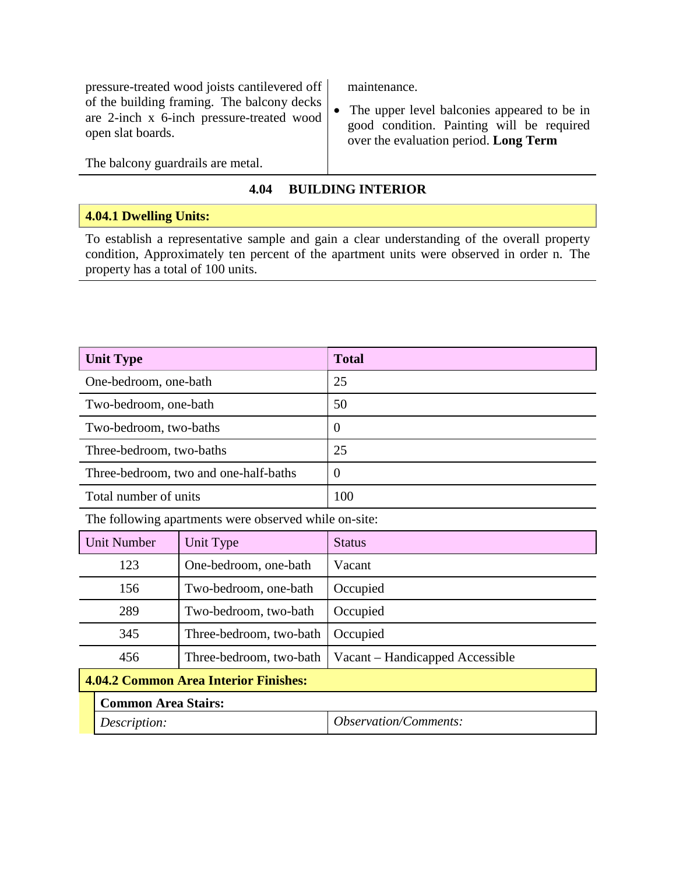pressure-treated wood joists cantilevered off of the building framing. The balcony decks are 2-inch x 6-inch pressure-treated wood open slat boards.

The balcony guardrails are metal.

maintenance.

• The upper level balconies appeared to be in good condition. Painting will be required over the evaluation period. **Long Term**

#### **4.04 BUILDING INTERIOR**

#### **4.04.1 Dwelling Units:**

To establish a representative sample and gain a clear understanding of the overall property condition, Approximately ten percent of the apartment units were observed in order n. The property has a total of 100 units.

| <b>Unit Type</b>                                      |                            |                                       | <b>Total</b>                    |
|-------------------------------------------------------|----------------------------|---------------------------------------|---------------------------------|
| One-bedroom, one-bath                                 |                            |                                       | 25                              |
|                                                       | Two-bedroom, one-bath      |                                       | 50                              |
|                                                       | Two-bedroom, two-baths     |                                       | $\theta$                        |
|                                                       | Three-bedroom, two-baths   |                                       | 25                              |
|                                                       |                            | Three-bedroom, two and one-half-baths | $\overline{0}$                  |
|                                                       | Total number of units      |                                       | 100                             |
| The following apartments were observed while on-site: |                            |                                       |                                 |
|                                                       | <b>Unit Number</b>         | Unit Type                             | <b>Status</b>                   |
|                                                       | 123                        | One-bedroom, one-bath                 | Vacant                          |
|                                                       | 156                        | Two-bedroom, one-bath                 | Occupied                        |
|                                                       | 289                        | Two-bedroom, two-bath                 | Occupied                        |
| 345<br>Three-bedroom, two-bath                        |                            |                                       | Occupied                        |
| 456<br>Three-bedroom, two-bath                        |                            |                                       | Vacant - Handicapped Accessible |
| <b>4.04.2 Common Area Interior Finishes:</b>          |                            |                                       |                                 |
|                                                       | <b>Common Area Stairs:</b> |                                       |                                 |
|                                                       | Description:               |                                       | <b>Observation/Comments:</b>    |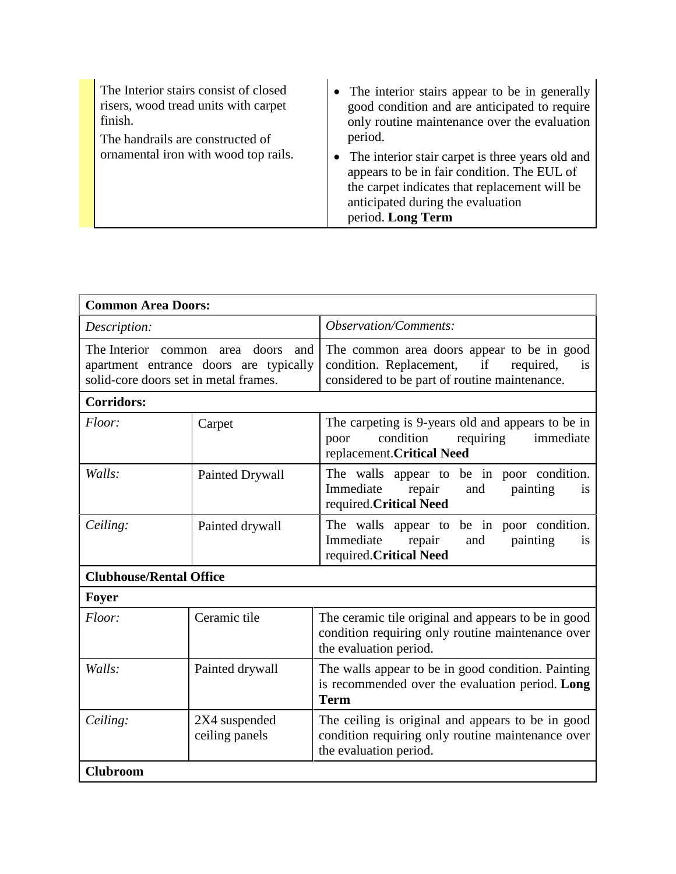| The Interior stairs consist of closed<br>risers, wood tread units with carpet<br>finish.<br>The handrails are constructed of<br>ornamental iron with wood top rails. | • The interior stairs appear to be in generally<br>good condition and are anticipated to require<br>only routine maintenance over the evaluation<br>period.                                                |
|----------------------------------------------------------------------------------------------------------------------------------------------------------------------|------------------------------------------------------------------------------------------------------------------------------------------------------------------------------------------------------------|
|                                                                                                                                                                      | The interior stair carpet is three years old and<br>appears to be in fair condition. The EUL of<br>the carpet indicates that replacement will be<br>anticipated during the evaluation<br>period. Long Term |

| <b>Common Area Doors:</b>                                                                                                      |                                 |                                                                                                                                                        |  |
|--------------------------------------------------------------------------------------------------------------------------------|---------------------------------|--------------------------------------------------------------------------------------------------------------------------------------------------------|--|
| Description:                                                                                                                   |                                 | <b>Observation/Comments:</b>                                                                                                                           |  |
| The Interior<br>doors<br>and<br>common area<br>apartment entrance doors are typically<br>solid-core doors set in metal frames. |                                 | The common area doors appear to be in good<br>if<br>condition. Replacement,<br>required,<br><i>is</i><br>considered to be part of routine maintenance. |  |
| <b>Corridors:</b>                                                                                                              |                                 |                                                                                                                                                        |  |
| Floor:                                                                                                                         | Carpet                          | The carpeting is 9-years old and appears to be in<br>condition<br>requiring<br>immediate<br>poor<br>replacement. Critical Need                         |  |
| Walls:                                                                                                                         | Painted Drywall                 | The walls appear to be in poor condition.<br>Immediate<br>repair<br>and<br>painting<br><i>is</i><br>required.Critical Need                             |  |
| Ceiling:                                                                                                                       | Painted drywall                 | The walls appear to be in poor condition.<br>Immediate<br>repair<br>and<br>painting<br>is<br>required.Critical Need                                    |  |
| <b>Clubhouse/Rental Office</b>                                                                                                 |                                 |                                                                                                                                                        |  |
| <b>Foyer</b>                                                                                                                   |                                 |                                                                                                                                                        |  |
| Floor:                                                                                                                         | Ceramic tile                    | The ceramic tile original and appears to be in good<br>condition requiring only routine maintenance over<br>the evaluation period.                     |  |
| Walls:                                                                                                                         | Painted drywall                 | The walls appear to be in good condition. Painting<br>is recommended over the evaluation period. Long<br><b>Term</b>                                   |  |
| Ceiling:                                                                                                                       | 2X4 suspended<br>ceiling panels | The ceiling is original and appears to be in good<br>condition requiring only routine maintenance over<br>the evaluation period.                       |  |
| <b>Clubroom</b>                                                                                                                |                                 |                                                                                                                                                        |  |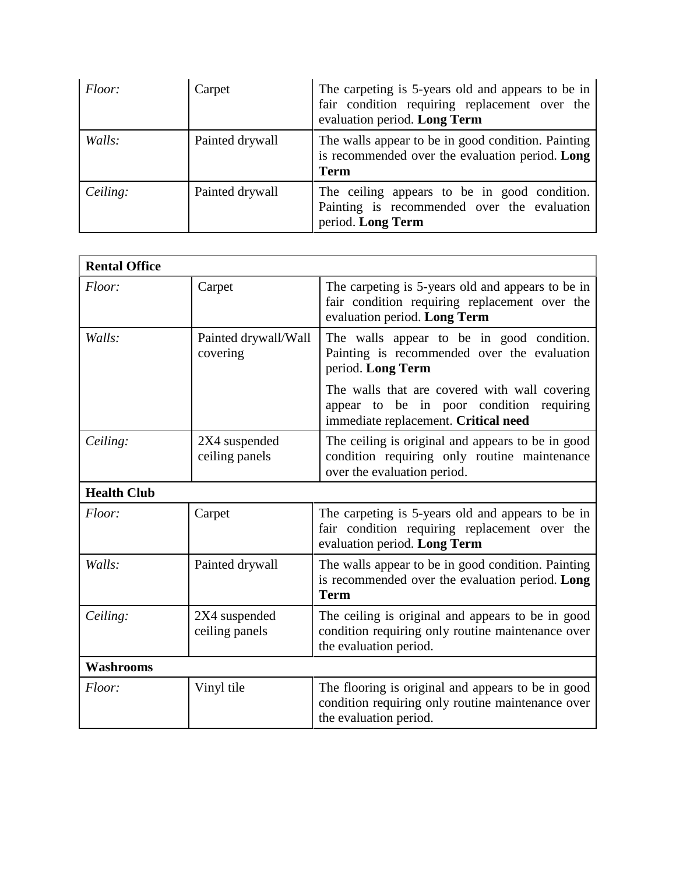| Floor:   | Carpet          | The carpeting is 5-years old and appears to be in<br>fair condition requiring replacement over the<br>evaluation period. Long Term |
|----------|-----------------|------------------------------------------------------------------------------------------------------------------------------------|
| Walls:   | Painted drywall | The walls appear to be in good condition. Painting<br>is recommended over the evaluation period. Long<br>Term                      |
| Ceiling: | Painted drywall | The ceiling appears to be in good condition.<br>Painting is recommended over the evaluation<br>period. Long Term                   |

| <b>Rental Office</b> |                                  |                                                                                                                                                                                                                                                    |
|----------------------|----------------------------------|----------------------------------------------------------------------------------------------------------------------------------------------------------------------------------------------------------------------------------------------------|
| Floor:               | Carpet                           | The carpeting is 5-years old and appears to be in<br>fair condition requiring replacement over the<br>evaluation period. Long Term                                                                                                                 |
| Walls:               | Painted drywall/Wall<br>covering | The walls appear to be in good condition.<br>Painting is recommended over the evaluation<br>period. Long Term<br>The walls that are covered with wall covering<br>appear to be in poor condition requiring<br>immediate replacement. Critical need |
| Ceiling:             | 2X4 suspended<br>ceiling panels  | The ceiling is original and appears to be in good<br>condition requiring only routine maintenance<br>over the evaluation period.                                                                                                                   |
| <b>Health Club</b>   |                                  |                                                                                                                                                                                                                                                    |
| Floor:               | Carpet                           | The carpeting is 5-years old and appears to be in<br>fair condition requiring replacement over the<br>evaluation period. Long Term                                                                                                                 |
| Walls:               | Painted drywall                  | The walls appear to be in good condition. Painting<br>is recommended over the evaluation period. Long<br><b>Term</b>                                                                                                                               |
| Ceiling:             | 2X4 suspended<br>ceiling panels  | The ceiling is original and appears to be in good<br>condition requiring only routine maintenance over<br>the evaluation period.                                                                                                                   |
| <b>Washrooms</b>     |                                  |                                                                                                                                                                                                                                                    |
| Floor:               | Vinyl tile                       | The flooring is original and appears to be in good<br>condition requiring only routine maintenance over<br>the evaluation period.                                                                                                                  |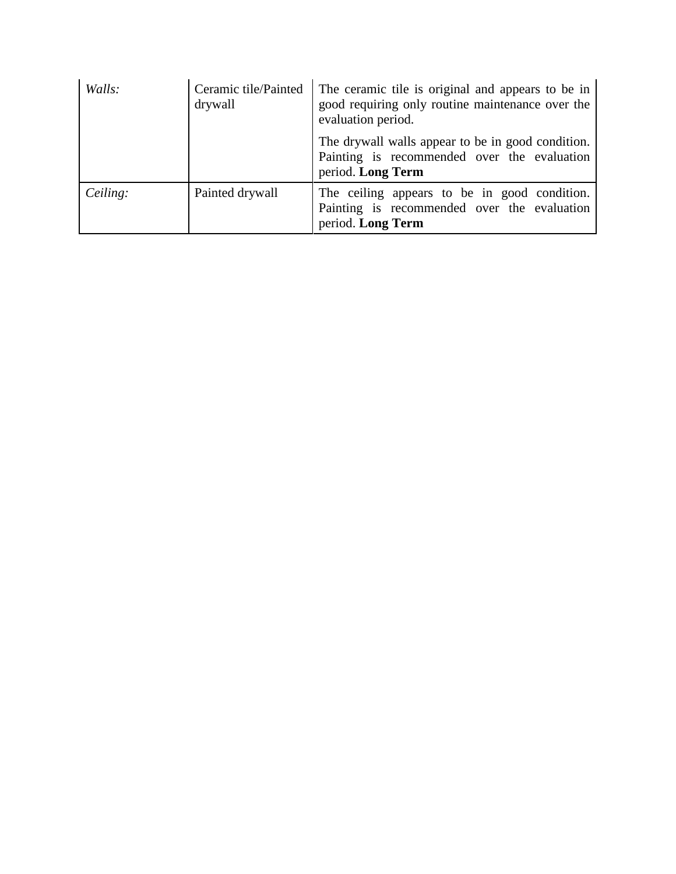| Walls:   | Ceramic tile/Painted<br>drywall | The ceramic tile is original and appears to be in<br>good requiring only routine maintenance over the<br>evaluation period.<br>The drywall walls appear to be in good condition.<br>Painting is recommended over the evaluation<br>period. Long Term |
|----------|---------------------------------|------------------------------------------------------------------------------------------------------------------------------------------------------------------------------------------------------------------------------------------------------|
| Ceiling: | Painted drywall                 | The ceiling appears to be in good condition.<br>Painting is recommended over the evaluation<br>period. Long Term                                                                                                                                     |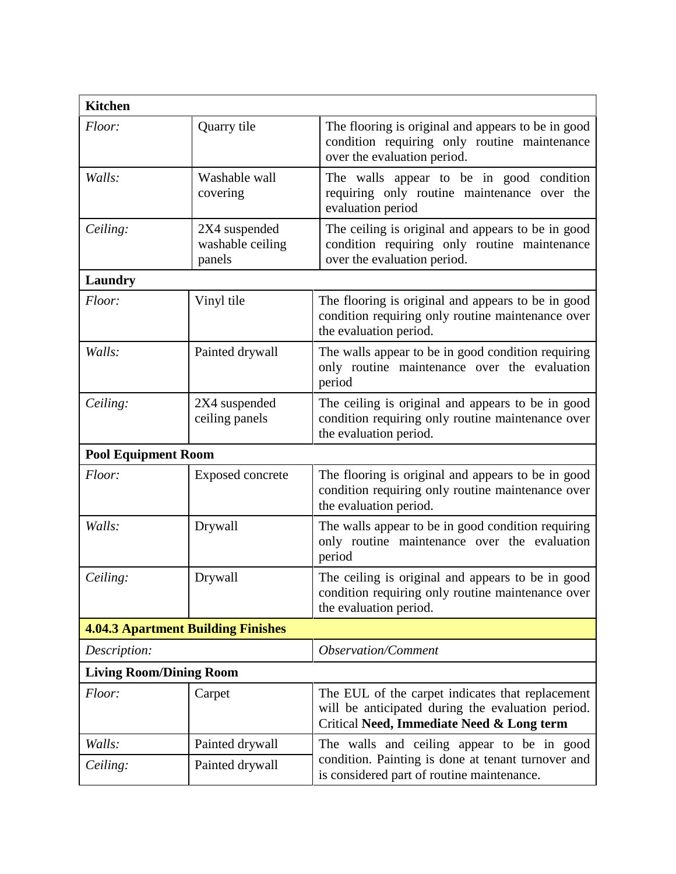| <b>Kitchen</b>                            |                                             |                                                                                                                                                    |  |  |
|-------------------------------------------|---------------------------------------------|----------------------------------------------------------------------------------------------------------------------------------------------------|--|--|
| Floor:                                    | Quarry tile                                 | The flooring is original and appears to be in good<br>condition requiring only routine maintenance<br>over the evaluation period.                  |  |  |
| Walls:                                    | Washable wall<br>covering                   | The walls appear to be in good condition<br>requiring only routine maintenance over the<br>evaluation period                                       |  |  |
| Ceiling:                                  | 2X4 suspended<br>washable ceiling<br>panels | The ceiling is original and appears to be in good<br>condition requiring only routine maintenance<br>over the evaluation period.                   |  |  |
| Laundry                                   |                                             |                                                                                                                                                    |  |  |
| Floor:                                    | Vinyl tile                                  | The flooring is original and appears to be in good<br>condition requiring only routine maintenance over<br>the evaluation period.                  |  |  |
| Walls:                                    | Painted drywall                             | The walls appear to be in good condition requiring<br>only routine maintenance over the evaluation<br>period                                       |  |  |
| Ceiling:                                  | 2X4 suspended<br>ceiling panels             | The ceiling is original and appears to be in good<br>condition requiring only routine maintenance over<br>the evaluation period.                   |  |  |
| <b>Pool Equipment Room</b>                |                                             |                                                                                                                                                    |  |  |
| Floor:                                    | <b>Exposed concrete</b>                     | The flooring is original and appears to be in good<br>condition requiring only routine maintenance over<br>the evaluation period.                  |  |  |
| Walls:                                    | Drywall                                     | The walls appear to be in good condition requiring<br>only routine maintenance over the evaluation<br>period                                       |  |  |
| Ceiling:                                  | Drywall                                     | The ceiling is original and appears to be in good<br>condition requiring only routine maintenance over<br>the evaluation period.                   |  |  |
| <b>4.04.3 Apartment Building Finishes</b> |                                             |                                                                                                                                                    |  |  |
| Description:                              |                                             | <b>Observation/Comment</b>                                                                                                                         |  |  |
| <b>Living Room/Dining Room</b>            |                                             |                                                                                                                                                    |  |  |
| Floor:                                    | Carpet                                      | The EUL of the carpet indicates that replacement<br>will be anticipated during the evaluation period.<br>Critical Need, Immediate Need & Long term |  |  |
| Walls:                                    | Painted drywall                             | The walls and ceiling appear to be in good                                                                                                         |  |  |
| Ceiling:                                  | Painted drywall                             | condition. Painting is done at tenant turnover and<br>is considered part of routine maintenance.                                                   |  |  |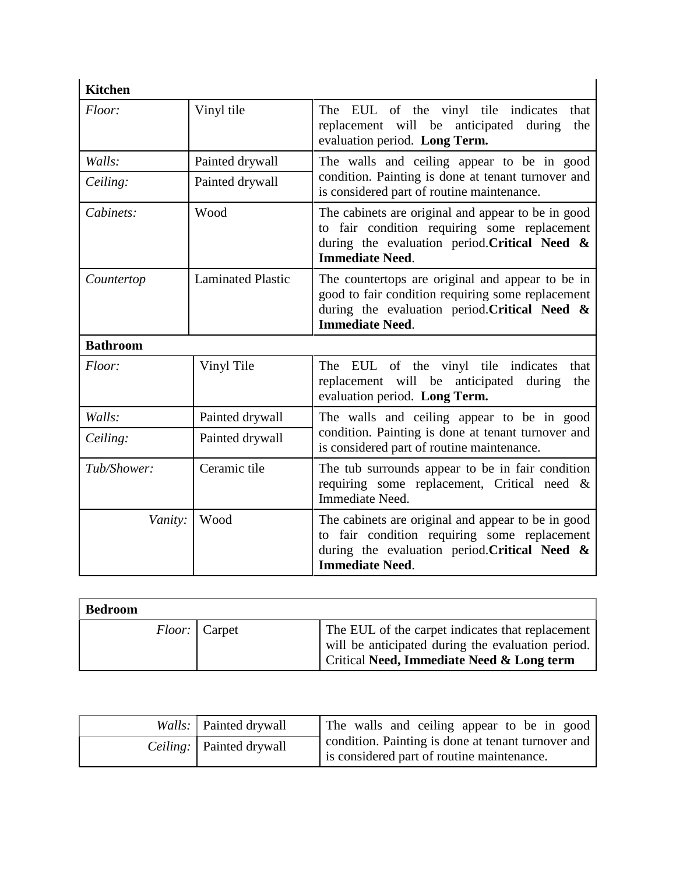| <b>Kitchen</b>  |                          |                                                                                                                                                                                  |
|-----------------|--------------------------|----------------------------------------------------------------------------------------------------------------------------------------------------------------------------------|
| Floor:          | Vinyl tile               | The EUL of the vinyl tile indicates<br>that<br>replacement will be anticipated<br>during<br>the<br>evaluation period. Long Term.                                                 |
| Walls:          | Painted drywall          | The walls and ceiling appear to be in good                                                                                                                                       |
| Ceiling:        | Painted drywall          | condition. Painting is done at tenant turnover and<br>is considered part of routine maintenance.                                                                                 |
| Cabinets:       | Wood                     | The cabinets are original and appear to be in good<br>fair condition requiring some replacement<br>to<br>during the evaluation period. Critical Need &<br><b>Immediate Need.</b> |
| Countertop      | <b>Laminated Plastic</b> | The countertops are original and appear to be in<br>good to fair condition requiring some replacement<br>during the evaluation period. Critical Need &<br><b>Immediate Need.</b> |
| <b>Bathroom</b> |                          |                                                                                                                                                                                  |
| Floor:          | Vinyl Tile               | The EUL of the vinyl tile indicates<br>that<br>replacement will be anticipated during<br>the<br>evaluation period. Long Term.                                                    |
| Walls:          | Painted drywall          | The walls and ceiling appear to be in good                                                                                                                                       |
| Ceiling:        | Painted drywall          | condition. Painting is done at tenant turnover and<br>is considered part of routine maintenance.                                                                                 |
| Tub/Shower:     | Ceramic tile             | The tub surrounds appear to be in fair condition<br>requiring some replacement, Critical need &<br>Immediate Need.                                                               |
| Vanity:         | Wood                     | The cabinets are original and appear to be in good<br>to fair condition requiring some replacement<br>during the evaluation period. Critical Need $\&$<br><b>Immediate Need.</b> |

| <b>Bedroom</b> |                      |                                                                                                                                                               |
|----------------|----------------------|---------------------------------------------------------------------------------------------------------------------------------------------------------------|
|                | <i>Floor:</i> Carpet | The EUL of the carpet indicates that replacement<br>will be anticipated during the evaluation period.<br><b>Critical Need, Immediate Need &amp; Long term</b> |

| <i>Walls:</i> Painted drywall   | The walls and ceiling appear to be in good                                                       |
|---------------------------------|--------------------------------------------------------------------------------------------------|
| <i>Ceiling:</i> Painted drywall | condition. Painting is done at tenant turnover and<br>is considered part of routine maintenance. |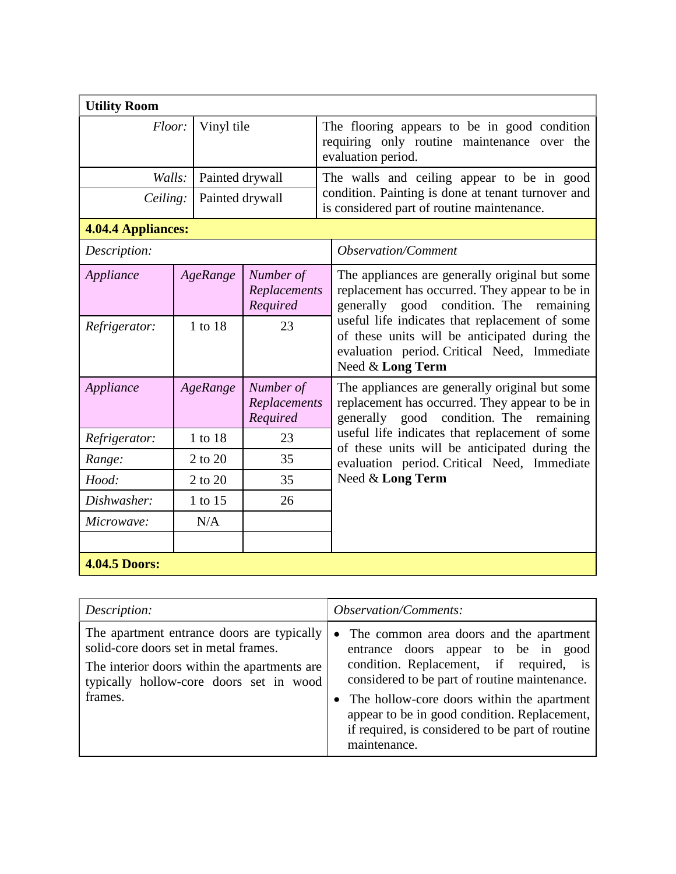| <b>Utility Room</b>  |                 |                                       |                                                                                                                                                                    |                                                                                                                                             |
|----------------------|-----------------|---------------------------------------|--------------------------------------------------------------------------------------------------------------------------------------------------------------------|---------------------------------------------------------------------------------------------------------------------------------------------|
| Floor:               |                 | Vinyl tile                            |                                                                                                                                                                    | The flooring appears to be in good condition<br>requiring only routine maintenance over the<br>evaluation period.                           |
| Walls:               |                 | Painted drywall                       |                                                                                                                                                                    | The walls and ceiling appear to be in good                                                                                                  |
| Ceiling:             | Painted drywall |                                       |                                                                                                                                                                    | condition. Painting is done at tenant turnover and<br>is considered part of routine maintenance.                                            |
| 4.04.4 Appliances:   |                 |                                       |                                                                                                                                                                    |                                                                                                                                             |
| Description:         |                 |                                       | <b>Observation/Comment</b>                                                                                                                                         |                                                                                                                                             |
| Appliance            | AgeRange        | Number of<br>Replacements<br>Required |                                                                                                                                                                    | The appliances are generally original but some<br>replacement has occurred. They appear to be in<br>generally good condition. The remaining |
| Refrigerator:        | 1 to 18         | 23                                    | useful life indicates that replacement of some<br>of these units will be anticipated during the<br>evaluation period. Critical Need, Immediate<br>Need & Long Term |                                                                                                                                             |
| Appliance            | AgeRange        | Number of<br>Replacements<br>Required | good<br>generally                                                                                                                                                  | The appliances are generally original but some<br>replacement has occurred. They appear to be in<br>condition. The<br>remaining             |
| Refrigerator:        | 1 to 18         | 23                                    |                                                                                                                                                                    | useful life indicates that replacement of some<br>of these units will be anticipated during the                                             |
| Range:               | 2 to 20         | 35                                    |                                                                                                                                                                    | evaluation period. Critical Need, Immediate                                                                                                 |
| Hood:                | 2 to 20         | 35                                    | Need & Long Term                                                                                                                                                   |                                                                                                                                             |
| Dishwasher:          | 1 to 15         | 26                                    |                                                                                                                                                                    |                                                                                                                                             |
| Microwave:           | N/A             |                                       |                                                                                                                                                                    |                                                                                                                                             |
|                      |                 |                                       |                                                                                                                                                                    |                                                                                                                                             |
| <b>4.04.5 Doors:</b> |                 |                                       |                                                                                                                                                                    |                                                                                                                                             |

| Description:                                                                                                                                                                               | <i>Observation/Comments:</i>                                                                                                                                                                                                                                                                                                                                |
|--------------------------------------------------------------------------------------------------------------------------------------------------------------------------------------------|-------------------------------------------------------------------------------------------------------------------------------------------------------------------------------------------------------------------------------------------------------------------------------------------------------------------------------------------------------------|
| The apartment entrance doors are typically<br>solid-core doors set in metal frames.<br>The interior doors within the apartments are.<br>typically hollow-core doors set in wood<br>frames. | The common area doors and the apartment<br>$\bullet$<br>entrance doors appear to be in good<br>condition. Replacement, if required, is<br>considered to be part of routine maintenance.<br>• The hollow-core doors within the apartment<br>appear to be in good condition. Replacement,<br>if required, is considered to be part of routine<br>maintenance. |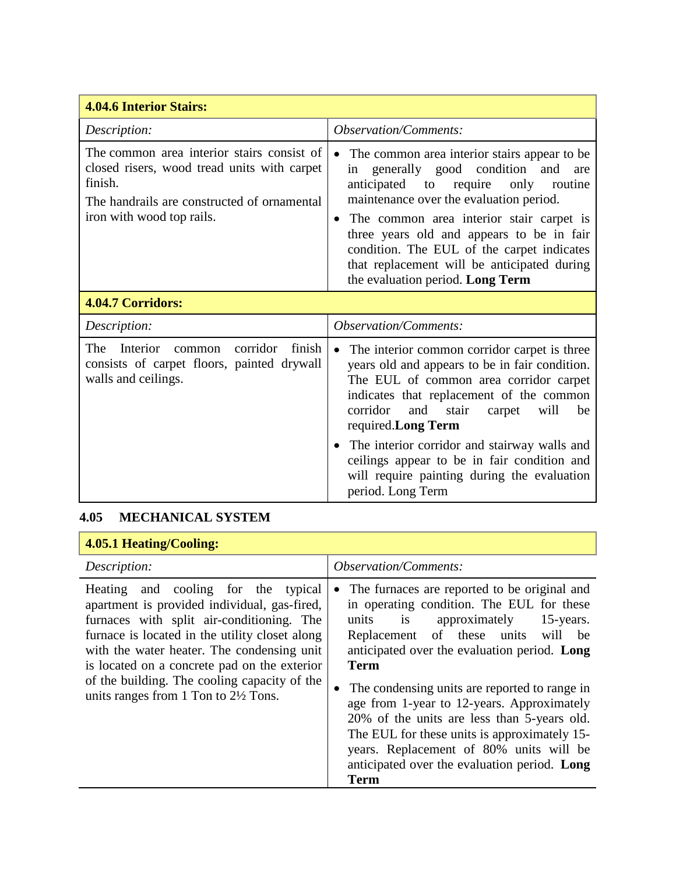| <b>4.04.6 Interior Stairs:</b>                                                                                                                                                   |                                                                                                                                                                                                                                                                                                                                                                                                                |  |
|----------------------------------------------------------------------------------------------------------------------------------------------------------------------------------|----------------------------------------------------------------------------------------------------------------------------------------------------------------------------------------------------------------------------------------------------------------------------------------------------------------------------------------------------------------------------------------------------------------|--|
| Description:                                                                                                                                                                     | <i><b>Observation/Comments:</b></i>                                                                                                                                                                                                                                                                                                                                                                            |  |
| The common area interior stairs consist of<br>closed risers, wood tread units with carpet<br>finish.<br>The handrails are constructed of ornamental<br>iron with wood top rails. | The common area interior stairs appear to be<br>$\bullet$<br>in generally good condition and are<br>anticipated to require only routine<br>maintenance over the evaluation period.<br>• The common area interior stair carpet is<br>three years old and appears to be in fair<br>condition. The EUL of the carpet indicates<br>that replacement will be anticipated during<br>the evaluation period. Long Term |  |

# **4.04.7 Corridors:**

| Description:                                                                                                      | Observation/Comments:                                                                                                                                                                                                                                                                                                                                                                                                           |
|-------------------------------------------------------------------------------------------------------------------|---------------------------------------------------------------------------------------------------------------------------------------------------------------------------------------------------------------------------------------------------------------------------------------------------------------------------------------------------------------------------------------------------------------------------------|
| finish<br>Interior common<br>corridor<br>The<br>consists of carpet floors, painted drywall<br>walls and ceilings. | • The interior common corridor carpet is three<br>years old and appears to be in fair condition.<br>The EUL of common area corridor carpet<br>indicates that replacement of the common<br>corridor and stair<br>carpet<br>will<br>be<br>required.Long Term<br>• The interior corridor and stairway walls and<br>ceilings appear to be in fair condition and<br>will require painting during the evaluation<br>period. Long Term |

#### **4.05 MECHANICAL SYSTEM**

# **4.05.1 Heating/Cooling:**

| Description:                                                                                                                                                                                                                                                                                                                                                                        | <i><b>Observation/Comments:</b></i>                                                                                                                                                                                                                                                                                                                                                                                                                                                                                                                         |
|-------------------------------------------------------------------------------------------------------------------------------------------------------------------------------------------------------------------------------------------------------------------------------------------------------------------------------------------------------------------------------------|-------------------------------------------------------------------------------------------------------------------------------------------------------------------------------------------------------------------------------------------------------------------------------------------------------------------------------------------------------------------------------------------------------------------------------------------------------------------------------------------------------------------------------------------------------------|
| Heating and cooling for the typical<br>apartment is provided individual, gas-fired,<br>furnaces with split air-conditioning. The<br>furnace is located in the utility closet along<br>with the water heater. The condensing unit<br>is located on a concrete pad on the exterior<br>of the building. The cooling capacity of the<br>units ranges from 1 Ton to $2\frac{1}{2}$ Tons. | The furnaces are reported to be original and<br>٠<br>in operating condition. The EUL for these<br>approximately<br>is<br>15-years.<br>units<br>Replacement of these units<br>will be<br>anticipated over the evaluation period. Long<br><b>Term</b><br>The condensing units are reported to range in<br>age from 1-year to 12-years. Approximately<br>20% of the units are less than 5-years old.<br>The EUL for these units is approximately 15-<br>years. Replacement of 80% units will be<br>anticipated over the evaluation period. Long<br><b>Term</b> |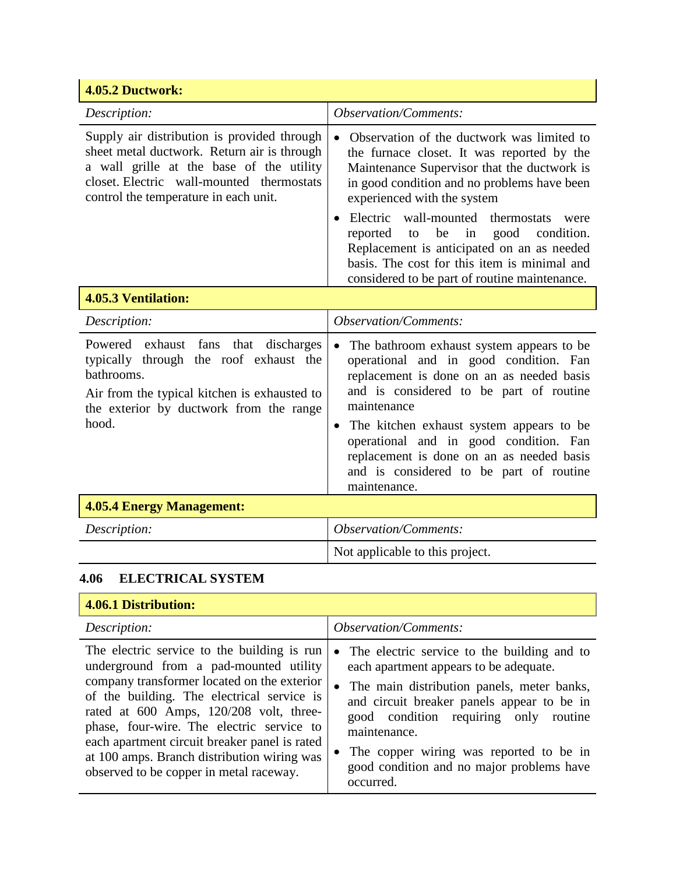| 4.05.2 Ductwork:                                                                                                                                                                                                             |                                                                                                                                                                                                                                                                                                                                                                                                                                      |  |
|------------------------------------------------------------------------------------------------------------------------------------------------------------------------------------------------------------------------------|--------------------------------------------------------------------------------------------------------------------------------------------------------------------------------------------------------------------------------------------------------------------------------------------------------------------------------------------------------------------------------------------------------------------------------------|--|
| Description:                                                                                                                                                                                                                 | <b>Observation/Comments:</b>                                                                                                                                                                                                                                                                                                                                                                                                         |  |
| Supply air distribution is provided through<br>sheet metal ductwork. Return air is through<br>a wall grille at the base of the utility<br>closet. Electric wall-mounted thermostats<br>control the temperature in each unit. | Observation of the ductwork was limited to<br>$\bullet$<br>the furnace closet. It was reported by the<br>Maintenance Supervisor that the ductwork is<br>in good condition and no problems have been<br>experienced with the system<br>wall-mounted thermostats<br>Electric<br>were<br>be<br>reported<br>good<br>condition.<br>to<br>in<br>Replacement is anticipated on an as needed<br>basis. The cost for this item is minimal and |  |
| 4.05.3 Ventilation:                                                                                                                                                                                                          | considered to be part of routine maintenance.                                                                                                                                                                                                                                                                                                                                                                                        |  |
|                                                                                                                                                                                                                              | <b>Observation/Comments:</b>                                                                                                                                                                                                                                                                                                                                                                                                         |  |
| Description:                                                                                                                                                                                                                 |                                                                                                                                                                                                                                                                                                                                                                                                                                      |  |
| Powered exhaust fans that discharges<br>typically through the roof exhaust the<br>bathrooms.<br>Air from the typical kitchen is exhausted to<br>the exterior by ductwork from the range                                      | The bathroom exhaust system appears to be<br>operational and in good condition. Fan<br>replacement is done on an as needed basis<br>and is considered to be part of routine<br>maintenance                                                                                                                                                                                                                                           |  |
| hood.                                                                                                                                                                                                                        | The kitchen exhaust system appears to be<br>$\bullet$<br>operational and in good condition. Fan<br>replacement is done on an as needed basis<br>and is considered to be part of routine<br>maintenance.                                                                                                                                                                                                                              |  |
| <b>4.05.4 Energy Management:</b>                                                                                                                                                                                             |                                                                                                                                                                                                                                                                                                                                                                                                                                      |  |
| Description:                                                                                                                                                                                                                 | <b>Observation/Comments:</b>                                                                                                                                                                                                                                                                                                                                                                                                         |  |
|                                                                                                                                                                                                                              | Not applicable to this project.                                                                                                                                                                                                                                                                                                                                                                                                      |  |

# **4.06 ELECTRICAL SYSTEM**

| 4.06.1 Distribution:                                                                                                                                                                                                                                                                                                                                                                                                  |                                                                                                                                                                                                                                                                                                                                                                |  |
|-----------------------------------------------------------------------------------------------------------------------------------------------------------------------------------------------------------------------------------------------------------------------------------------------------------------------------------------------------------------------------------------------------------------------|----------------------------------------------------------------------------------------------------------------------------------------------------------------------------------------------------------------------------------------------------------------------------------------------------------------------------------------------------------------|--|
| Description:                                                                                                                                                                                                                                                                                                                                                                                                          | <i><b>Observation/Comments:</b></i>                                                                                                                                                                                                                                                                                                                            |  |
| The electric service to the building is run<br>underground from a pad-mounted utility<br>company transformer located on the exterior<br>of the building. The electrical service is<br>rated at 600 Amps, 120/208 volt, three-<br>phase, four-wire. The electric service to<br>each apartment circuit breaker panel is rated<br>at 100 amps. Branch distribution wiring was<br>observed to be copper in metal raceway. | The electric service to the building and to<br>$\bullet$<br>each apartment appears to be adequate.<br>The main distribution panels, meter banks,<br>and circuit breaker panels appear to be in<br>good condition requiring only routine<br>maintenance.<br>• The copper wiring was reported to be in<br>good condition and no major problems have<br>occurred. |  |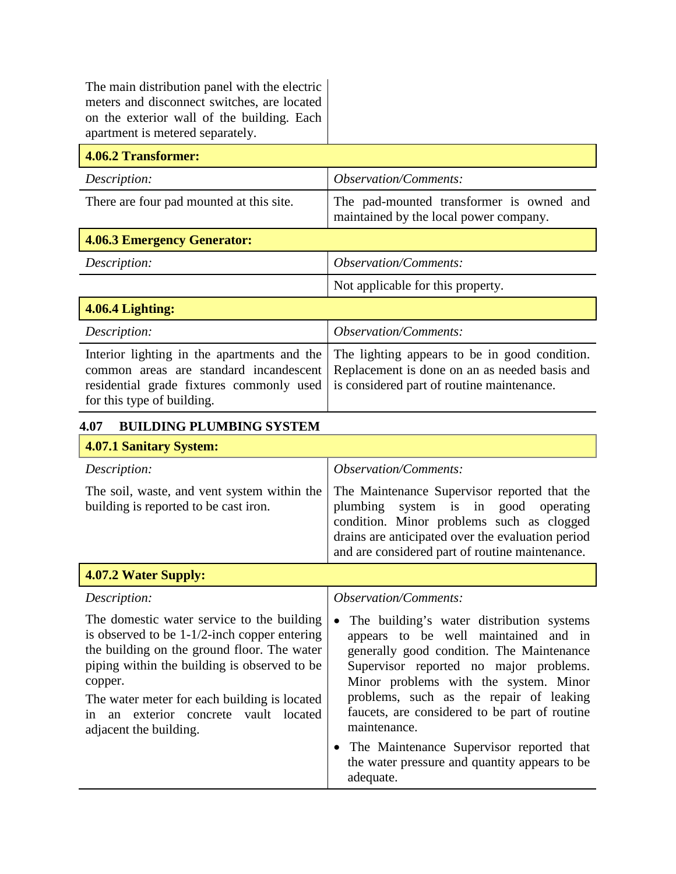The main distribution panel with the electric meters and disconnect switches, are located on the exterior wall of the building. Each apartment is metered separately.

#### **4.06.2 Transformer:**

| Description:                             | <i>Observation/Comments:</i>                                                       |
|------------------------------------------|------------------------------------------------------------------------------------|
| There are four pad mounted at this site. | The pad-mounted transformer is owned and<br>maintained by the local power company. |

# **4.06.3 Emergency Generator:**

*Description: Observation/Comments:* Not applicable for this property.

| <b>4.06.4 Lighting:</b>                                                                                           |                                                                                                                                                                                   |
|-------------------------------------------------------------------------------------------------------------------|-----------------------------------------------------------------------------------------------------------------------------------------------------------------------------------|
| Description:                                                                                                      | Observation/Comments:                                                                                                                                                             |
| residential grade fixtures commonly used is considered part of routine maintenance.<br>for this type of building. | Interior lighting in the apartments and the The lighting appears to be in good condition.<br>common areas are standard incandescent Replacement is done on an as needed basis and |

### **4.07 BUILDING PLUMBING SYSTEM**

| <b>4.07.1 Sanitary System:</b>                                                                                                                                                                                                                                                                                             |                                                                                                                                                                                                                                                                                                                               |
|----------------------------------------------------------------------------------------------------------------------------------------------------------------------------------------------------------------------------------------------------------------------------------------------------------------------------|-------------------------------------------------------------------------------------------------------------------------------------------------------------------------------------------------------------------------------------------------------------------------------------------------------------------------------|
| Description:                                                                                                                                                                                                                                                                                                               | <b>Observation/Comments:</b>                                                                                                                                                                                                                                                                                                  |
| The soil, waste, and vent system within the<br>building is reported to be cast iron.                                                                                                                                                                                                                                       | The Maintenance Supervisor reported that the<br>system is in good operating<br>plumbing<br>condition. Minor problems such as clogged<br>drains are anticipated over the evaluation period<br>and are considered part of routine maintenance.                                                                                  |
| 4.07.2 Water Supply:                                                                                                                                                                                                                                                                                                       |                                                                                                                                                                                                                                                                                                                               |
| Description:                                                                                                                                                                                                                                                                                                               | <b>Observation/Comments:</b>                                                                                                                                                                                                                                                                                                  |
| The domestic water service to the building<br>is observed to be $1-1/2$ -inch copper entering<br>the building on the ground floor. The water<br>piping within the building is observed to be<br>copper.<br>The water meter for each building is located<br>in an exterior concrete vault located<br>adjacent the building. | The building's water distribution systems<br>appears to be well maintained and in<br>generally good condition. The Maintenance<br>Supervisor reported no major problems.<br>Minor problems with the system. Minor<br>problems, such as the repair of leaking<br>faucets, are considered to be part of routine<br>maintenance. |
|                                                                                                                                                                                                                                                                                                                            | The Maintenance Supervisor reported that<br>the water pressure and quantity appears to be<br>adequate.                                                                                                                                                                                                                        |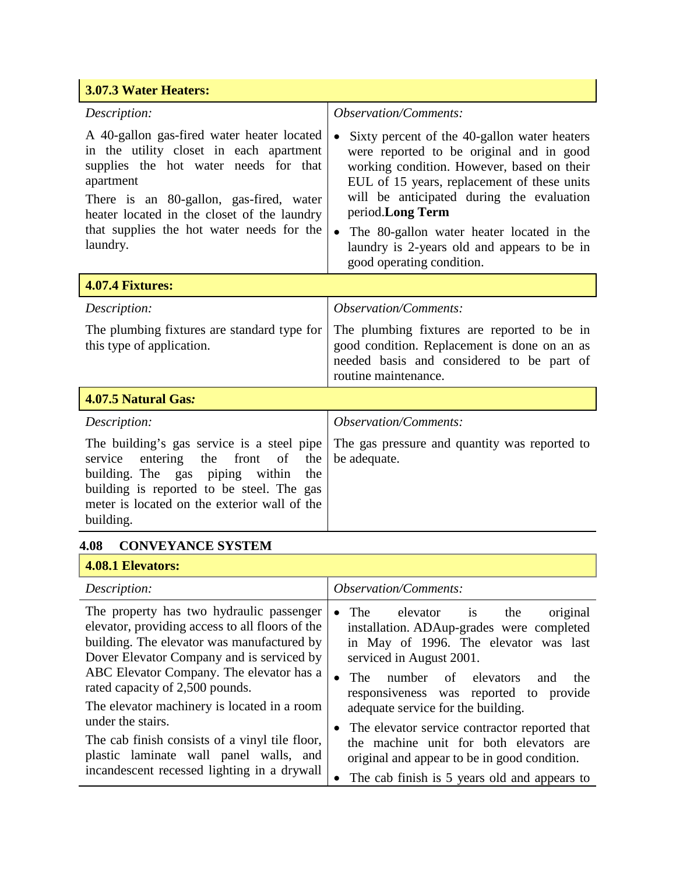| 3.07.3 Water Heaters:                                                                                                                                                                                                                                                                          |                                                                                                                                                                                                                                                                                                                                                                                              |
|------------------------------------------------------------------------------------------------------------------------------------------------------------------------------------------------------------------------------------------------------------------------------------------------|----------------------------------------------------------------------------------------------------------------------------------------------------------------------------------------------------------------------------------------------------------------------------------------------------------------------------------------------------------------------------------------------|
| Description:                                                                                                                                                                                                                                                                                   | <b>Observation/Comments:</b>                                                                                                                                                                                                                                                                                                                                                                 |
| A 40-gallon gas-fired water heater located<br>in the utility closet in each apartment<br>supplies the hot water needs for that<br>apartment<br>There is an 80-gallon, gas-fired, water<br>heater located in the closet of the laundry<br>that supplies the hot water needs for the<br>laundry. | Sixty percent of the 40-gallon water heaters<br>$\bullet$<br>were reported to be original and in good<br>working condition. However, based on their<br>EUL of 15 years, replacement of these units<br>will be anticipated during the evaluation<br>period.Long Term<br>The 80-gallon water heater located in the<br>laundry is 2-years old and appears to be in<br>good operating condition. |
| <b>4.07.4 Fixtures:</b>                                                                                                                                                                                                                                                                        |                                                                                                                                                                                                                                                                                                                                                                                              |
| Description:                                                                                                                                                                                                                                                                                   | <b>Observation/Comments:</b>                                                                                                                                                                                                                                                                                                                                                                 |
| The plumbing fixtures are standard type for<br>this type of application.                                                                                                                                                                                                                       | The plumbing fixtures are reported to be in<br>good condition. Replacement is done on an as<br>needed basis and considered to be part of<br>routine maintenance.                                                                                                                                                                                                                             |
| 4.07.5 Natural Gas:                                                                                                                                                                                                                                                                            |                                                                                                                                                                                                                                                                                                                                                                                              |
| Description:                                                                                                                                                                                                                                                                                   | <b>Observation/Comments:</b>                                                                                                                                                                                                                                                                                                                                                                 |
| The building's gas service is a steel pipe<br>entering<br>service<br>the<br>front<br>of<br>the<br>building. The gas<br>within<br>piping<br>the<br>building is reported to be steel. The gas<br>meter is located on the exterior wall of the<br>building.                                       | The gas pressure and quantity was reported to<br>be adequate.                                                                                                                                                                                                                                                                                                                                |
| <b>CONVEYANCE SYSTEM</b><br>4.08                                                                                                                                                                                                                                                               |                                                                                                                                                                                                                                                                                                                                                                                              |
| 4.08.1 Elevators:                                                                                                                                                                                                                                                                              |                                                                                                                                                                                                                                                                                                                                                                                              |
| Description:                                                                                                                                                                                                                                                                                   | <b>Observation/Comments:</b>                                                                                                                                                                                                                                                                                                                                                                 |
| The property has two hydraulic passenger<br>elevator, providing access to all floors of the<br>building. The elevator was manufactured by<br>Dover Elevator Company and is serviced by<br>ABC Elevator Company. The elevator has a<br>rated capacity of 2,500 pounds.                          | The<br>$\bullet$<br>elevator<br>is<br>the<br>original<br>installation. ADAup-grades were completed<br>in May of 1996. The elevator was last<br>serviced in August 2001.<br>The<br>number<br>of<br>$\bullet$<br>elevators<br>and<br>the<br>responsiveness<br>reported to provide<br>was                                                                                                       |

The elevator machinery is located in a room under the stairs.

The cab finish consists of a vinyl tile floor, plastic laminate wall panel walls, and incandescent recessed lighting in a drywall • The elevator service contractor reported that the machine unit for both elevators are original and appear to be in good condition. • The cab finish is 5 years old and appears to

adequate service for the building.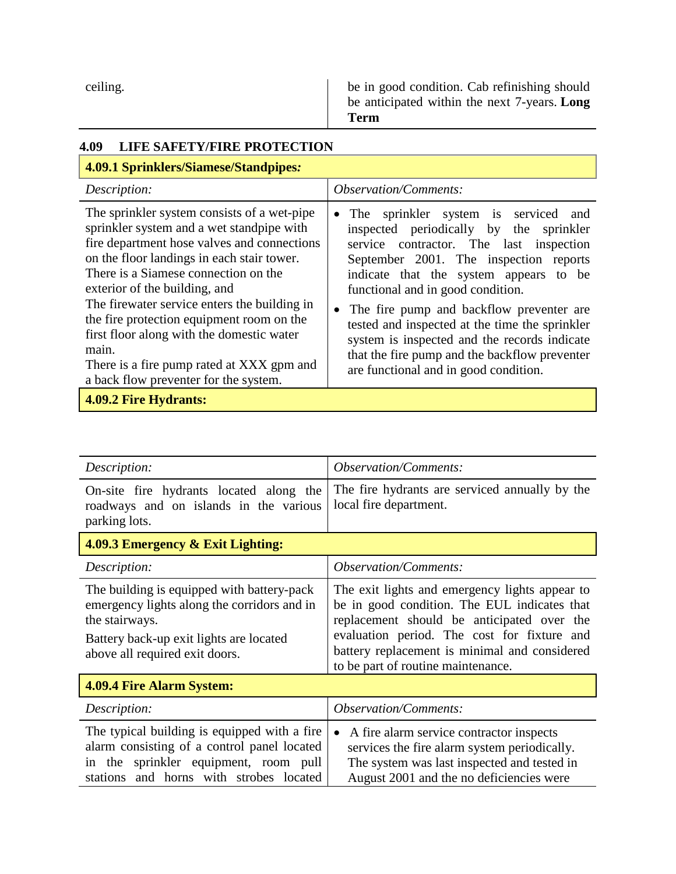| ceiling. | be in good condition. Cab refinishing should |
|----------|----------------------------------------------|
|          | be anticipated within the next 7-years. Long |
|          | <b>Term</b>                                  |

#### **4.09 LIFE SAFETY/FIRE PROTECTION**

| <b>4.09.1 Sprinklers/Siamese/Standpipes:</b>                                                                                                                                                                                                                                                                                                                                                                                                                                                            |                                                                                                                                                                                                                                                                                                                                                                                                                                                                                                                |
|---------------------------------------------------------------------------------------------------------------------------------------------------------------------------------------------------------------------------------------------------------------------------------------------------------------------------------------------------------------------------------------------------------------------------------------------------------------------------------------------------------|----------------------------------------------------------------------------------------------------------------------------------------------------------------------------------------------------------------------------------------------------------------------------------------------------------------------------------------------------------------------------------------------------------------------------------------------------------------------------------------------------------------|
| Description:                                                                                                                                                                                                                                                                                                                                                                                                                                                                                            | <i><b>Observation/Comments:</b></i>                                                                                                                                                                                                                                                                                                                                                                                                                                                                            |
| The sprinkler system consists of a wet-pipe<br>sprinkler system and a wet standpipe with<br>fire department hose valves and connections<br>on the floor landings in each stair tower.<br>There is a Siamese connection on the<br>exterior of the building, and<br>The firewater service enters the building in<br>the fire protection equipment room on the<br>first floor along with the domestic water<br>main.<br>There is a fire pump rated at XXX gpm and<br>a back flow preventer for the system. | sprinkler system is serviced<br>The<br>and<br>$\bullet$<br>inspected periodically by the sprinkler<br>service contractor. The last inspection<br>September 2001. The inspection reports<br>indicate that the system appears to be<br>functional and in good condition.<br>The fire pump and backflow preventer are<br>tested and inspected at the time the sprinkler<br>system is inspected and the records indicate<br>that the fire pump and the backflow preventer<br>are functional and in good condition. |
| <b>4.09.2 Fire Hydrants:</b>                                                                                                                                                                                                                                                                                                                                                                                                                                                                            |                                                                                                                                                                                                                                                                                                                                                                                                                                                                                                                |

| Description:                                                                                                                                                                             | <i><b>Observation/Comments:</b></i>                                                                                                                                                                                                                                                |  |
|------------------------------------------------------------------------------------------------------------------------------------------------------------------------------------------|------------------------------------------------------------------------------------------------------------------------------------------------------------------------------------------------------------------------------------------------------------------------------------|--|
| On-site fire hydrants located along the<br>roadways and on islands in the various<br>parking lots.                                                                                       | The fire hydrants are serviced annually by the<br>local fire department.                                                                                                                                                                                                           |  |
| 4.09.3 Emergency & Exit Lighting:                                                                                                                                                        |                                                                                                                                                                                                                                                                                    |  |
| Description:                                                                                                                                                                             | <b>Observation/Comments:</b>                                                                                                                                                                                                                                                       |  |
| The building is equipped with battery-pack<br>emergency lights along the corridors and in<br>the stairways.<br>Battery back-up exit lights are located<br>above all required exit doors. | The exit lights and emergency lights appear to<br>be in good condition. The EUL indicates that<br>replacement should be anticipated over the<br>evaluation period. The cost for fixture and<br>battery replacement is minimal and considered<br>to be part of routine maintenance. |  |
| 4.09.4 Fire Alarm System:                                                                                                                                                                |                                                                                                                                                                                                                                                                                    |  |
| Description:                                                                                                                                                                             | <b>Observation/Comments:</b>                                                                                                                                                                                                                                                       |  |
| The typical building is equipped with a fire.<br>alarm consisting of a control panel located<br>in the sprinkler equipment, room pull<br>and horns with strobes located<br>stations      | A fire alarm service contractor inspects<br>services the fire alarm system periodically.<br>The system was last inspected and tested in<br>August 2001 and the no deficiencies were                                                                                                |  |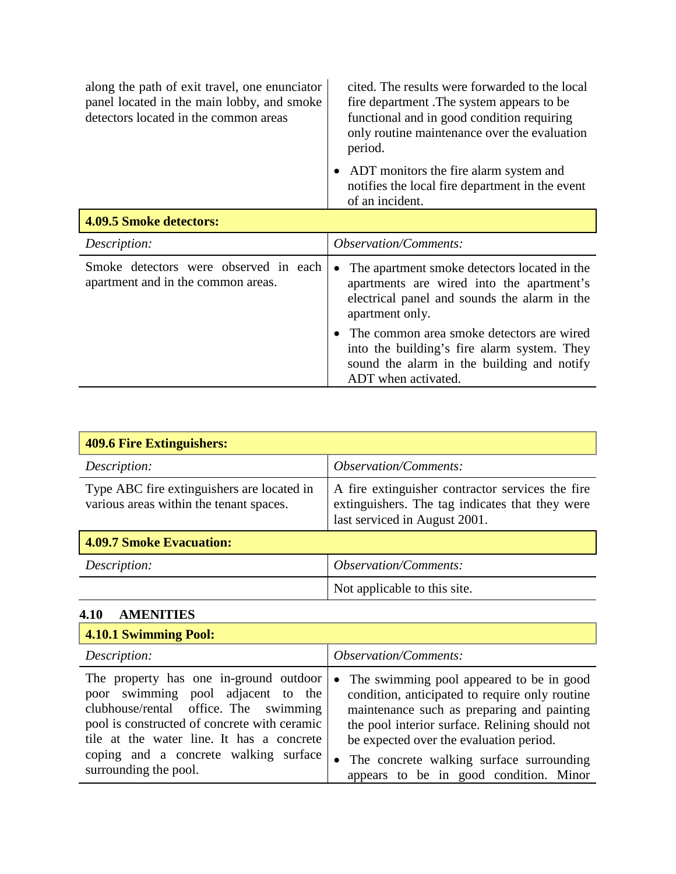| along the path of exit travel, one enunciator<br>panel located in the main lobby, and smoke<br>detectors located in the common areas | cited. The results were forwarded to the local<br>fire department. The system appears to be<br>functional and in good condition requiring<br>only routine maintenance over the evaluation<br>period. |
|--------------------------------------------------------------------------------------------------------------------------------------|------------------------------------------------------------------------------------------------------------------------------------------------------------------------------------------------------|
|                                                                                                                                      | ADT monitors the fire alarm system and<br>$\bullet$<br>notifies the local fire department in the event<br>of an incident.                                                                            |
| <b>4.09.5 Smoke detectors:</b>                                                                                                       |                                                                                                                                                                                                      |
|                                                                                                                                      |                                                                                                                                                                                                      |
| Description:                                                                                                                         | <b>Observation/Comments:</b>                                                                                                                                                                         |
| Smoke detectors were observed in each<br>apartment and in the common areas.                                                          | The apartment smoke detectors located in the<br>$\bullet$<br>apartments are wired into the apartment's<br>electrical panel and sounds the alarm in the<br>apartment only.                            |

| 409.6 Fire Extinguishers:                                                             |                                                                                                                                      |
|---------------------------------------------------------------------------------------|--------------------------------------------------------------------------------------------------------------------------------------|
| Description:                                                                          | <i><b>Observation/Comments:</b></i>                                                                                                  |
| Type ABC fire extinguishers are located in<br>various areas within the tenant spaces. | A fire extinguisher contractor services the fire<br>extinguishers. The tag indicates that they were<br>last serviced in August 2001. |
| <b>4.09.7 Smoke Evacuation:</b>                                                       |                                                                                                                                      |
| Description:                                                                          | <b>Observation/Comments:</b>                                                                                                         |
|                                                                                       | Not applicable to this site.                                                                                                         |

### **4.10 AMENITIES**

| <b>4.10.1 Swimming Pool:</b>                                                                                                                                                                                                                                                         |                                                                                                                                                                                                                                                                                                                                          |
|--------------------------------------------------------------------------------------------------------------------------------------------------------------------------------------------------------------------------------------------------------------------------------------|------------------------------------------------------------------------------------------------------------------------------------------------------------------------------------------------------------------------------------------------------------------------------------------------------------------------------------------|
| Description:                                                                                                                                                                                                                                                                         | Observation/Comments:                                                                                                                                                                                                                                                                                                                    |
| The property has one in-ground outdoor<br>poor swimming pool adjacent to the<br>clubhouse/rental office. The swimming<br>pool is constructed of concrete with ceramic<br>tile at the water line. It has a concrete<br>coping and a concrete walking surface<br>surrounding the pool. | The swimming pool appeared to be in good<br>$\bullet$<br>condition, anticipated to require only routine<br>maintenance such as preparing and painting<br>the pool interior surface. Relining should not<br>be expected over the evaluation period.<br>The concrete walking surface surrounding<br>appears to be in good condition. Minor |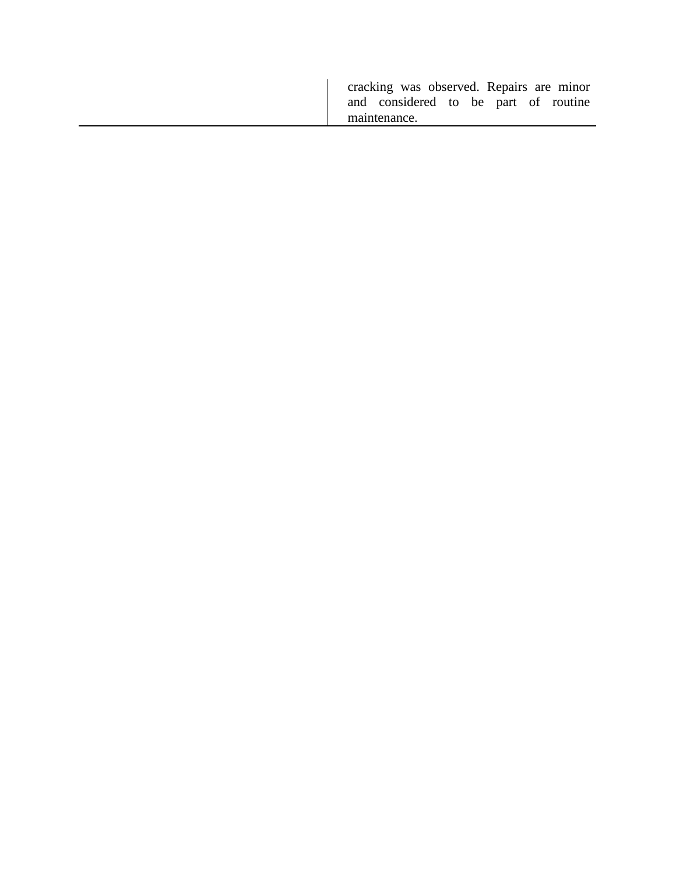| cracking was observed. Repairs are minor<br>and considered to be part of routine<br>maintenance. |
|--------------------------------------------------------------------------------------------------|
|--------------------------------------------------------------------------------------------------|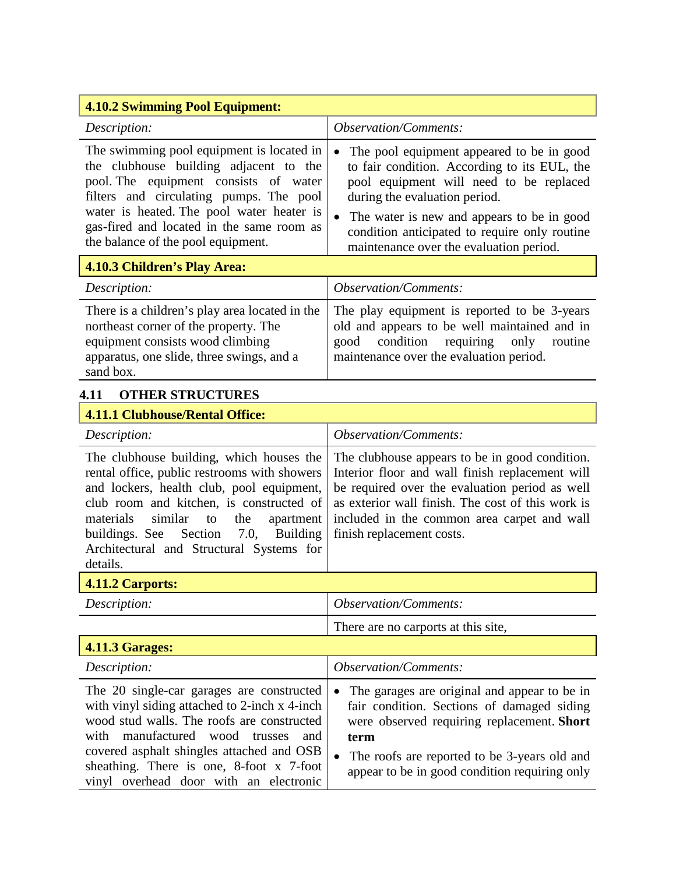| <b>4.10.2 Swimming Pool Equipment:</b>                                                                                                                                                                                                                                                                                                              |                                                                                                                                                                                                                                                                                                                 |  |
|-----------------------------------------------------------------------------------------------------------------------------------------------------------------------------------------------------------------------------------------------------------------------------------------------------------------------------------------------------|-----------------------------------------------------------------------------------------------------------------------------------------------------------------------------------------------------------------------------------------------------------------------------------------------------------------|--|
| Description:                                                                                                                                                                                                                                                                                                                                        | <b>Observation/Comments:</b>                                                                                                                                                                                                                                                                                    |  |
| The swimming pool equipment is located in<br>the clubhouse building adjacent to the<br>pool. The equipment consists of water<br>filters and circulating pumps. The pool<br>water is heated. The pool water heater is<br>gas-fired and located in the same room as<br>the balance of the pool equipment.                                             | The pool equipment appeared to be in good<br>to fair condition. According to its EUL, the<br>pool equipment will need to be replaced<br>during the evaluation period.<br>The water is new and appears to be in good<br>condition anticipated to require only routine<br>maintenance over the evaluation period. |  |
| 4.10.3 Children's Play Area:                                                                                                                                                                                                                                                                                                                        |                                                                                                                                                                                                                                                                                                                 |  |
| Description:                                                                                                                                                                                                                                                                                                                                        | <b>Observation/Comments:</b>                                                                                                                                                                                                                                                                                    |  |
| There is a children's play area located in the<br>northeast corner of the property. The<br>equipment consists wood climbing<br>apparatus, one slide, three swings, and a<br>sand box.                                                                                                                                                               | The play equipment is reported to be 3-years<br>old and appears to be well maintained and in<br>condition<br>requiring<br>only<br>good<br>routine<br>maintenance over the evaluation period.                                                                                                                    |  |
| <b>OTHER STRUCTURES</b><br>4.11                                                                                                                                                                                                                                                                                                                     |                                                                                                                                                                                                                                                                                                                 |  |
| <b>4.11.1 Clubhouse/Rental Office:</b>                                                                                                                                                                                                                                                                                                              |                                                                                                                                                                                                                                                                                                                 |  |
| Description:                                                                                                                                                                                                                                                                                                                                        | <b>Observation/Comments:</b>                                                                                                                                                                                                                                                                                    |  |
| The clubhouse building, which houses the<br>rental office, public restrooms with showers<br>and lockers, health club, pool equipment,<br>club room and kitchen, is constructed of<br>materials<br>similar<br>the<br>to<br>apartment<br>Section<br><b>Building</b><br>buildings. See<br>7.0,<br>Architectural and Structural Systems for<br>details. | The clubhouse appears to be in good condition.<br>Interior floor and wall finish replacement will<br>be required over the evaluation period as well<br>as exterior wall finish. The cost of this work is<br>included in the common area carpet and wall<br>finish replacement costs.                            |  |
| 4.11.2 Carports:                                                                                                                                                                                                                                                                                                                                    |                                                                                                                                                                                                                                                                                                                 |  |
| Description:                                                                                                                                                                                                                                                                                                                                        | <b>Observation/Comments:</b>                                                                                                                                                                                                                                                                                    |  |
|                                                                                                                                                                                                                                                                                                                                                     | There are no carports at this site,                                                                                                                                                                                                                                                                             |  |
| <b>4.11.3 Garages:</b>                                                                                                                                                                                                                                                                                                                              |                                                                                                                                                                                                                                                                                                                 |  |
| Description:                                                                                                                                                                                                                                                                                                                                        | <b>Observation/Comments:</b>                                                                                                                                                                                                                                                                                    |  |
| The 20 single-car garages are constructed<br>with vinyl siding attached to 2-inch x 4-inch<br>wood stud walls. The roofs are constructed<br>manufactured wood<br>with<br>trusses<br>and<br>covered asphalt shingles attached and OSB<br>sheathing. There is one, 8-foot x 7-foot<br>vinyl overhead door with an electronic                          | The garages are original and appear to be in<br>$\bullet$<br>fair condition. Sections of damaged siding<br>were observed requiring replacement. Short<br>term<br>The roofs are reported to be 3-years old and<br>appear to be in good condition requiring only                                                  |  |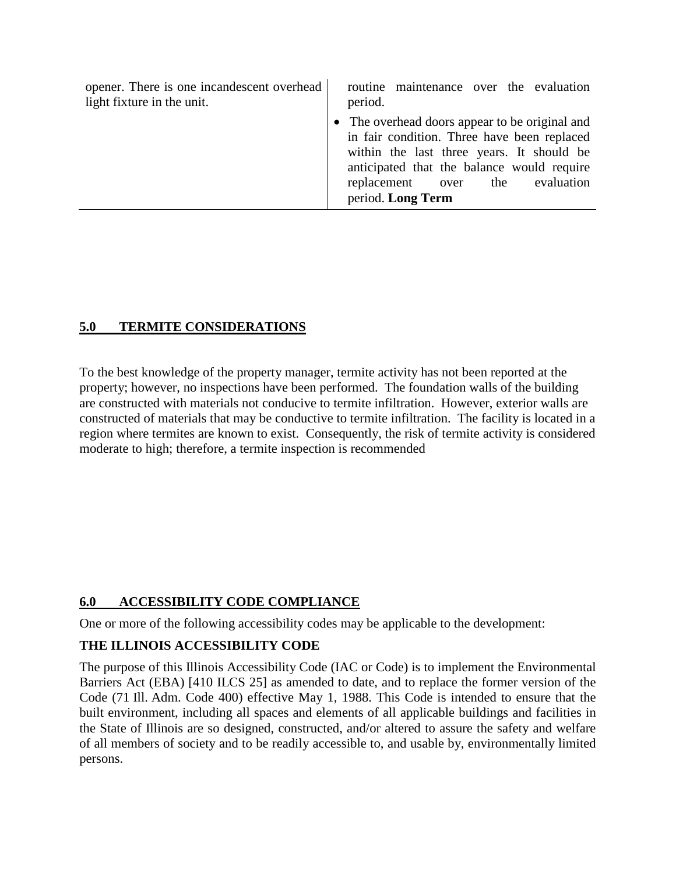| opener. There is one incandescent overhead | routine maintenance over the evaluation                                                                                                                                                                                                          |
|--------------------------------------------|--------------------------------------------------------------------------------------------------------------------------------------------------------------------------------------------------------------------------------------------------|
| light fixture in the unit.                 | period.                                                                                                                                                                                                                                          |
|                                            | • The overhead doors appear to be original and<br>in fair condition. Three have been replaced<br>within the last three years. It should be<br>anticipated that the balance would require<br>replacement over the evaluation<br>period. Long Term |

#### **5.0 TERMITE CONSIDERATIONS**

To the best knowledge of the property manager, termite activity has not been reported at the property; however, no inspections have been performed. The foundation walls of the building are constructed with materials not conducive to termite infiltration. However, exterior walls are constructed of materials that may be conductive to termite infiltration. The facility is located in a region where termites are known to exist. Consequently, the risk of termite activity is considered moderate to high; therefore, a termite inspection is recommended

#### **6.0 ACCESSIBILITY CODE COMPLIANCE**

One or more of the following accessibility codes may be applicable to the development:

#### **THE ILLINOIS ACCESSIBILITY CODE**

The purpose of this Illinois Accessibility Code (IAC or Code) is to implement the Environmental Barriers Act (EBA) [410 ILCS 25] as amended to date, and to replace the former version of the Code (71 Ill. Adm. Code 400) effective May 1, 1988. This Code is intended to ensure that the built environment, including all spaces and elements of all applicable buildings and facilities in the State of Illinois are so designed, constructed, and/or altered to assure the safety and welfare of all members of society and to be readily accessible to, and usable by, environmentally limited persons.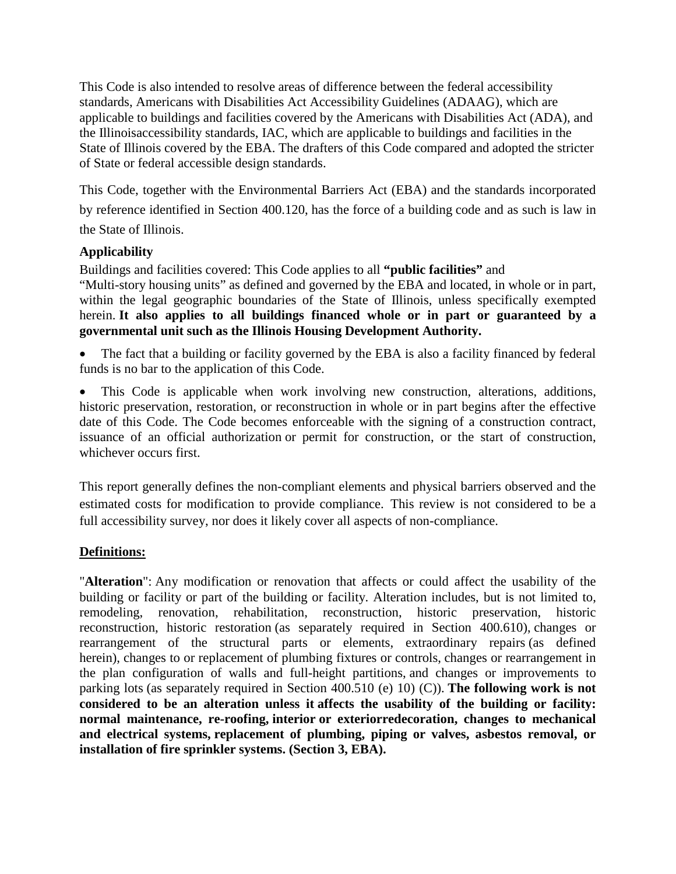This Code is also intended to resolve areas of difference between the federal accessibility standards, Americans with Disabilities Act Accessibility Guidelines (ADAAG), which are applicable to buildings and facilities covered by the Americans with Disabilities Act (ADA), and the Illinoisaccessibility standards, IAC, which are applicable to buildings and facilities in the State of Illinois covered by the EBA. The drafters of this Code compared and adopted the stricter of State or federal accessible design standards.

This Code, together with the Environmental Barriers Act (EBA) and the standards incorporated by reference identified in Section 400.120, has the force of a building code and as such is law in the State of Illinois.

#### **Applicability**

Buildings and facilities covered: This Code applies to all **"public facilities"** and

"Multi-story housing units" as defined and governed by the EBA and located, in whole or in part, within the legal geographic boundaries of the State of Illinois, unless specifically exempted herein. **It also applies to all buildings financed whole or in part or guaranteed by a governmental unit such as the Illinois Housing Development Authority.**

- The fact that a building or facility governed by the EBA is also a facility financed by federal funds is no bar to the application of this Code.
- This Code is applicable when work involving new construction, alterations, additions, historic preservation, restoration, or reconstruction in whole or in part begins after the effective date of this Code. The Code becomes enforceable with the signing of a construction contract, issuance of an official authorization or permit for construction, or the start of construction, whichever occurs first.

This report generally defines the non-compliant elements and physical barriers observed and the estimated costs for modification to provide compliance. This review is not considered to be a full accessibility survey, nor does it likely cover all aspects of non-compliance.

#### **Definitions:**

"**Alteration**": Any modification or renovation that affects or could affect the usability of the building or facility or part of the building or facility. Alteration includes, but is not limited to, remodeling, renovation, rehabilitation, reconstruction, historic preservation, historic reconstruction, historic restoration (as separately required in Section 400.610), changes or rearrangement of the structural parts or elements, extraordinary repairs (as defined herein), changes to or replacement of plumbing fixtures or controls, changes or rearrangement in the plan configuration of walls and full-height partitions, and changes or improvements to parking lots (as separately required in Section 400.510 (e) 10) (C)). **The following work is not considered to be an alteration unless it affects the usability of the building or facility: normal maintenance, re-roofing, interior or exteriorredecoration, changes to mechanical and electrical systems, replacement of plumbing, piping or valves, asbestos removal, or installation of fire sprinkler systems. (Section 3, EBA).**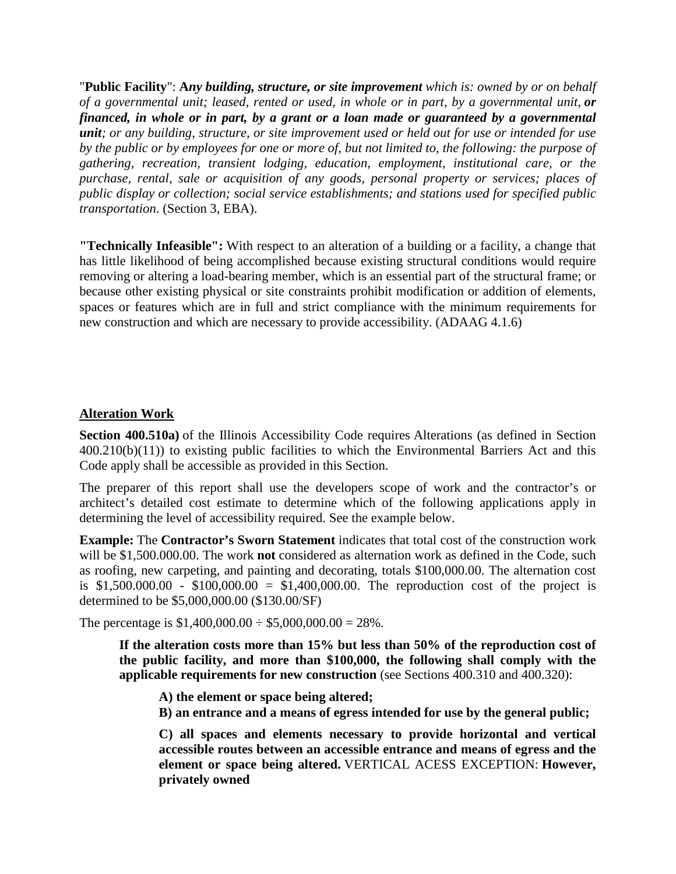"**Public Facility**": **A***ny building, structure, or site improvement which is: owned by or on behalf of a governmental unit; leased, rented or used, in whole or in part, by a governmental unit, or financed, in whole or in part, by a grant or a loan made or guaranteed by a governmental unit; or any building, structure, or site improvement used or held out for use or intended for use by the public or by employees for one or more of, but not limited to, the following: the purpose of gathering, recreation, transient lodging, education, employment, institutional care, or the purchase, rental, sale or acquisition of any goods, personal property or services; places of public display or collection; social service establishments; and stations used for specified public transportation*. (Section 3, EBA).

**"Technically Infeasible":** With respect to an alteration of a building or a facility, a change that has little likelihood of being accomplished because existing structural conditions would require removing or altering a load-bearing member, which is an essential part of the structural frame; or because other existing physical or site constraints prohibit modification or addition of elements, spaces or features which are in full and strict compliance with the minimum requirements for new construction and which are necessary to provide accessibility. (ADAAG 4.1.6)

#### **Alteration Work**

**Section 400.510a)** of the Illinois Accessibility Code requires Alterations (as defined in Section 400.210(b)(11)) to existing public facilities to which the Environmental Barriers Act and this Code apply shall be accessible as provided in this Section.

The preparer of this report shall use the developers scope of work and the contractor's or architect's detailed cost estimate to determine which of the following applications apply in determining the level of accessibility required. See the example below.

**Example:** The **Contractor's Sworn Statement** indicates that total cost of the construction work will be \$1,500.000.00. The work **not** considered as alternation work as defined in the Code, such as roofing, new carpeting, and painting and decorating, totals \$100,000.00. The alternation cost is \$1,500,000.00 - \$100,000.00 = \$1,400,000.00. The reproduction cost of the project is determined to be \$5,000,000.00 (\$130.00/SF)

The percentage is  $$1,400,000.00 \div $5,000,000.00 = 28\%$ .

**If the alteration costs more than 15% but less than 50% of the reproduction cost of the public facility, and more than \$100,000, the following shall comply with the applicable requirements for new construction** (see Sections 400.310 and 400.320):

**A) the element or space being altered;**

**B) an entrance and a means of egress intended for use by the general public;**

**C) all spaces and elements necessary to provide horizontal and vertical accessible routes between an accessible entrance and means of egress and the element or space being altered.** VERTICAL ACESS EXCEPTION: **However, privately owned**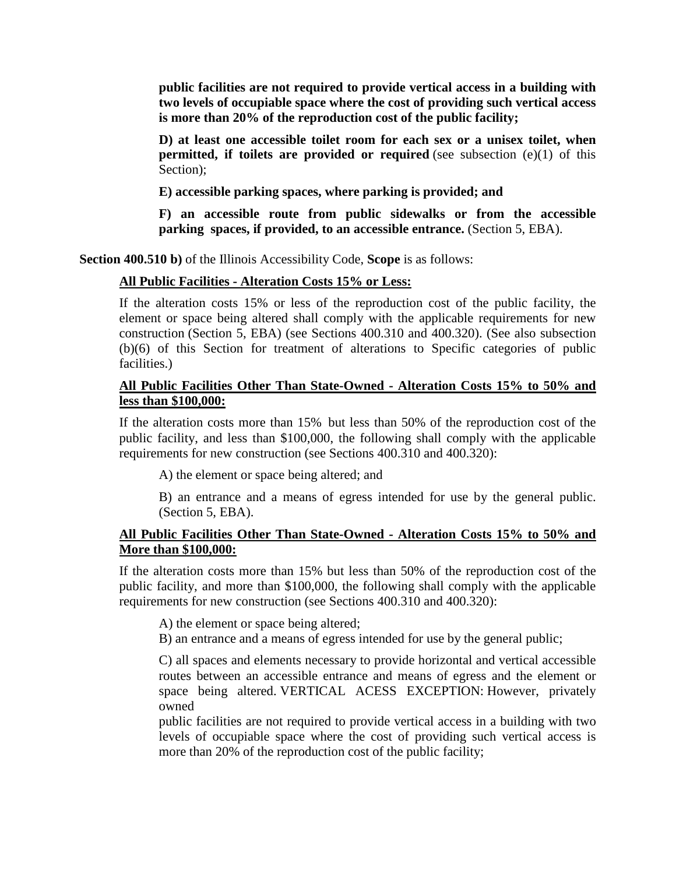**public facilities are not required to provide vertical access in a building with two levels of occupiable space where the cost of providing such vertical access is more than 20% of the reproduction cost of the public facility;**

**D) at least one accessible toilet room for each sex or a unisex toilet, when permitted, if toilets are provided or required** (see subsection (e)(1) of this Section);

**E) accessible parking spaces, where parking is provided; and**

**F) an accessible route from public sidewalks or from the accessible parking spaces, if provided, to an accessible entrance.** (Section 5, EBA).

**Section 400.510 b)** of the Illinois Accessibility Code, **Scope** is as follows:

#### **All Public Facilities - Alteration Costs 15% or Less:**

If the alteration costs 15% or less of the reproduction cost of the public facility, the element or space being altered shall comply with the applicable requirements for new construction (Section 5, EBA) (see Sections 400.310 and 400.320). (See also subsection (b)(6) of this Section for treatment of alterations to Specific categories of public facilities.)

#### **All Public Facilities Other Than State-Owned - Alteration Costs 15% to 50% and less than \$100,000:**

If the alteration costs more than 15% but less than 50% of the reproduction cost of the public facility, and less than \$100,000, the following shall comply with the applicable requirements for new construction (see Sections 400.310 and 400.320):

A) the element or space being altered; and

B) an entrance and a means of egress intended for use by the general public. (Section 5, EBA).

#### **All Public Facilities Other Than State-Owned - Alteration Costs 15% to 50% and More than \$100,000:**

If the alteration costs more than 15% but less than 50% of the reproduction cost of the public facility, and more than \$100,000, the following shall comply with the applicable requirements for new construction (see Sections 400.310 and 400.320):

A) the element or space being altered;

B) an entrance and a means of egress intended for use by the general public;

C) all spaces and elements necessary to provide horizontal and vertical accessible routes between an accessible entrance and means of egress and the element or space being altered. VERTICAL ACESS EXCEPTION: However, privately owned

public facilities are not required to provide vertical access in a building with two levels of occupiable space where the cost of providing such vertical access is more than 20% of the reproduction cost of the public facility;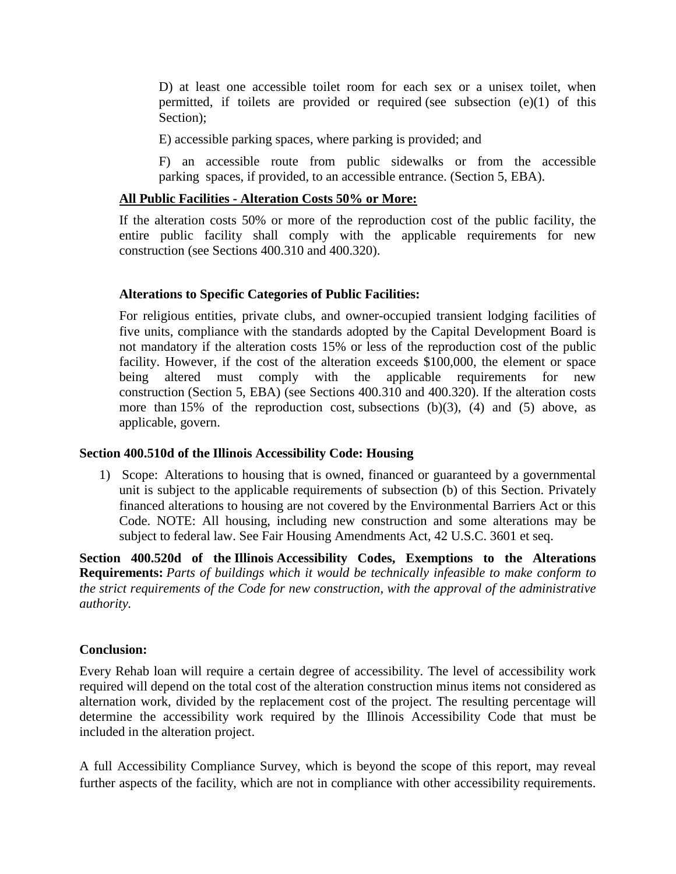D) at least one accessible toilet room for each sex or a unisex toilet, when permitted, if toilets are provided or required (see subsection (e)(1) of this Section);

E) accessible parking spaces, where parking is provided; and

F) an accessible route from public sidewalks or from the accessible parking spaces, if provided, to an accessible entrance. (Section 5, EBA).

#### **All Public Facilities - Alteration Costs 50% or More:**

If the alteration costs 50% or more of the reproduction cost of the public facility, the entire public facility shall comply with the applicable requirements for new construction (see Sections 400.310 and 400.320).

#### **Alterations to Specific Categories of Public Facilities:**

For religious entities, private clubs, and owner-occupied transient lodging facilities of five units, compliance with the standards adopted by the Capital Development Board is not mandatory if the alteration costs 15% or less of the reproduction cost of the public facility. However, if the cost of the alteration exceeds \$100,000, the element or space being altered must comply with the applicable requirements for new construction (Section 5, EBA) (see Sections 400.310 and 400.320). If the alteration costs more than 15% of the reproduction cost, subsections  $(b)(3)$ ,  $(4)$  and  $(5)$  above, as applicable, govern.

#### **Section 400.510d of the Illinois Accessibility Code: Housing**

1) Scope: Alterations to housing that is owned, financed or guaranteed by a governmental unit is subject to the applicable requirements of subsection (b) of this Section. Privately financed alterations to housing are not covered by the Environmental Barriers Act or this Code. NOTE: All housing, including new construction and some alterations may be subject to federal law. See Fair Housing Amendments Act, 42 U.S.C. 3601 et seq.

**Section 400.520d of the Illinois Accessibility Codes, Exemptions to the Alterations Requirements:** *Parts of buildings which it would be technically infeasible to make conform to the strict requirements of the Code for new construction, with the approval of the administrative authority.*

#### **Conclusion:**

Every Rehab loan will require a certain degree of accessibility. The level of accessibility work required will depend on the total cost of the alteration construction minus items not considered as alternation work, divided by the replacement cost of the project. The resulting percentage will determine the accessibility work required by the Illinois Accessibility Code that must be included in the alteration project.

A full Accessibility Compliance Survey, which is beyond the scope of this report, may reveal further aspects of the facility, which are not in compliance with other accessibility requirements.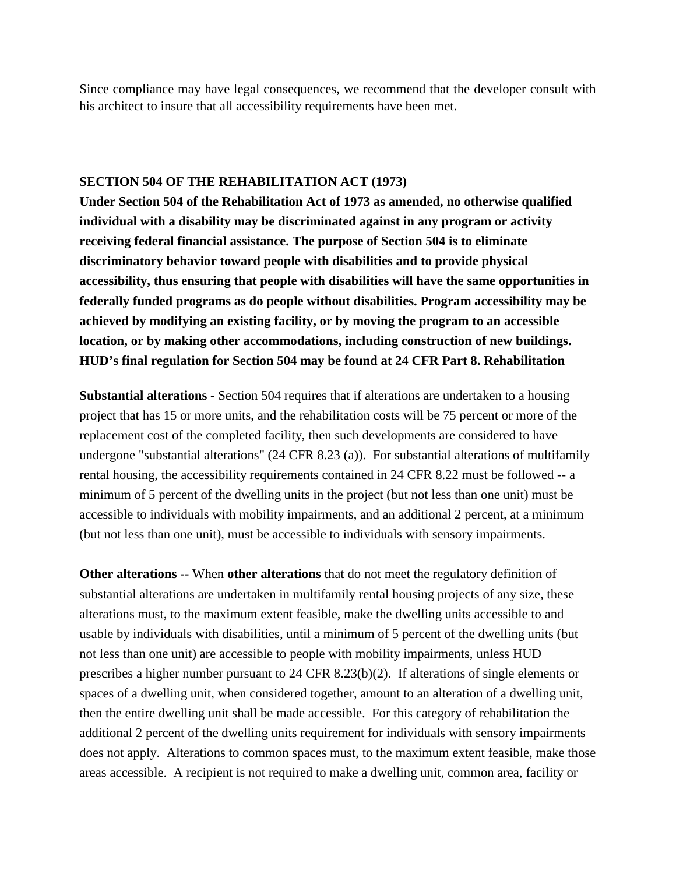Since compliance may have legal consequences, we recommend that the developer consult with his architect to insure that all accessibility requirements have been met.

#### **SECTION 504 OF THE REHABILITATION ACT (1973)**

**Under Section 504 of the Rehabilitation Act of 1973 as amended, no otherwise qualified individual with a disability may be discriminated against in any program or activity receiving federal financial assistance. The purpose of Section 504 is to eliminate discriminatory behavior toward people with disabilities and to provide physical accessibility, thus ensuring that people with disabilities will have the same opportunities in federally funded programs as do people without disabilities. Program accessibility may be achieved by modifying an existing facility, or by moving the program to an accessible location, or by making other accommodations, including construction of new buildings. HUD's final regulation for Section 504 may be found at 24 CFR Part 8. Rehabilitation**

**Substantial alterations -** Section 504 requires that if alterations are undertaken to a housing project that has 15 or more units, and the rehabilitation costs will be 75 percent or more of the replacement cost of the completed facility, then such developments are considered to have undergone "substantial alterations" (24 CFR 8.23 (a)). For substantial alterations of multifamily rental housing, the accessibility requirements contained in 24 CFR 8.22 must be followed -- a minimum of 5 percent of the dwelling units in the project (but not less than one unit) must be accessible to individuals with mobility impairments, and an additional 2 percent, at a minimum (but not less than one unit), must be accessible to individuals with sensory impairments.

**Other alterations --** When **other alterations** that do not meet the regulatory definition of substantial alterations are undertaken in multifamily rental housing projects of any size, these alterations must, to the maximum extent feasible, make the dwelling units accessible to and usable by individuals with disabilities, until a minimum of 5 percent of the dwelling units (but not less than one unit) are accessible to people with mobility impairments, unless HUD prescribes a higher number pursuant to 24 CFR 8.23(b)(2). If alterations of single elements or spaces of a dwelling unit, when considered together, amount to an alteration of a dwelling unit, then the entire dwelling unit shall be made accessible. For this category of rehabilitation the additional 2 percent of the dwelling units requirement for individuals with sensory impairments does not apply. Alterations to common spaces must, to the maximum extent feasible, make those areas accessible. A recipient is not required to make a dwelling unit, common area, facility or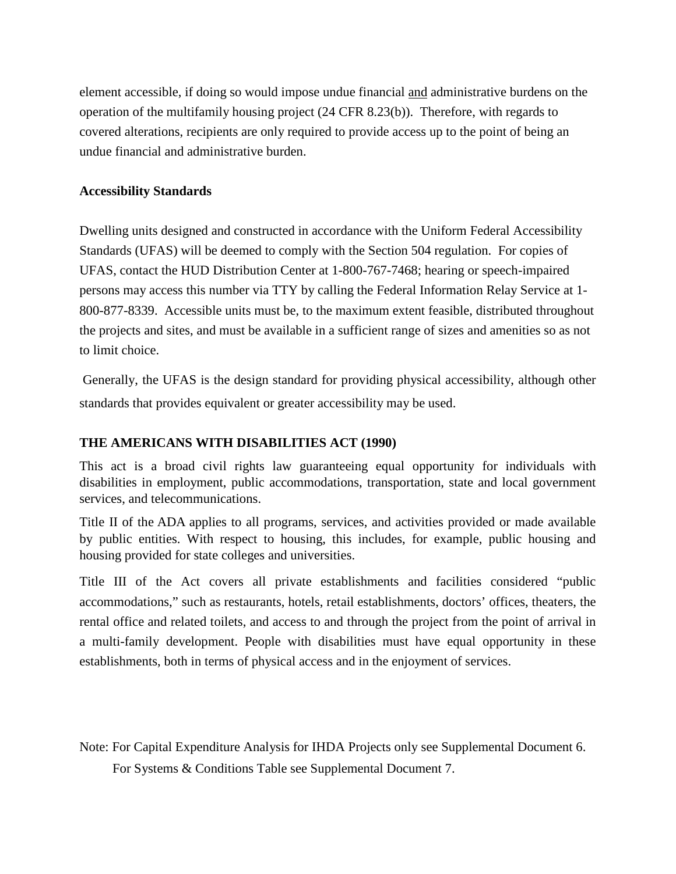element accessible, if doing so would impose undue financial and administrative burdens on the operation of the multifamily housing project (24 CFR 8.23(b)). Therefore, with regards to covered alterations, recipients are only required to provide access up to the point of being an undue financial and administrative burden.

#### **Accessibility Standards**

Dwelling units designed and constructed in accordance with the Uniform Federal Accessibility Standards (UFAS) will be deemed to comply with the Section 504 regulation. For copies of UFAS, contact the HUD Distribution Center at 1-800-767-7468; hearing or speech-impaired persons may access this number via TTY by calling the Federal Information Relay Service at 1- 800-877-8339. Accessible units must be, to the maximum extent feasible, distributed throughout the projects and sites, and must be available in a sufficient range of sizes and amenities so as not to limit choice.

Generally, the UFAS is the design standard for providing physical accessibility, although other standards that provides equivalent or greater accessibility may be used.

#### **THE AMERICANS WITH DISABILITIES ACT (1990)**

This act is a broad civil rights law guaranteeing equal opportunity for individuals with disabilities in employment, public accommodations, transportation, state and local government services, and telecommunications.

Title II of the ADA applies to all programs, services, and activities provided or made available by public entities. With respect to housing, this includes, for example, public housing and housing provided for state colleges and universities.

Title III of the Act covers all private establishments and facilities considered "public accommodations," such as restaurants, hotels, retail establishments, doctors' offices, theaters, the rental office and related toilets, and access to and through the project from the point of arrival in a multi-family development. People with disabilities must have equal opportunity in these establishments, both in terms of physical access and in the enjoyment of services.

Note: For Capital Expenditure Analysis for IHDA Projects only see Supplemental Document 6. For Systems & Conditions Table see Supplemental Document 7.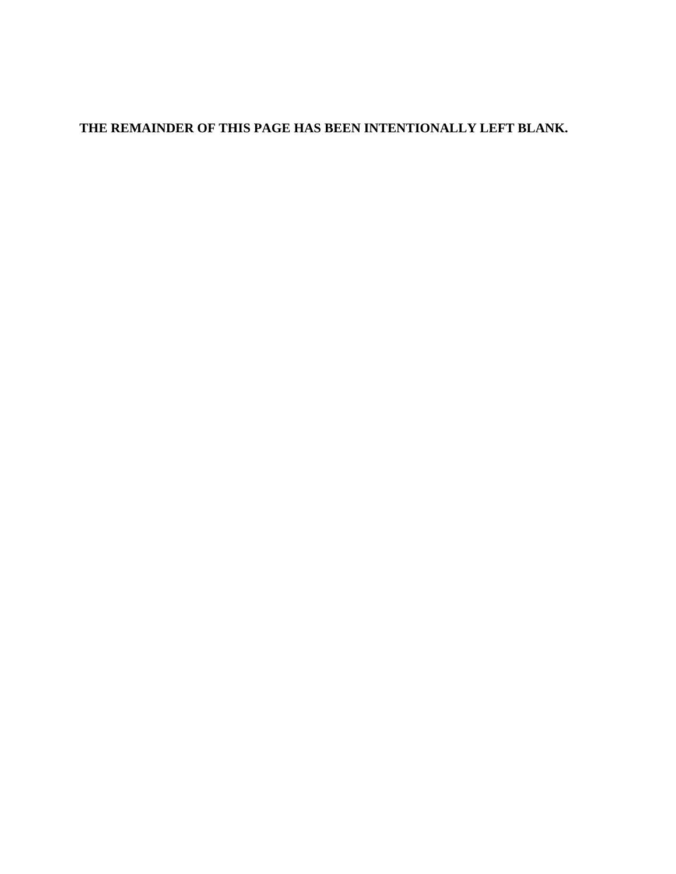## **THE REMAINDER OF THIS PAGE HAS BEEN INTENTIONALLY LEFT BLANK.**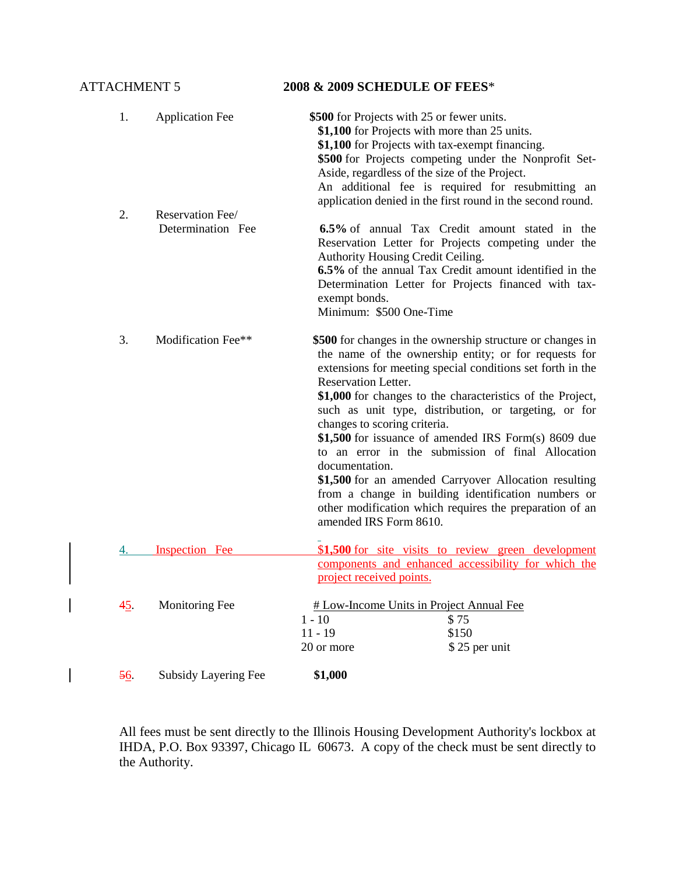$\overline{\phantom{a}}$ 

#### ATTACHMENT 5 **2008 & 2009 SCHEDULE OF FEES**\*

| 1.              | <b>Application Fee</b>                | \$500 for Projects with 25 or fewer units.<br>\$1,100 for Projects with more than 25 units.<br>\$1,100 for Projects with tax-exempt financing.<br>\$500 for Projects competing under the Nonprofit Set-<br>Aside, regardless of the size of the Project.<br>An additional fee is required for resubmitting an                                                                                                                                                                                                                                                                                                                                                                                               |
|-----------------|---------------------------------------|-------------------------------------------------------------------------------------------------------------------------------------------------------------------------------------------------------------------------------------------------------------------------------------------------------------------------------------------------------------------------------------------------------------------------------------------------------------------------------------------------------------------------------------------------------------------------------------------------------------------------------------------------------------------------------------------------------------|
| 2.              | Reservation Fee/<br>Determination Fee | application denied in the first round in the second round.<br>6.5% of annual Tax Credit amount stated in the<br>Reservation Letter for Projects competing under the<br>Authority Housing Credit Ceiling.<br>6.5% of the annual Tax Credit amount identified in the<br>Determination Letter for Projects financed with tax-<br>exempt bonds.<br>Minimum: \$500 One-Time                                                                                                                                                                                                                                                                                                                                      |
| 3.              | Modification Fee**                    | \$500 for changes in the ownership structure or changes in<br>the name of the ownership entity; or for requests for<br>extensions for meeting special conditions set forth in the<br><b>Reservation Letter.</b><br>\$1,000 for changes to the characteristics of the Project,<br>such as unit type, distribution, or targeting, or for<br>changes to scoring criteria.<br>$$1,500$ for issuance of amended IRS Form(s) 8609 due<br>to an error in the submission of final Allocation<br>documentation.<br>\$1,500 for an amended Carryover Allocation resulting<br>from a change in building identification numbers or<br>other modification which requires the preparation of an<br>amended IRS Form 8610. |
| 4.              | <b>Inspection</b> Fee                 | \$1,500 for site visits to review green development<br>components and enhanced accessibility for which the<br>project received points.                                                                                                                                                                                                                                                                                                                                                                                                                                                                                                                                                                      |
| 45 <sub>1</sub> | Monitoring Fee                        | # Low-Income Units in Project Annual Fee<br>$1 - 10$<br>\$75<br>$11 - 19$<br>\$150<br>20 or more<br>\$25 per unit                                                                                                                                                                                                                                                                                                                                                                                                                                                                                                                                                                                           |
| $\frac{56}{5}$  | Subsidy Layering Fee                  | \$1,000                                                                                                                                                                                                                                                                                                                                                                                                                                                                                                                                                                                                                                                                                                     |

All fees must be sent directly to the Illinois Housing Development Authority's lockbox at IHDA, P.O. Box 93397, Chicago IL 60673. A copy of the check must be sent directly to the Authority.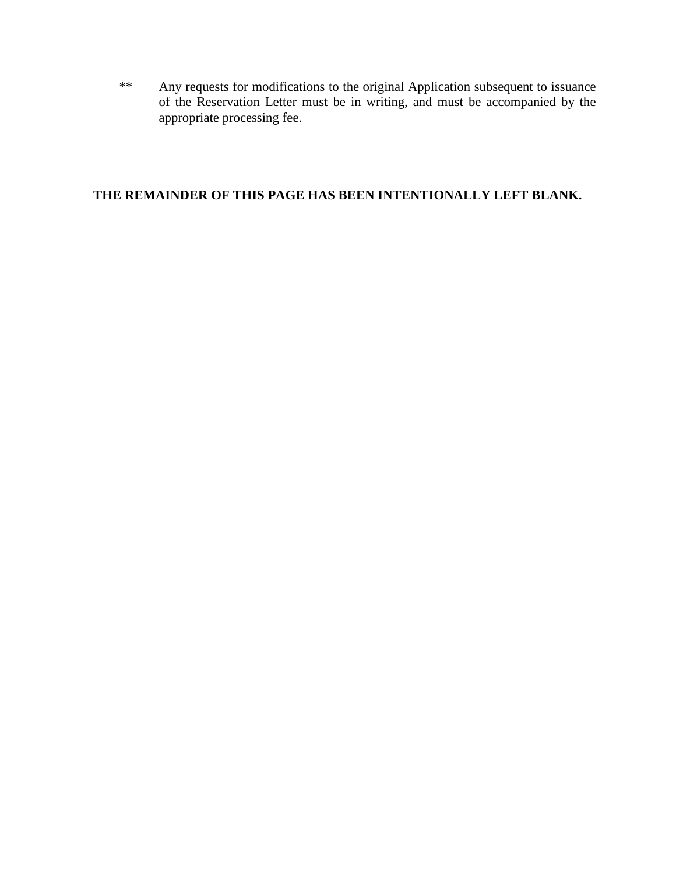\*\* Any requests for modifications to the original Application subsequent to issuance of the Reservation Letter must be in writing, and must be accompanied by the appropriate processing fee.

# **THE REMAINDER OF THIS PAGE HAS BEEN INTENTIONALLY LEFT BLANK.**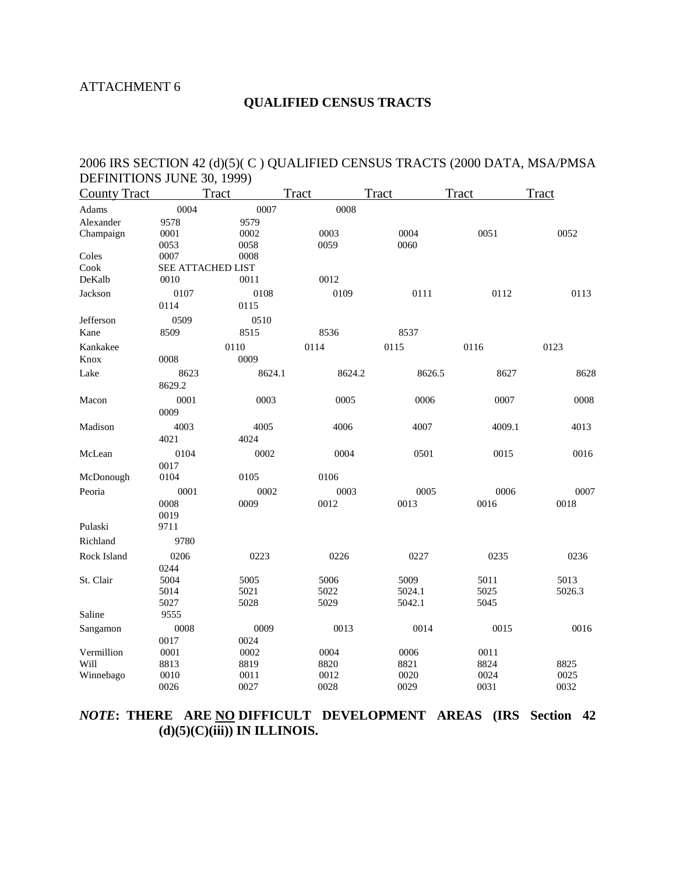#### **QUALIFIED CENSUS TRACTS**

#### DEFINITIONS JUNE 30, 1999) County Tract Tract Tract Tract Tract Tract Adams 0004 0007 0008 Alexander 9578 9579<br>Champaign 0001 0002 Champaign 0001 0002 0003 0004 0051 0052 0053 0058 0059 0060 Coles 0007 0008 Cook SEE ATTACHED LIST<br>DeKalb 0010 0011 DeKalb 0010 0011 0012 Jackson 0107 0108 0109 0111 0112 0113 0114 0115 Jefferson 0509 0510 Kane 8509 8515 8536 8537 Kankakee 0110 0114 0115 0116 0123 Knox 0008 0009 Lake 8623 8624.1 8624.2 8626.5 8627 8628 8629.2 Macon 0001 0003 0005 0006 0007 0008 0009 Madison 4003 4005 4006 4007 4009.1 4013 4021 4024 McLean 0104 0002 0004 0501 0015 0016 0017 McDonough 0104 0105 0106 Peoria 100001 0002 0003 0005 0006 0007 0008 0009 0012 0013 0016 0018 0019<br>9711 Pulaski Richland 9780 Rock Island 0206 0223 0226 0227 0235 0236 0244 St. Clair 5004 5005 5006 5009 5011 5013 5014 5021 5022 5024.1 5025 5026.3 5027 5028 5029 5042.1 5045 Saline 9555 Sangamon 0008 0009 0013 0014 0015 0016 0017 0024 Vermillion 0001 0002 0004 0006 0011 Will 8813 8819 8820 8821 8824 8825 Winnebago 0010 0011 0012 0020 0024 0025 0026 0027 0028 0029 0031 0032

# 2006 IRS SECTION 42 (d)(5)( C ) QUALIFIED CENSUS TRACTS (2000 DATA, MSA/PMSA

# *NOTE***: THERE ARE NO DIFFICULT DEVELOPMENT AREAS (IRS Section 42 (d)(5)(C)(iii)) IN ILLINOIS.**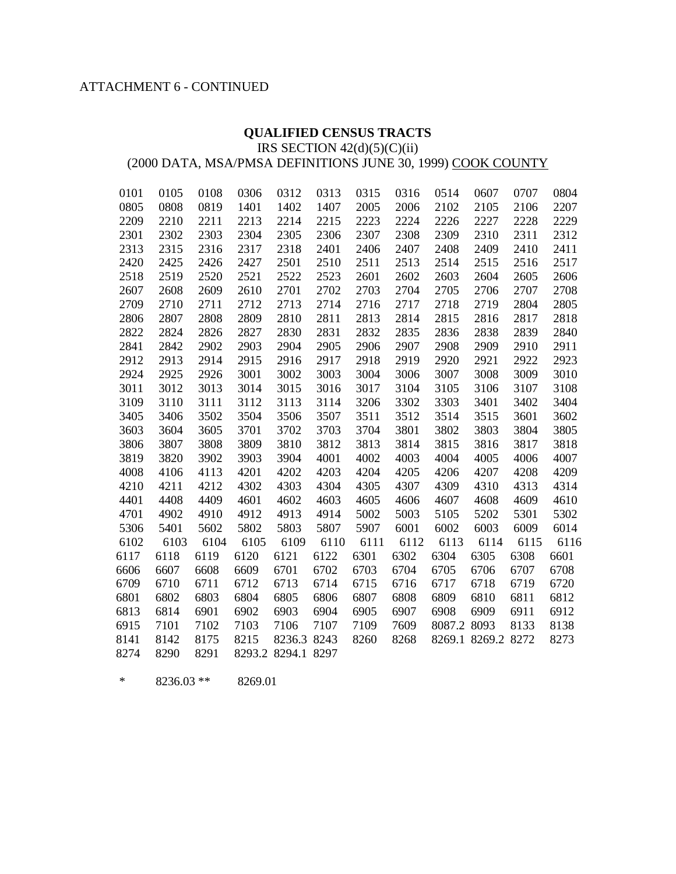# ATTACHMENT 6 - CONTINUED

# **QUALIFIED CENSUS TRACTS** IRS SECTION  $42(d)(5)(C)(ii)$ (2000 DATA, MSA/PMSA DEFINITIONS JUNE 30, 1999) COOK COUNTY

| 0101 | 0105 | 0108 | 0306 | 0312               | 0313 | 0315 | 0316 | 0514        | 0607          | 0707 | 0804 |
|------|------|------|------|--------------------|------|------|------|-------------|---------------|------|------|
| 0805 | 0808 | 0819 | 1401 | 1402               | 1407 | 2005 | 2006 | 2102        | 2105          | 2106 | 2207 |
| 2209 | 2210 | 2211 | 2213 | 2214               | 2215 | 2223 | 2224 | 2226        | 2227          | 2228 | 2229 |
| 2301 | 2302 | 2303 | 2304 | 2305               | 2306 | 2307 | 2308 | 2309        | 2310          | 2311 | 2312 |
| 2313 | 2315 | 2316 | 2317 | 2318               | 2401 | 2406 | 2407 | 2408        | 2409          | 2410 | 2411 |
| 2420 | 2425 | 2426 | 2427 | 2501               | 2510 | 2511 | 2513 | 2514        | 2515          | 2516 | 2517 |
| 2518 | 2519 | 2520 | 2521 | 2522               | 2523 | 2601 | 2602 | 2603        | 2604          | 2605 | 2606 |
| 2607 | 2608 | 2609 | 2610 | 2701               | 2702 | 2703 | 2704 | 2705        | 2706          | 2707 | 2708 |
| 2709 | 2710 | 2711 | 2712 | 2713               | 2714 | 2716 | 2717 | 2718        | 2719          | 2804 | 2805 |
| 2806 | 2807 | 2808 | 2809 | 2810               | 2811 | 2813 | 2814 | 2815        | 2816          | 2817 | 2818 |
| 2822 | 2824 | 2826 | 2827 | 2830               | 2831 | 2832 | 2835 | 2836        | 2838          | 2839 | 2840 |
| 2841 | 2842 | 2902 | 2903 | 2904               | 2905 | 2906 | 2907 | 2908        | 2909          | 2910 | 2911 |
| 2912 | 2913 | 2914 | 2915 | 2916               | 2917 | 2918 | 2919 | 2920        | 2921          | 2922 | 2923 |
| 2924 | 2925 | 2926 | 3001 | 3002               | 3003 | 3004 | 3006 | 3007        | 3008          | 3009 | 3010 |
| 3011 | 3012 | 3013 | 3014 | 3015               | 3016 | 3017 | 3104 | 3105        | 3106          | 3107 | 3108 |
| 3109 | 3110 | 3111 | 3112 | 3113               | 3114 | 3206 | 3302 | 3303        | 3401          | 3402 | 3404 |
| 3405 | 3406 | 3502 | 3504 | 3506               | 3507 | 3511 | 3512 | 3514        | 3515          | 3601 | 3602 |
| 3603 | 3604 | 3605 | 3701 | 3702               | 3703 | 3704 | 3801 | 3802        | 3803          | 3804 | 3805 |
| 3806 | 3807 | 3808 | 3809 | 3810               | 3812 | 3813 | 3814 | 3815        | 3816          | 3817 | 3818 |
| 3819 | 3820 | 3902 | 3903 | 3904               | 4001 | 4002 | 4003 | 4004        | 4005          | 4006 | 4007 |
| 4008 | 4106 | 4113 | 4201 | 4202               | 4203 | 4204 | 4205 | 4206        | 4207          | 4208 | 4209 |
| 4210 | 4211 | 4212 | 4302 | 4303               | 4304 | 4305 | 4307 | 4309        | 4310          | 4313 | 4314 |
| 4401 | 4408 | 4409 | 4601 | 4602               | 4603 | 4605 | 4606 | 4607        | 4608          | 4609 | 4610 |
| 4701 | 4902 | 4910 | 4912 | 4913               | 4914 | 5002 | 5003 | 5105        | 5202          | 5301 | 5302 |
| 5306 | 5401 | 5602 | 5802 | 5803               | 5807 | 5907 | 6001 | 6002        | 6003          | 6009 | 6014 |
| 6102 | 6103 | 6104 | 6105 | 6109               | 6110 | 6111 | 6112 | 6113        | 6114          | 6115 | 6116 |
| 6117 | 6118 | 6119 | 6120 | 6121               | 6122 | 6301 | 6302 | 6304        | 6305          | 6308 | 6601 |
| 6606 | 6607 | 6608 | 6609 | 6701               | 6702 | 6703 | 6704 | 6705        | 6706          | 6707 | 6708 |
| 6709 | 6710 | 6711 | 6712 | 6713               | 6714 | 6715 | 6716 | 6717        | 6718          | 6719 | 6720 |
| 6801 | 6802 | 6803 | 6804 | 6805               | 6806 | 6807 | 6808 | 6809        | 6810          | 6811 | 6812 |
| 6813 | 6814 | 6901 | 6902 | 6903               | 6904 | 6905 | 6907 | 6908        | 6909          | 6911 | 6912 |
| 6915 | 7101 | 7102 | 7103 | 7106               | 7107 | 7109 | 7609 | 8087.2 8093 |               | 8133 | 8138 |
| 8141 | 8142 | 8175 | 8215 | 8236.3 8243        |      | 8260 | 8268 |             | 8269.1 8269.2 | 8272 | 8273 |
| 8274 | 8290 | 8291 |      | 8293.2 8294.1 8297 |      |      |      |             |               |      |      |

\* 8236.03 \*\* 8269.01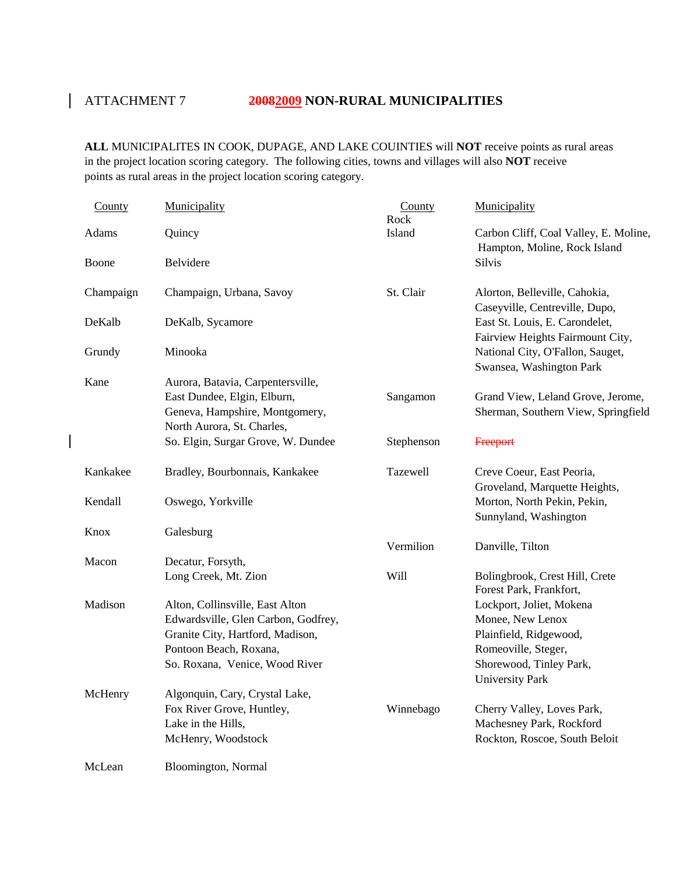# ATTACHMENT 7 **20082009 NON-RURAL MUNICIPALITIES**

 $\overline{\phantom{a}}$ 

**ALL** MUNICIPALITES IN COOK, DUPAGE, AND LAKE COUINTIES will **NOT** receive points as rural areas in the project location scoring category. The following cities, towns and villages will also **NOT** receive points as rural areas in the project location scoring category.

| County    | Municipality                        | County<br>Rock | Municipality                                                          |
|-----------|-------------------------------------|----------------|-----------------------------------------------------------------------|
| Adams     | Quincy                              | Island         | Carbon Cliff, Coal Valley, E. Moline,<br>Hampton, Moline, Rock Island |
| Boone     | Belvidere                           |                | <b>Silvis</b>                                                         |
| Champaign | Champaign, Urbana, Savoy            | St. Clair      | Alorton, Belleville, Cahokia,                                         |
|           |                                     |                | Caseyville, Centreville, Dupo,                                        |
| DeKalb    | DeKalb, Sycamore                    |                | East St. Louis, E. Carondelet,                                        |
|           |                                     |                | Fairview Heights Fairmount City,                                      |
| Grundy    | Minooka                             |                | National City, O'Fallon, Sauget,                                      |
|           |                                     |                | Swansea, Washington Park                                              |
| Kane      | Aurora, Batavia, Carpentersville,   |                |                                                                       |
|           | East Dundee, Elgin, Elburn,         | Sangamon       | Grand View, Leland Grove, Jerome,                                     |
|           | Geneva, Hampshire, Montgomery,      |                | Sherman, Southern View, Springfield                                   |
|           | North Aurora, St. Charles,          |                |                                                                       |
|           | So. Elgin, Surgar Grove, W. Dundee  | Stephenson     | <b>Freeport</b>                                                       |
| Kankakee  | Bradley, Bourbonnais, Kankakee      | Tazewell       | Creve Coeur, East Peoria,                                             |
|           |                                     |                | Groveland, Marquette Heights,                                         |
| Kendall   | Oswego, Yorkville                   |                | Morton, North Pekin, Pekin,                                           |
|           |                                     |                | Sunnyland, Washington                                                 |
| Knox      | Galesburg                           |                |                                                                       |
|           |                                     | Vermilion      | Danville, Tilton                                                      |
| Macon     | Decatur, Forsyth,                   |                |                                                                       |
|           | Long Creek, Mt. Zion                | Will           | Bolingbrook, Crest Hill, Crete<br>Forest Park, Frankfort,             |
| Madison   | Alton, Collinsville, East Alton     |                | Lockport, Joliet, Mokena                                              |
|           | Edwardsville, Glen Carbon, Godfrey, |                | Monee, New Lenox                                                      |
|           | Granite City, Hartford, Madison,    |                | Plainfield, Ridgewood,                                                |
|           | Pontoon Beach, Roxana,              |                | Romeoville, Steger,                                                   |
|           | So. Roxana, Venice, Wood River      |                | Shorewood, Tinley Park,                                               |
|           |                                     |                | <b>University Park</b>                                                |
| McHenry   | Algonquin, Cary, Crystal Lake,      |                |                                                                       |
|           | Fox River Grove, Huntley,           | Winnebago      | Cherry Valley, Loves Park,                                            |
|           | Lake in the Hills,                  |                | Machesney Park, Rockford                                              |
|           | McHenry, Woodstock                  |                | Rockton, Roscoe, South Beloit                                         |
| McLean    | Bloomington, Normal                 |                |                                                                       |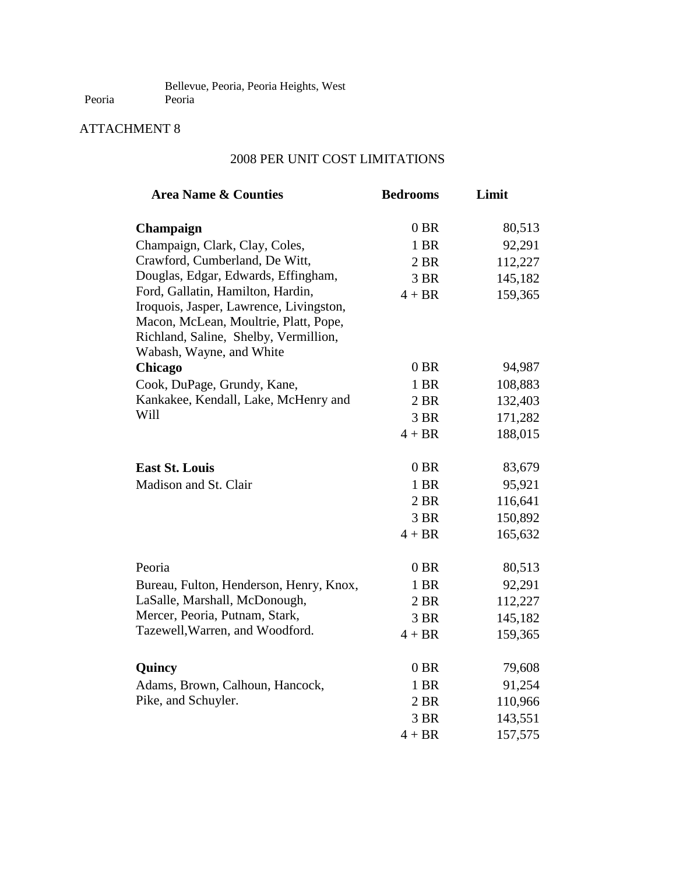Peoria

#### Bellevue, Peoria, Peoria Heights, West Peoria

# ATTACHMENT 8

# 2008 PER UNIT COST LIMITATIONS

| <b>Area Name &amp; Counties</b>                                   | <b>Bedrooms</b> | Limit   |
|-------------------------------------------------------------------|-----------------|---------|
|                                                                   |                 |         |
| Champaign                                                         | 0 <sub>BR</sub> | 80,513  |
| Champaign, Clark, Clay, Coles,                                    | 1 BR            | 92,291  |
| Crawford, Cumberland, De Witt,                                    | 2 BR            | 112,227 |
| Douglas, Edgar, Edwards, Effingham,                               | 3 BR            | 145,182 |
| Ford, Gallatin, Hamilton, Hardin,                                 | $4 + BR$        | 159,365 |
| Iroquois, Jasper, Lawrence, Livingston,                           |                 |         |
| Macon, McLean, Moultrie, Platt, Pope,                             |                 |         |
| Richland, Saline, Shelby, Vermillion,<br>Wabash, Wayne, and White |                 |         |
| Chicago                                                           | $0$ BR          | 94,987  |
| Cook, DuPage, Grundy, Kane,                                       | 1 BR            | 108,883 |
| Kankakee, Kendall, Lake, McHenry and                              | 2 BR            | 132,403 |
| Will                                                              | 3 BR            | 171,282 |
|                                                                   | $4 + BR$        | 188,015 |
|                                                                   |                 |         |
| <b>East St. Louis</b>                                             | 0 <sub>BR</sub> | 83,679  |
| Madison and St. Clair                                             | 1 BR            | 95,921  |
|                                                                   | 2 BR            | 116,641 |
|                                                                   | 3 BR            | 150,892 |
|                                                                   | $4 + BR$        | 165,632 |
| Peoria                                                            | $0$ BR          | 80,513  |
| Bureau, Fulton, Henderson, Henry, Knox,                           | 1 BR            | 92,291  |
| LaSalle, Marshall, McDonough,                                     | 2 BR            | 112,227 |
| Mercer, Peoria, Putnam, Stark,                                    | 3 BR            | 145,182 |
| Tazewell, Warren, and Woodford.                                   | $4 + BR$        | 159,365 |
|                                                                   |                 |         |
| Quincy                                                            | $0$ BR          | 79,608  |
| Adams, Brown, Calhoun, Hancock,                                   | 1 BR            | 91,254  |
| Pike, and Schuyler.                                               | 2 BR            | 110,966 |
|                                                                   | 3 BR            | 143,551 |
|                                                                   | $4 + BR$        | 157,575 |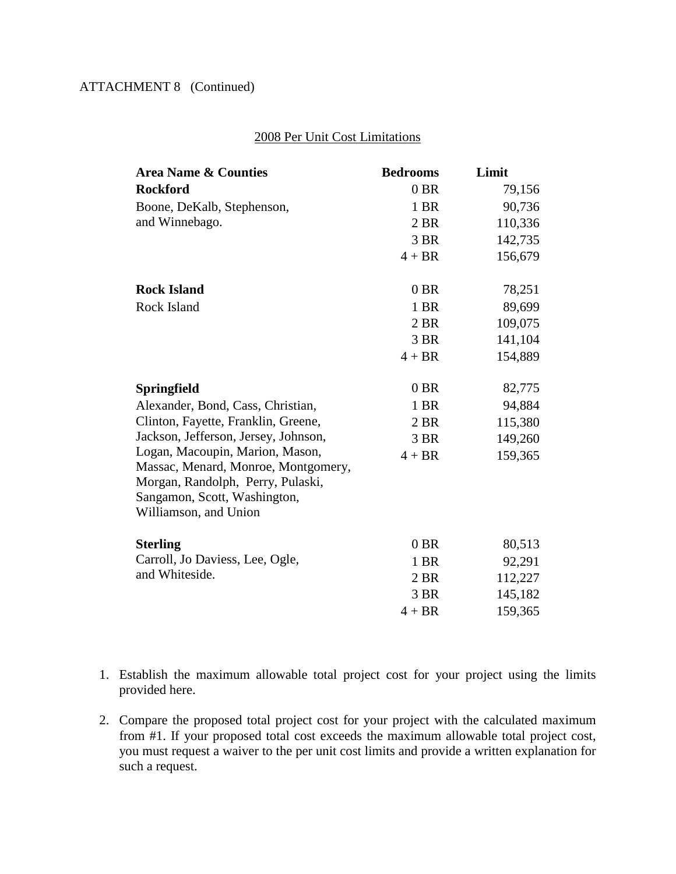# ATTACHMENT 8 (Continued)

#### 2008 Per Unit Cost Limitations

| <b>Area Name &amp; Counties</b>      | <b>Bedrooms</b> | Limit   |
|--------------------------------------|-----------------|---------|
| <b>Rockford</b>                      | 0 <sub>BR</sub> | 79,156  |
| Boone, DeKalb, Stephenson,           | 1 BR            | 90,736  |
| and Winnebago.                       | 2 BR            | 110,336 |
|                                      | 3 BR            | 142,735 |
|                                      | $4 + BR$        | 156,679 |
|                                      |                 |         |
| <b>Rock Island</b>                   | $0$ BR          | 78,251  |
| Rock Island                          | 1 BR            | 89,699  |
|                                      | 2 BR            | 109,075 |
|                                      | 3 BR            | 141,104 |
|                                      | $4 + BR$        | 154,889 |
| <b>Springfield</b>                   | $0$ BR          | 82,775  |
| Alexander, Bond, Cass, Christian,    | 1 BR            | 94,884  |
| Clinton, Fayette, Franklin, Greene,  | 2 BR            | 115,380 |
| Jackson, Jefferson, Jersey, Johnson, | 3 BR            | 149,260 |
| Logan, Macoupin, Marion, Mason,      | $4 + BR$        | 159,365 |
| Massac, Menard, Monroe, Montgomery,  |                 |         |
| Morgan, Randolph, Perry, Pulaski,    |                 |         |
| Sangamon, Scott, Washington,         |                 |         |
| Williamson, and Union                |                 |         |
| <b>Sterling</b>                      | 0 <sub>BR</sub> | 80,513  |
| Carroll, Jo Daviess, Lee, Ogle,      | 1 BR            | 92,291  |
| and Whiteside.                       | 2 BR            | 112,227 |
|                                      | 3 BR            | 145,182 |
|                                      | $4 + BR$        | 159,365 |

- 1. Establish the maximum allowable total project cost for your project using the limits provided here.
- 2. Compare the proposed total project cost for your project with the calculated maximum from #1. If your proposed total cost exceeds the maximum allowable total project cost, you must request a waiver to the per unit cost limits and provide a written explanation for such a request.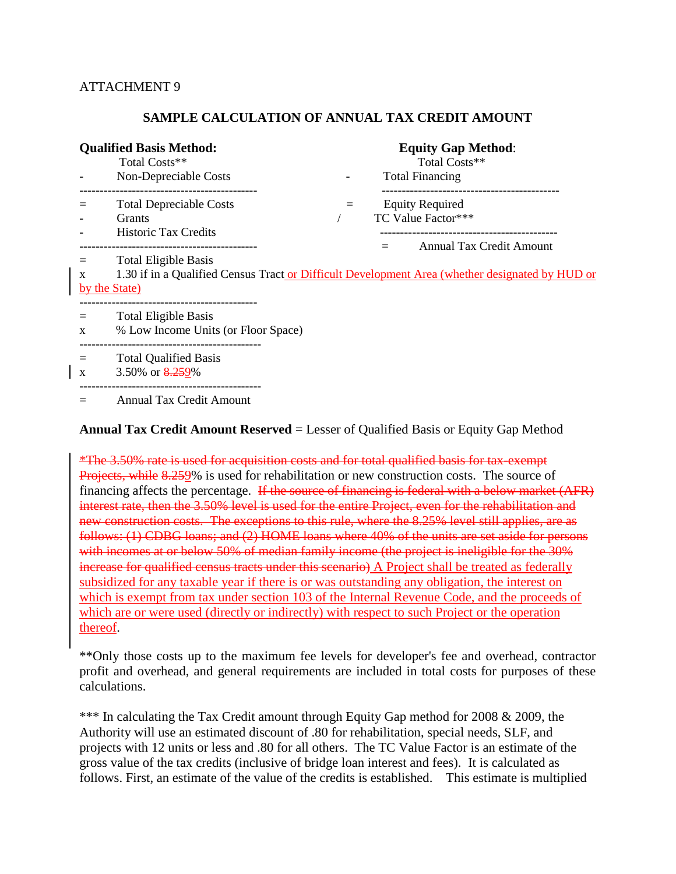## **SAMPLE CALCULATION OF ANNUAL TAX CREDIT AMOUNT**

|               | <b>Qualified Basis Method:</b>                                 |  |     | <b>Equity Gap Method:</b>                                                                       |
|---------------|----------------------------------------------------------------|--|-----|-------------------------------------------------------------------------------------------------|
|               | Total Costs**                                                  |  |     | Total Costs**                                                                                   |
|               | Non-Depreciable Costs<br>------------------------------------- |  |     | <b>Total Financing</b>                                                                          |
|               | <b>Total Depreciable Costs</b>                                 |  |     | <b>Equity Required</b>                                                                          |
|               | <b>Grants</b>                                                  |  |     | TC Value Factor***                                                                              |
|               | <b>Historic Tax Credits</b>                                    |  |     | ------------------------------------                                                            |
|               | ._______________________________                               |  | $=$ | Annual Tax Credit Amount                                                                        |
|               | <b>Total Eligible Basis</b>                                    |  |     |                                                                                                 |
| X             |                                                                |  |     | 1.30 if in a Qualified Census Tract or Difficult Development Area (whether designated by HUD or |
| by the State) |                                                                |  |     |                                                                                                 |
|               | <b>Total Eligible Basis</b>                                    |  |     |                                                                                                 |
| X             | % Low Income Units (or Floor Space)                            |  |     |                                                                                                 |
|               | <b>Total Qualified Basis</b>                                   |  |     |                                                                                                 |
| X             | 3.50% or 8.259%                                                |  |     |                                                                                                 |
|               |                                                                |  |     |                                                                                                 |
|               | Annual Tax Credit Amount                                       |  |     |                                                                                                 |

#### **Annual Tax Credit Amount Reserved** = Lesser of Qualified Basis or Equity Gap Method

\*The 3.50% rate is used for acquisition costs and for total qualified basis for tax-exempt Projects, while 8.259% is used for rehabilitation or new construction costs. The source of financing affects the percentage. If the source of financing is federal with a below market (AFR) interest rate, then the 3.50% level is used for the entire Project, even for the rehabilitation and new construction costs. The exceptions to this rule, where the 8.25% level still applies, are as follows: (1) CDBG loans; and (2) HOME loans where 40% of the units are set aside for persons with incomes at or below 50% of median family income (the project is ineligible for the 30% increase for qualified census tracts under this scenario) A Project shall be treated as federally subsidized for any taxable year if there is or was outstanding any obligation, the interest on which is exempt from tax under [section 103](http://web2.westlaw.com/find/default.wl?tf=-1&rs=WLW8.08&fn=_top&sv=Split&tc=-1&docname=26USCAS103&ordoc=1871986&findtype=L&db=1000546&vr=2.0&rp=%2ffind%2fdefault.wl&mt=Tax) of the Internal Revenue Code, and the proceeds of which are or were used (directly or indirectly) with respect to such Project or the operation thereof.

\*\*Only those costs up to the maximum fee levels for developer's fee and overhead, contractor profit and overhead, and general requirements are included in total costs for purposes of these calculations.

\*\*\* In calculating the Tax Credit amount through Equity Gap method for 2008 & 2009, the Authority will use an estimated discount of .80 for rehabilitation, special needs, SLF, and projects with 12 units or less and .80 for all others. The TC Value Factor is an estimate of the gross value of the tax credits (inclusive of bridge loan interest and fees). It is calculated as follows. First, an estimate of the value of the credits is established. This estimate is multiplied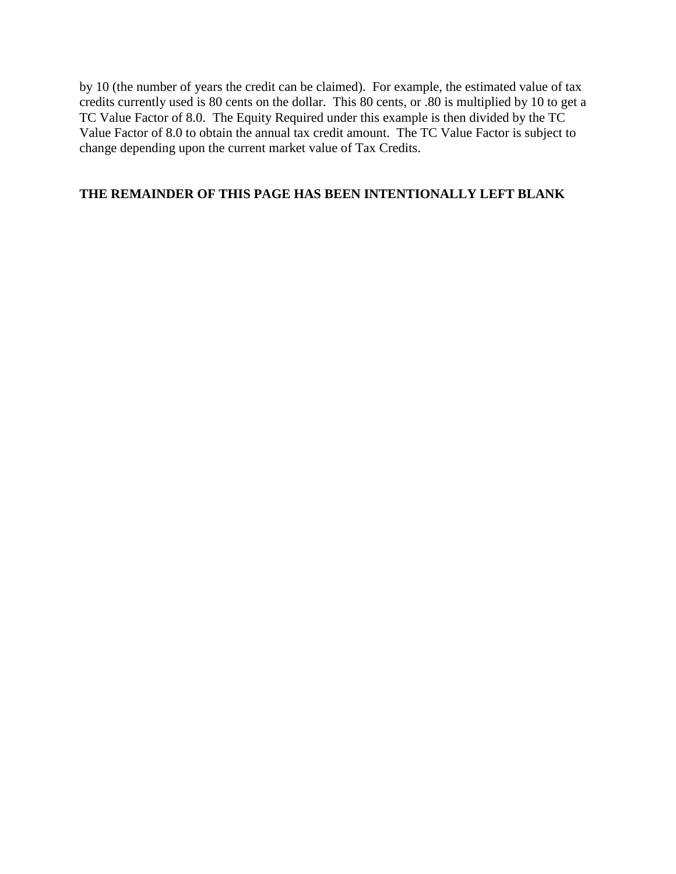by 10 (the number of years the credit can be claimed). For example, the estimated value of tax credits currently used is 80 cents on the dollar. This 80 cents, or .80 is multiplied by 10 to get a TC Value Factor of 8.0. The Equity Required under this example is then divided by the TC Value Factor of 8.0 to obtain the annual tax credit amount. The TC Value Factor is subject to change depending upon the current market value of Tax Credits.

# **THE REMAINDER OF THIS PAGE HAS BEEN INTENTIONALLY LEFT BLANK**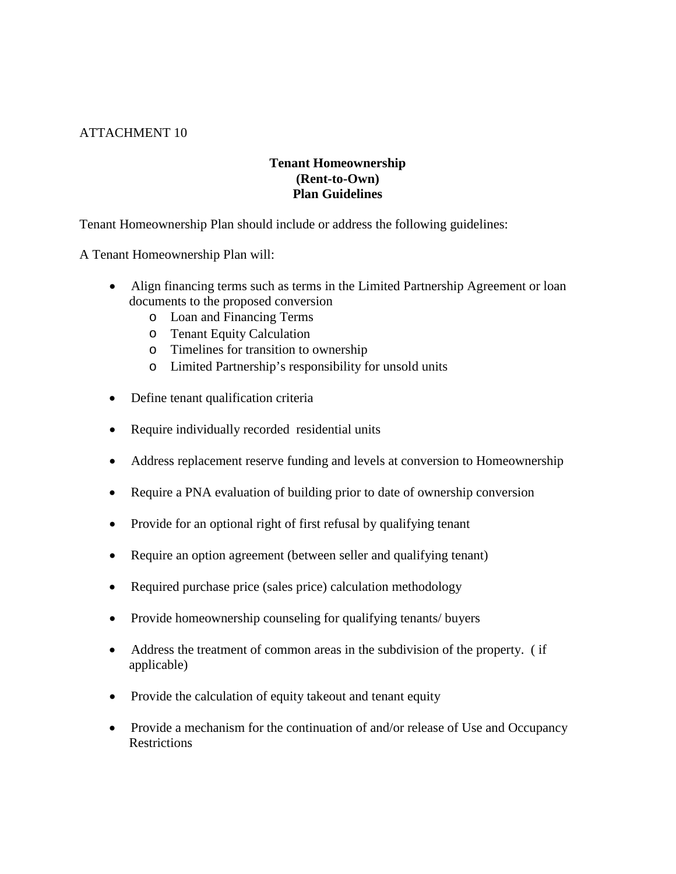# **Tenant Homeownership (Rent-to-Own) Plan Guidelines**

Tenant Homeownership Plan should include or address the following guidelines:

A Tenant Homeownership Plan will:

- Align financing terms such as terms in the Limited Partnership Agreement or loan documents to the proposed conversion
	- o Loan and Financing Terms
	- o Tenant Equity Calculation
	- o Timelines for transition to ownership
	- o Limited Partnership's responsibility for unsold units
- Define tenant qualification criteria
- Require individually recorded residential units
- Address replacement reserve funding and levels at conversion to Homeownership
- Require a PNA evaluation of building prior to date of ownership conversion
- Provide for an optional right of first refusal by qualifying tenant
- Require an option agreement (between seller and qualifying tenant)
- Required purchase price (sales price) calculation methodology
- Provide homeownership counseling for qualifying tenants/ buyers
- Address the treatment of common areas in the subdivision of the property. (if applicable)
- Provide the calculation of equity takeout and tenant equity
- Provide a mechanism for the continuation of and/or release of Use and Occupancy **Restrictions**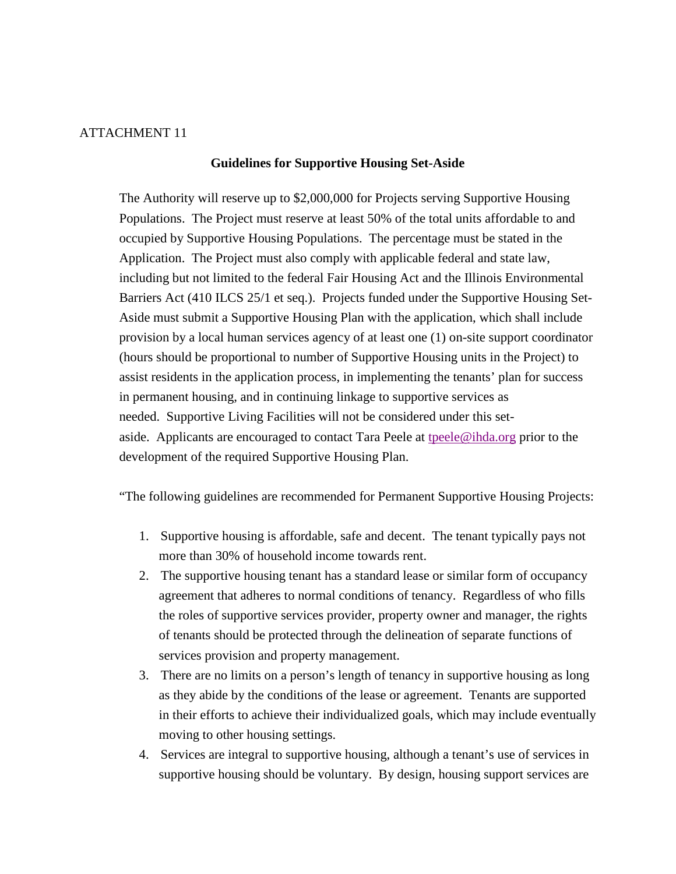#### **Guidelines for Supportive Housing Set-Aside**

The Authority will reserve up to \$2,000,000 for Projects serving Supportive Housing Populations. The Project must reserve at least 50% of the total units affordable to and occupied by Supportive Housing Populations. The percentage must be stated in the Application. The Project must also comply with applicable federal and state law, including but not limited to the federal Fair Housing Act and the Illinois Environmental Barriers Act (410 ILCS 25/1 et seq.). Projects funded under the Supportive Housing Set-Aside must submit a Supportive Housing Plan with the application, which shall include provision by a local human services agency of at least one (1) on-site support coordinator (hours should be proportional to number of Supportive Housing units in the Project) to assist residents in the application process, in implementing the tenants' plan for success in permanent housing, and in continuing linkage to supportive services as needed. Supportive Living Facilities will not be considered under this setaside. Applicants are encouraged to contact Tara Peele at [tpeele@ihda.org](mailto:tpeele@ihda.org) prior to the development of the required Supportive Housing Plan.

"The following guidelines are recommended for Permanent Supportive Housing Projects:

- 1. Supportive housing is affordable, safe and decent. The tenant typically pays not more than 30% of household income towards rent.
- 2. The supportive housing tenant has a standard lease or similar form of occupancy agreement that adheres to normal conditions of tenancy. Regardless of who fills the roles of supportive services provider, property owner and manager, the rights of tenants should be protected through the delineation of separate functions of services provision and property management.
- 3. There are no limits on a person's length of tenancy in supportive housing as long as they abide by the conditions of the lease or agreement. Tenants are supported in their efforts to achieve their individualized goals, which may include eventually moving to other housing settings.
- 4. Services are integral to supportive housing, although a tenant's use of services in supportive housing should be voluntary. By design, housing support services are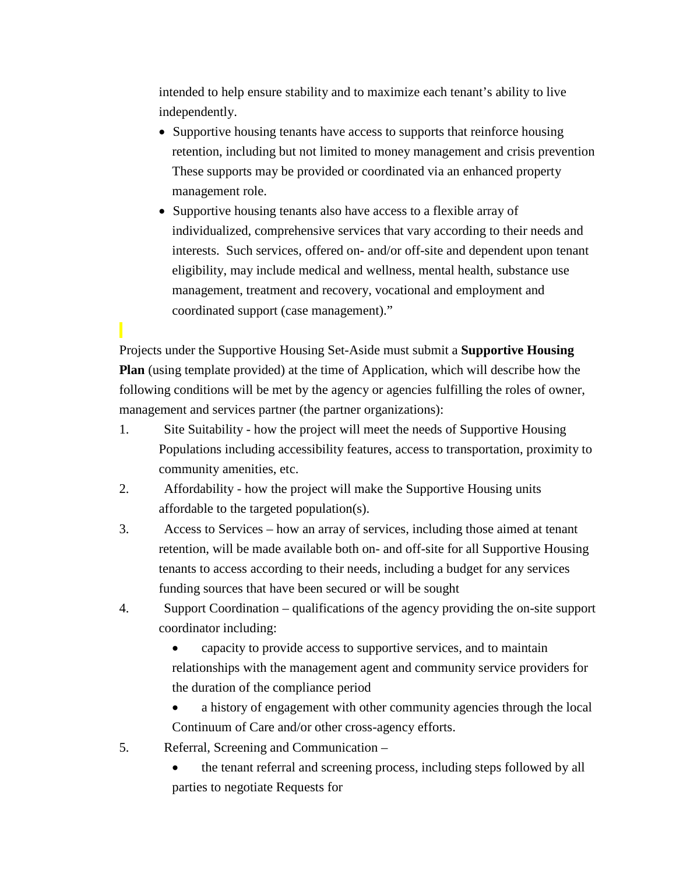intended to help ensure stability and to maximize each tenant's ability to live independently.

- Supportive housing tenants have access to supports that reinforce housing retention, including but not limited to money management and crisis prevention These supports may be provided or coordinated via an enhanced property management role.
- Supportive housing tenants also have access to a flexible array of individualized, comprehensive services that vary according to their needs and interests. Such services, offered on- and/or off-site and dependent upon tenant eligibility, may include medical and wellness, mental health, substance use management, treatment and recovery, vocational and employment and coordinated support (case management)."

Projects under the Supportive Housing Set-Aside must submit a **Supportive Housing Plan** (using template provided) at the time of Application, which will describe how the following conditions will be met by the agency or agencies fulfilling the roles of owner, management and services partner (the partner organizations):

- 1. Site Suitability how the project will meet the needs of Supportive Housing Populations including accessibility features, access to transportation, proximity to community amenities, etc.
- 2. Affordability how the project will make the Supportive Housing units affordable to the targeted population(s).
- 3. Access to Services how an array of services, including those aimed at tenant retention, will be made available both on- and off-site for all Supportive Housing tenants to access according to their needs, including a budget for any services funding sources that have been secured or will be sought
- 4. Support Coordination qualifications of the agency providing the on-site support coordinator including:
	- capacity to provide access to supportive services, and to maintain relationships with the management agent and community service providers for the duration of the compliance period
	- a history of engagement with other community agencies through the local Continuum of Care and/or other cross-agency efforts.
- 5. Referral, Screening and Communication
	- the tenant referral and screening process, including steps followed by all parties to negotiate Requests for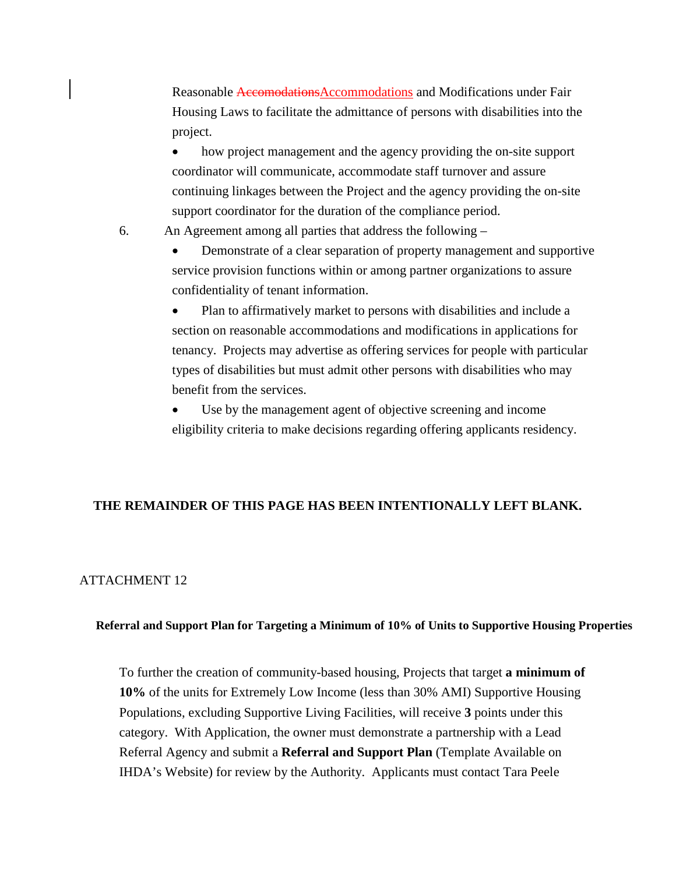Reasonable AccomodationsAccommodations and Modifications under Fair Housing Laws to facilitate the admittance of persons with disabilities into the project.

• how project management and the agency providing the on-site support coordinator will communicate, accommodate staff turnover and assure continuing linkages between the Project and the agency providing the on-site support coordinator for the duration of the compliance period.

6. An Agreement among all parties that address the following –

• Demonstrate of a clear separation of property management and supportive service provision functions within or among partner organizations to assure confidentiality of tenant information.

• Plan to affirmatively market to persons with disabilities and include a section on reasonable accommodations and modifications in applications for tenancy. Projects may advertise as offering services for people with particular types of disabilities but must admit other persons with disabilities who may benefit from the services.

Use by the management agent of objective screening and income eligibility criteria to make decisions regarding offering applicants residency.

## **THE REMAINDER OF THIS PAGE HAS BEEN INTENTIONALLY LEFT BLANK.**

## ATTACHMENT 12

#### **Referral and Support Plan for Targeting a Minimum of 10% of Units to Supportive Housing Properties**

To further the creation of community-based housing, Projects that target **a minimum of 10%** of the units for Extremely Low Income (less than 30% AMI) Supportive Housing Populations, excluding Supportive Living Facilities, will receive **3** points under this category. With Application, the owner must demonstrate a partnership with a Lead Referral Agency and submit a **Referral and Support Plan** (Template Available on IHDA's Website) for review by the Authority. Applicants must contact Tara Peele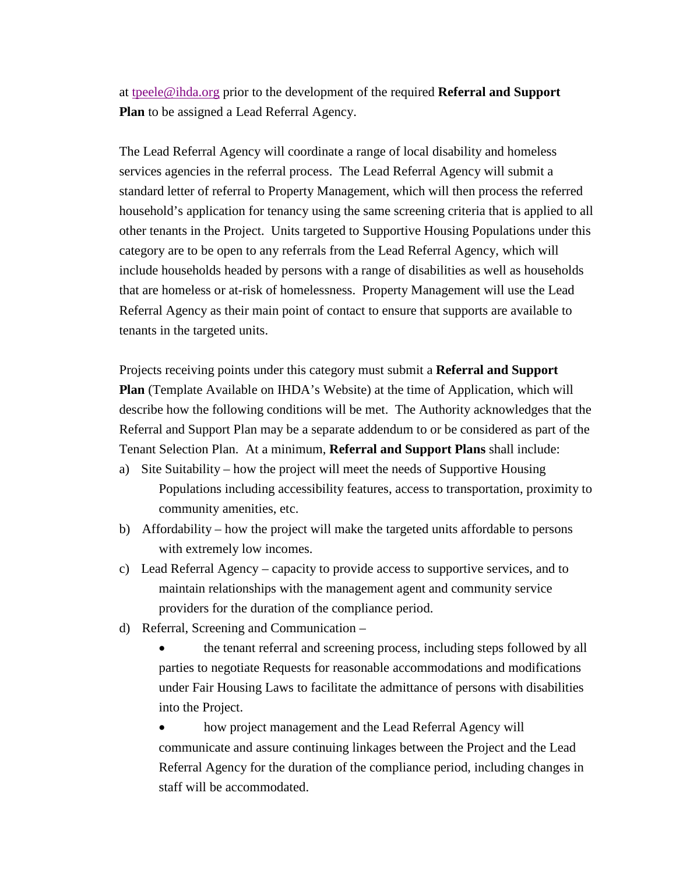at [tpeele@ihda.org](mailto:tpeele@ihda.org) prior to the development of the required **Referral and Support Plan** to be assigned a Lead Referral Agency.

The Lead Referral Agency will coordinate a range of local disability and homeless services agencies in the referral process. The Lead Referral Agency will submit a standard letter of referral to Property Management, which will then process the referred household's application for tenancy using the same screening criteria that is applied to all other tenants in the Project. Units targeted to Supportive Housing Populations under this category are to be open to any referrals from the Lead Referral Agency, which will include households headed by persons with a range of disabilities as well as households that are homeless or at-risk of homelessness. Property Management will use the Lead Referral Agency as their main point of contact to ensure that supports are available to tenants in the targeted units.

Projects receiving points under this category must submit a **Referral and Support Plan** (Template Available on IHDA's Website) at the time of Application, which will describe how the following conditions will be met. The Authority acknowledges that the Referral and Support Plan may be a separate addendum to or be considered as part of the Tenant Selection Plan. At a minimum, **Referral and Support Plans** shall include:

- a) Site Suitability how the project will meet the needs of Supportive Housing Populations including accessibility features, access to transportation, proximity to community amenities, etc.
- b) Affordability how the project will make the targeted units affordable to persons with extremely low incomes.
- c) Lead Referral Agency capacity to provide access to supportive services, and to maintain relationships with the management agent and community service providers for the duration of the compliance period.
- d) Referral, Screening and Communication
	- the tenant referral and screening process, including steps followed by all parties to negotiate Requests for reasonable accommodations and modifications under Fair Housing Laws to facilitate the admittance of persons with disabilities into the Project.

how project management and the Lead Referral Agency will communicate and assure continuing linkages between the Project and the Lead Referral Agency for the duration of the compliance period, including changes in staff will be accommodated.